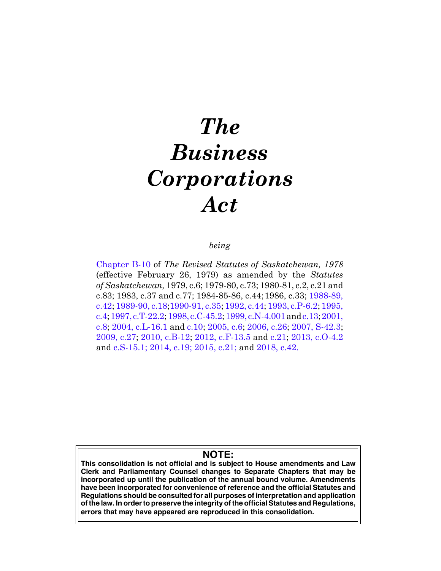# *The Business Corporations Act*

## *being*

[Chapter B-10](https://publications.saskatchewan.ca/api/v1/products/26501/formats/33668/download) of *The Revised Statutes of Saskatchewan, 1978*  (effective February 26, 1979) as amended by the *Statutes of Saskatchewan,* 1979, c.6; 1979-80, c.73; 1980-81, c.2, c.21 and c.83; 1983, c.37 and c.77; 1984-85-86, c.44;1986, c.33; [1988-89,](https://publications.saskatchewan.ca:443/api/v1/products/103564/formats/114897/download)  [c.42;](https://publications.saskatchewan.ca:443/api/v1/products/103564/formats/114897/download) [1989-90, c.18](https://publications.saskatchewan.ca:443/api/v1/products/24551/formats/31541/download-90/18_89.pdf);[1990-91, c.35](https://publications.saskatchewan.ca:443/api/v1/products/24928/formats/32072/download); [1992, c.44](https://publications.saskatchewan.ca:443/api/v1/products/25238/formats/32599/download); [1993, c.P-6.2](https://publications.saskatchewan.ca:443/api/v1/products/26406/formats/33548/download); [1995,](https://publications.saskatchewan.ca:443/api/v1/products/25419/formats/32952/download)  [c.4;](https://publications.saskatchewan.ca:443/api/v1/products/25419/formats/32952/download) [1997, c.T-22.2](https://publications.saskatchewan.ca:443/api/v1/products/3649/formats/6888/download); [1998, c.C-45.2](https://publications.saskatchewan.ca:443/api/v1/products/3585/formats/6760/download); [1999, c.N-4.001](https://publications.saskatchewan.ca:443/api/v1/products/3543/formats/6676/download) and c.[13;](https://publications.saskatchewan.ca:443/api/v1/products/3559/formats/6708/download) [2001,](https://publications.saskatchewan.ca:443/api/v1/products/3397/formats/6385/download)  [c.8;](https://publications.saskatchewan.ca:443/api/v1/products/3397/formats/6385/download) [2004, c.L-16.1](https://publications.saskatchewan.ca:443/api/v1/products/9371/formats/14125/download) and c.[10;](https://publications.saskatchewan.ca:443/api/v1/products/9328/formats/14041/download) [2005, c.6;](https://publications.saskatchewan.ca:443/api/v1/products/10277/formats/15511/download) [2006, c.26;](https://publications.saskatchewan.ca:443/api/v1/products/12137/formats/18064/download) [2007, S-42.3](https://publications.saskatchewan.ca:443/api/v1/products/23323/formats/29990/download); [2009, c.27;](https://publications.saskatchewan.ca:443/api/v1/products/28113/formats/35226/download) 2010, [c.B-12;](https://publications.saskatchewan.ca:443/api/v1/products/30311/formats/37299/download) [2012, c.F-13.5](https://publications.saskatchewan.ca:443/api/v1/products/64263/formats/71567/download) an[d c.21;](https://publications.saskatchewan.ca:443/api/v1/products/64270/formats/71581/download) [2013, c.O-4.2](https://publications.saskatchewan.ca:443/api/v1/products/67225/formats/74698/download) and [c.S-15.1](https://publications.saskatchewan.ca:443/api/v1/products/67231/formats/74710/download); [2014, c.19](https://publications.saskatchewan.ca:443/api/v1/products/70697/formats/78621/download); [2015, c.21](https://publications.saskatchewan.ca:443/api/v1/products/73252/formats/81853/download); and [2018, c.42.](https://publications.saskatchewan.ca:443/api/v1/products/90531/formats/107441/download)

## **NOTE:**

**This consolidation is not official and is subject to House amendments and Law Clerk and Parliamentary Counsel changes to Separate Chapters that may be incorporated up until the publication of the annual bound volume. Amendments have been incorporated for convenience of reference and the official Statutes and Regulations should be consulted for all purposes of interpretation and application of the law. In order to preserve the integrity of the official Statutes and Regulations, errors that may have appeared are reproduced in this consolidation.**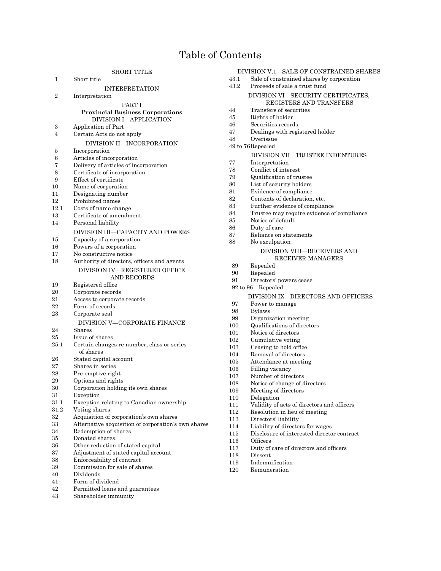## Table of Contents

|              | <b>SHORT TITLE</b>                                                                             |
|--------------|------------------------------------------------------------------------------------------------|
| 1            | Short title                                                                                    |
|              | <b>INTERPRETATION</b>                                                                          |
| 2            | Interpretation                                                                                 |
|              | PART I                                                                                         |
|              |                                                                                                |
|              | <b>Provincial Business Corporations</b><br>DIVISION I-APPLICATION                              |
| 3            | Application of Part                                                                            |
| 4            | Certain Acts do not apply                                                                      |
|              | DIVISION II—INCORPORATION                                                                      |
| 5            | Incorporation                                                                                  |
| 6            | Articles of incorporation                                                                      |
| 7            | Delivery of articles of incorporation                                                          |
| 8            | Certificate of incorporation                                                                   |
| 9            | Effect of certificate                                                                          |
| 10<br>11     | Name of corporation                                                                            |
| 12           | Designating number<br>Prohibited names                                                         |
| 12.1         | Costs of name change                                                                           |
| 13           | Certificate of amendment                                                                       |
| 14           | Personal liability                                                                             |
|              | DIVISION III-CAPACITY AND POWERS                                                               |
| 15           | Capacity of a corporation                                                                      |
| 16           | Powers of a corporation                                                                        |
| 17           | No constructive notice                                                                         |
| 18           | Authority of directors, officers and agents                                                    |
|              | DIVISION IV-REGISTERED OFFICE<br><b>AND RECORDS</b>                                            |
| 19           | Registered office                                                                              |
| 20           | Corporate records                                                                              |
| 21           | Access to corporate records                                                                    |
| 22           | Form of records                                                                                |
| 23           | Corporate seal                                                                                 |
|              | DIVISION V—CORPORATE FINANCE                                                                   |
| 24           | Shares                                                                                         |
| 25           | Issue of shares                                                                                |
| 25.1         | Certain changes re number, class or series<br>of shares                                        |
| 26           | Stated capital account                                                                         |
| 27           | Shares in series                                                                               |
| 28           | Pre-emptive right                                                                              |
| 29           | Options and rights                                                                             |
| 30           | Corporation holding its own shares                                                             |
| 31           | Exception                                                                                      |
| 31.1<br>31.2 | Exception relating to Canadian ownership                                                       |
| 32           | Voting shares                                                                                  |
| 33           | Acquisition of corporation's own shares<br>Alternative acquisition of corporation's own shares |
| 34           | Redemption of shares                                                                           |
| 35           | Donated shares                                                                                 |
| 36           | Other reduction of stated capital                                                              |
| 37           | Adjustment of stated capital account                                                           |
| 38           | Enforceability of contract                                                                     |
| 39           | Commission for sale of shares                                                                  |
| 40           | Dividends                                                                                      |
| 41           | Form of dividend                                                                               |
| 42           | Permitted loans and guarantees                                                                 |

42 Permitted loans and guarantees<br>43 Shareholder immunity Shareholder immunity

| <b>OITOOITO</b>                         |                                                               |  |
|-----------------------------------------|---------------------------------------------------------------|--|
| DIVISION V.1—SALE OF CONSTRAINED SHARES |                                                               |  |
| 43.1                                    | Sale of constrained shares by corporation                     |  |
| 43.2                                    | Proceeds of sale a trust fund                                 |  |
|                                         |                                                               |  |
|                                         | DIVISION VI-SECURITY CERTIFICATES,<br>REGISTERS AND TRANSFERS |  |
| 44                                      | Transfers of securities                                       |  |
| 45                                      | Rights of holder                                              |  |
| 46                                      | Securities records                                            |  |
| 47                                      | Dealings with registered holder                               |  |
| 48                                      | Overissue                                                     |  |
|                                         | 49 to 76Repealed                                              |  |
|                                         | DIVISION VII—TRUSTEE INDENTURES                               |  |
| 77                                      | Interpretation                                                |  |
| 78                                      | Conflict of interest                                          |  |
| 79                                      | Qualification of trustee                                      |  |
| 80                                      | List of security holders                                      |  |
| 81                                      | Evidence of compliance                                        |  |
| 82                                      | Contents of declaration, etc.                                 |  |
| 83                                      | Further evidence of compliance                                |  |
| 84                                      | Trustee may require evidence of compliance                    |  |
| 85                                      | Notice of default                                             |  |
| 86                                      | Duty of care                                                  |  |
| 87                                      | Reliance on statements                                        |  |
| 88                                      | No exculpation                                                |  |
|                                         | DIVISION VIII—RECEIVERS AND<br>RECEIVER-MANAGERS              |  |
| 89                                      | Repealed                                                      |  |
| 90                                      | Repealed                                                      |  |
| 91                                      | Directors' powers cease                                       |  |
| 92 to 96                                | Repealed                                                      |  |
|                                         | DIVISION IX-DIRECTORS AND OFFICERS                            |  |
| 97                                      | Power to manage                                               |  |
| 98                                      | <b>Bylaws</b>                                                 |  |
| 99                                      | Organization meeting                                          |  |
| 100                                     | Qualifications of directors                                   |  |
| 101                                     | Notice of directors                                           |  |
| 102                                     | Cumulative voting                                             |  |
| 103                                     | Ceasing to hold office                                        |  |
| 104                                     | Removal of directors                                          |  |
| 105                                     | Attendance at meeting                                         |  |
| 106                                     | Filling vacancy                                               |  |
| 107                                     | Number of directors                                           |  |
| 108                                     | Notice of change of directors                                 |  |
| 109                                     | Meeting of directors                                          |  |
| 110                                     | Delegation                                                    |  |
| 111                                     | Validity of acts of directors and officers                    |  |
| 112                                     | Resolution in lieu of meeting                                 |  |
|                                         |                                                               |  |

- Directors' liability
- Liability of directors for wages
- Disclosure of interested director contract
- 
- 116 Officers<br>117 Duty of Duty of care of directors and officers
- Dissent
- Indemnification
- Remuneration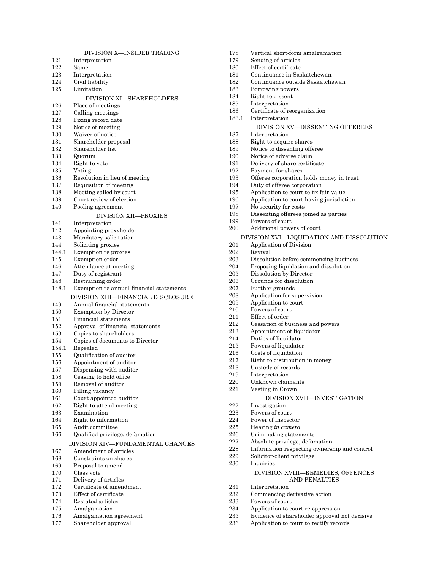|       | DIVISION X-INSIDER TRADING               |
|-------|------------------------------------------|
| 121   | Interpretation                           |
| 122   | Same                                     |
| 123   | Interpretation                           |
| 124   | Civil liability                          |
| 125   | Limitation                               |
|       | DIVISION XI—SHAREHOLDERS                 |
| 126   | Place of meetings                        |
| 127   | Calling meetings                         |
| 128   | Fixing record date                       |
| 129   | Notice of meeting                        |
| 130   | Waiver of notice                         |
| 131   | Shareholder proposal                     |
| 132   | Shareholder list                         |
| 133   | Quorum                                   |
| 134   | Right to vote                            |
| 135   | Voting                                   |
| 136   | Resolution in lieu of meeting            |
|       |                                          |
| 137   | Requisition of meeting                   |
| 138   | Meeting called by court                  |
| 139   | Court review of election                 |
| 140   | Pooling agreement                        |
|       | DIVISION XII—PROXIES                     |
| 141   | Interpretation                           |
| 142   | Appointing proxyholder                   |
| 143   | Mandatory solicitation                   |
| 144   | Soliciting proxies                       |
| 144.1 | Exemption re proxies                     |
| 145   | Exemption order                          |
| 146   | Attendance at meeting                    |
| 147   | Duty of registrant                       |
| 148   | Restraining order                        |
| 148.1 | Exemption re annual financial statements |
|       | DIVISION XIII—FINANCIAL DISCLOSURE       |
| 149   | Annual financial statements              |
| 150   | <b>Exemption by Director</b>             |
| 151   | Financial statements                     |
| 152   | Approval of financial statements         |
| 153   | Copies to shareholders                   |
| 154   | Copies of documents to Director          |
| 154.1 | Repealed                                 |
| 155   | Qualification of auditor                 |
| 156   | Appointment of auditor                   |
| 157   |                                          |
|       | Dispensing with auditor                  |
| 158   | Ceasing to hold office                   |
| 159   | Removal of auditor                       |
| 160   | Filling vacancy                          |
| 161   | Court appointed auditor                  |
| 162   | Right to attend meeting                  |
| 163   | Examination<br>Right to information      |
| 164   | Audit committee                          |
| 165   |                                          |
| 166   | Qualified privilege, defamation          |
|       | DIVISION XIV-FUNDAMENTAL CHANGES         |
| 167   | Amendment of articles                    |
| 168   | Constraints on shares                    |
| 169   | Proposal to amend                        |
| 170   | Class vote                               |
| 171   | Delivery of articles                     |
| 172   | Certificate of amendment                 |
| 173   | Effect of certificate                    |
| 174   | Restated articles                        |
| 175   | Amalgamation                             |
| 176   | Amalgamation agreement                   |
| 177   | Shareholder approval                     |

| 178 | Vertical short-form amalgamation |
|-----|----------------------------------|
|-----|----------------------------------|

- Sending of articles
- Effect of certificate
- Continuance in Saskatchewan
- Continuance outside Saskatchewan
- Borrowing powers
- 184 Right to dissent<br>185 Interpretation
- Interpretation
- Certificate of reorganization
- 186.1 Interpretation

#### DIVISION XV—DISSENTING OFFEREES

- Interpretation
- Right to acquire shares
- Notice to dissenting offeree
- Notice of adverse claim
- Delivery of share certificate
- Payment for shares
- Offeree corporation holds money in trust
- Duty of offeree corporation
- Application to court to fix fair value
- Application to court having jurisdiction
- 197 No security for costs<br>198 Dissenting offerees is
- Dissenting offerees joined as parties
- Powers of court
- Additional powers of court

## DIVISION XVI—LIQUIDATION AND DISSOLUTION

- Application of Division
- 202 Revival<br>203 Dissolut
- Dissolution before commencing business
- Proposing liquidation and dissolution
- 205 Dissolution by Director<br>206 Grounds for dissolution
- Grounds for dissolution
- Further grounds
- Application for supervision
- Application to court
- Powers of court
- Effect of order
- Cessation of business and powers
- Appointment of liquidator
- 
- 214 Duties of liquidator<br>215 Powers of liquidator Powers of liquidator
- Costs of liquidation
- Right to distribution in money
- Custody of records
- Interpretation
- 220 Unknown claimants<br>221 Vesting in Crown
- Vesting in Crown

#### DIVISION XVII—INVESTIGATION

- Investigation
- Powers of court
- Power of inspector
- Hearing *in camera*
- Criminating statements
- Absolute privilege, defamation
- 228 Information respecting ownership and control<br>229 Solicitor-client privilege
- Solicitor-client privilege
- Inquiries
	- DIVISION XVIII—REMEDIES, OFFENCES AND PENALTIES
- Interpretation
- 232 Commencing derivative action<br>233 Powers of court
- Powers of court
- Application to court re oppression
- Evidence of shareholder approval not decisive
- Application to court to rectify records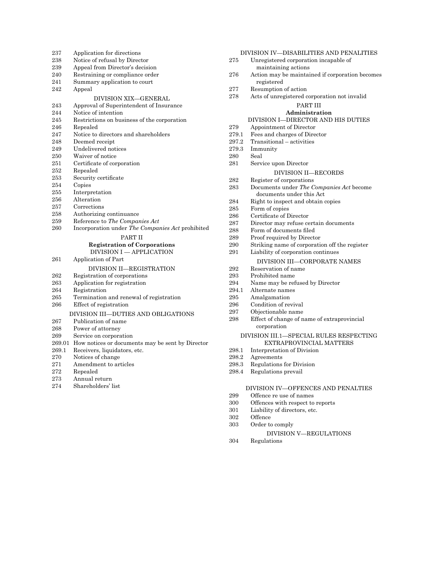| 237    | Application for directions                       |
|--------|--------------------------------------------------|
| 238    | Notice of refusal by Director                    |
| 239    | Appeal from Director's decision                  |
| 240    | Restraining or compliance order                  |
| 241    | Summary application to court                     |
| 242    | Appeal                                           |
|        | DIVISION XIX—GENERAL                             |
| 243    | Approval of Superintendent of Insurance          |
| 244    | Notice of intention                              |
| 245    | Restrictions on business of the corporation      |
| 246    | Repealed                                         |
| 247    | Notice to directors and shareholders             |
| 248    | Deemed receipt                                   |
| 249    | Undelivered notices                              |
| 250    | Waiver of notice                                 |
| 251    | Certificate of corporation                       |
| 252    | Repealed                                         |
| 253    | Security certificate                             |
| 254    | Copies                                           |
| 255    | Interpretation                                   |
| 256    | Alteration                                       |
| 257    | Corrections                                      |
| 258    | Authorizing continuance                          |
| 259    | Reference to The Companies Act                   |
| 260    | Incorporation under The Companies Act prohibited |
|        | <b>PART II</b>                                   |
|        | <b>Registration of Corporations</b>              |
|        | DIVISION I — APPLICATION                         |
| 261    | Application of Part                              |
|        | DIVISION II—REGISTRATION                         |
| 262    | Registration of corporations                     |
| 263    | Application for registration                     |
| 264    | Registration                                     |
| 265    | Termination and renewal of registration          |
| 266    | Effect of registration                           |
|        | DIVISION III-DUTIES AND OBLIGATIONS              |
| 267    | Publication of name                              |
| 268    | Power of attorney                                |
| 269    | Service on corporation                           |
| 269.01 | How notices or documents may be sent by Director |
| 269.1  | Receivers, liquidators, etc.                     |
| 270    | Notices of change                                |
| 271    | Amendment to articles                            |
| 272    | Repealed                                         |
| 273    | Annual return                                    |
| 274    | Shareholders' list                               |
|        |                                                  |

## DIVISION IV—DISABILITIES AND PENALITIES

|       | DIVISION IV—DISABILITIES AND PENALITIES         |
|-------|-------------------------------------------------|
| 275   | Unregistered corporation incapable of           |
|       | maintaining actions                             |
| 276   | Action may be maintained if corporation becomes |
|       | registered                                      |
| 277   | Resumption of action                            |
| 278   | Acts of unregistered corporation not invalid    |
|       | <b>PART III</b>                                 |
|       | Administration                                  |
|       | DIVISION I-DIRECTOR AND HIS DUTIES              |
| 279   | Appointment of Director                         |
| 279.1 | Fees and charges of Director                    |
| 297.2 | Transitional - activities                       |
| 279.3 | Immunity                                        |
| 280   | Seal                                            |
| 281   | Service upon Director                           |
|       | <b>DIVISION II-RECORDS</b>                      |
| 282   | Register of corporations                        |
| 283   | Documents under The Companies Act become        |
|       | documents under this Act                        |
| 284   | Right to inspect and obtain copies              |
| 285   | Form of copies                                  |
| 286   | Certificate of Director                         |
| 287   | Director may refuse certain documents           |
| 288   | Form of documents filed                         |
| 289   | Proof required by Director                      |
| 290   | Striking name of corporation off the register   |
| 291   | Liability of corporation continues              |
|       | DIVISION III-CORPORATE NAMES                    |
| 292   | Reservation of name                             |
| 293   | Prohibited name                                 |
| 294   | Name may be refused by Director                 |
| 294.1 | Alternate names                                 |
| 295   | Amalgamation                                    |
| 296   | Condition of revival                            |
| 297   | Objectionable name                              |
| 298   | Effect of change of name of extraprovincial     |
|       | corporation                                     |

## DIVISION III.1—SPECIAL RULES RESPECTING EXTRAPROVINCIAL MATTERS

- 298.1 Interpretation of Division
- 298.2 Agreements
- 298.3 Regulations for Division
- 298.4 Regulations prevail

## DIVISION IV—OFFENCES AND PENALTIES

- 
- 299 Offence re use of names<br>300 Offences with respect to 300 Offences with respect to reports<br>301 Liability of directors, etc.
- 301 Liability of directors, etc.<br>302 Offence
- **Offence**
- Order to comply
	- DIVISION V—REGULATIONS
- Regulations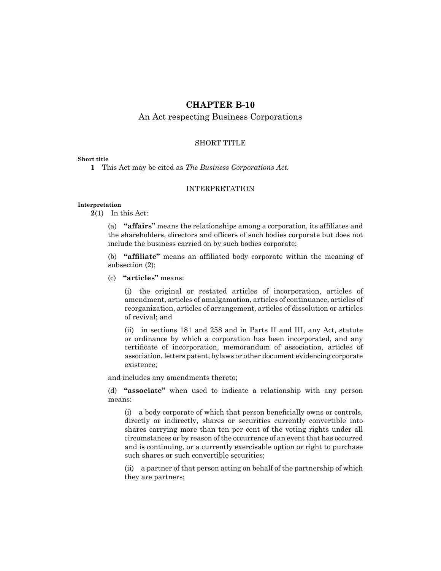## **CHAPTER B-10**

## An Act respecting Business Corporations

## SHORT TITLE

## **Short title**

**1** This Act may be cited as *The Business Corporations Act.*

## INTERPRETATION

#### **Interpretation**

**2**(1) In this Act:

(a) **"affairs"** means the relationships among a corporation, its affiliates and the shareholders, directors and officers of such bodies corporate but does not include the business carried on by such bodies corporate;

(b) **"affiliate"** means an affiliated body corporate within the meaning of subsection (2);

(c) **"articles"** means:

(i) the original or restated articles of incorporation, articles of amendment, articles of amalgamation, articles of continuance, articles of reorganization, articles of arrangement, articles of dissolution or articles of revival; and

(ii) in sections 181 and 258 and in Parts II and III, any Act, statute or ordinance by which a corporation has been incorporated, and any certificate of incorporation, memorandum of association, articles of association, letters patent, bylaws or other document evidencing corporate existence;

and includes any amendments thereto;

(d) **"associate"** when used to indicate a relationship with any person means:

(i) a body corporate of which that person beneficially owns or controls, directly or indirectly, shares or securities currently convertible into shares carrying more than ten per cent of the voting rights under all circumstances or by reason of the occurrence of an event that has occurred and is continuing, or a currently exercisable option or right to purchase such shares or such convertible securities;

(ii) a partner of that person acting on behalf of the partnership of which they are partners;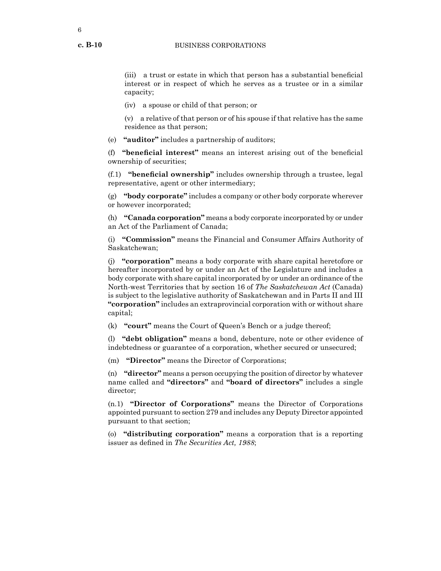(iii) a trust or estate in which that person has a substantial beneficial interest or in respect of which he serves as a trustee or in a similar capacity;

(iv) a spouse or child of that person; or

(v) a relative of that person or of his spouse if that relative has the same residence as that person;

(e) **"auditor"** includes a partnership of auditors;

(f) **"beneficial interest"** means an interest arising out of the beneficial ownership of securities;

(f.1) **"beneficial ownership"** includes ownership through a trustee, legal representative, agent or other intermediary;

(g) **"body corporate"** includes a company or other body corporate wherever or however incorporated;

(h) **"Canada corporation"** means a body corporate incorporated by or under an Act of the Parliament of Canada;

(i) **"Commission"** means the Financial and Consumer Affairs Authority of Saskatchewan;

(j) **"corporation"** means a body corporate with share capital heretofore or hereafter incorporated by or under an Act of the Legislature and includes a body corporate with share capital incorporated by or under an ordinance of the North-west Territories that by section 16 of *The Saskatchewan Act* (Canada) is subject to the legislative authority of Saskatchewan and in Parts II and III **"corporation"** includes an extraprovincial corporation with or without share capital;

(k) **"court"** means the Court of Queen's Bench or a judge thereof;

(l) **"debt obligation"** means a bond, debenture, note or other evidence of indebtedness or guarantee of a corporation, whether secured or unsecured;

(m) **"Director"** means the Director of Corporations;

(n) **"director"** means a person occupying the position of director by whatever name called and **"directors"** and **"board of directors"** includes a single director;

(n.1) **"Director of Corporations"** means the Director of Corporations appointed pursuant to section 279 and includes any Deputy Director appointed pursuant to that section;

(o) **"distributing corporation"** means a corporation that is a reporting issuer as defined in *The Securities Act, 1988*;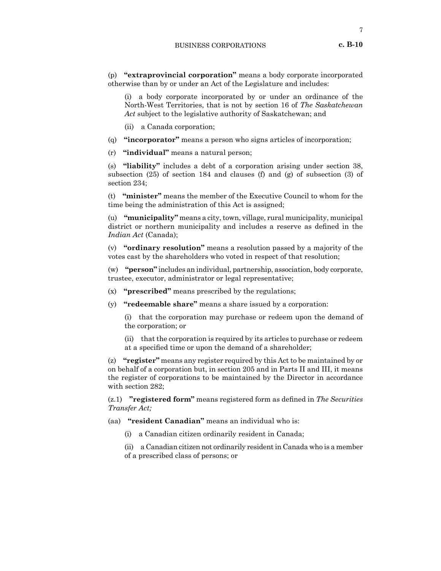(p) **"extraprovincial corporation"** means a body corporate incorporated otherwise than by or under an Act of the Legislature and includes:

(i) a body corporate incorporated by or under an ordinance of the North-West Territories, that is not by section 16 of *The Saskatchewan Act* subject to the legislative authority of Saskatchewan; and

- (ii) a Canada corporation;
- (q) **"incorporator"** means a person who signs articles of incorporation;
- (r) **"individual"** means a natural person;

(s) **"liability"** includes a debt of a corporation arising under section 38, subsection (25) of section 184 and clauses (f) and (g) of subsection (3) of section 234;

(t) **"minister"** means the member of the Executive Council to whom for the time being the administration of this Act is assigned;

(u) **"municipality"** means a city, town, village, rural municipality, municipal district or northern municipality and includes a reserve as defined in the *Indian Act* (Canada);

(v) **"ordinary resolution"** means a resolution passed by a majority of the votes cast by the shareholders who voted in respect of that resolution;

(w) **"person"** includes an individual, partnership, association, body corporate, trustee, executor, administrator or legal representative;

- (x) **"prescribed"** means prescribed by the regulations;
- (y) **"redeemable share"** means a share issued by a corporation:

(i) that the corporation may purchase or redeem upon the demand of the corporation; or

(ii) that the corporation is required by its articles to purchase or redeem at a specified time or upon the demand of a shareholder;

(z) **"register"** means any register required by this Act to be maintained by or on behalf of a corporation but, in section 205 and in Parts II and III, it means the register of corporations to be maintained by the Director in accordance with section 282;

(z.1) **"registered form"** means registered form as defined in *The Securities Transfer Act;*

(aa) **"resident Canadian"** means an individual who is:

(i) a Canadian citizen ordinarily resident in Canada;

(ii) a Canadian citizen not ordinarily resident in Canada who is a member of a prescribed class of persons; or

**c. B-10**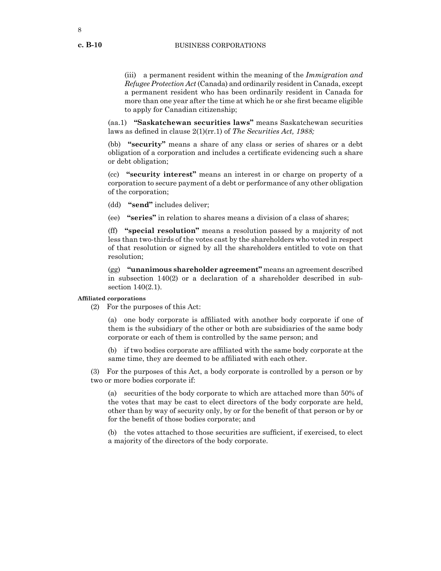(iii) a permanent resident within the meaning of the *Immigration and Refugee Protection Act* (Canada) and ordinarily resident in Canada, except a permanent resident who has been ordinarily resident in Canada for more than one year after the time at which he or she first became eligible to apply for Canadian citizenship;

(aa.1) **"Saskatchewan securities laws"** means Saskatchewan securities laws as defined in clause 2(1)(rr.1) of *The Securities Act, 1988;*

(bb) **"security"** means a share of any class or series of shares or a debt obligation of a corporation and includes a certificate evidencing such a share or debt obligation;

(cc) **"security interest"** means an interest in or charge on property of a corporation to secure payment of a debt or performance of any other obligation of the corporation;

(dd) **"send"** includes deliver;

(ee) **"series"** in relation to shares means a division of a class of shares;

(ff) **"special resolution"** means a resolution passed by a majority of not less than two-thirds of the votes cast by the shareholders who voted in respect of that resolution or signed by all the shareholders entitled to vote on that resolution;

(gg) **"unanimous shareholder agreement"** means an agreement described in subsection  $140(2)$  or a declaration of a shareholder described in subsection 140(2.1).

#### **Affiliated corporations**

(2) For the purposes of this Act:

(a) one body corporate is affiliated with another body corporate if one of them is the subsidiary of the other or both are subsidiaries of the same body corporate or each of them is controlled by the same person; and

(b) if two bodies corporate are affiliated with the same body corporate at the same time, they are deemed to be affiliated with each other.

(3) For the purposes of this Act, a body corporate is controlled by a person or by two or more bodies corporate if:

(a) securities of the body corporate to which are attached more than 50% of the votes that may be cast to elect directors of the body corporate are held, other than by way of security only, by or for the benefit of that person or by or for the benefit of those bodies corporate; and

(b) the votes attached to those securities are sufficient, if exercised, to elect a majority of the directors of the body corporate.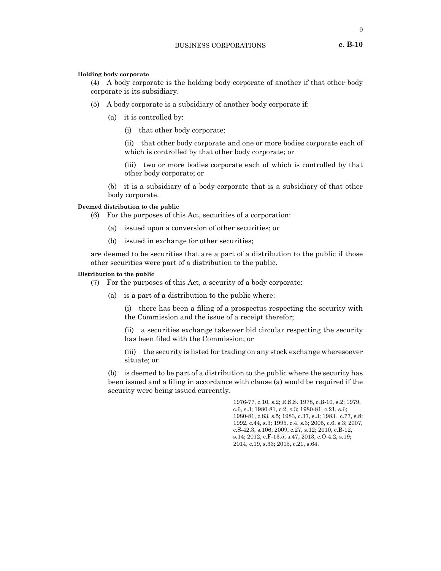#### **Holding body corporate**

(4) A body corporate is the holding body corporate of another if that other body corporate is its subsidiary.

- (5) A body corporate is a subsidiary of another body corporate if:
	- (a) it is controlled by:
		- (i) that other body corporate;

(ii) that other body corporate and one or more bodies corporate each of which is controlled by that other body corporate; or

(iii) two or more bodies corporate each of which is controlled by that other body corporate; or

(b) it is a subsidiary of a body corporate that is a subsidiary of that other body corporate.

## **Deemed distribution to the public**

- (6) For the purposes of this Act, securities of a corporation:
	- (a) issued upon a conversion of other securities; or
	- (b) issued in exchange for other securities;

are deemed to be securities that are a part of a distribution to the public if those other securities were part of a distribution to the public.

## **Distribution to the public**

(7) For the purposes of this Act, a security of a body corporate:

(a) is a part of a distribution to the public where:

(i) there has been a filing of a prospectus respecting the security with the Commission and the issue of a receipt therefor;

- (ii) a securities exchange takeover bid circular respecting the security has been filed with the Commission; or
- (iii) the security is listed for trading on any stock exchange wheresoever situate; or

(b) is deemed to be part of a distribution to the public where the security has been issued and a filing in accordance with clause (a) would be required if the security were being issued currently.

> 1976-77, c.10, s.2; R.S.S. 1978, c.B-10, s.2; 1979, c.6, s.3; 1980-81, c.2, s.3; 1980-81, c.21, s.6; 1980-81, c.83, s.5; 1983, c.37, s.3; 1983, c.77, s.8; 1992, c.44, s.3; 1995, c.4, s.3; 2005, c.6, s.3; 2007, c.S-42.3, s.106; 2009, c.27, s.12; 2010, c.B-12, s.14; 2012, c.F-13.5, s.47; 2013, c.O-4.2, s.19; 2014, c.19, s.33; 2015, c.21, s.64.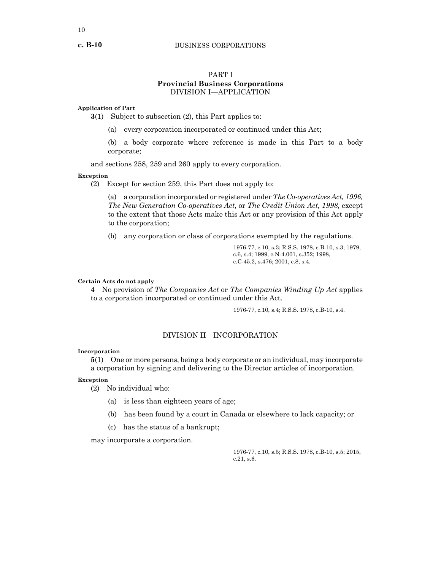## PART I **Provincial Business Corporations** DIVISION I—APPLICATION

## **Application of Part**

**3**(1) Subject to subsection (2), this Part applies to:

- (a) every corporation incorporated or continued under this Act;
- (b) a body corporate where reference is made in this Part to a body corporate;

and sections 258, 259 and 260 apply to every corporation.

#### **Exception**

(2) Except for section 259, this Part does not apply to:

(a) a corporation incorporated or registered under *The Co-operatives Act, 1996, The New Generation Co-operatives Act,* or *The Credit Union Act, 1998,* except to the extent that those Acts make this Act or any provision of this Act apply to the corporation;

(b) any corporation or class of corporations exempted by the regulations.

1976-77, c.10, s.3; R.S.S. 1978, c.B-10, s.3; 1979, c.6, s.4; 1999, c.N-4.001, s.352; 1998, c.C-45.2, s.476; 2001, c.8, s.4.

#### **Certain Acts do not apply**

**4** No provision of *The Companies Act* or *The Companies Winding Up Act* applies to a corporation incorporated or continued under this Act.

1976-77, c.10, s.4; R.S.S. 1978, c.B-10, s.4.

## DIVISION II—INCORPORATION

#### **Incorporation**

**5**(1) One or more persons, being a body corporate or an individual, may incorporate a corporation by signing and delivering to the Director articles of incorporation.

**Exception**

(2) No individual who:

(a) is less than eighteen years of age;

- (b) has been found by a court in Canada or elsewhere to lack capacity; or
- (c) has the status of a bankrupt;

may incorporate a corporation.

1976-77, c.10, s.5; R.S.S. 1978, c.B-10, s.5; 2015, c.21, s.6.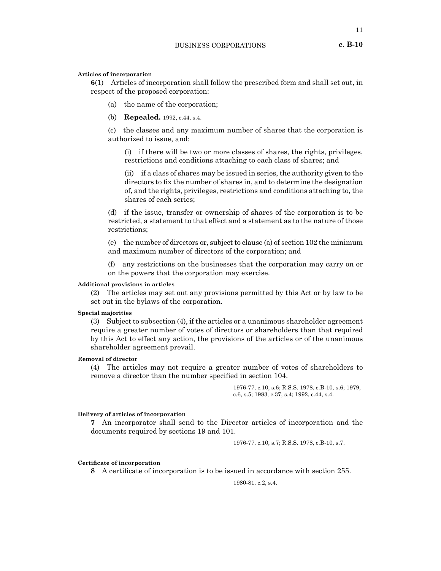#### **Articles of incorporation**

**6**(1) Articles of incorporation shall follow the prescribed form and shall set out, in respect of the proposed corporation:

- (a) the name of the corporation;
- (b) **Repealed.** 1992, c.44, s.4.

(c) the classes and any maximum number of shares that the corporation is authorized to issue, and:

(i) if there will be two or more classes of shares, the rights, privileges, restrictions and conditions attaching to each class of shares; and

(ii) if a class of shares may be issued in series, the authority given to the directors to fix the number of shares in, and to determine the designation of, and the rights, privileges, restrictions and conditions attaching to, the shares of each series;

(d) if the issue, transfer or ownership of shares of the corporation is to be restricted, a statement to that effect and a statement as to the nature of those restrictions;

(e) the number of directors or, subject to clause (a) of section 102 the minimum and maximum number of directors of the corporation; and

(f) any restrictions on the businesses that the corporation may carry on or on the powers that the corporation may exercise.

## **Additional provisions in articles**

(2) The articles may set out any provisions permitted by this Act or by law to be set out in the bylaws of the corporation.

#### **Special majorities**

(3) Subject to subsection (4), if the articles or a unanimous shareholder agreement require a greater number of votes of directors or shareholders than that required by this Act to effect any action, the provisions of the articles or of the unanimous shareholder agreement prevail.

## **Removal of director**

(4) The articles may not require a greater number of votes of shareholders to remove a director than the number specified in section 104.

> 1976-77, c.10, s.6; R.S.S. 1978, c.B-10, s.6; 1979, c.6, s.5; 1983, c.37, s.4; 1992, c.44, s.4.

#### **Delivery of articles of incorporation**

**7** An incorporator shall send to the Director articles of incorporation and the documents required by sections 19 and 101.

1976-77, c.10, s.7; R.S.S. 1978, c.B-10, s.7.

## **Certificate of incorporation**

**8** A certificate of incorporation is to be issued in accordance with section 255.

1980-81, c.2, s.4.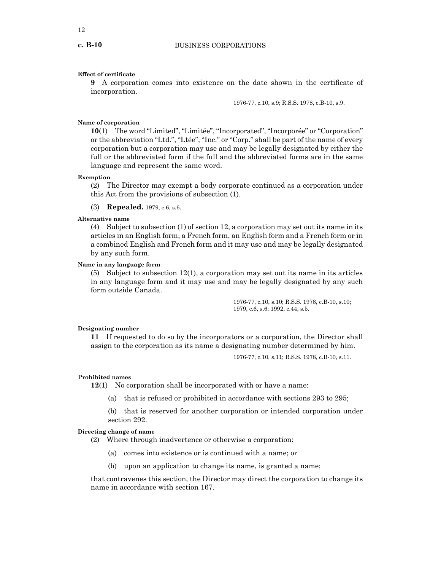## **Effect of certificate**

**9** A corporation comes into existence on the date shown in the certificate of incorporation.

1976-77, c.10, s.9; R.S.S. 1978, c.B-10, s.9.

## **Name of corporation**

**10**(1) The word "Limited", "Limitée", "Incorporated", "Incorporée" or "Corporation" or the abbreviation "Ltd.", "Ltée", "Inc." or "Corp." shall be part of the name of every corporation but a corporation may use and may be legally designated by either the full or the abbreviated form if the full and the abbreviated forms are in the same language and represent the same word.

## **Exemption**

(2) The Director may exempt a body corporate continued as a corporation under this Act from the provisions of subsection (1).

(3) **Repealed.** 1979, c.6, s.6.

## **Alternative name**

(4) Subject to subsection (1) of section 12, a corporation may set out its name in its articles in an English form, a French form, an English form and a French form or in a combined English and French form and it may use and may be legally designated by any such form.

## **Name in any language form**

(5) Subject to subsection 12(1), a corporation may set out its name in its articles in any language form and it may use and may be legally designated by any such form outside Canada.

> 1976-77, c.10, s.10; R.S.S. 1978, c.B-10, s.10; 1979, c.6, s.6; 1992, c.44, s.5.

## **Designating number**

**11** If requested to do so by the incorporators or a corporation, the Director shall assign to the corporation as its name a designating number determined by him.

1976-77, c.10, s.11; R.S.S. 1978, c.B-10, s.11.

## **Prohibited names**

**12**(1) No corporation shall be incorporated with or have a name:

(a) that is refused or prohibited in accordance with sections 293 to 295;

(b) that is reserved for another corporation or intended corporation under section 292.

#### **Directing change of name**

(2) Where through inadvertence or otherwise a corporation:

- (a) comes into existence or is continued with a name; or
- (b) upon an application to change its name, is granted a name;

that contravenes this section, the Director may direct the corporation to change its name in accordance with section 167.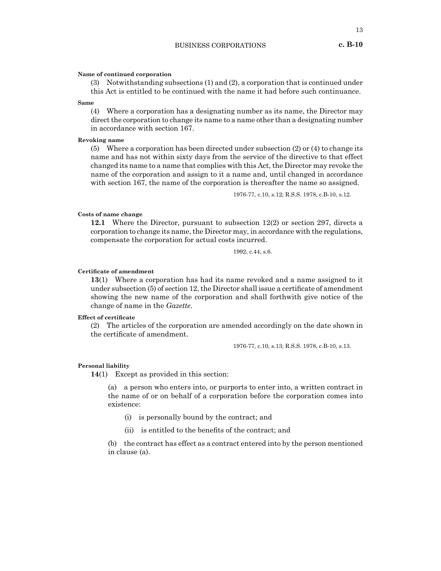(3) Notwithstanding subsections (1) and (2), a corporation that is continued under this Act is entitled to be continued with the name it had before such continuance.

**Same**

(4) Where a corporation has a designating number as its name, the Director may direct the corporation to change its name to a name other than a designating number in accordance with section 167.

#### **Revoking name**

(5) Where a corporation has been directed under subsection (2) or (4) to change its name and has not within sixty days from the service of the directive to that effect changed its name to a name that complies with this Act, the Director may revoke the name of the corporation and assign to it a name and, until changed in accordance with section 167, the name of the corporation is thereafter the name so assigned.

1976-77, c.10, s.12; R.S.S. 1978, c.B-10, s.12.

## **Costs of name change**

**12.1** Where the Director, pursuant to subsection 12(2) or section 297, directs a corporation to change its name, the Director may, in accordance with the regulations, compensate the corporation for actual costs incurred.

1992, c.44, s.6.

#### **Certificate of amendment**

**13**(1) Where a corporation has had its name revoked and a name assigned to it under subsection (5) of section 12, the Director shall issue a certificate of amendment showing the new name of the corporation and shall forthwith give notice of the change of name in the *Gazette*.

## **Effect of certificate**

(2) The articles of the corporation are amended accordingly on the date shown in the certificate of amendment.

1976-77, c.10, s.13; R.S.S. 1978, c.B-10, s.13.

## **Personal liability**

**14**(1) Except as provided in this section:

(a) a person who enters into, or purports to enter into, a written contract in the name of or on behalf of a corporation before the corporation comes into existence:

- (i) is personally bound by the contract; and
- (ii) is entitled to the benefits of the contract; and

(b) the contract has effect as a contract entered into by the person mentioned in clause (a).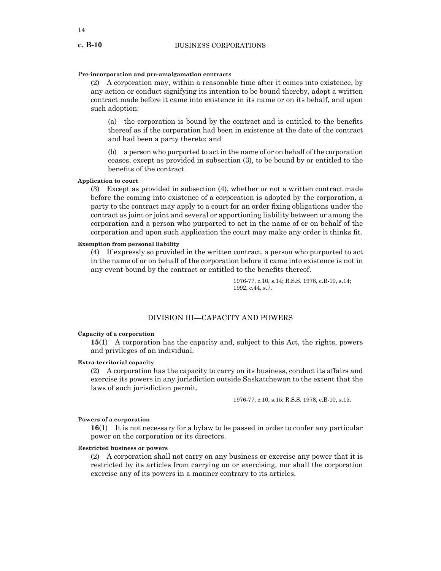## **Pre-incorporation and pre-amalgamation contracts**

(2) A corporation may, within a reasonable time after it comes into existence, by any action or conduct signifying its intention to be bound thereby, adopt a written contract made before it came into existence in its name or on its behalf, and upon such adoption:

(a) the corporation is bound by the contract and is entitled to the benefits thereof as if the corporation had been in existence at the date of the contract and had been a party thereto; and

(b) a person who purported to act in the name of or on behalf of the corporation ceases, except as provided in subsection (3), to be bound by or entitled to the benefits of the contract.

## **Application to court**

(3) Except as provided in subsection (4), whether or not a written contract made before the coming into existence of a corporation is adopted by the corporation, a party to the contract may apply to a court for an order fixing obligations under the contract as joint or joint and several or apportioning liability between or among the corporation and a person who purported to act in the name of or on behalf of the corporation and upon such application the court may make any order it thinks fit.

#### **Exemption from personal liability**

(4) If expressly so provided in the written contract, a person who purported to act in the name of or on behalf of the corporation before it came into existence is not in any event bound by the contract or entitled to the benefits thereof.

> 1976-77, c.10, s.14; R.S.S. 1978, c.B-10, s.14; 1992, c.44, s.7.

## DIVISION III—CAPACITY AND POWERS

## **Capacity of a corporation**

**15**(1) A corporation has the capacity and, subject to this Act, the rights, powers and privileges of an individual.

## **Extra-territorial capacity**

(2) A corporation has the capacity to carry on its business, conduct its affairs and exercise its powers in any jurisdiction outside Saskatchewan to the extent that the laws of such jurisdiction permit.

1976-77, c.10, s.15; R.S.S. 1978, c.B-10, s.15.

#### **Powers of a corporation**

**16**(1) It is not necessary for a bylaw to be passed in order to confer any particular power on the corporation or its directors.

## **Restricted business or powers**

(2) A corporation shall not carry on any business or exercise any power that it is restricted by its articles from carrying on or exercising, nor shall the corporation exercise any of its powers in a manner contrary to its articles.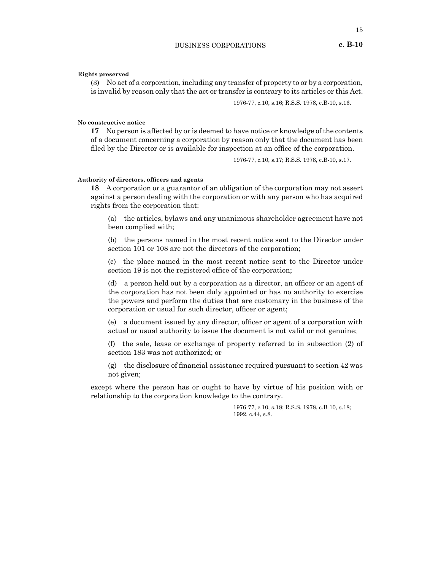## **Rights preserved**

(3) No act of a corporation, including any transfer of property to or by a corporation, is invalid by reason only that the act or transfer is contrary to its articles or this Act.

1976-77, c.10, s.16; R.S.S. 1978, c.B-10, s.16.

#### **No constructive notice**

**17** No person is affected by or is deemed to have notice or knowledge of the contents of a document concerning a corporation by reason only that the document has been filed by the Director or is available for inspection at an office of the corporation.

1976-77, c.10, s.17; R.S.S. 1978, c.B-10, s.17.

#### **Authority of directors, officers and agents**

**18** A corporation or a guarantor of an obligation of the corporation may not assert against a person dealing with the corporation or with any person who has acquired rights from the corporation that:

(a) the articles, bylaws and any unanimous shareholder agreement have not been complied with;

(b) the persons named in the most recent notice sent to the Director under section 101 or 108 are not the directors of the corporation;

(c) the place named in the most recent notice sent to the Director under section 19 is not the registered office of the corporation;

(d) a person held out by a corporation as a director, an officer or an agent of the corporation has not been duly appointed or has no authority to exercise the powers and perform the duties that are customary in the business of the corporation or usual for such director, officer or agent;

(e) a document issued by any director, officer or agent of a corporation with actual or usual authority to issue the document is not valid or not genuine;

(f) the sale, lease or exchange of property referred to in subsection (2) of section 183 was not authorized; or

(g) the disclosure of financial assistance required pursuant to section 42 was not given;

except where the person has or ought to have by virtue of his position with or relationship to the corporation knowledge to the contrary.

> 1976-77, c.10, s.18; R.S.S. 1978, c.B-10, s.18; 1992, c.44, s.8.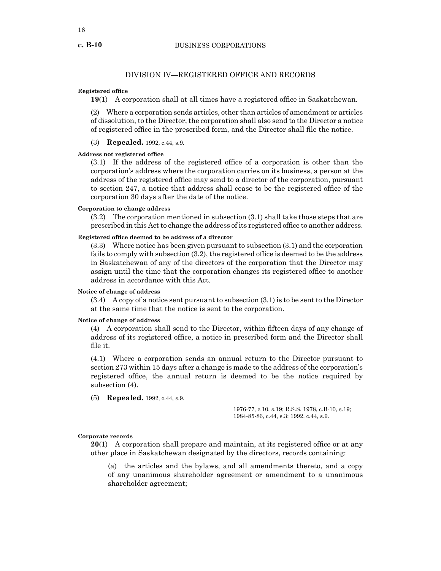## DIVISION IV—REGISTERED OFFICE AND RECORDS

#### **Registered office**

**19**(1) A corporation shall at all times have a registered office in Saskatchewan.

(2) Where a corporation sends articles, other than articles of amendment or articles of dissolution, to the Director, the corporation shall also send to the Director a notice of registered office in the prescribed form, and the Director shall file the notice.

## (3) **Repealed.** 1992, c.44, s.9.

## **Address not registered office**

(3.1) If the address of the registered office of a corporation is other than the corporation's address where the corporation carries on its business, a person at the address of the registered office may send to a director of the corporation, pursuant to section 247, a notice that address shall cease to be the registered office of the corporation 30 days after the date of the notice.

## **Corporation to change address**

(3.2) The corporation mentioned in subsection (3.1) shall take those steps that are prescribed in this Act to change the address of its registered office to another address.

## **Registered office deemed to be address of a director**

(3.3) Where notice has been given pursuant to subsection (3.1) and the corporation fails to comply with subsection (3.2), the registered office is deemed to be the address in Saskatchewan of any of the directors of the corporation that the Director may assign until the time that the corporation changes its registered office to another address in accordance with this Act.

## **Notice of change of address**

(3.4) A copy of a notice sent pursuant to subsection (3.1) is to be sent to the Director at the same time that the notice is sent to the corporation.

## **Notice of change of address**

(4) A corporation shall send to the Director, within fifteen days of any change of address of its registered office, a notice in prescribed form and the Director shall file it.

(4.1) Where a corporation sends an annual return to the Director pursuant to section 273 within 15 days after a change is made to the address of the corporation's registered office, the annual return is deemed to be the notice required by subsection (4).

(5) **Repealed.** 1992, c.44, s.9.

1976-77, c.10, s.19; R.S.S. 1978, c.B-10, s.19; 1984-85-86, c.44, s.3; 1992, c.44, s.9.

## **Corporate records**

**20**(1) A corporation shall prepare and maintain, at its registered office or at any other place in Saskatchewan designated by the directors, records containing:

(a) the articles and the bylaws, and all amendments thereto, and a copy of any unanimous shareholder agreement or amendment to a unanimous shareholder agreement;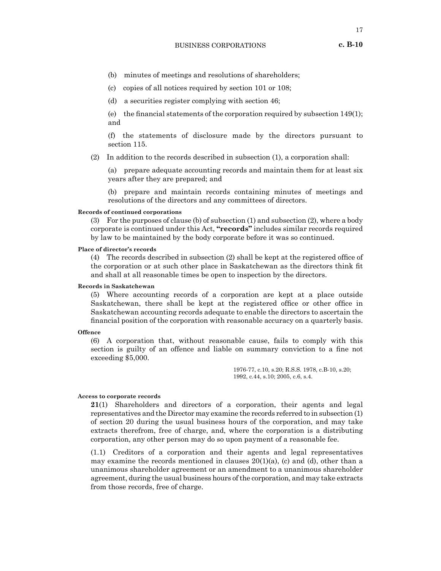- (b) minutes of meetings and resolutions of shareholders;
- (c) copies of all notices required by section 101 or 108;
- (d) a securities register complying with section 46;

(e) the financial statements of the corporation required by subsection  $149(1)$ ; and

(f) the statements of disclosure made by the directors pursuant to section 115.

(2) In addition to the records described in subsection (1), a corporation shall:

(a) prepare adequate accounting records and maintain them for at least six years after they are prepared; and

(b) prepare and maintain records containing minutes of meetings and resolutions of the directors and any committees of directors.

#### **Records of continued corporations**

(3) For the purposes of clause (b) of subsection (1) and subsection (2), where a body corporate is continued under this Act, **"records"** includes similar records required by law to be maintained by the body corporate before it was so continued.

## **Place of director's records**

(4) The records described in subsection (2) shall be kept at the registered office of the corporation or at such other place in Saskatchewan as the directors think fit and shall at all reasonable times be open to inspection by the directors.

## **Records in Saskatchewan**

(5) Where accounting records of a corporation are kept at a place outside Saskatchewan, there shall be kept at the registered office or other office in Saskatchewan accounting records adequate to enable the directors to ascertain the financial position of the corporation with reasonable accuracy on a quarterly basis.

## **Offence**

(6) A corporation that, without reasonable cause, fails to comply with this section is guilty of an offence and liable on summary conviction to a fine not exceeding \$5,000.

> 1976-77, c.10, s.20; R.S.S. 1978, c.B-10, s.20; 1992, c.44, s.10; 2005, c.6, s.4.

## **Access to corporate records**

**21**(1) Shareholders and directors of a corporation, their agents and legal representatives and the Director may examine the records referred to in subsection (1) of section 20 during the usual business hours of the corporation, and may take extracts therefrom, free of charge, and, where the corporation is a distributing corporation, any other person may do so upon payment of a reasonable fee.

(1.1) Creditors of a corporation and their agents and legal representatives may examine the records mentioned in clauses  $20(1)(a)$ , (c) and (d), other than a unanimous shareholder agreement or an amendment to a unanimous shareholder agreement, during the usual business hours of the corporation, and may take extracts from those records, free of charge.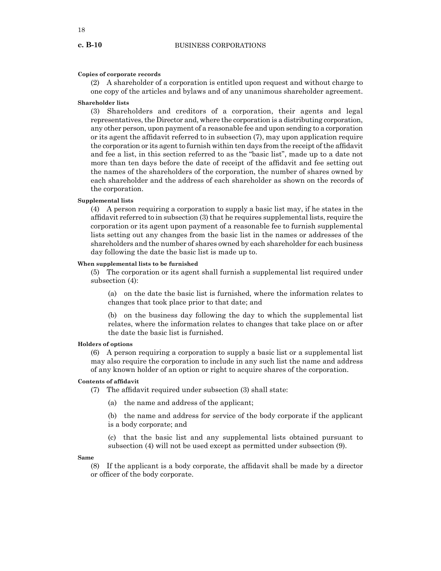#### **Copies of corporate records**

(2) A shareholder of a corporation is entitled upon request and without charge to one copy of the articles and bylaws and of any unanimous shareholder agreement.

## **Shareholder lists**

(3) Shareholders and creditors of a corporation, their agents and legal representatives, the Director and, where the corporation is a distributing corporation, any other person, upon payment of a reasonable fee and upon sending to a corporation or its agent the affidavit referred to in subsection (7), may upon application require the corporation or its agent to furnish within ten days from the receipt of the affidavit and fee a list, in this section referred to as the "basic list", made up to a date not more than ten days before the date of receipt of the affidavit and fee setting out the names of the shareholders of the corporation, the number of shares owned by each shareholder and the address of each shareholder as shown on the records of the corporation.

## **Supplemental lists**

(4) A person requiring a corporation to supply a basic list may, if he states in the affidavit referred to in subsection (3) that he requires supplemental lists, require the corporation or its agent upon payment of a reasonable fee to furnish supplemental lists setting out any changes from the basic list in the names or addresses of the shareholders and the number of shares owned by each shareholder for each business day following the date the basic list is made up to.

## **When supplemental lists to be furnished**

(5) The corporation or its agent shall furnish a supplemental list required under subsection (4):

(a) on the date the basic list is furnished, where the information relates to changes that took place prior to that date; and

(b) on the business day following the day to which the supplemental list relates, where the information relates to changes that take place on or after the date the basic list is furnished.

#### **Holders of options**

(6) A person requiring a corporation to supply a basic list or a supplemental list may also require the corporation to include in any such list the name and address of any known holder of an option or right to acquire shares of the corporation.

## **Contents of affidavit**

(7) The affidavit required under subsection (3) shall state:

(a) the name and address of the applicant;

(b) the name and address for service of the body corporate if the applicant is a body corporate; and

(c) that the basic list and any supplemental lists obtained pursuant to subsection (4) will not be used except as permitted under subsection (9).

#### **Same**

(8) If the applicant is a body corporate, the affidavit shall be made by a director or officer of the body corporate.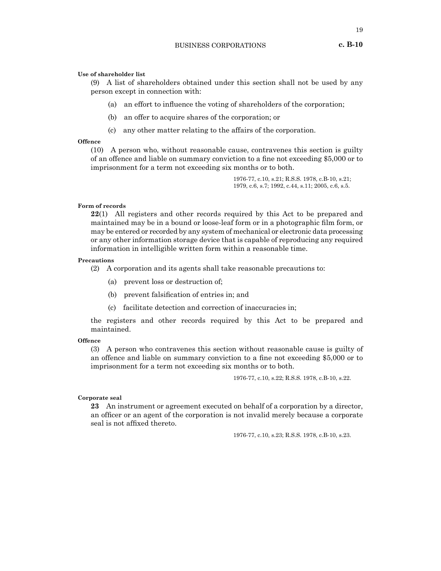#### **Use of shareholder list**

(9) A list of shareholders obtained under this section shall not be used by any person except in connection with:

- (a) an effort to influence the voting of shareholders of the corporation;
- (b) an offer to acquire shares of the corporation; or
- (c) any other matter relating to the affairs of the corporation.

## **Offence**

(10) A person who, without reasonable cause, contravenes this section is guilty of an offence and liable on summary conviction to a fine not exceeding \$5,000 or to imprisonment for a term not exceeding six months or to both.

> 1976-77, c.10, s.21; R.S.S. 1978, c.B-10, s.21; 1979, c.6, s.7; 1992, c.44, s.11; 2005, c.6, s.5.

## **Form of records**

**22**(1) All registers and other records required by this Act to be prepared and maintained may be in a bound or loose-leaf form or in a photographic film form, or may be entered or recorded by any system of mechanical or electronic data processing or any other information storage device that is capable of reproducing any required information in intelligible written form within a reasonable time.

## **Precautions**

- (2) A corporation and its agents shall take reasonable precautions to:
	- (a) prevent loss or destruction of;
	- (b) prevent falsification of entries in; and
	- (c) facilitate detection and correction of inaccuracies in;

the registers and other records required by this Act to be prepared and maintained.

## **Offence**

(3) A person who contravenes this section without reasonable cause is guilty of an offence and liable on summary conviction to a fine not exceeding \$5,000 or to imprisonment for a term not exceeding six months or to both.

1976-77, c.10, s.22; R.S.S. 1978, c.B-10, s.22.

## **Corporate seal**

**23** An instrument or agreement executed on behalf of a corporation by a director, an officer or an agent of the corporation is not invalid merely because a corporate seal is not affixed thereto.

1976-77, c.10, s.23; R.S.S. 1978, c.B-10, s.23.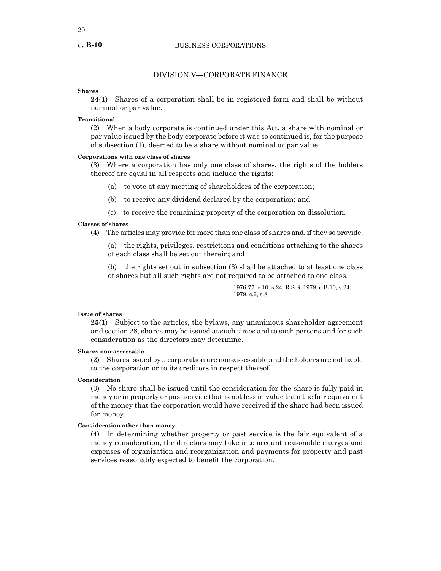## DIVISION V—CORPORATE FINANCE

#### **Shares**

**24**(1) Shares of a corporation shall be in registered form and shall be without nominal or par value.

## **Transitional**

(2) When a body corporate is continued under this Act, a share with nominal or par value issued by the body corporate before it was so continued is, for the purpose of subsection (1), deemed to be a share without nominal or par value.

## **Corporations with one class of shares**

(3) Where a corporation has only one class of shares, the rights of the holders thereof are equal in all respects and include the rights:

- (a) to vote at any meeting of shareholders of the corporation;
- (b) to receive any dividend declared by the corporation; and
- (c) to receive the remaining property of the corporation on dissolution.

## **Classes of shares**

(4) The articles may provide for more than one class of shares and, if they so provide:

(a) the rights, privileges, restrictions and conditions attaching to the shares of each class shall be set out therein; and

(b) the rights set out in subsection (3) shall be attached to at least one class of shares but all such rights are not required to be attached to one class.

> 1976-77, c.10, s.24; R.S.S. 1978, c.B-10, s.24; 1979, c.6, s.8.

## **Issue of shares**

**25**(1) Subject to the articles, the bylaws, any unanimous shareholder agreement and section 28, shares may be issued at such times and to such persons and for such consideration as the directors may determine.

## **Shares non-assessable**

(2) Shares issued by a corporation are non-assessable and the holders are not liable to the corporation or to its creditors in respect thereof.

## **Consideration**

(3) No share shall be issued until the consideration for the share is fully paid in money or in property or past service that is not less in value than the fair equivalent of the money that the corporation would have received if the share had been issued for money.

## **Consideration other than money**

(4) In determining whether property or past service is the fair equivalent of a money consideration, the directors may take into account reasonable charges and expenses of organization and reorganization and payments for property and past services reasonably expected to benefit the corporation.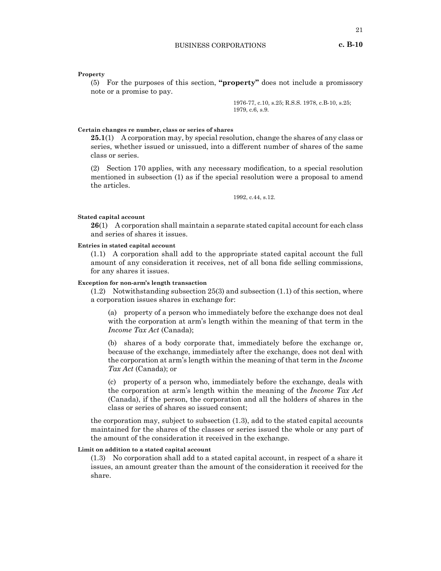#### **Property**

(5) For the purposes of this section, **"property"** does not include a promissory note or a promise to pay.

> 1976-77, c.10, s.25; R.S.S. 1978, c.B-10, s.25; 1979, c.6, s.9.

## **Certain changes re number, class or series of shares**

**25.1**(1) A corporation may, by special resolution, change the shares of any class or series, whether issued or unissued, into a different number of shares of the same class or series.

(2) Section 170 applies, with any necessary modification, to a special resolution mentioned in subsection (1) as if the special resolution were a proposal to amend the articles.

1992, c.44, s.12.

#### **Stated capital account**

**26**(1) A corporation shall maintain a separate stated capital account for each class and series of shares it issues.

## **Entries in stated capital account**

(1.1) A corporation shall add to the appropriate stated capital account the full amount of any consideration it receives, net of all bona fide selling commissions, for any shares it issues.

## **Exception for non-arm's length transaction**

 $(1.2)$  Notwithstanding subsection 25(3) and subsection  $(1.1)$  of this section, where a corporation issues shares in exchange for:

(a) property of a person who immediately before the exchange does not deal with the corporation at arm's length within the meaning of that term in the *Income Tax Act* (Canada);

(b) shares of a body corporate that, immediately before the exchange or, because of the exchange, immediately after the exchange, does not deal with the corporation at arm's length within the meaning of that term in the *Income Tax Act* (Canada); or

(c) property of a person who, immediately before the exchange, deals with the corporation at arm's length within the meaning of the *Income Tax Act* (Canada), if the person, the corporation and all the holders of shares in the class or series of shares so issued consent;

the corporation may, subject to subsection (1.3), add to the stated capital accounts maintained for the shares of the classes or series issued the whole or any part of the amount of the consideration it received in the exchange.

#### **Limit on addition to a stated capital account**

(1.3) No corporation shall add to a stated capital account, in respect of a share it issues, an amount greater than the amount of the consideration it received for the share.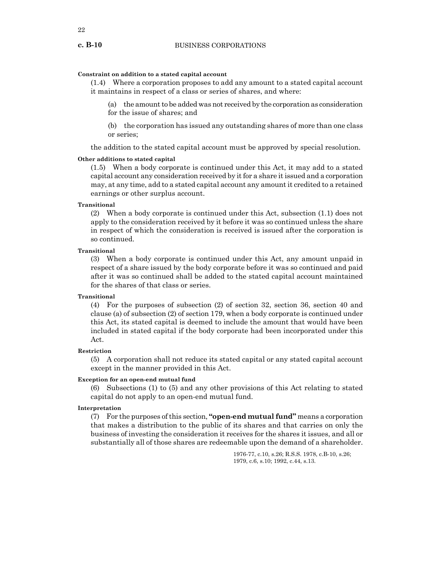## **Constraint on addition to a stated capital account**

(1.4) Where a corporation proposes to add any amount to a stated capital account it maintains in respect of a class or series of shares, and where:

(a) the amount to be added was not received by the corporation as consideration for the issue of shares; and

(b) the corporation has issued any outstanding shares of more than one class or series;

the addition to the stated capital account must be approved by special resolution.

## **Other additions to stated capital**

(1.5) When a body corporate is continued under this Act, it may add to a stated capital account any consideration received by it for a share it issued and a corporation may, at any time, add to a stated capital account any amount it credited to a retained earnings or other surplus account.

## **Transitional**

(2) When a body corporate is continued under this Act, subsection (1.1) does not apply to the consideration received by it before it was so continued unless the share in respect of which the consideration is received is issued after the corporation is so continued.

## **Transitional**

(3) When a body corporate is continued under this Act, any amount unpaid in respect of a share issued by the body corporate before it was so continued and paid after it was so continued shall be added to the stated capital account maintained for the shares of that class or series.

## **Transitional**

(4) For the purposes of subsection (2) of section 32, section 36, section 40 and clause (a) of subsection (2) of section 179, when a body corporate is continued under this Act, its stated capital is deemed to include the amount that would have been included in stated capital if the body corporate had been incorporated under this Act.

#### **Restriction**

(5) A corporation shall not reduce its stated capital or any stated capital account except in the manner provided in this Act.

## **Exception for an open-end mutual fund**

(6) Subsections (1) to (5) and any other provisions of this Act relating to stated capital do not apply to an open-end mutual fund.

## **Interpretation**

(7) For the purposes of this section, **"open-end mutual fund"** means a corporation that makes a distribution to the public of its shares and that carries on only the business of investing the consideration it receives for the shares it issues, and all or substantially all of those shares are redeemable upon the demand of a shareholder.

> 1976-77, c.10, s.26; R.S.S. 1978, c.B-10, s.26; 1979, c.6, s.10; 1992, c.44, s.13.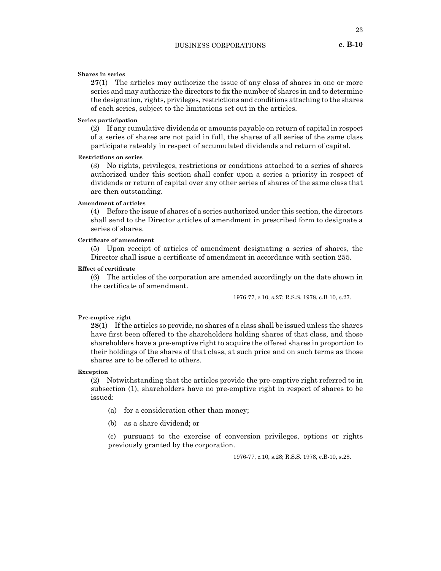## **Shares in series**

**27**(1) The articles may authorize the issue of any class of shares in one or more series and may authorize the directors to fix the number of shares in and to determine the designation, rights, privileges, restrictions and conditions attaching to the shares of each series, subject to the limitations set out in the articles.

#### **Series participation**

(2) If any cumulative dividends or amounts payable on return of capital in respect of a series of shares are not paid in full, the shares of all series of the same class participate rateably in respect of accumulated dividends and return of capital.

## **Restrictions on series**

(3) No rights, privileges, restrictions or conditions attached to a series of shares authorized under this section shall confer upon a series a priority in respect of dividends or return of capital over any other series of shares of the same class that are then outstanding.

## **Amendment of articles**

(4) Before the issue of shares of a series authorized under this section, the directors shall send to the Director articles of amendment in prescribed form to designate a series of shares.

## **Certificate of amendment**

(5) Upon receipt of articles of amendment designating a series of shares, the Director shall issue a certificate of amendment in accordance with section 255.

## **Effect of certificate**

(6) The articles of the corporation are amended accordingly on the date shown in the certificate of amendment.

1976-77, c.10, s.27; R.S.S. 1978, c.B-10, s.27.

## **Pre-emptive right**

**28**(1) If the articles so provide, no shares of a class shall be issued unless the shares have first been offered to the shareholders holding shares of that class, and those shareholders have a pre-emptive right to acquire the offered shares in proportion to their holdings of the shares of that class, at such price and on such terms as those shares are to be offered to others.

## **Exception**

(2) Notwithstanding that the articles provide the pre-emptive right referred to in subsection (1), shareholders have no pre-emptive right in respect of shares to be issued:

- (a) for a consideration other than money;
- (b) as a share dividend; or

(c) pursuant to the exercise of conversion privileges, options or rights previously granted by the corporation.

1976-77, c.10, s.28; R.S.S. 1978, c.B-10, s.28.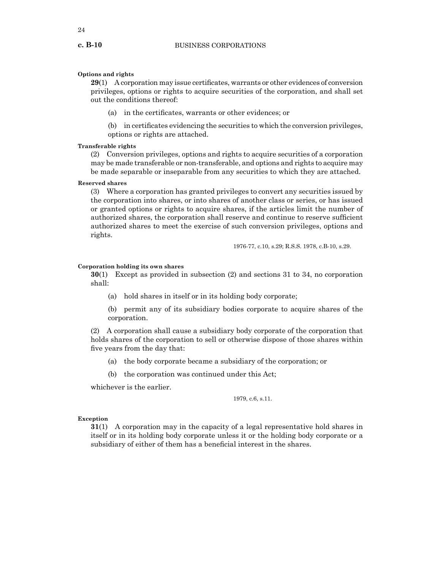## **Options and rights**

**29**(1) A corporation may issue certificates, warrants or other evidences of conversion privileges, options or rights to acquire securities of the corporation, and shall set out the conditions thereof:

(a) in the certificates, warrants or other evidences; or

(b) in certificates evidencing the securities to which the conversion privileges, options or rights are attached.

## **Transferable rights**

(2) Conversion privileges, options and rights to acquire securities of a corporation may be made transferable or non-transferable, and options and rights to acquire may be made separable or inseparable from any securities to which they are attached.

#### **Reserved shares**

(3) Where a corporation has granted privileges to convert any securities issued by the corporation into shares, or into shares of another class or series, or has issued or granted options or rights to acquire shares, if the articles limit the number of authorized shares, the corporation shall reserve and continue to reserve sufficient authorized shares to meet the exercise of such conversion privileges, options and rights.

1976-77, c.10, s.29; R.S.S. 1978, c.B-10, s.29.

## **Corporation holding its own shares**

**30**(1) Except as provided in subsection (2) and sections 31 to 34, no corporation shall:

(a) hold shares in itself or in its holding body corporate;

(b) permit any of its subsidiary bodies corporate to acquire shares of the corporation.

(2) A corporation shall cause a subsidiary body corporate of the corporation that holds shares of the corporation to sell or otherwise dispose of those shares within five years from the day that:

- (a) the body corporate became a subsidiary of the corporation; or
- (b) the corporation was continued under this Act;

whichever is the earlier.

#### 1979, c.6, s.11.

## **Exception**

**31**(1) A corporation may in the capacity of a legal representative hold shares in itself or in its holding body corporate unless it or the holding body corporate or a subsidiary of either of them has a beneficial interest in the shares.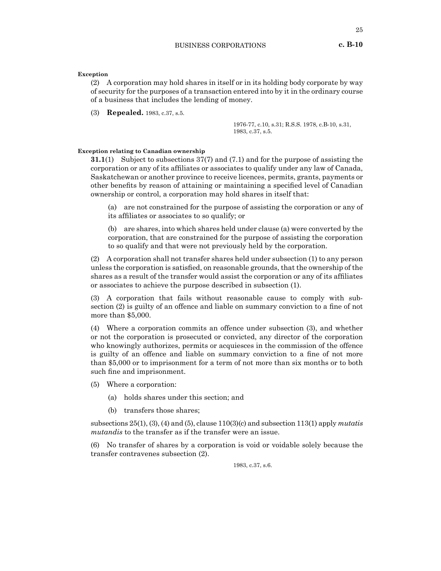## **Exception**

(2) A corporation may hold shares in itself or in its holding body corporate by way of security for the purposes of a transaction entered into by it in the ordinary course of a business that includes the lending of money.

(3) **Repealed.** 1983, c.37, s.5.

1976-77, c.10, s.31; R.S.S. 1978, c.B-10, s.31, 1983, c.37, s.5.

## **Exception relating to Canadian ownership**

**31.1**(1) Subject to subsections 37(7) and (7.1) and for the purpose of assisting the corporation or any of its affiliates or associates to qualify under any law of Canada, Saskatchewan or another province to receive licences, permits, grants, payments or other benefits by reason of attaining or maintaining a specified level of Canadian ownership or control, a corporation may hold shares in itself that:

(a) are not constrained for the purpose of assisting the corporation or any of its affiliates or associates to so qualify; or

(b) are shares, into which shares held under clause (a) were converted by the corporation, that are constrained for the purpose of assisting the corporation to so qualify and that were not previously held by the corporation.

(2) A corporation shall not transfer shares held under subsection (1) to any person unless the corporation is satisfied, on reasonable grounds, that the ownership of the shares as a result of the transfer would assist the corporation or any of its affiliates or associates to achieve the purpose described in subsection (1).

(3) A corporation that fails without reasonable cause to comply with subsection (2) is guilty of an offence and liable on summary conviction to a fine of not more than \$5,000.

(4) Where a corporation commits an offence under subsection (3), and whether or not the corporation is prosecuted or convicted, any director of the corporation who knowingly authorizes, permits or acquiesces in the commission of the offence is guilty of an offence and liable on summary conviction to a fine of not more than \$5,000 or to imprisonment for a term of not more than six months or to both such fine and imprisonment.

(5) Where a corporation:

- (a) holds shares under this section; and
- (b) transfers those shares;

subsections 25(1), (3), (4) and (5), clause 110(3)(c) and subsection 113(1) apply *mutatis mutandis* to the transfer as if the transfer were an issue.

(6) No transfer of shares by a corporation is void or voidable solely because the transfer contravenes subsection (2).

1983, c.37, s.6.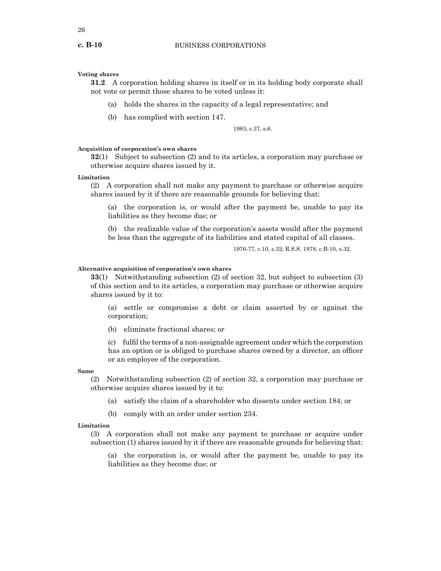#### **Voting shares**

**31.2** A corporation holding shares in itself or in its holding body corporate shall not vote or permit those shares to be voted unless it:

- (a) holds the shares in the capacity of a legal representative; and
- (b) has complied with section 147.

1983, c.37, s.6.

#### **Acquisition of corporation's own shares**

**32**(1) Subject to subsection (2) and to its articles, a corporation may purchase or otherwise acquire shares issued by it.

## **Limitation**

(2) A corporation shall not make any payment to purchase or otherwise acquire shares issued by it if there are reasonable grounds for believing that:

(a) the corporation is, or would after the payment be, unable to pay its liabilities as they become due; or

(b) the realizable value of the corporation's assets would after the payment be less than the aggregate of its liabilities and stated capital of all classes.

1976-77, c.10, s.32; R.S.S. 1978, c.B-10, s.32.

## **Alternative acquisition of corporation's own shares**

**33**(1) Notwithstanding subsection (2) of section 32, but subject to subsection (3) of this section and to its articles, a corporation may purchase or otherwise acquire shares issued by it to:

(a) settle or compromise a debt or claim asserted by or against the corporation;

(b) eliminate fractional shares; or

(c) fulfilthe terms of a non-assignable agreement under which the corporation has an option or is obliged to purchase shares owned by a director, an officer or an employee of the corporation.

## **Same**

(2) Notwithstanding subsection (2) of section 32, a corporation may purchase or otherwise acquire shares issued by it to:

(a) satisfy the claim of a shareholder who dissents under section 184; or

(b) comply with an order under section 234.

#### **Limitation**

(3) A corporation shall not make any payment to purchase or acquire under subsection (1) shares issued by it if there are reasonable grounds for believing that:

(a) the corporation is, or would after the payment be, unable to pay its liabilities as they become due; or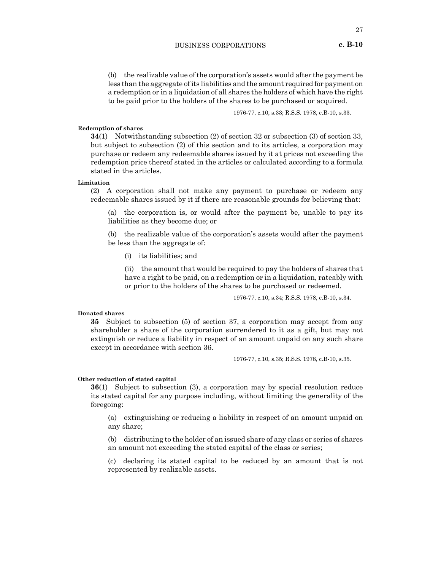(b) the realizable value of the corporation's assets would after the payment be less than the aggregate of its liabilities and the amount required for payment on a redemption or in a liquidation of all shares the holders of which have the right to be paid prior to the holders of the shares to be purchased or acquired.

1976-77, c.10, s.33; R.S.S. 1978, c.B-10, s.33.

## **Redemption of shares**

**34**(1) Notwithstanding subsection (2) of section 32 or subsection (3) of section 33, but subject to subsection (2) of this section and to its articles, a corporation may purchase or redeem any redeemable shares issued by it at prices not exceeding the redemption price thereof stated in the articles or calculated according to a formula stated in the articles.

## **Limitation**

(2) A corporation shall not make any payment to purchase or redeem any redeemable shares issued by it if there are reasonable grounds for believing that:

(a) the corporation is, or would after the payment be, unable to pay its liabilities as they become due; or

(b) the realizable value of the corporation's assets would after the payment be less than the aggregate of:

(i) its liabilities; and

(ii) the amount that would be required to pay the holders of shares that have a right to be paid, on a redemption or in a liquidation, rateably with or prior to the holders of the shares to be purchased or redeemed.

1976-77, c.10, s.34; R.S.S. 1978, c.B-10, s.34.

#### **Donated shares**

**35** Subject to subsection (5) of section 37, a corporation may accept from any shareholder a share of the corporation surrendered to it as a gift, but may not extinguish or reduce a liability in respect of an amount unpaid on any such share except in accordance with section 36.

1976-77, c.10, s.35; R.S.S. 1978, c.B-10, s.35.

#### **Other reduction of stated capital**

**36**(1) Subject to subsection (3), a corporation may by special resolution reduce its stated capital for any purpose including, without limiting the generality of the foregoing:

(a) extinguishing or reducing a liability in respect of an amount unpaid on any share;

(b) distributing to the holder of an issued share of any class or series of shares an amount not exceeding the stated capital of the class or series;

(c) declaring its stated capital to be reduced by an amount that is not represented by realizable assets.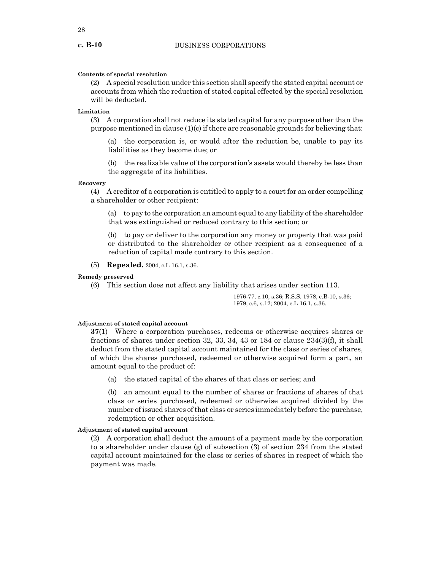#### **Contents of special resolution**

(2) A special resolution under this section shall specify the stated capital account or accounts from which the reduction of stated capital effected by the special resolution will be deducted.

## **Limitation**

(3) A corporation shall not reduce its stated capital for any purpose other than the purpose mentioned in clause  $(1)(c)$  if there are reasonable grounds for believing that:

(a) the corporation is, or would after the reduction be, unable to pay its liabilities as they become due; or

(b) the realizable value of the corporation's assets would thereby be less than the aggregate of its liabilities.

#### **Recovery**

(4) A creditor of a corporation is entitled to apply to a court for an order compelling a shareholder or other recipient:

(a) to pay to the corporation an amount equal to any liability of the shareholder that was extinguished or reduced contrary to this section; or

(b) to pay or deliver to the corporation any money or property that was paid or distributed to the shareholder or other recipient as a consequence of a reduction of capital made contrary to this section.

(5) **Repealed.** 2004, c.L-16.1, s.36.

## **Remedy preserved**

(6) This section does not affect any liability that arises under section 113.

1976-77, c.10, s.36; R.S.S. 1978, c.B-10, s.36; 1979, c.6, s.12; 2004, c.L-16.1, s.36.

#### **Adjustment of stated capital account**

**37**(1) Where a corporation purchases, redeems or otherwise acquires shares or fractions of shares under section 32, 33, 34, 43 or 184 or clause 234(3)(f), it shall deduct from the stated capital account maintained for the class or series of shares, of which the shares purchased, redeemed or otherwise acquired form a part, an amount equal to the product of:

(a) the stated capital of the shares of that class or series; and

(b) an amount equal to the number of shares or fractions of shares of that class or series purchased, redeemed or otherwise acquired divided by the number of issued shares of that class or series immediately before the purchase, redemption or other acquisition.

## **Adjustment of stated capital account**

(2) A corporation shall deduct the amount of a payment made by the corporation to a shareholder under clause (g) of subsection (3) of section 234 from the stated capital account maintained for the class or series of shares in respect of which the payment was made.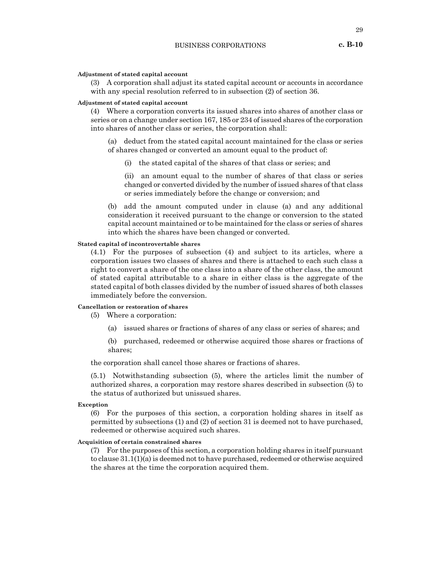(3) A corporation shall adjust its stated capital account or accounts in accordance with any special resolution referred to in subsection (2) of section 36.

## **Adjustment of stated capital account**

**Adjustment of stated capital account**

(4) Where a corporation converts its issued shares into shares of another class or series or on a change under section 167, 185 or 234 of issued shares of the corporation into shares of another class or series, the corporation shall:

(a) deduct from the stated capital account maintained for the class or series of shares changed or converted an amount equal to the product of:

(i) the stated capital of the shares of that class or series; and

(ii) an amount equal to the number of shares of that class or series changed or converted divided by the number of issued shares of that class or series immediately before the change or conversion; and

(b) add the amount computed under in clause (a) and any additional consideration it received pursuant to the change or conversion to the stated capital account maintained or to be maintained for the class or series of shares into which the shares have been changed or converted.

## **Stated capital of incontrovertable shares**

(4.1) For the purposes of subsection (4) and subject to its articles, where a corporation issues two classes of shares and there is attached to each such class a right to convert a share of the one class into a share of the other class, the amount of stated capital attributable to a share in either class is the aggregate of the stated capital of both classes divided by the number of issued shares of both classes immediately before the conversion.

#### **Cancellation or restoration of shares**

(5) Where a corporation:

(a) issued shares or fractions of shares of any class or series of shares; and

(b) purchased, redeemed or otherwise acquired those shares or fractions of shares;

the corporation shall cancel those shares or fractions of shares.

(5.1) Notwithstanding subsection (5), where the articles limit the number of authorized shares, a corporation may restore shares described in subsection (5) to the status of authorized but unissued shares.

## **Exception**

(6) For the purposes of this section, a corporation holding shares in itself as permitted by subsections (1) and (2) of section 31 is deemed not to have purchased, redeemed or otherwise acquired such shares.

#### **Acquisition of certain constrained shares**

(7) For the purposes of this section, a corporation holding shares in itself pursuant to clause 31.1(1)(a) is deemed not to have purchased, redeemed or otherwise acquired the shares at the time the corporation acquired them.

29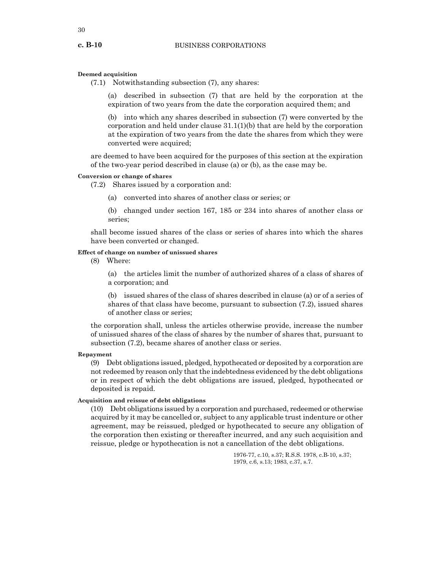## **Deemed acquisition**

(7.1) Notwithstanding subsection (7), any shares:

(a) described in subsection (7) that are held by the corporation at the expiration of two years from the date the corporation acquired them; and

(b) into which any shares described in subsection (7) were converted by the corporation and held under clause  $31.1(1)(b)$  that are held by the corporation at the expiration of two years from the date the shares from which they were converted were acquired;

are deemed to have been acquired for the purposes of this section at the expiration of the two-year period described in clause (a) or (b), as the case may be.

## **Conversion or change of shares**

(7.2) Shares issued by a corporation and:

(a) converted into shares of another class or series; or

(b) changed under section 167, 185 or 234 into shares of another class or series;

shall become issued shares of the class or series of shares into which the shares have been converted or changed.

## **Effect of change on number of unissued shares**

(8) Where:

(a) the articles limit the number of authorized shares of a class of shares of a corporation; and

(b) issued shares of the class of shares described in clause (a) or of a series of shares of that class have become, pursuant to subsection (7.2), issued shares of another class or series;

the corporation shall, unless the articles otherwise provide, increase the number of unissued shares of the class of shares by the number of shares that, pursuant to subsection (7.2), became shares of another class or series.

#### **Repayment**

(9) Debt obligations issued, pledged, hypothecated or deposited by a corporation are not redeemed by reason only that the indebtedness evidenced by the debt obligations or in respect of which the debt obligations are issued, pledged, hypothecated or deposited is repaid.

## **Acquisition and reissue of debt obligations**

(10) Debt obligations issued by a corporation and purchased, redeemed or otherwise acquired by it may be cancelled or, subject to any applicable trust indenture or other agreement, may be reissued, pledged or hypothecated to secure any obligation of the corporation then existing or thereafter incurred, and any such acquisition and reissue, pledge or hypothecation is not a cancellation of the debt obligations.

> 1976-77, c.10, s.37; R.S.S. 1978, c.B-10, s.37; 1979, c.6, s.13; 1983, c.37, s.7.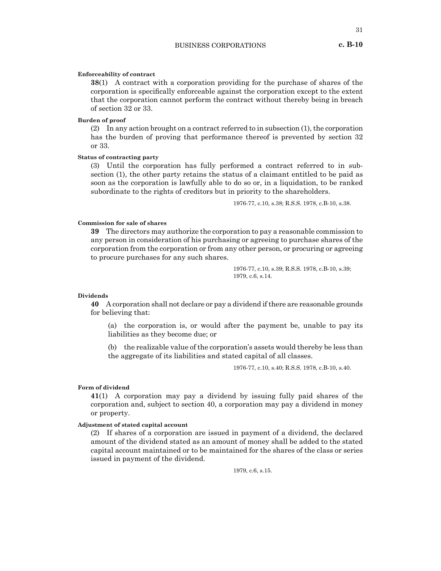#### **Enforceability of contract**

**38**(1) A contract with a corporation providing for the purchase of shares of the corporation is specifically enforceable against the corporation except to the extent that the corporation cannot perform the contract without thereby being in breach of section 32 or 33.

#### **Burden of proof**

(2) In any action brought on a contract referred to in subsection (1), the corporation has the burden of proving that performance thereof is prevented by section 32 or 33.

## **Status of contracting party**

(3) Until the corporation has fully performed a contract referred to in subsection (1), the other party retains the status of a claimant entitled to be paid as soon as the corporation is lawfully able to do so or, in a liquidation, to be ranked subordinate to the rights of creditors but in priority to the shareholders.

1976-77, c.10, s.38; R.S.S. 1978, c.B-10, s.38.

## **Commission for sale of shares**

**39** The directors may authorize the corporation to pay a reasonable commission to any person in consideration of his purchasing or agreeing to purchase shares of the corporation from the corporation or from any other person, or procuring or agreeing to procure purchases for any such shares.

> 1976-77, c.10, s.39; R.S.S. 1978, c.B-10, s.39; 1979, c.6, s.14.

#### **Dividends**

**40** A corporation shall not declare or pay a dividend if there are reasonable grounds for believing that:

(a) the corporation is, or would after the payment be, unable to pay its liabilities as they become due; or

(b) the realizable value of the corporation's assets would thereby be less than the aggregate of its liabilities and stated capital of all classes.

1976-77, c.10, s.40; R.S.S. 1978, c.B-10, s.40.

## **Form of dividend**

**41**(1) A corporation may pay a dividend by issuing fully paid shares of the corporation and, subject to section 40, a corporation may pay a dividend in money or property.

## **Adjustment of stated capital account**

(2) If shares of a corporation are issued in payment of a dividend, the declared amount of the dividend stated as an amount of money shall be added to the stated capital account maintained or to be maintained for the shares of the class or series issued in payment of the dividend.

1979, c.6, s.15.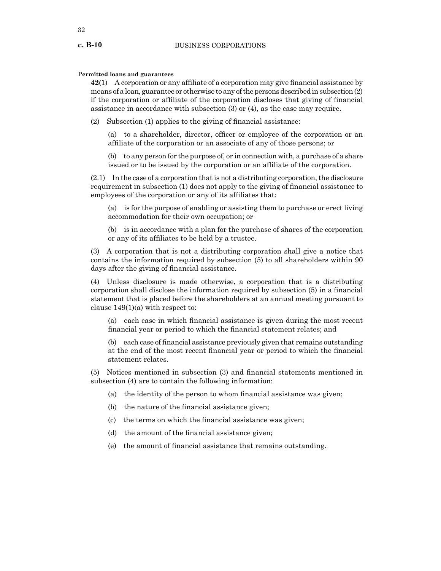## **Permitted loans and guarantees**

**42**(1) A corporation or any affiliate of a corporation may give financial assistance by means of a loan, guarantee or otherwise to any of the persons described in subsection (2) if the corporation or affiliate of the corporation discloses that giving of financial assistance in accordance with subsection (3) or (4), as the case may require.

(2) Subsection (1) applies to the giving of financial assistance:

(a) to a shareholder, director, officer or employee of the corporation or an affiliate of the corporation or an associate of any of those persons; or

(b) to any person for the purpose of, or in connection with, a purchase of a share issued or to be issued by the corporation or an affiliate of the corporation.

(2.1) In the case of a corporation that is not a distributing corporation, the disclosure requirement in subsection (1) does not apply to the giving of financial assistance to employees of the corporation or any of its affiliates that:

(a) is for the purpose of enabling or assisting them to purchase or erect living accommodation for their own occupation; or

(b) is in accordance with a plan for the purchase of shares of the corporation or any of its affiliates to be held by a trustee.

(3) A corporation that is not a distributing corporation shall give a notice that contains the information required by subsection (5) to all shareholders within 90 days after the giving of financial assistance.

(4) Unless disclosure is made otherwise, a corporation that is a distributing corporation shall disclose the information required by subsection (5) in a financial statement that is placed before the shareholders at an annual meeting pursuant to clause  $149(1)(a)$  with respect to:

(a) each case in which financial assistance is given during the most recent financial year or period to which the financial statement relates; and

(b) each case of financial assistance previously given that remains outstanding at the end of the most recent financial year or period to which the financial statement relates.

(5) Notices mentioned in subsection (3) and financial statements mentioned in subsection (4) are to contain the following information:

- (a) the identity of the person to whom financial assistance was given;
- (b) the nature of the financial assistance given;
- (c) the terms on which the financial assistance was given;
- (d) the amount of the financial assistance given;
- (e) the amount of financial assistance that remains outstanding.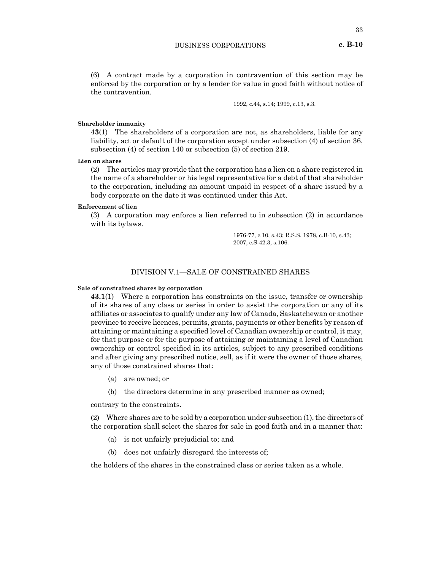(6) A contract made by a corporation in contravention of this section may be enforced by the corporation or by a lender for value in good faith without notice of the contravention.

1992, c.44, s.14; 1999, c.13, s.3.

## **Shareholder immunity**

**43**(1) The shareholders of a corporation are not, as shareholders, liable for any liability, act or default of the corporation except under subsection (4) of section 36, subsection (4) of section 140 or subsection (5) of section 219.

## **Lien on shares**

(2) The articles may provide that the corporation has a lien on a share registered in the name of a shareholder or his legal representative for a debt of that shareholder to the corporation, including an amount unpaid in respect of a share issued by a body corporate on the date it was continued under this Act.

## **Enforcement of lien**

(3) A corporation may enforce a lien referred to in subsection (2) in accordance with its bylaws.

> 1976-77, c.10, s.43; R.S.S. 1978, c.B-10, s.43; 2007, c.S-42.3, s.106.

## DIVISION V.1—SALE OF CONSTRAINED SHARES

#### **Sale of constrained shares by corporation**

**43.1**(1) Where a corporation has constraints on the issue, transfer or ownership of its shares of any class or series in order to assist the corporation or any of its affiliates or associates to qualify under any law of Canada, Saskatchewan or another province to receive licences, permits, grants, payments or other benefits by reason of attaining or maintaining a specified level of Canadian ownership or control, it may, for that purpose or for the purpose of attaining or maintaining a level of Canadian ownership or control specified in its articles, subject to any prescribed conditions and after giving any prescribed notice, sell, as if it were the owner of those shares, any of those constrained shares that:

- (a) are owned; or
- (b) the directors determine in any prescribed manner as owned;

contrary to the constraints.

(2) Where shares are to be sold by a corporation under subsection (1), the directors of the corporation shall select the shares for sale in good faith and in a manner that:

- (a) is not unfairly prejudicial to; and
- (b) does not unfairly disregard the interests of;

the holders of the shares in the constrained class or series taken as a whole.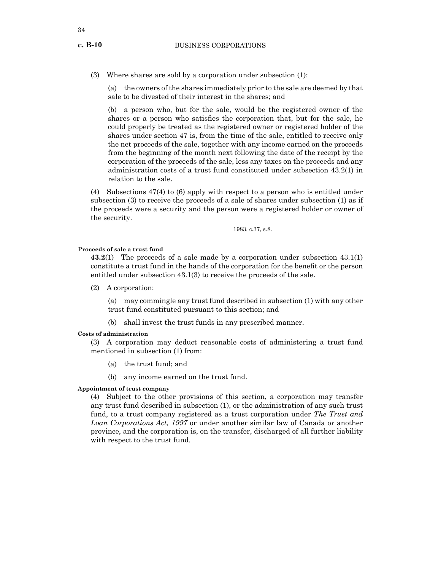(3) Where shares are sold by a corporation under subsection (1):

(a) the owners of the shares immediately prior to the sale are deemed by that sale to be divested of their interest in the shares; and

(b) a person who, but for the sale, would be the registered owner of the shares or a person who satisfies the corporation that, but for the sale, he could properly be treated as the registered owner or registered holder of the shares under section 47 is, from the time of the sale, entitled to receive only the net proceeds of the sale, together with any income earned on the proceeds from the beginning of the month next following the date of the receipt by the corporation of the proceeds of the sale, less any taxes on the proceeds and any administration costs of a trust fund constituted under subsection 43.2(1) in relation to the sale.

(4) Subsections 47(4) to (6) apply with respect to a person who is entitled under subsection (3) to receive the proceeds of a sale of shares under subsection (1) as if the proceeds were a security and the person were a registered holder or owner of the security.

1983, c.37, s.8.

## **Proceeds of sale a trust fund**

**43.2**(1) The proceeds of a sale made by a corporation under subsection 43.1(1) constitute a trust fund in the hands of the corporation for the benefit or the person entitled under subsection 43.1(3) to receive the proceeds of the sale.

(2) A corporation:

(a) may commingle any trust fund described in subsection (1) with any other trust fund constituted pursuant to this section; and

(b) shall invest the trust funds in any prescribed manner.

#### **Costs of administration**

(3) A corporation may deduct reasonable costs of administering a trust fund mentioned in subsection (1) from:

- (a) the trust fund; and
- (b) any income earned on the trust fund.

## **Appointment of trust company**

(4) Subject to the other provisions of this section, a corporation may transfer any trust fund described in subsection (1), or the administration of any such trust fund, to a trust company registered as a trust corporation under *The Trust and Loan Corporations Act, 1997* or under another similar law of Canada or another province, and the corporation is, on the transfer, discharged of all further liability with respect to the trust fund.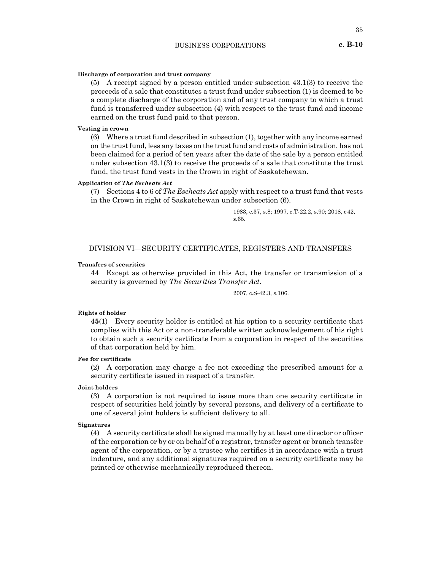#### **Discharge of corporation and trust company**

(5) A receipt signed by a person entitled under subsection 43.1(3) to receive the proceeds of a sale that constitutes a trust fund under subsection (1) is deemed to be a complete discharge of the corporation and of any trust company to which a trust fund is transferred under subsection (4) with respect to the trust fund and income earned on the trust fund paid to that person.

#### **Vesting in crown**

(6) Where a trust fund described in subsection (1), together with any income earned on the trust fund, less any taxes on the trust fund and costs of administration, has not been claimed for a period of ten years after the date of the sale by a person entitled under subsection 43.1(3) to receive the proceeds of a sale that constitute the trust fund, the trust fund vests in the Crown in right of Saskatchewan.

## **Application of** *The Escheats Act*

(7) Sections 4 to 6 of *The Escheats Act* apply with respect to a trust fund that vests in the Crown in right of Saskatchewan under subsection (6).

> 1983, c.37, s.8; 1997, c.T-22.2, s.90; 2018, c42, s.65.

## DIVISION VI—SECURITY CERTIFICATES, REGISTERS AND TRANSFERS

## **Transfers of securities**

**44** Except as otherwise provided in this Act, the transfer or transmission of a security is governed by *The Securities Transfer Act.*

2007, c.S-42.3, s.106.

## **Rights of holder**

**45**(1) Every security holder is entitled at his option to a security certificate that complies with this Act or a non-transferable written acknowledgement of his right to obtain such a security certificate from a corporation in respect of the securities of that corporation held by him.

#### **Fee for certificate**

(2) A corporation may charge a fee not exceeding the prescribed amount for a security certificate issued in respect of a transfer.

## **Joint holders**

(3) A corporation is not required to issue more than one security certificate in respect of securities held jointly by several persons, and delivery of a certificate to one of several joint holders is sufficient delivery to all.

## **Signatures**

(4) A security certificate shall be signed manually by at least one director or officer of the corporation or by or on behalf of a registrar, transfer agent or branch transfer agent of the corporation, or by a trustee who certifies it in accordance with a trust indenture, and any additional signatures required on a security certificate may be printed or otherwise mechanically reproduced thereon.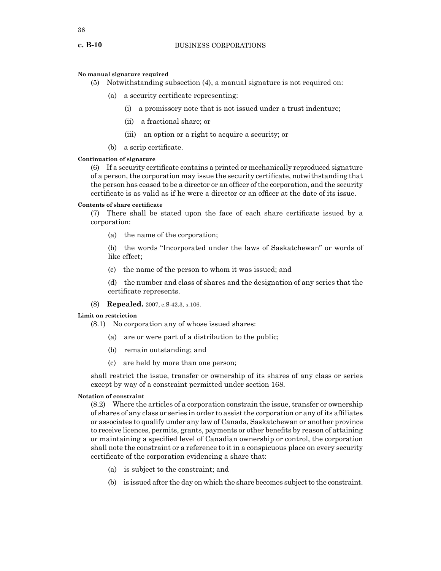## **No manual signature required**

- (5) Notwithstanding subsection (4), a manual signature is not required on:
	- (a) a security certificate representing:
		- (i) a promissory note that is not issued under a trust indenture;
		- (ii) a fractional share; or
		- (iii) an option or a right to acquire a security; or
	- (b) a scrip certificate.

## **Continuation of signature**

(6) If a security certificate contains a printed or mechanically reproduced signature of a person, the corporation may issue the security certificate, notwithstanding that the person has ceased to be a director or an officer of the corporation, and the security certificate is as valid as if he were a director or an officer at the date of its issue.

#### **Contents of share certificate**

(7) There shall be stated upon the face of each share certificate issued by a corporation:

(a) the name of the corporation;

(b) the words "Incorporated under the laws of Saskatchewan" or words of like effect;

(c) the name of the person to whom it was issued; and

(d) the number and class of shares and the designation of any series that the certificate represents.

(8) **Repealed.** 2007, c.S-42.3, s.106.

#### **Limit on restriction**

(8.1) No corporation any of whose issued shares:

- (a) are or were part of a distribution to the public;
- (b) remain outstanding; and
- (c) are held by more than one person;

shall restrict the issue, transfer or ownership of its shares of any class or series except by way of a constraint permitted under section 168.

## **Notation of constraint**

(8.2) Where the articles of a corporation constrain the issue, transfer or ownership of shares of any class or series in order to assist the corporation or any of its affiliates or associates to qualify under any law of Canada, Saskatchewan or another province to receive licences, permits, grants, payments or other benefits by reason of attaining or maintaining a specified level of Canadian ownership or control, the corporation shall note the constraint or a reference to it in a conspicuous place on every security certificate of the corporation evidencing a share that:

- (a) is subject to the constraint; and
- (b) is issued after the day on which the share becomes subject to the constraint.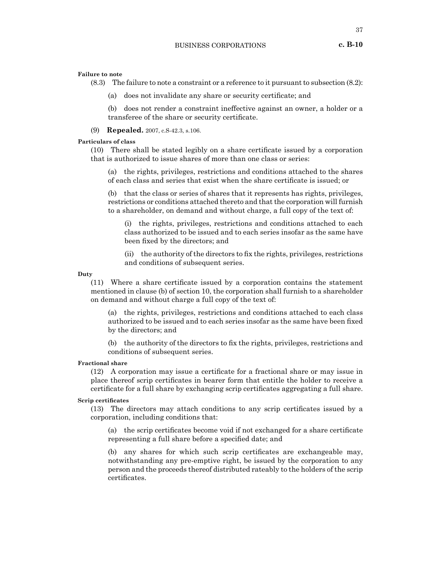- (8.3) The failure to note a constraint or a reference to it pursuant to subsection (8.2):
	- (a) does not invalidate any share or security certificate; and

(b) does not render a constraint ineffective against an owner, a holder or a transferee of the share or security certificate.

(9) **Repealed.** 2007, c.S-42.3, s.106.

## **Particulars of class**

(10) There shall be stated legibly on a share certificate issued by a corporation that is authorized to issue shares of more than one class or series:

(a) the rights, privileges, restrictions and conditions attached to the shares of each class and series that exist when the share certificate is issued; or

(b) that the class or series of shares that it represents has rights, privileges, restrictions or conditions attached thereto and that the corporation will furnish to a shareholder, on demand and without charge, a full copy of the text of:

(i) the rights, privileges, restrictions and conditions attached to each class authorized to be issued and to each series insofar as the same have been fixed by the directors; and

(ii) the authority of the directors to fix the rights, privileges, restrictions and conditions of subsequent series.

#### **Duty**

(11) Where a share certificate issued by a corporation contains the statement mentioned in clause (b) of section 10, the corporation shall furnish to a shareholder on demand and without charge a full copy of the text of:

(a) the rights, privileges, restrictions and conditions attached to each class authorized to be issued and to each series insofar as the same have been fixed by the directors; and

(b) the authority of the directors to fix the rights, privileges, restrictions and conditions of subsequent series.

## **Fractional share**

(12) A corporation may issue a certificate for a fractional share or may issue in place thereof scrip certificates in bearer form that entitle the holder to receive a certificate for a full share by exchanging scrip certificates aggregating a full share.

## **Scrip certificates**

(13) The directors may attach conditions to any scrip certificates issued by a corporation, including conditions that:

(a) the scrip certificates become void if not exchanged for a share certificate representing a full share before a specified date; and

(b) any shares for which such scrip certificates are exchangeable may, notwithstanding any pre-emptive right, be issued by the corporation to any person and the proceeds thereof distributed rateably to the holders of the scrip certificates.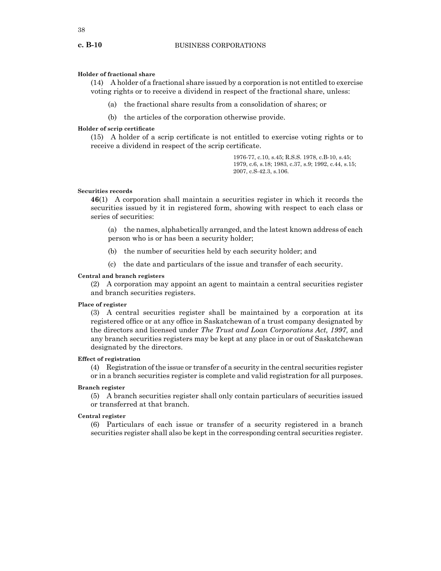## **Holder of fractional share**

(14) A holder of a fractional share issued by a corporation is not entitled to exercise voting rights or to receive a dividend in respect of the fractional share, unless:

- (a) the fractional share results from a consolidation of shares; or
- (b) the articles of the corporation otherwise provide.

## **Holder of scrip certificate**

(15) A holder of a scrip certificate is not entitled to exercise voting rights or to receive a dividend in respect of the scrip certificate.

> 1976-77, c.10, s.45; R.S.S. 1978, c.B-10, s.45; 1979, c.6, s.18; 1983, c.37, s.9; 1992, c.44, s.15; 2007, c.S-42.3, s.106.

## **Securities records**

**46**(1) A corporation shall maintain a securities register in which it records the securities issued by it in registered form, showing with respect to each class or series of securities:

(a) the names, alphabetically arranged, and the latest known address of each person who is or has been a security holder;

- (b) the number of securities held by each security holder; and
- (c) the date and particulars of the issue and transfer of each security.

## **Central and branch registers**

(2) A corporation may appoint an agent to maintain a central securities register and branch securities registers.

## **Place of register**

(3) A central securities register shall be maintained by a corporation at its registered office or at any office in Saskatchewan of a trust company designated by the directors and licensed under *The Trust and Loan Corporations Act, 1997,* and any branch securities registers may be kept at any place in or out of Saskatchewan designated by the directors.

## **Effect of registration**

(4) Registration of the issue or transfer of a security in the central securities register or in a branch securities register is complete and valid registration for all purposes.

## **Branch register**

(5) A branch securities register shall only contain particulars of securities issued or transferred at that branch.

# **Central register**

(6) Particulars of each issue or transfer of a security registered in a branch securities register shall also be kept in the corresponding central securities register.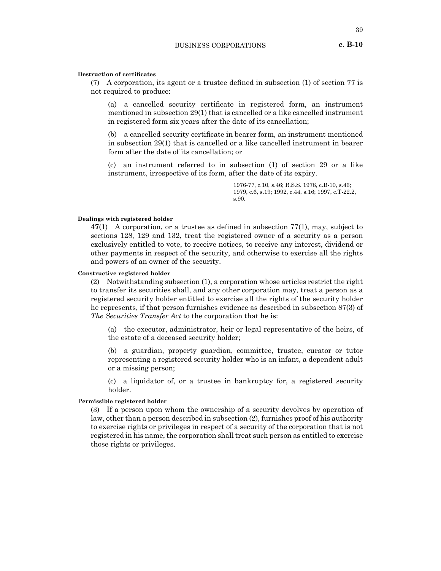## **Destruction of certificates**

(7) A corporation, its agent or a trustee defined in subsection (1) of section 77 is not required to produce:

(a) a cancelled security certificate in registered form, an instrument mentioned in subsection 29(1) that is cancelled or a like cancelled instrument in registered form six years after the date of its cancellation;

(b) a cancelled security certificate in bearer form, an instrument mentioned in subsection 29(1) that is cancelled or a like cancelled instrument in bearer form after the date of its cancellation; or

(c) an instrument referred to in subsection (1) of section 29 or a like instrument, irrespective of its form, after the date of its expiry.

> 1976-77, c.10, s.46; R.S.S. 1978, c.B-10, s.46; 1979, c.6, s.19; 1992, c.44, s.16; 1997, c.T-22.2, s.90.

#### **Dealings with registered holder**

**47**(1) A corporation, or a trustee as defined in subsection 77(1), may, subject to sections 128, 129 and 132, treat the registered owner of a security as a person exclusively entitled to vote, to receive notices, to receive any interest, dividend or other payments in respect of the security, and otherwise to exercise all the rights and powers of an owner of the security.

## **Constructive registered holder**

(2) Notwithstanding subsection (1), a corporation whose articles restrict the right to transfer its securities shall, and any other corporation may, treat a person as a registered security holder entitled to exercise all the rights of the security holder he represents, if that person furnishes evidence as described in subsection 87(3) of *The Securities Transfer Act* to the corporation that he is:

(a) the executor, administrator, heir or legal representative of the heirs, of the estate of a deceased security holder;

(b) a guardian, property guardian, committee, trustee, curator or tutor representing a registered security holder who is an infant, a dependent adult or a missing person;

(c) a liquidator of, or a trustee in bankruptcy for, a registered security holder.

#### **Permissible registered holder**

(3) If a person upon whom the ownership of a security devolves by operation of law, other than a person described in subsection (2), furnishes proof of his authority to exercise rights or privileges in respect of a security of the corporation that is not registered in his name, the corporation shall treat such person as entitled to exercise those rights or privileges.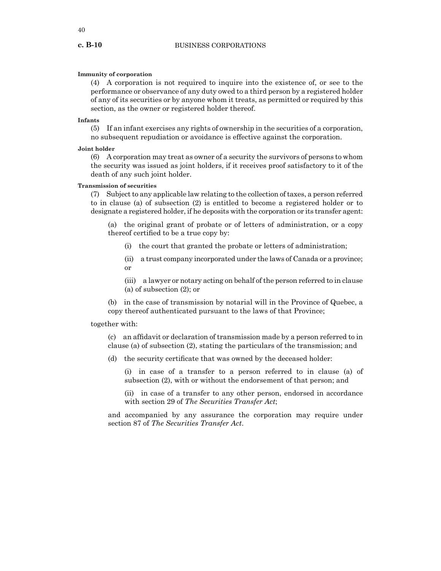#### **Immunity of corporation**

(4) A corporation is not required to inquire into the existence of, or see to the performance or observance of any duty owed to a third person by a registered holder of any of its securities or by anyone whom it treats, as permitted or required by this section, as the owner or registered holder thereof.

## **Infants**

(5) If an infant exercises any rights of ownership in the securities of a corporation, no subsequent repudiation or avoidance is effective against the corporation.

#### **Joint holder**

(6) A corporation may treat as owner of a security the survivors of persons to whom the security was issued as joint holders, if it receives proof satisfactory to it of the death of any such joint holder.

#### **Transmission of securities**

(7) Subject to any applicable law relating to the collection of taxes, a person referred to in clause (a) of subsection (2) is entitled to become a registered holder or to designate a registered holder, if he deposits with the corporation or its transfer agent:

(a) the original grant of probate or of letters of administration, or a copy thereof certified to be a true copy by:

- (i) the court that granted the probate or letters of administration;
- (ii) a trust company incorporated under the laws of Canada or a province; or
- (iii) a lawyer or notary acting on behalf of the person referred to in clause (a) of subsection (2); or

(b) in the case of transmission by notarial will in the Province of Quebec, a copy thereof authenticated pursuant to the laws of that Province;

#### together with:

(c) an affidavit or declaration of transmission made by a person referred to in clause (a) of subsection (2), stating the particulars of the transmission; and

(d) the security certificate that was owned by the deceased holder:

(i) in case of a transfer to a person referred to in clause (a) of subsection (2), with or without the endorsement of that person; and

(ii) in case of a transfer to any other person, endorsed in accordance with section 29 of *The Securities Transfer Act*;

and accompanied by any assurance the corporation may require under section 87 of *The Securities Transfer Act*.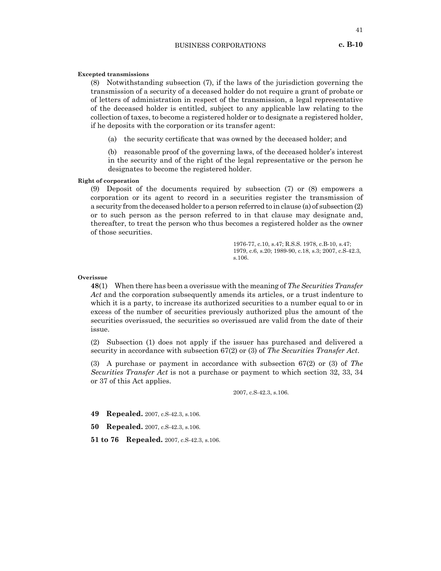#### **Excepted transmissions**

(8) Notwithstanding subsection (7), if the laws of the jurisdiction governing the transmission of a security of a deceased holder do not require a grant of probate or of letters of administration in respect of the transmission, a legal representative of the deceased holder is entitled, subject to any applicable law relating to the collection of taxes, to become a registered holder or to designate a registered holder, if he deposits with the corporation or its transfer agent:

(a) the security certificate that was owned by the deceased holder; and

(b) reasonable proof of the governing laws, of the deceased holder's interest in the security and of the right of the legal representative or the person he designates to become the registered holder.

#### **Right of corporation**

(9) Deposit of the documents required by subsection (7) or (8) empowers a corporation or its agent to record in a securities register the transmission of a security from the deceased holder to a person referred to in clause (a) of subsection (2) or to such person as the person referred to in that clause may designate and, thereafter, to treat the person who thus becomes a registered holder as the owner of those securities.

> 1976-77, c.10, s.47; R.S.S. 1978, c.B-10, s.47; 1979, c.6, s.20; 1989-90, c.18, s.3; 2007, c.S-42.3, s.106.

## **Overissue**

**48**(1) When there has been a overissue with the meaning of *The Securities Transfer Act* and the corporation subsequently amends its articles, or a trust indenture to which it is a party, to increase its authorized securities to a number equal to or in excess of the number of securities previously authorized plus the amount of the securities overissued, the securities so overissued are valid from the date of their issue.

(2) Subsection (1) does not apply if the issuer has purchased and delivered a security in accordance with subsection 67(2) or (3) of *The Securities Transfer Act*.

(3) A purchase or payment in accordance with subsection 67(2) or (3) of *The Securities Transfer Act* is not a purchase or payment to which section 32, 33, 34 or 37 of this Act applies.

2007, c.S-42.3, s.106.

**49 Repealed.** 2007, c.S-42.3, s.106.

**50 Repealed.** 2007, c.S-42.3, s.106.

**51 to 76 Repealed.** 2007, c.S-42.3, s.106.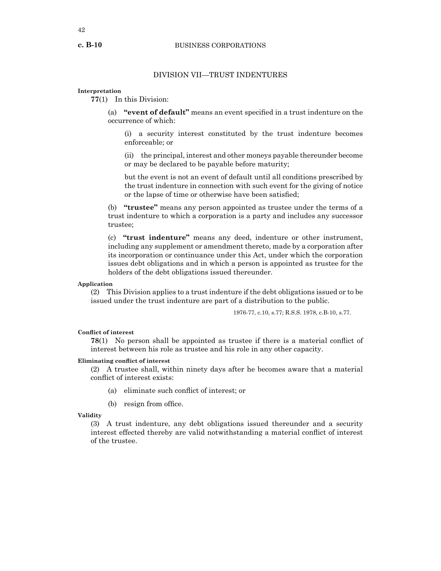# DIVISION VII—TRUST INDENTURES

## **Interpretation**

**77**(1) In this Division:

(a) **"event of default"** means an event specified in a trust indenture on the occurrence of which:

(i) a security interest constituted by the trust indenture becomes enforceable; or

(ii) the principal, interest and other moneys payable thereunder become or may be declared to be payable before maturity;

but the event is not an event of default until all conditions prescribed by the trust indenture in connection with such event for the giving of notice or the lapse of time or otherwise have been satisfied;

(b) **"trustee"** means any person appointed as trustee under the terms of a trust indenture to which a corporation is a party and includes any successor trustee;

(c) **"trust indenture"** means any deed, indenture or other instrument, including any supplement or amendment thereto, made by a corporation after its incorporation or continuance under this Act, under which the corporation issues debt obligations and in which a person is appointed as trustee for the holders of the debt obligations issued thereunder.

**Application**

(2) This Division applies to a trust indenture if the debt obligations issued or to be issued under the trust indenture are part of a distribution to the public.

1976-77, c.10, s.77; R.S.S. 1978, c.B-10, s.77.

## **Conflict of interest**

**78**(1) No person shall be appointed as trustee if there is a material conflict of interest between his role as trustee and his role in any other capacity.

## **Eliminating conflict of interest**

(2) A trustee shall, within ninety days after he becomes aware that a material conflict of interest exists:

- (a) eliminate such conflict of interest; or
- (b) resign from office.

**Validity**

(3) A trust indenture, any debt obligations issued thereunder and a security interest effected thereby are valid notwithstanding a material conflict of interest of the trustee.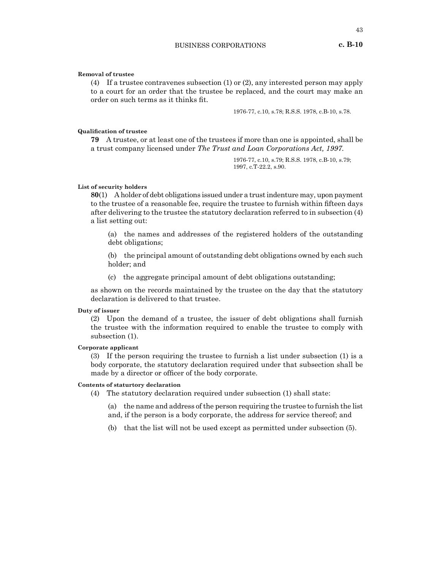# **Removal of trustee**

(4) If a trustee contravenes subsection (1) or (2), any interested person may apply to a court for an order that the trustee be replaced, and the court may make an order on such terms as it thinks fit.

1976-77, c.10, s.78; R.S.S. 1978, c.B-10, s.78.

# **Qualification of trustee**

**79** A trustee, or at least one of the trustees if more than one is appointed, shall be a trust company licensed under *The Trust and Loan Corporations Act, 1997.*

> 1976-77, c.10, s.79; R.S.S. 1978, c.B-10, s.79; 1997, c.T-22.2, s.90.

## **List of security holders**

**80**(1) A holder of debt obligations issued under a trust indenture may, upon payment to the trustee of a reasonable fee, require the trustee to furnish within fifteen days after delivering to the trustee the statutory declaration referred to in subsection (4) a list setting out:

(a) the names and addresses of the registered holders of the outstanding debt obligations;

(b) the principal amount of outstanding debt obligations owned by each such holder; and

(c) the aggregate principal amount of debt obligations outstanding;

as shown on the records maintained by the trustee on the day that the statutory declaration is delivered to that trustee.

## **Duty of issuer**

(2) Upon the demand of a trustee, the issuer of debt obligations shall furnish the trustee with the information required to enable the trustee to comply with subsection (1).

## **Corporate applicant**

(3) If the person requiring the trustee to furnish a list under subsection (1) is a body corporate, the statutory declaration required under that subsection shall be made by a director or officer of the body corporate.

# **Contents of staturtory declaration**

- (4) The statutory declaration required under subsection (1) shall state:
	- (a) the name and address of the person requiring the trustee to furnish the list and, if the person is a body corporate, the address for service thereof; and
	- (b) that the list will not be used except as permitted under subsection (5).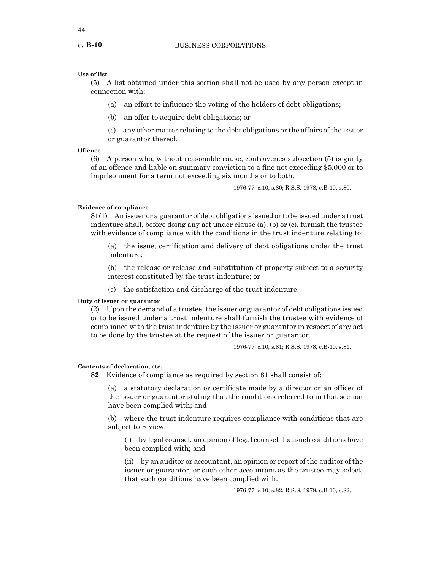## **Use of list**

(5) A list obtained under this section shall not be used by any person except in connection with:

(a) an effort to influence the voting of the holders of debt obligations;

(b) an offer to acquire debt obligations; or

(c) any other matter relating to the debt obligations or the affairs of the issuer or guarantor thereof.

## **Offence**

(6) A person who, without reasonable cause, contravenes subsection (5) is guilty of an offence and liable on summary conviction to a fine not exceeding \$5,000 or to imprisonment for a term not exceeding six months or to both.

1976-77, c.10, s.80; R.S.S. 1978, c.B-10, s.80.

## **Evidence of compliance**

**81**(1) An issuer or a guarantor of debt obligations issued or to be issued under a trust indenture shall, before doing any act under clause (a), (b) or (c), furnish the trustee with evidence of compliance with the conditions in the trust indenture relating to:

(a) the issue, certification and delivery of debt obligations under the trust indenture;

(b) the release or release and substitution of property subject to a security interest constituted by the trust indenture; or

(c) the satisfaction and discharge of the trust indenture.

**Duty of issuer or guarantor**

(2) Upon the demand of a trustee, the issuer or guarantor of debt obligations issued or to be issued under a trust indenture shall furnish the trustee with evidence of compliance with the trust indenture by the issuer or guarantor in respect of any act to be done by the trustee at the request of the issuer or guarantor.

1976-77, c.10, s.81; R.S.S. 1978, c.B-10, s.81.

## **Contents of declaration, etc.**

**82** Evidence of compliance as required by section 81 shall consist of:

(a) a statutory declaration or certificate made by a director or an officer of the issuer or guarantor stating that the conditions referred to in that section have been complied with; and

(b) where the trust indenture requires compliance with conditions that are subject to review:

(i) by legal counsel, an opinion of legal counsel that such conditions have been complied with; and

(ii) by an auditor or accountant, an opinion or report of the auditor of the issuer or guarantor, or such other accountant as the trustee may select, that such conditions have been complied with.

1976-77, c.10, s.82; R.S.S. 1978, c.B-10, s.82.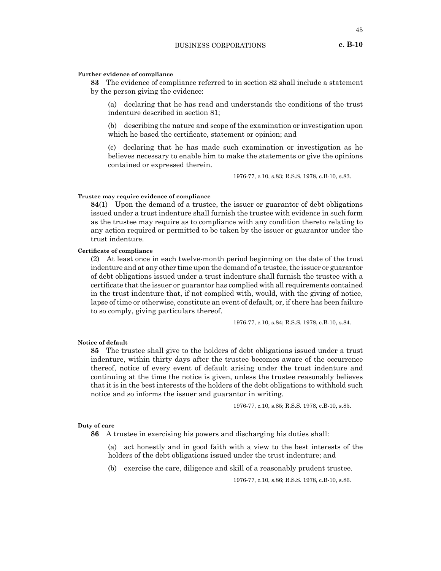#### **Further evidence of compliance**

**83** The evidence of compliance referred to in section 82 shall include a statement by the person giving the evidence:

(a) declaring that he has read and understands the conditions of the trust indenture described in section 81;

(b) describing the nature and scope of the examination or investigation upon which he based the certificate, statement or opinion; and

(c) declaring that he has made such examination or investigation as he believes necessary to enable him to make the statements or give the opinions contained or expressed therein.

1976-77, c.10, s.83; R.S.S. 1978, c.B-10, s.83.

#### **Trustee may require evidence of compliance**

**84**(1) Upon the demand of a trustee, the issuer or guarantor of debt obligations issued under a trust indenture shall furnish the trustee with evidence in such form as the trustee may require as to compliance with any condition thereto relating to any action required or permitted to be taken by the issuer or guarantor under the trust indenture.

## **Certificate of compliance**

(2) At least once in each twelve-month period beginning on the date of the trust indenture and at any other time upon the demand of a trustee, the issuer or guarantor of debt obligations issued under a trust indenture shall furnish the trustee with a certificate that the issuer or guarantor has complied with all requirements contained in the trust indenture that, if not complied with, would, with the giving of notice, lapse of time or otherwise, constitute an event of default, or, if there has been failure to so comply, giving particulars thereof.

1976-77, c.10, s.84; R.S.S. 1978, c.B-10, s.84.

## **Notice of default**

**85** The trustee shall give to the holders of debt obligations issued under a trust indenture, within thirty days after the trustee becomes aware of the occurrence thereof, notice of every event of default arising under the trust indenture and continuing at the time the notice is given, unless the trustee reasonably believes that it is in the best interests of the holders of the debt obligations to withhold such notice and so informs the issuer and guarantor in writing.

1976-77, c.10, s.85; R.S.S. 1978, c.B-10, s.85.

#### **Duty of care**

**86** A trustee in exercising his powers and discharging his duties shall:

(a) act honestly and in good faith with a view to the best interests of the holders of the debt obligations issued under the trust indenture; and

(b) exercise the care, diligence and skill of a reasonably prudent trustee.

1976-77, c.10, s.86; R.S.S. 1978, c.B-10, s.86.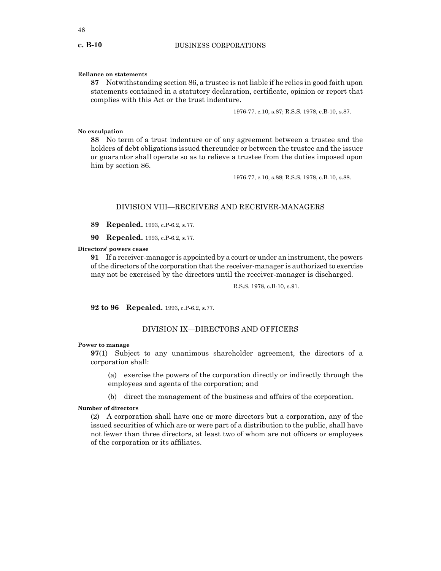#### **Reliance on statements**

**87** Notwithstanding section 86, a trustee is not liable if he relies in good faith upon statements contained in a statutory declaration, certificate, opinion or report that complies with this Act or the trust indenture.

1976-77, c.10, s.87; R.S.S. 1978, c.B-10, s.87.

# **No exculpation**

**88** No term of a trust indenture or of any agreement between a trustee and the holders of debt obligations issued thereunder or between the trustee and the issuer or guarantor shall operate so as to relieve a trustee from the duties imposed upon him by section 86.

1976-77, c.10, s.88; R.S.S. 1978, c.B-10, s.88.

# DIVISION VIII—RECEIVERS AND RECEIVER-MANAGERS

**89 Repealed.** 1993, c.P-6.2, s.77.

**90 Repealed.** 1993, c.P-6.2, s.77.

**Directors' powers cease**

**91** If a receiver-manager is appointed by a court or under an instrument, the powers of the directors of the corporation that the receiver-manager is authorized to exercise may not be exercised by the directors until the receiver-manager is discharged.

R.S.S. 1978, c.B-10, s.91.

**92 to 96 Repealed.** 1993, c.P-6.2, s.77.

# DIVISION IX—DIRECTORS AND OFFICERS

## **Power to manage**

**97**(1) Subject to any unanimous shareholder agreement, the directors of a corporation shall:

(a) exercise the powers of the corporation directly or indirectly through the employees and agents of the corporation; and

(b) direct the management of the business and affairs of the corporation.

# **Number of directors**

(2) A corporation shall have one or more directors but a corporation, any of the issued securities of which are or were part of a distribution to the public, shall have not fewer than three directors, at least two of whom are not officers or employees of the corporation or its affiliates.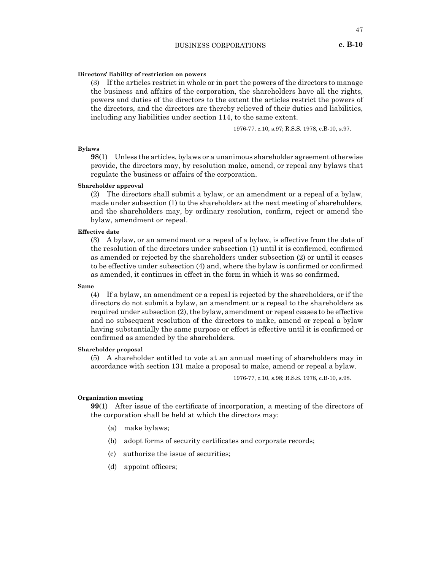#### **Directors' liability of restriction on powers**

(3) If the articles restrict in whole or in part the powers of the directors to manage the business and affairs of the corporation, the shareholders have all the rights, powers and duties of the directors to the extent the articles restrict the powers of the directors, and the directors are thereby relieved of their duties and liabilities, including any liabilities under section 114, to the same extent.

1976-77, c.10, s.97; R.S.S. 1978, c.B-10, s.97.

## **Bylaws**

**98**(1) Unless the articles, bylaws or a unanimous shareholder agreement otherwise provide, the directors may, by resolution make, amend, or repeal any bylaws that regulate the business or affairs of the corporation.

## **Shareholder approval**

(2) The directors shall submit a bylaw, or an amendment or a repeal of a bylaw, made under subsection (1) to the shareholders at the next meeting of shareholders, and the shareholders may, by ordinary resolution, confirm, reject or amend the bylaw, amendment or repeal.

## **Effective date**

(3) A bylaw, or an amendment or a repeal of a bylaw, is effective from the date of the resolution of the directors under subsection (1) until it is confirmed, confirmed as amended or rejected by the shareholders under subsection (2) or until it ceases to be effective under subsection (4) and, where the bylaw is confirmed or confirmed as amended, it continues in effect in the form in which it was so confirmed.

# **Same**

(4) If a bylaw, an amendment or a repeal is rejected by the shareholders, or if the directors do not submit a bylaw, an amendment or a repeal to the shareholders as required under subsection (2), the bylaw, amendment or repeal ceases to be effective and no subsequent resolution of the directors to make, amend or repeal a bylaw having substantially the same purpose or effect is effective until it is confirmed or confirmed as amended by the shareholders.

## **Shareholder proposal**

(5) A shareholder entitled to vote at an annual meeting of shareholders may in accordance with section 131 make a proposal to make, amend or repeal a bylaw.

1976-77, c.10, s.98; R.S.S. 1978, c.B-10, s.98.

#### **Organization meeting**

**99**(1) After issue of the certificate of incorporation, a meeting of the directors of the corporation shall be held at which the directors may:

- (a) make bylaws;
- (b) adopt forms of security certificates and corporate records;
- (c) authorize the issue of securities;
- (d) appoint officers;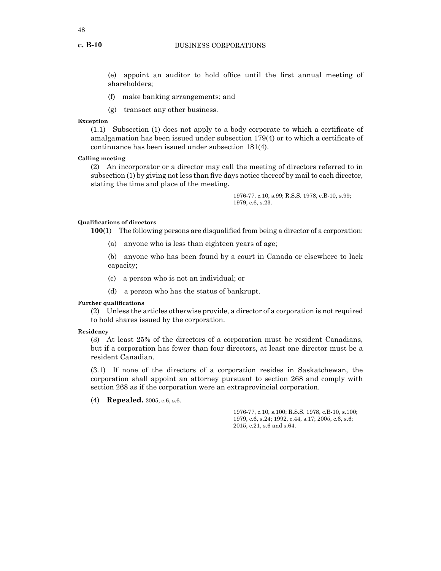(e) appoint an auditor to hold office until the first annual meeting of shareholders;

(f) make banking arrangements; and

(g) transact any other business.

## **Exception**

(1.1) Subsection (1) does not apply to a body corporate to which a certificate of amalgamation has been issued under subsection 179(4) or to which a certificate of continuance has been issued under subsection 181(4).

## **Calling meeting**

(2) An incorporator or a director may call the meeting of directors referred to in subsection  $(1)$  by giving not less than five days notice thereof by mail to each director, stating the time and place of the meeting.

> 1976-77, c.10, s.99; R.S.S. 1978, c.B-10, s.99; 1979, c.6, s.23.

## **Qualifications of directors**

**100**(1) The following persons are disqualified from being a director of a corporation:

(a) anyone who is less than eighteen years of age;

(b) anyone who has been found by a court in Canada or elsewhere to lack capacity;

- (c) a person who is not an individual; or
- (d) a person who has the status of bankrupt.

## **Further qualifications**

(2) Unless the articles otherwise provide, a director of a corporation is not required to hold shares issued by the corporation.

## **Residency**

(3) At least 25% of the directors of a corporation must be resident Canadians, but if a corporation has fewer than four directors, at least one director must be a resident Canadian.

(3.1) If none of the directors of a corporation resides in Saskatchewan, the corporation shall appoint an attorney pursuant to section 268 and comply with section 268 as if the corporation were an extraprovincial corporation.

(4) **Repealed.** 2005, c.6, s.6.

1976-77, c.10, s.100; R.S.S. 1978, c.B-10, s.100; 1979, c.6, s.24; 1992, c.44, s.17; 2005, c.6, s.6; 2015, c.21, s.6 and s.64.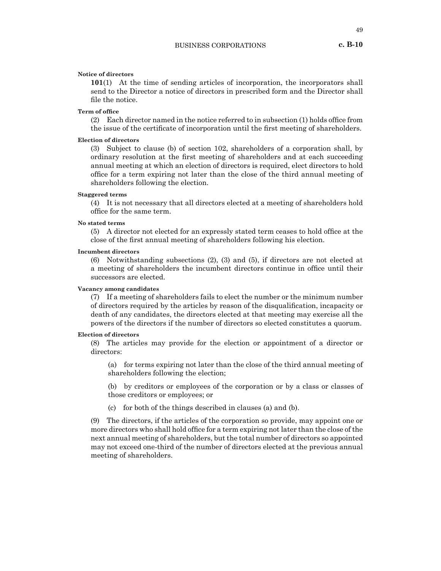## **Notice of directors**

**101**(1) At the time of sending articles of incorporation, the incorporators shall send to the Director a notice of directors in prescribed form and the Director shall file the notice.

# **Term of office**

(2) Each director named in the notice referred to in subsection (1) holds office from the issue of the certificate of incorporation until the first meeting of shareholders.

#### **Election of directors**

(3) Subject to clause (b) of section 102, shareholders of a corporation shall, by ordinary resolution at the first meeting of shareholders and at each succeeding annual meeting at which an election of directors is required, elect directors to hold office for a term expiring not later than the close of the third annual meeting of shareholders following the election.

## **Staggered terms**

(4) It is not necessary that all directors elected at a meeting of shareholders hold office for the same term.

#### **No stated terms**

(5) A director not elected for an expressly stated term ceases to hold office at the close of the first annual meeting of shareholders following his election.

#### **Incumbent directors**

(6) Notwithstanding subsections (2), (3) and (5), if directors are not elected at a meeting of shareholders the incumbent directors continue in office until their successors are elected.

#### **Vacancy among candidates**

(7) If a meeting of shareholders fails to elect the number or the minimum number of directors required by the articles by reason of the disqualification, incapacity or death of any candidates, the directors elected at that meeting may exercise all the powers of the directors if the number of directors so elected constitutes a quorum.

### **Election of directors**

(8) The articles may provide for the election or appointment of a director or directors:

(a) for terms expiring not later than the close of the third annual meeting of shareholders following the election;

(b) by creditors or employees of the corporation or by a class or classes of those creditors or employees; or

(c) for both of the things described in clauses (a) and (b).

(9) The directors, if the articles of the corporation so provide, may appoint one or more directors who shall hold office for a term expiring not later than the close of the next annual meeting of shareholders, but the total number of directors so appointed may not exceed one-third of the number of directors elected at the previous annual meeting of shareholders.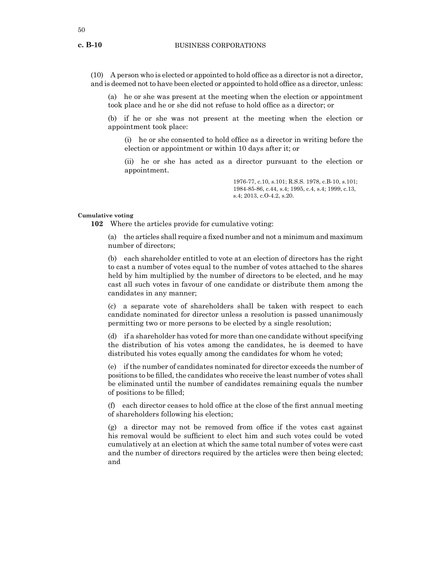(10) A person who is elected or appointed to hold office as a director is not a director, and is deemed not to have been elected or appointed to hold office as a director, unless:

(a) he or she was present at the meeting when the election or appointment took place and he or she did not refuse to hold office as a director; or

(b) if he or she was not present at the meeting when the election or appointment took place:

(i) he or she consented to hold office as a director in writing before the election or appointment or within 10 days after it; or

(ii) he or she has acted as a director pursuant to the election or appointment.

> 1976-77, c.10, s.101; R.S.S. 1978, c.B-10, s.101; 1984-85-86, c.44, s.4; 1995, c.4, s.4; 1999, c.13, s.4; 2013, c.O-4.2, s.20.

## **Cumulative voting**

**102** Where the articles provide for cumulative voting:

(a) the articles shall require a fixed number and not a minimum and maximum number of directors;

(b) each shareholder entitled to vote at an election of directors has the right to cast a number of votes equal to the number of votes attached to the shares held by him multiplied by the number of directors to be elected, and he may cast all such votes in favour of one candidate or distribute them among the candidates in any manner;

(c) a separate vote of shareholders shall be taken with respect to each candidate nominated for director unless a resolution is passed unanimously permitting two or more persons to be elected by a single resolution;

(d) if a shareholder has voted for more than one candidate without specifying the distribution of his votes among the candidates, he is deemed to have distributed his votes equally among the candidates for whom he voted;

(e) if the number of candidates nominated for director exceeds the number of positions to be filled, the candidates who receive the least number of votes shall be eliminated until the number of candidates remaining equals the number of positions to be filled;

(f) each director ceases to hold office at the close of the first annual meeting of shareholders following his election;

(g) a director may not be removed from office if the votes cast against his removal would be sufficient to elect him and such votes could be voted cumulatively at an election at which the same total number of votes were cast and the number of directors required by the articles were then being elected; and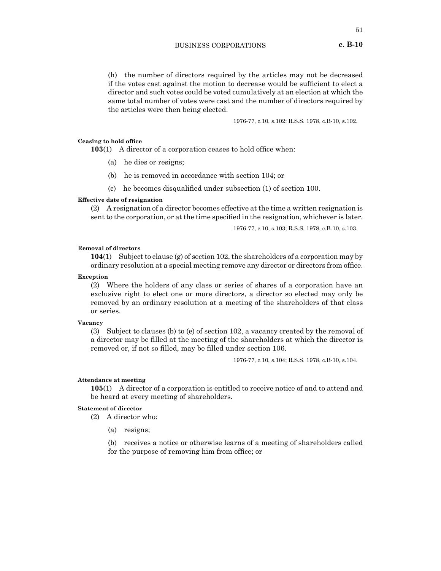(h) the number of directors required by the articles may not be decreased if the votes cast against the motion to decrease would be sufficient to elect a director and such votes could be voted cumulatively at an election at which the same total number of votes were cast and the number of directors required by the articles were then being elected.

1976-77, c.10, s.102; R.S.S. 1978, c.B-10, s.102.

## **Ceasing to hold office**

**103**(1) A director of a corporation ceases to hold office when:

- (a) he dies or resigns;
- (b) he is removed in accordance with section 104; or
- (c) he becomes disqualified under subsection (1) of section 100.

#### **Effective date of resignation**

(2) A resignation of a director becomes effective at the time a written resignation is sent to the corporation, or at the time specified in the resignation, whichever is later.

1976-77, c.10, s.103; R.S.S. 1978, c.B-10, s.103.

## **Removal of directors**

**104**(1) Subject to clause (g) of section 102, the shareholders of a corporation may by ordinary resolution at a special meeting remove any director or directors from office.

**Exception**

(2) Where the holders of any class or series of shares of a corporation have an exclusive right to elect one or more directors, a director so elected may only be removed by an ordinary resolution at a meeting of the shareholders of that class or series.

#### **Vacancy**

(3) Subject to clauses (b) to (e) of section 102, a vacancy created by the removal of a director may be filled at the meeting of the shareholders at which the director is removed or, if not so filled, may be filled under section 106.

1976-77, c.10, s.104; R.S.S. 1978, c.B-10, s.104.

#### **Attendance at meeting**

**105**(1) A director of a corporation is entitled to receive notice of and to attend and be heard at every meeting of shareholders.

# **Statement of director**

(2) A director who:

(a) resigns;

(b) receives a notice or otherwise learns of a meeting of shareholders called for the purpose of removing him from office; or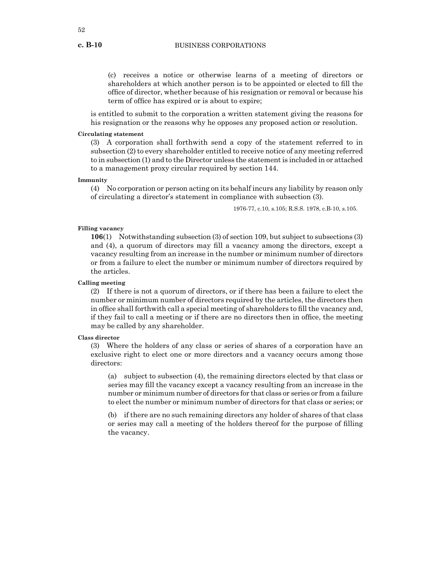(c) receives a notice or otherwise learns of a meeting of directors or shareholders at which another person is to be appointed or elected to fill the office of director, whether because of his resignation or removal or because his term of office has expired or is about to expire;

is entitled to submit to the corporation a written statement giving the reasons for his resignation or the reasons why he opposes any proposed action or resolution.

### **Circulating statement**

(3) A corporation shall forthwith send a copy of the statement referred to in subsection (2) to every shareholder entitled to receive notice of any meeting referred to in subsection (1) and to the Director unless the statement is included in or attached to a management proxy circular required by section 144.

**Immunity**

(4) No corporation or person acting on its behalf incurs any liability by reason only of circulating a director's statement in compliance with subsection (3).

1976-77, c.10, s.105; R.S.S. 1978, c.B-10, s.105.

## **Filling vacancy**

**106**(1) Notwithstanding subsection (3) of section 109, but subject to subsections (3) and (4), a quorum of directors may fill a vacancy among the directors, except a vacancy resulting from an increase in the number or minimum number of directors or from a failure to elect the number or minimum number of directors required by the articles.

#### **Calling meeting**

(2) If there is not a quorum of directors, or if there has been a failure to elect the number or minimum number of directors required by the articles, the directors then in office shall forthwith call a special meeting of shareholders to fill the vacancy and, if they fail to call a meeting or if there are no directors then in office, the meeting may be called by any shareholder.

# **Class director**

(3) Where the holders of any class or series of shares of a corporation have an exclusive right to elect one or more directors and a vacancy occurs among those directors:

(a) subject to subsection (4), the remaining directors elected by that class or series may fill the vacancy except a vacancy resulting from an increase in the number or minimum number of directors for that class or series or from a failure to elect the number or minimum number of directors for that class or series; or

(b) if there are no such remaining directors any holder of shares of that class or series may call a meeting of the holders thereof for the purpose of filling the vacancy.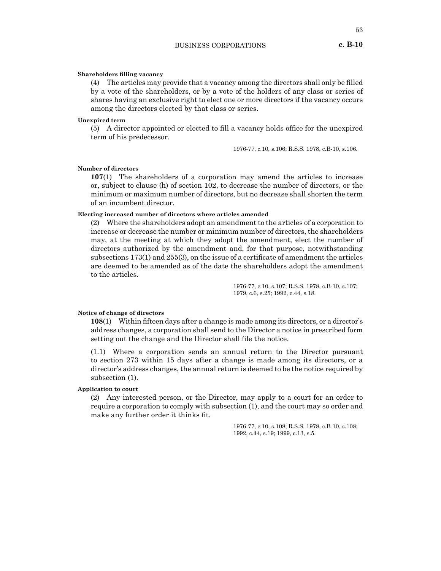#### **Shareholders filling vacancy**

(4) The articles may provide that a vacancy among the directors shall only be filled by a vote of the shareholders, or by a vote of the holders of any class or series of shares having an exclusive right to elect one or more directors if the vacancy occurs among the directors elected by that class or series.

## **Unexpired term**

(5) A director appointed or elected to fill a vacancy holds office for the unexpired term of his predecessor.

1976-77, c.10, s.106; R.S.S. 1978, c.B-10, s.106.

## **Number of directors**

**107**(1) The shareholders of a corporation may amend the articles to increase or, subject to clause (h) of section 102, to decrease the number of directors, or the minimum or maximum number of directors, but no decrease shall shorten the term of an incumbent director.

# **Electing increased number of directors where articles amended**

(2) Where the shareholders adopt an amendment to the articles of a corporation to increase or decrease the number or minimum number of directors, the shareholders may, at the meeting at which they adopt the amendment, elect the number of directors authorized by the amendment and, for that purpose, notwithstanding subsections 173(1) and 255(3), on the issue of a certificate of amendment the articles are deemed to be amended as of the date the shareholders adopt the amendment to the articles.

> 1976-77, c.10, s.107; R.S.S. 1978, c.B-10, s.107; 1979, c.6, s.25; 1992, c.44, s.18.

#### **Notice of change of directors**

**108**(1) Within fifteen days after a change is made among its directors, or a director's address changes, a corporation shall send to the Director a notice in prescribed form setting out the change and the Director shall file the notice.

(1.1) Where a corporation sends an annual return to the Director pursuant to section 273 within 15 days after a change is made among its directors, or a director's address changes, the annual return is deemed to be the notice required by subsection (1).

#### **Application to court**

(2) Any interested person, or the Director, may apply to a court for an order to require a corporation to comply with subsection (1), and the court may so order and make any further order it thinks fit.

> 1976-77, c.10, s.108; R.S.S. 1978, c.B-10, s.108; 1992, c.44, s.19; 1999, c.13, s.5.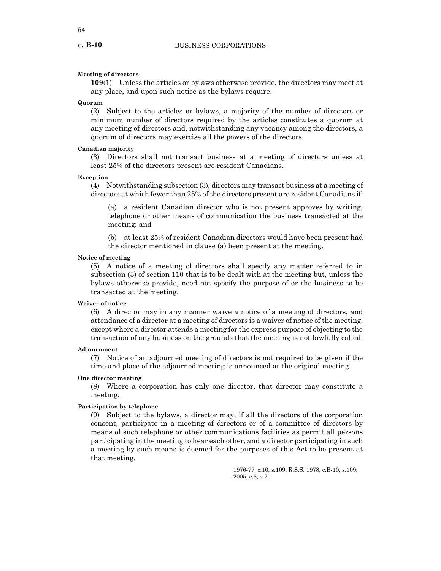## **Meeting of directors**

**109**(1) Unless the articles or bylaws otherwise provide, the directors may meet at any place, and upon such notice as the bylaws require.

## **Quorum**

(2) Subject to the articles or bylaws, a majority of the number of directors or minimum number of directors required by the articles constitutes a quorum at any meeting of directors and, notwithstanding any vacancy among the directors, a quorum of directors may exercise all the powers of the directors.

## **Canadian majority**

(3) Directors shall not transact business at a meeting of directors unless at least 25% of the directors present are resident Canadians.

## **Exception**

(4) Notwithstanding subsection (3), directors may transact business at a meeting of directors at which fewer than 25% of the directors present are resident Canadians if:

(a) a resident Canadian director who is not present approves by writing, telephone or other means of communication the business transacted at the meeting; and

(b) at least 25% of resident Canadian directors would have been present had the director mentioned in clause (a) been present at the meeting.

## **Notice of meeting**

(5) A notice of a meeting of directors shall specify any matter referred to in subsection (3) of section 110 that is to be dealt with at the meeting but, unless the bylaws otherwise provide, need not specify the purpose of or the business to be transacted at the meeting.

## **Waiver of notice**

(6) A director may in any manner waive a notice of a meeting of directors; and attendance of a director at a meeting of directors is a waiver of notice of the meeting, except where a director attends a meeting for the express purpose of objecting to the transaction of any business on the grounds that the meeting is not lawfully called.

#### **Adjournment**

(7) Notice of an adjourned meeting of directors is not required to be given if the time and place of the adjourned meeting is announced at the original meeting.

## **One director meeting**

(8) Where a corporation has only one director, that director may constitute a meeting.

#### **Participation by telephone**

(9) Subject to the bylaws, a director may, if all the directors of the corporation consent, participate in a meeting of directors or of a committee of directors by means of such telephone or other communications facilities as permit all persons participating in the meeting to hear each other, and a director participating in such a meeting by such means is deemed for the purposes of this Act to be present at that meeting.

> 1976-77, c.10, s.109; R.S.S. 1978, c.B-10, s.109; 2005, c.6, s.7.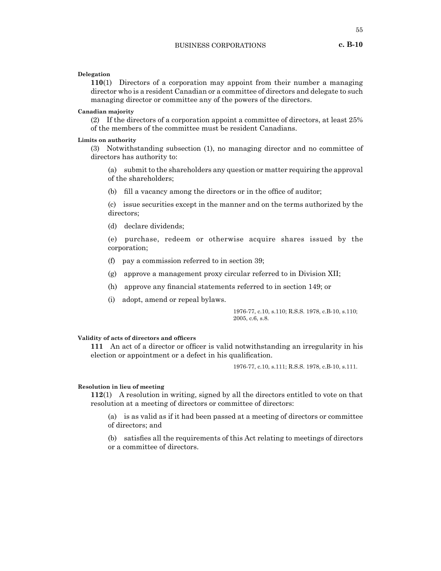## **Delegation**

**110**(1) Directors of a corporation may appoint from their number a managing director who is a resident Canadian or a committee of directors and delegate to such managing director or committee any of the powers of the directors.

## **Canadian majority**

(2) If the directors of a corporation appoint a committee of directors, at least 25% of the members of the committee must be resident Canadians.

#### **Limits on authority**

(3) Notwithstanding subsection (1), no managing director and no committee of directors has authority to:

(a) submit to the shareholders any question or matter requiring the approval of the shareholders;

(b) fill a vacancy among the directors or in the office of auditor;

(c) issue securities except in the manner and on the terms authorized by the directors;

(d) declare dividends;

(e) purchase, redeem or otherwise acquire shares issued by the corporation;

- (f) pay a commission referred to in section 39;
- (g) approve a management proxy circular referred to in Division XII;
- (h) approve any financial statements referred to in section 149; or
- (i) adopt, amend or repeal bylaws.

1976-77, c.10, s.110; R.S.S. 1978, c.B-10, s.110; 2005, c.6, s.8.

## **Validity of acts of directors and officers**

**111** An act of a director or officer is valid notwithstanding an irregularity in his election or appointment or a defect in his qualification.

1976-77, c.10, s.111; R.S.S. 1978, c.B-10, s.111.

#### **Resolution in lieu of meeting**

**112**(1) A resolution in writing, signed by all the directors entitled to vote on that resolution at a meeting of directors or committee of directors:

(a) is as valid as if it had been passed at a meeting of directors or committee of directors; and

(b) satisfies all the requirements of this Act relating to meetings of directors or a committee of directors.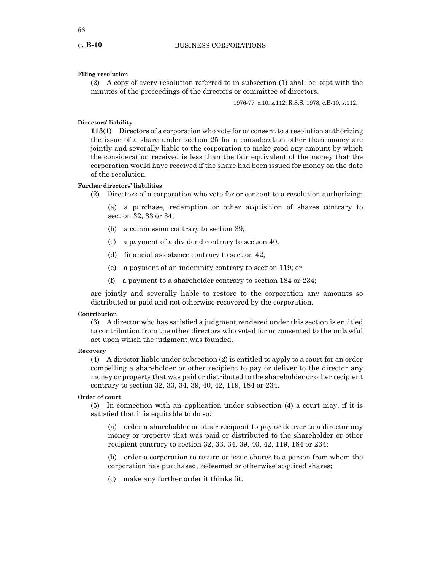#### **Filing resolution**

(2) A copy of every resolution referred to in subsection (1) shall be kept with the minutes of the proceedings of the directors or committee of directors.

1976-77, c.10, s.112; R.S.S. 1978, c.B-10, s.112.

## **Directors' liability**

**113**(1) Directors of a corporation who vote for or consent to a resolution authorizing the issue of a share under section 25 for a consideration other than money are jointly and severally liable to the corporation to make good any amount by which the consideration received is less than the fair equivalent of the money that the corporation would have received if the share had been issued for money on the date of the resolution.

# **Further directors' liabilities**

(2) Directors of a corporation who vote for or consent to a resolution authorizing:

(a) a purchase, redemption or other acquisition of shares contrary to section 32, 33 or 34;

- (b) a commission contrary to section 39;
- (c) a payment of a dividend contrary to section 40;
- (d) financial assistance contrary to section 42;
- (e) a payment of an indemnity contrary to section 119; or
- (f) a payment to a shareholder contrary to section 184 or 234;

are jointly and severally liable to restore to the corporation any amounts so distributed or paid and not otherwise recovered by the corporation.

## **Contribution**

(3) A director who has satisfied a judgment rendered under this section is entitled to contribution from the other directors who voted for or consented to the unlawful act upon which the judgment was founded.

#### **Recovery**

(4) A director liable under subsection (2) is entitled to apply to a court for an order compelling a shareholder or other recipient to pay or deliver to the director any money or property that was paid or distributed to the shareholder or other recipient contrary to section 32, 33, 34, 39, 40, 42, 119, 184 or 234.

#### **Order of court**

(5) In connection with an application under subsection (4) a court may, if it is satisfied that it is equitable to do so:

(a) order a shareholder or other recipient to pay or deliver to a director any money or property that was paid or distributed to the shareholder or other recipient contrary to section 32, 33, 34, 39, 40, 42, 119, 184 or 234;

(b) order a corporation to return or issue shares to a person from whom the corporation has purchased, redeemed or otherwise acquired shares;

(c) make any further order it thinks fit.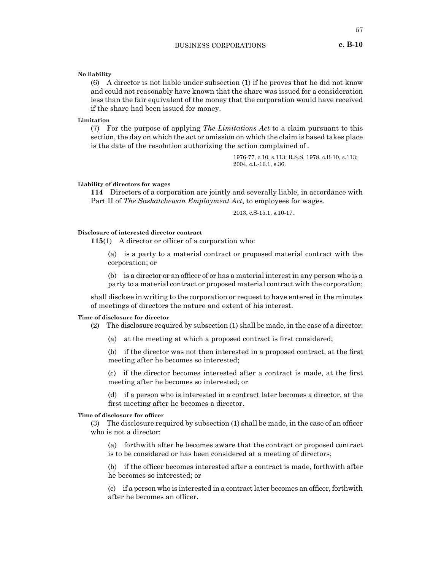#### **No liability**

(6) A director is not liable under subsection (1) if he proves that he did not know and could not reasonably have known that the share was issued for a consideration less than the fair equivalent of the money that the corporation would have received if the share had been issued for money.

#### **Limitation**

(7) For the purpose of applying *The Limitations Act* to a claim pursuant to this section, the day on which the act or omission on which the claim is based takes place is the date of the resolution authorizing the action complained of .

> 1976-77, c.10, s.113; R.S.S. 1978, c.B-10, s.113; 2004, c.L-16.1, s.36.

#### **Liability of directors for wages**

**114** Directors of a corporation are jointly and severally liable, in accordance with Part II of *The Saskatchewan Employment Act*, to employees for wages.

2013, c.S-15.1, s.10-17.

## **Disclosure of interested director contract**

**115**(1) A director or officer of a corporation who:

- (a) is a party to a material contract or proposed material contract with the corporation; or
- (b) is a director or an officer of or has a material interestin any person who is a party to a material contract or proposed material contract with the corporation;

shall disclose in writing to the corporation or request to have entered in the minutes of meetings of directors the nature and extent of his interest.

#### **Time of disclosure for director**

- (2) The disclosure required by subsection (1) shall be made, in the case of a director:
	- (a) at the meeting at which a proposed contract is first considered;

(b) if the director was not then interested in a proposed contract, at the first meeting after he becomes so interested;

(c) if the director becomes interested after a contract is made, at the first meeting after he becomes so interested; or

(d) if a person who is interested in a contract later becomes a director, at the first meeting after he becomes a director.

## **Time of disclosure for officer**

(3) The disclosure required by subsection (1) shall be made, in the case of an officer who is not a director:

(a) forthwith after he becomes aware that the contract or proposed contract is to be considered or has been considered at a meeting of directors;

(b) if the officer becomes interested after a contract is made, forthwith after he becomes so interested; or

(c) if a person who is interested in a contractlater becomes an officer, forthwith after he becomes an officer.

**c. B-10**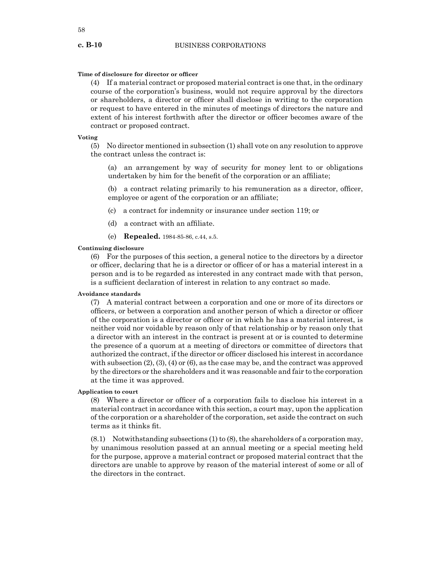## **Time of disclosure for director or officer**

(4) If a material contract or proposed material contract is one that, in the ordinary course of the corporation's business, would not require approval by the directors or shareholders, a director or officer shall disclose in writing to the corporation or request to have entered in the minutes of meetings of directors the nature and extent of his interest forthwith after the director or officer becomes aware of the contract or proposed contract.

## **Voting**

(5) No director mentioned in subsection (1) shall vote on any resolution to approve the contract unless the contract is:

(a) an arrangement by way of security for money lent to or obligations undertaken by him for the benefit of the corporation or an affiliate;

(b) a contract relating primarily to his remuneration as a director, officer, employee or agent of the corporation or an affiliate;

- (c) a contract for indemnity or insurance under section 119; or
- (d) a contract with an affiliate.
- (e) **Repealed.** 1984-85-86, c.44, s.5.

## **Continuing disclosure**

(6) For the purposes of this section, a general notice to the directors by a director or officer, declaring that he is a director or officer of or has a material interest in a person and is to be regarded as interested in any contract made with that person, is a sufficient declaration of interest in relation to any contract so made.

## **Avoidance standards**

(7) A material contract between a corporation and one or more of its directors or officers, or between a corporation and another person of which a director or officer of the corporation is a director or officer or in which he has a material interest, is neither void nor voidable by reason only of that relationship or by reason only that a director with an interest in the contract is present at or is counted to determine the presence of a quorum at a meeting of directors or committee of directors that authorized the contract, if the director or officer disclosed his interest in accordance with subsection  $(2)$ ,  $(3)$ ,  $(4)$  or  $(6)$ , as the case may be, and the contract was approved by the directors or the shareholders and it was reasonable and fair to the corporation at the time it was approved.

## **Application to court**

(8) Where a director or officer of a corporation fails to disclose his interest in a material contract in accordance with this section, a court may, upon the application of the corporation or a shareholder of the corporation, set aside the contract on such terms as it thinks fit.

(8.1) Notwithstanding subsections (1) to (8), the shareholders of a corporation may, by unanimous resolution passed at an annual meeting or a special meeting held for the purpose, approve a material contract or proposed material contract that the directors are unable to approve by reason of the material interest of some or all of the directors in the contract.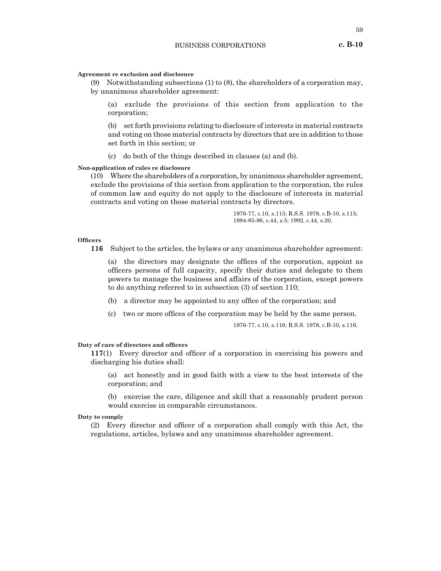# **c. B-10**

#### **Agreement re exclusion and disclosure**

(9) Notwithstanding subsections (1) to (8), the shareholders of a corporation may, by unanimous shareholder agreement:

(a) exclude the provisions of this section from application to the corporation;

(b) set forth provisions relating to disclosure of interests in material contracts and voting on those material contracts by directors that are in addition to those set forth in this section; or

(c) do both of the things described in clauses (a) and (b).

#### **Non-application of rules re disclosure**

(10) Where the shareholders of a corporation, by unanimous shareholder agreement, exclude the provisions of this section from application to the corporation, the rules of common law and equity do not apply to the disclosure of interests in material contracts and voting on those material contracts by directors.

> 1976-77, c.10, s.115; R.S.S. 1978, c.B-10, s.115; 1984-85-86, c.44, s.5; 1992, c.44, s.20.

## **Officers**

**116** Subject to the articles, the bylaws or any unanimous shareholder agreement:

(a) the directors may designate the offices of the corporation, appoint as officers persons of full capacity, specify their duties and delegate to them powers to manage the business and affairs of the corporation, except powers to do anything referred to in subsection (3) of section 110;

- (b) a director may be appointed to any office of the corporation; and
- (c) two or more offices of the corporation may be held by the same person.

1976-77, c.10, s.116; R.S.S. 1978, c.B-10, s.116.

## **Duty of care of directors and officers**

**117**(1) Every director and officer of a corporation in exercising his powers and discharging his duties shall:

(a) act honestly and in good faith with a view to the best interests of the corporation; and

(b) exercise the care, diligence and skill that a reasonably prudent person would exercise in comparable circumstances.

## **Duty to comply**

(2) Every director and officer of a corporation shall comply with this Act, the regulations, articles, bylaws and any unanimous shareholder agreement.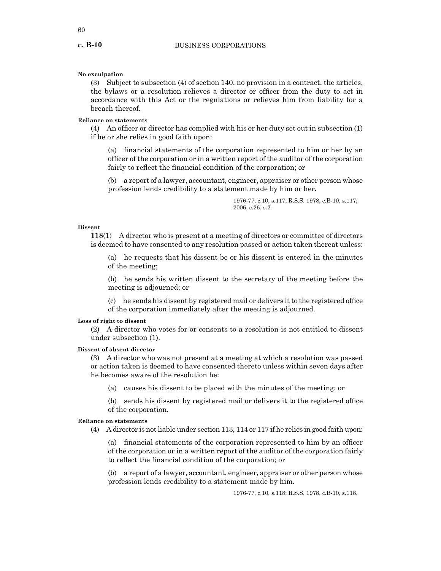## **No exculpation**

(3) Subject to subsection (4) of section 140, no provision in a contract, the articles, the bylaws or a resolution relieves a director or officer from the duty to act in accordance with this Act or the regulations or relieves him from liability for a breach thereof.

# **Reliance on statements**

(4) An officer or director has complied with his or her duty set out in subsection (1) if he or she relies in good faith upon:

(a) financial statements of the corporation represented to him or her by an officer of the corporation or in a written report of the auditor of the corporation fairly to reflect the financial condition of the corporation; or

(b) a report of a lawyer, accountant, engineer, appraiser or other person whose profession lends credibility to a statement made by him or her**.**

> 1976-77, c.10, s.117; R.S.S. 1978, c.B-10, s.117; 2006, c.26, s.2.

#### **Dissent**

**118**(1) A director who is present at a meeting of directors or committee of directors is deemed to have consented to any resolution passed or action taken thereat unless:

(a) he requests that his dissent be or his dissent is entered in the minutes of the meeting;

(b) he sends his written dissent to the secretary of the meeting before the meeting is adjourned; or

(c) he sends his dissent by registered mail or delivers it to the registered office of the corporation immediately after the meeting is adjourned.

## **Loss of right to dissent**

(2) A director who votes for or consents to a resolution is not entitled to dissent under subsection (1).

## **Dissent of absent director**

(3) A director who was not present at a meeting at which a resolution was passed or action taken is deemed to have consented thereto unless within seven days after he becomes aware of the resolution he:

(a) causes his dissent to be placed with the minutes of the meeting; or

(b) sends his dissent by registered mail or delivers it to the registered office of the corporation.

## **Reliance on statements**

(4) A director is not liable under section 113, 114 or 117 if he relies in good faith upon:

(a) financial statements of the corporation represented to him by an officer of the corporation or in a written report of the auditor of the corporation fairly to reflect the financial condition of the corporation; or

(b) a report of a lawyer, accountant, engineer, appraiser or other person whose profession lends credibility to a statement made by him.

1976-77, c.10, s.118; R.S.S. 1978, c.B-10, s.118.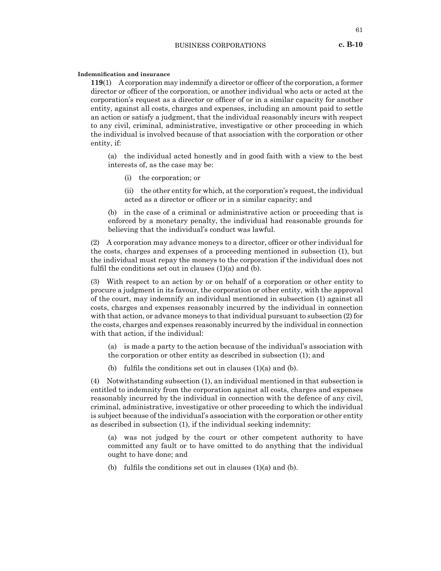## **Indemnification and insurance**

**119**(1) A corporation may indemnify a director or officer of the corporation, a former director or officer of the corporation, or another individual who acts or acted at the corporation's request as a director or officer of or in a similar capacity for another entity, against all costs, charges and expenses, including an amount paid to settle an action or satisfy a judgment, that the individual reasonably incurs with respect to any civil, criminal, administrative, investigative or other proceeding in which the individual is involved because of that association with the corporation or other entity, if:

(a) the individual acted honestly and in good faith with a view to the best interests of, as the case may be:

(i) the corporation; or

(ii) the other entity for which, at the corporation's request, the individual acted as a director or officer or in a similar capacity; and

(b) in the case of a criminal or administrative action or proceeding that is enforced by a monetary penalty, the individual had reasonable grounds for believing that the individual's conduct was lawful.

(2) A corporation may advance moneys to a director, officer or other individual for the costs, charges and expenses of a proceeding mentioned in subsection (1), but the individual must repay the moneys to the corporation if the individual does not fulfil the conditions set out in clauses (1)(a) and (b).

(3) With respect to an action by or on behalf of a corporation or other entity to procure a judgment in its favour, the corporation or other entity, with the approval of the court, may indemnify an individual mentioned in subsection (1) against all costs, charges and expenses reasonably incurred by the individual in connection with that action, or advance moneys to that individual pursuant to subsection (2) for the costs, charges and expenses reasonably incurred by the individual in connection with that action, if the individual:

(a) is made a party to the action because of the individual's association with the corporation or other entity as described in subsection (1); and

(b) fulfils the conditions set out in clauses  $(1)(a)$  and  $(b)$ .

(4) Notwithstanding subsection (1), an individual mentioned in that subsection is entitled to indemnity from the corporation against all costs, charges and expenses reasonably incurred by the individual in connection with the defence of any civil, criminal, administrative, investigative or other proceeding to which the individual is subject because of the individual's association with the corporation or other entity as described in subsection (1), if the individual seeking indemnity:

(a) was not judged by the court or other competent authority to have committed any fault or to have omitted to do anything that the individual ought to have done; and

(b) fulfils the conditions set out in clauses  $(1)(a)$  and  $(b)$ .

61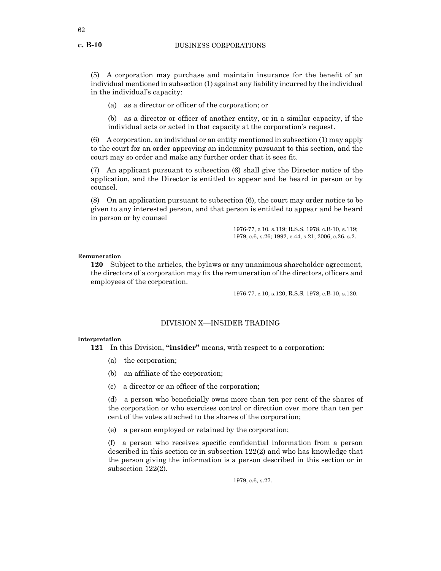(5) A corporation may purchase and maintain insurance for the benefit of an individual mentioned in subsection (1) against any liability incurred by the individual in the individual's capacity:

(a) as a director or officer of the corporation; or

(b) as a director or officer of another entity, or in a similar capacity, if the individual acts or acted in that capacity at the corporation's request.

(6) A corporation, an individual or an entity mentioned in subsection (1) may apply to the court for an order approving an indemnity pursuant to this section, and the court may so order and make any further order that it sees fit.

(7) An applicant pursuant to subsection (6) shall give the Director notice of the application, and the Director is entitled to appear and be heard in person or by counsel.

(8) On an application pursuant to subsection (6), the court may order notice to be given to any interested person, and that person is entitled to appear and be heard in person or by counsel

> 1976-77, c.10, s.119; R.S.S. 1978, c.B-10, s.119; 1979, c.6, s.26; 1992, c.44, s.21; 2006, c.26, s.2.

**Remuneration**

**120** Subject to the articles, the bylaws or any unanimous shareholder agreement, the directors of a corporation may fix the remuneration of the directors, officers and employees of the corporation.

1976-77, c.10, s.120; R.S.S. 1978, c.B-10, s.120.

# DIVISION X—INSIDER TRADING

#### **Interpretation**

**121** In this Division, **"insider"** means, with respect to a corporation:

- (a) the corporation;
- (b) an affiliate of the corporation;
- (c) a director or an officer of the corporation;

(d) a person who beneficially owns more than ten per cent of the shares of the corporation or who exercises control or direction over more than ten per cent of the votes attached to the shares of the corporation;

(e) a person employed or retained by the corporation;

(f) a person who receives specific confidential information from a person described in this section or in subsection 122(2) and who has knowledge that the person giving the information is a person described in this section or in subsection 122(2).

1979, c.6, s.27.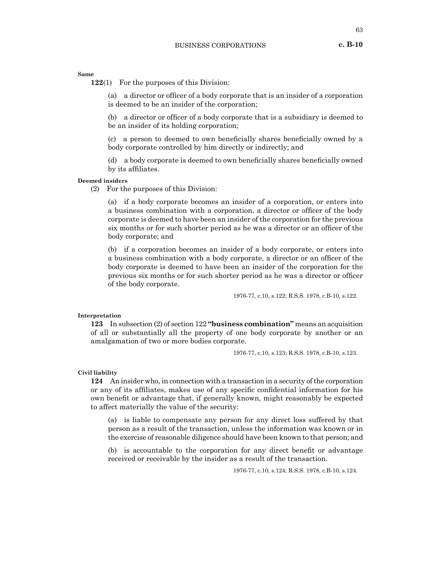**Same**

**122**(1) For the purposes of this Division:

(a) a director or officer of a body corporate that is an insider of a corporation is deemed to be an insider of the corporation;

(b) a director or officer of a body corporate that is a subsidiary is deemed to be an insider of its holding corporation;

(c) a person to deemed to own beneficially shares beneficially owned by a body corporate controlled by him directly or indirectly; and

(d) a body corporate is deemed to own beneficially shares beneficially owned by its affiliates.

## **Deemed insiders**

(2) For the purposes of this Division:

(a) if a body corporate becomes an insider of a corporation, or enters into a business combination with a corporation, a director or officer of the body corporate is deemed to have been an insider of the corporation for the previous six months or for such shorter period as he was a director or an officer of the body corporate; and

(b) if a corporation becomes an insider of a body corporate, or enters into a business combination with a body corporate, a director or an officer of the body corporate is deemed to have been an insider of the corporation for the previous six months or for such shorter period as he was a director or officer of the body corporate.

1976-77, c.10, s.122; R.S.S. 1978, c.B-10, s.122.

#### **Interpretation**

**123** In subsection (2) of section 122 **"business combination"** means an acquisition of all or substantially all the property of one body corporate by another or an amalgamation of two or more bodies corporate.

1976-77, c.10, s.123; R.S.S. 1978, c.B-10, s.123.

**Civil liability**

**124** An insider who, in connection with a transaction in a security of the corporation or any of its affiliates, makes use of any specific confidential information for his own benefit or advantage that, if generally known, might reasonably be expected to affect materially the value of the security:

(a) is liable to compensate any person for any direct loss suffered by that person as a result of the transaction, unless the information was known or in the exercise of reasonable diligence should have been known to that person; and

(b) is accountable to the corporation for any direct benefit or advantage received or receivable by the insider as a result of the transaction.

1976-77, c.10, s.124; R.S.S. 1978, c.B-10, s.124.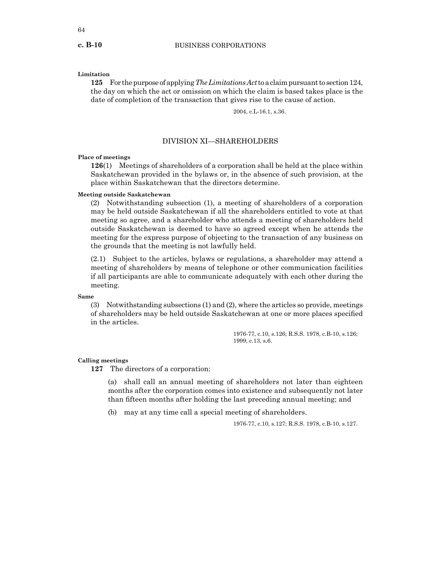## **Limitation**

**125** For the purpose of applying *The Limitations Act* to a claim pursuant to section 124, the day on which the act or omission on which the claim is based takes place is the date of completion of the transaction that gives rise to the cause of action.

2004, c.L-16.1, s.36.

# DIVISION XI—SHAREHOLDERS

## **Place of meetings**

**126**(1) Meetings of shareholders of a corporation shall be held at the place within Saskatchewan provided in the bylaws or, in the absence of such provision, at the place within Saskatchewan that the directors determine.

# **Meeting outside Saskatchewan**

(2) Notwithstanding subsection (1), a meeting of shareholders of a corporation may be held outside Saskatchewan if all the shareholders entitled to vote at that meeting so agree, and a shareholder who attends a meeting of shareholders held outside Saskatchewan is deemed to have so agreed except when he attends the meeting for the express purpose of objecting to the transaction of any business on the grounds that the meeting is not lawfully held.

(2.1) Subject to the articles, bylaws or regulations, a shareholder may attend a meeting of shareholders by means of telephone or other communication facilities if all participants are able to communicate adequately with each other during the meeting.

## **Same**

(3) Notwithstanding subsections (1) and (2), where the articles so provide, meetings of shareholders may be held outside Saskatchewan at one or more places specified in the articles.

> 1976-77, c.10, s.126; R.S.S. 1978, c.B-10, s.126; 1999, c.13, s.6.

#### **Calling meetings**

**127** The directors of a corporation:

(a) shall call an annual meeting of shareholders not later than eighteen months after the corporation comes into existence and subsequently not later than fifteen months after holding the last preceding annual meeting; and

(b) may at any time call a special meeting of shareholders.

1976-77, c.10, s.127; R.S.S. 1978, c.B-10, s.127.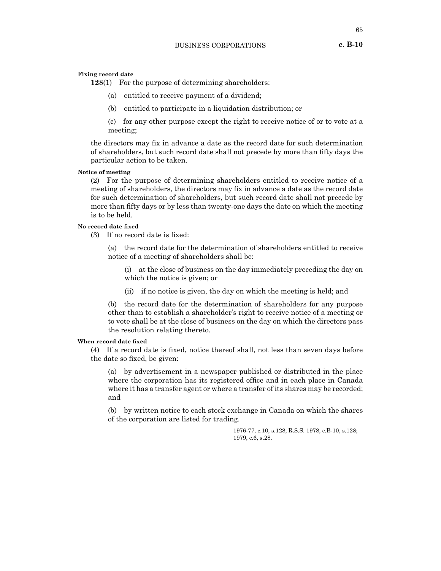#### **Fixing record date**

**128**(1) For the purpose of determining shareholders:

- (a) entitled to receive payment of a dividend;
- (b) entitled to participate in a liquidation distribution; or

(c) for any other purpose except the right to receive notice of or to vote at a meeting;

the directors may fix in advance a date as the record date for such determination of shareholders, but such record date shall not precede by more than fifty days the particular action to be taken.

## **Notice of meeting**

(2) For the purpose of determining shareholders entitled to receive notice of a meeting of shareholders, the directors may fix in advance a date as the record date for such determination of shareholders, but such record date shall not precede by more than fifty days or by less than twenty-one days the date on which the meeting is to be held.

# **No record date fixed**

(3) If no record date is fixed:

(a) the record date for the determination of shareholders entitled to receive notice of a meeting of shareholders shall be:

(i) at the close of business on the day immediately preceding the day on which the notice is given; or

(ii) if no notice is given, the day on which the meeting is held; and

(b) the record date for the determination of shareholders for any purpose other than to establish a shareholder's right to receive notice of a meeting or to vote shall be at the close of business on the day on which the directors pass the resolution relating thereto.

## **When record date fixed**

(4) If a record date is fixed, notice thereof shall, not less than seven days before the date so fixed, be given:

(a) by advertisement in a newspaper published or distributed in the place where the corporation has its registered office and in each place in Canada where it has a transfer agent or where a transfer of its shares may be recorded; and

(b) by written notice to each stock exchange in Canada on which the shares of the corporation are listed for trading.

> 1976-77, c.10, s.128; R.S.S. 1978, c.B-10, s.128; 1979, c.6, s.28.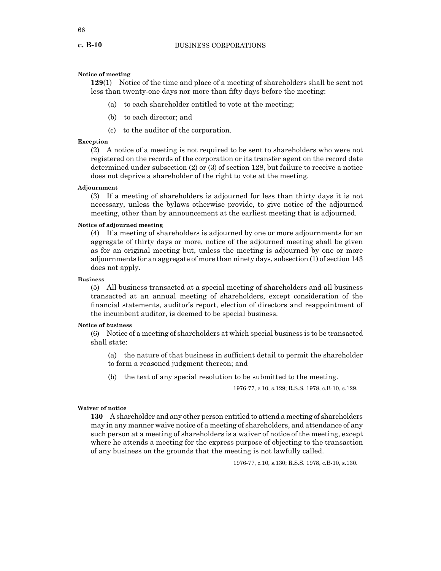## **Notice of meeting**

**129**(1) Notice of the time and place of a meeting of shareholders shall be sent not less than twenty-one days nor more than fifty days before the meeting:

- (a) to each shareholder entitled to vote at the meeting;
- (b) to each director; and
- (c) to the auditor of the corporation.

# **Exception**

(2) A notice of a meeting is not required to be sent to shareholders who were not registered on the records of the corporation or its transfer agent on the record date determined under subsection (2) or (3) of section 128, but failure to receive a notice does not deprive a shareholder of the right to vote at the meeting.

#### **Adjournment**

(3) If a meeting of shareholders is adjourned for less than thirty days it is not necessary, unless the bylaws otherwise provide, to give notice of the adjourned meeting, other than by announcement at the earliest meeting that is adjourned.

# **Notice of adjourned meeting**

(4) If a meeting of shareholders is adjourned by one or more adjournments for an aggregate of thirty days or more, notice of the adjourned meeting shall be given as for an original meeting but, unless the meeting is adjourned by one or more adjournments for an aggregate of more than ninety days, subsection (1) of section 143 does not apply.

#### **Business**

(5) All business transacted at a special meeting of shareholders and all business transacted at an annual meeting of shareholders, except consideration of the financial statements, auditor's report, election of directors and reappointment of the incumbent auditor, is deemed to be special business.

#### **Notice of business**

(6) Notice of a meeting of shareholders at which special business is to be transacted shall state:

(a) the nature of that business in sufficient detail to permit the shareholder to form a reasoned judgment thereon; and

(b) the text of any special resolution to be submitted to the meeting.

1976-77, c.10, s.129; R.S.S. 1978, c.B-10, s.129.

## **Waiver of notice**

**130** A shareholder and any other person entitled to attend a meeting of shareholders may in any manner waive notice of a meeting of shareholders, and attendance of any such person at a meeting of shareholders is a waiver of notice of the meeting, except where he attends a meeting for the express purpose of objecting to the transaction of any business on the grounds that the meeting is not lawfully called.

1976-77, c.10, s.130; R.S.S. 1978, c.B-10, s.130.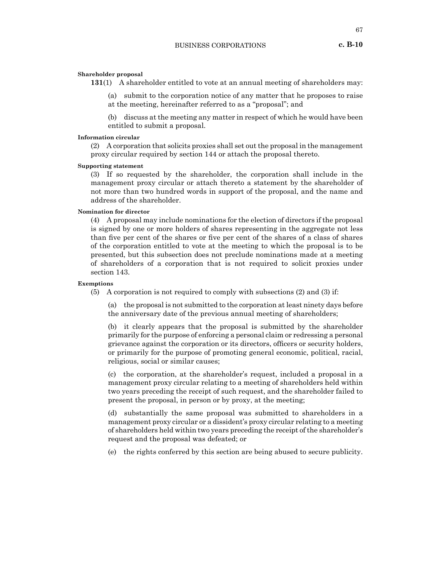#### **Shareholder proposal**

**131**(1) A shareholder entitled to vote at an annual meeting of shareholders may:

(a) submit to the corporation notice of any matter that he proposes to raise at the meeting, hereinafter referred to as a "proposal"; and

(b) discuss at the meeting any matter in respect of which he would have been entitled to submit a proposal.

## **Information circular**

(2) A corporation that solicits proxies shall set out the proposal in the management proxy circular required by section 144 or attach the proposal thereto.

## **Supporting statement**

(3) If so requested by the shareholder, the corporation shall include in the management proxy circular or attach thereto a statement by the shareholder of not more than two hundred words in support of the proposal, and the name and address of the shareholder.

#### **Nomination for director**

(4) A proposal may include nominations for the election of directors if the proposal is signed by one or more holders of shares representing in the aggregate not less than five per cent of the shares or five per cent of the shares of a class of shares of the corporation entitled to vote at the meeting to which the proposal is to be presented, but this subsection does not preclude nominations made at a meeting of shareholders of a corporation that is not required to solicit proxies under section 143.

#### **Exemptions**

(5) A corporation is not required to comply with subsections  $(2)$  and  $(3)$  if:

(a) the proposal is not submitted to the corporation at least ninety days before the anniversary date of the previous annual meeting of shareholders;

(b) it clearly appears that the proposal is submitted by the shareholder primarily for the purpose of enforcing a personal claim or redressing a personal grievance against the corporation or its directors, officers or security holders, or primarily for the purpose of promoting general economic, political, racial, religious, social or similar causes;

(c) the corporation, at the shareholder's request, included a proposal in a management proxy circular relating to a meeting of shareholders held within two years preceding the receipt of such request, and the shareholder failed to present the proposal, in person or by proxy, at the meeting;

(d) substantially the same proposal was submitted to shareholders in a management proxy circular or a dissident's proxy circular relating to a meeting of shareholders held within two years preceding the receipt of the shareholder's request and the proposal was defeated; or

(e) the rights conferred by this section are being abused to secure publicity.

**c. B-10**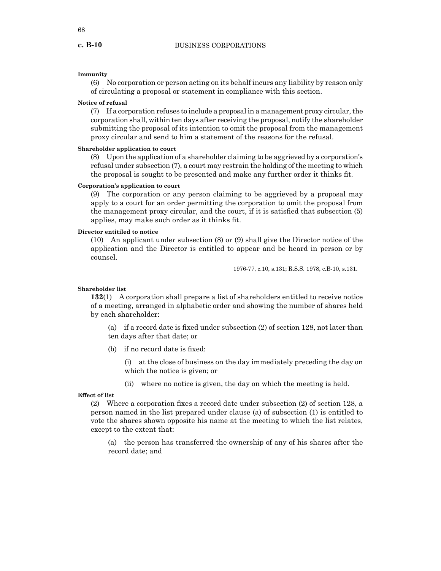## **Immunity**

(6) No corporation or person acting on its behalf incurs any liability by reason only of circulating a proposal or statement in compliance with this section.

# **Notice of refusal**

(7) If a corporation refuses to include a proposal in a management proxy circular, the corporation shall, within ten days after receiving the proposal, notify the shareholder submitting the proposal of its intention to omit the proposal from the management proxy circular and send to him a statement of the reasons for the refusal.

## **Shareholder application to court**

(8) Upon the application of a shareholder claiming to be aggrieved by a corporation's refusal under subsection (7), a court may restrain the holding of the meeting to which the proposal is sought to be presented and make any further order it thinks fit.

## **Corporation's application to court**

(9) The corporation or any person claiming to be aggrieved by a proposal may apply to a court for an order permitting the corporation to omit the proposal from the management proxy circular, and the court, if it is satisfied that subsection (5) applies, may make such order as it thinks fit.

#### **Director entitiled to notice**

(10) An applicant under subsection (8) or (9) shall give the Director notice of the application and the Director is entitled to appear and be heard in person or by counsel.

1976-77, c.10, s.131; R.S.S. 1978, c.B-10, s.131.

## **Shareholder list**

**132**(1) A corporation shall prepare a list of shareholders entitled to receive notice of a meeting, arranged in alphabetic order and showing the number of shares held by each shareholder:

(a) if a record date is fixed under subsection (2) of section 128, not later than ten days after that date; or

(b) if no record date is fixed:

(i) at the close of business on the day immediately preceding the day on which the notice is given; or

(ii) where no notice is given, the day on which the meeting is held.

## **Effect of list**

(2) Where a corporation fixes a record date under subsection (2) of section 128, a person named in the list prepared under clause (a) of subsection (1) is entitled to vote the shares shown opposite his name at the meeting to which the list relates, except to the extent that:

(a) the person has transferred the ownership of any of his shares after the record date; and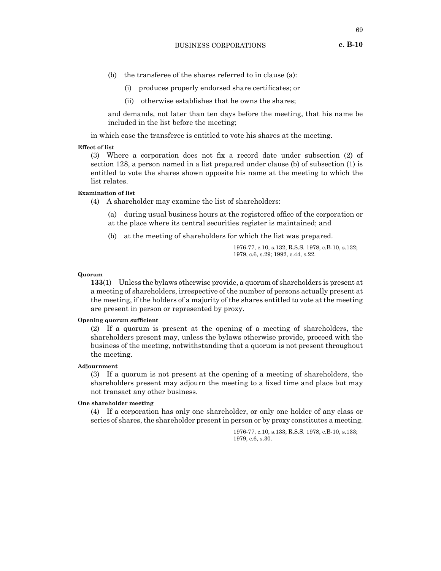- (b) the transferee of the shares referred to in clause (a):
	- (i) produces properly endorsed share certificates; or
	- (ii) otherwise establishes that he owns the shares;

and demands, not later than ten days before the meeting, that his name be included in the list before the meeting;

in which case the transferee is entitled to vote his shares at the meeting.

## **Effect of list**

(3) Where a corporation does not fix a record date under subsection (2) of section 128, a person named in a list prepared under clause (b) of subsection (1) is entitled to vote the shares shown opposite his name at the meeting to which the list relates.

## **Examination of list**

(4) A shareholder may examine the list of shareholders:

(a) during usual business hours at the registered office of the corporation or at the place where its central securities register is maintained; and

(b) at the meeting of shareholders for which the list was prepared.

1976-77, c.10, s.132; R.S.S. 1978, c.B-10, s.132; 1979, c.6, s.29; 1992, c.44, s.22.

## **Quorum**

**133**(1) Unless the bylaws otherwise provide, a quorum of shareholders is present at a meeting of shareholders, irrespective of the number of persons actually present at the meeting, if the holders of a majority of the shares entitled to vote at the meeting are present in person or represented by proxy.

# **Opening quorum sufficient**

(2) If a quorum is present at the opening of a meeting of shareholders, the shareholders present may, unless the bylaws otherwise provide, proceed with the business of the meeting, notwithstanding that a quorum is not present throughout the meeting.

#### **Adjournment**

(3) If a quorum is not present at the opening of a meeting of shareholders, the shareholders present may adjourn the meeting to a fixed time and place but may not transact any other business.

# **One shareholder meeting**

(4) If a corporation has only one shareholder, or only one holder of any class or series of shares, the shareholder present in person or by proxy constitutes a meeting.

> 1976-77, c.10, s.133; R.S.S. 1978, c.B-10, s.133; 1979, c.6, s.30.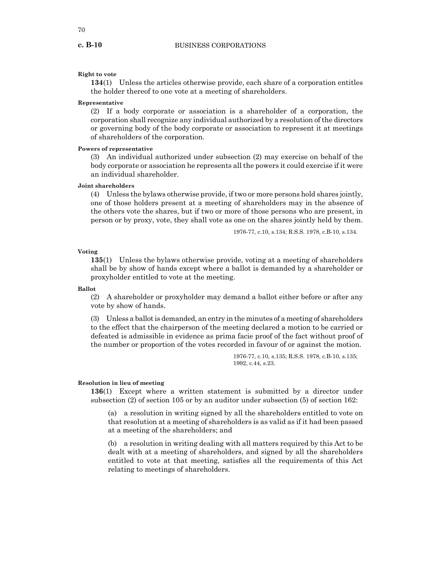## **Right to vote**

**134**(1) Unless the articles otherwise provide, each share of a corporation entitles the holder thereof to one vote at a meeting of shareholders.

## **Representative**

(2) If a body corporate or association is a shareholder of a corporation, the corporation shall recognize any individual authorized by a resolution of the directors or governing body of the body corporate or association to represent it at meetings of shareholders of the corporation.

## **Powers of representative**

(3) An individual authorized under subsection (2) may exercise on behalf of the body corporate or association he represents all the powers it could exercise if it were an individual shareholder.

## **Joint shareholders**

(4) Unless the bylaws otherwise provide, if two or more persons hold shares jointly, one of those holders present at a meeting of shareholders may in the absence of the others vote the shares, but if two or more of those persons who are present, in person or by proxy, vote, they shall vote as one on the shares jointly held by them.

1976-77, c.10, s.134; R.S.S. 1978, c.B-10, s.134.

## **Voting**

**135**(1) Unless the bylaws otherwise provide, voting at a meeting of shareholders shall be by show of hands except where a ballot is demanded by a shareholder or proxyholder entitled to vote at the meeting.

## **Ballot**

(2) A shareholder or proxyholder may demand a ballot either before or after any vote by show of hands.

(3) Unless a ballot is demanded, an entry in the minutes of a meeting of shareholders to the effect that the chairperson of the meeting declared a motion to be carried or defeated is admissible in evidence as prima facie proof of the fact without proof of the number or proportion of the votes recorded in favour of or against the motion.

> 1976-77, c.10, s.135; R.S.S. 1978, c.B-10, s.135; 1992, c.44, s.23.

## **Resolution in lieu of meeting**

**136**(1) Except where a written statement is submitted by a director under subsection (2) of section 105 or by an auditor under subsection (5) of section 162:

(a) a resolution in writing signed by all the shareholders entitled to vote on that resolution at a meeting of shareholders is as valid as if it had been passed at a meeting of the shareholders; and

(b) a resolution in writing dealing with all matters required by this Act to be dealt with at a meeting of shareholders, and signed by all the shareholders entitled to vote at that meeting, satisfies all the requirements of this Act relating to meetings of shareholders.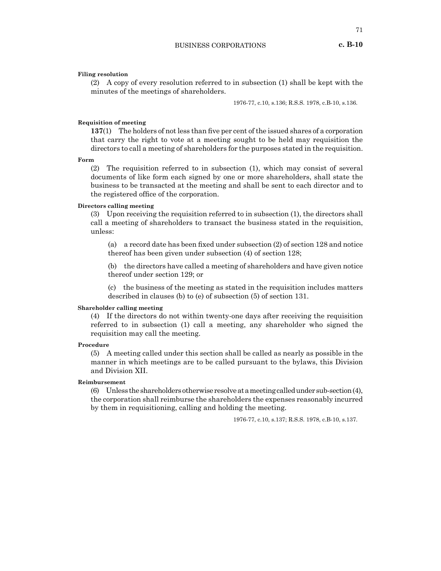**c. B-10**

# **Filing resolution**

(2) A copy of every resolution referred to in subsection (1) shall be kept with the minutes of the meetings of shareholders.

1976-77, c.10, s.136; R.S.S. 1978, c.B-10, s.136.

## **Requisition of meeting**

**137(1)** The holders of not less than five per cent of the issued shares of a corporation that carry the right to vote at a meeting sought to be held may requisition the directors to call a meeting of shareholders for the purposes stated in the requisition.

## **Form**

(2) The requisition referred to in subsection (1), which may consist of several documents of like form each signed by one or more shareholders, shall state the business to be transacted at the meeting and shall be sent to each director and to the registered office of the corporation.

# **Directors calling meeting**

(3) Upon receiving the requisition referred to in subsection (1), the directors shall call a meeting of shareholders to transact the business stated in the requisition, unless:

(a) a record date has been fixed under subsection (2) of section 128 and notice thereof has been given under subsection (4) of section 128;

(b) the directors have called a meeting of shareholders and have given notice thereof under section 129; or

(c) the business of the meeting as stated in the requisition includes matters described in clauses (b) to (e) of subsection (5) of section 131.

## **Shareholder calling meeting**

(4) If the directors do not within twenty-one days after receiving the requisition referred to in subsection (1) call a meeting, any shareholder who signed the requisition may call the meeting.

## **Procedure**

(5) A meeting called under this section shall be called as nearly as possible in the manner in which meetings are to be called pursuant to the bylaws, this Division and Division XII.

## **Reimbursement**

(6) Unless the shareholders otherwise resolve at a meeting called under sub-section (4), the corporation shall reimburse the shareholders the expenses reasonably incurred by them in requisitioning, calling and holding the meeting.

1976-77, c.10, s.137; R.S.S. 1978, c.B-10, s.137.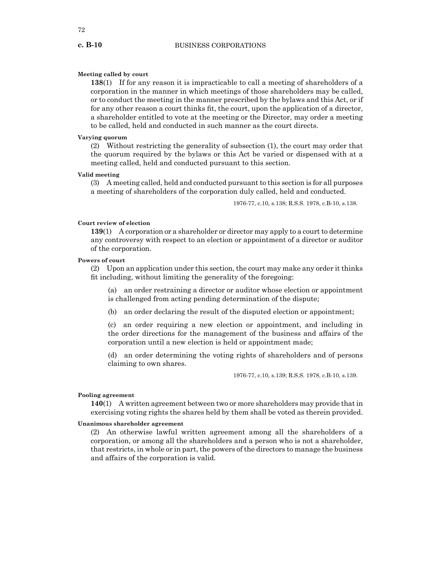## **Meeting called by court**

**138**(1) If for any reason it is impracticable to call a meeting of shareholders of a corporation in the manner in which meetings of those shareholders may be called, or to conduct the meeting in the manner prescribed by the bylaws and this Act, or if for any other reason a court thinks fit, the court, upon the application of a director, a shareholder entitled to vote at the meeting or the Director, may order a meeting to be called, held and conducted in such manner as the court directs.

## **Varying quorum**

(2) Without restricting the generality of subsection (1), the court may order that the quorum required by the bylaws or this Act be varied or dispensed with at a meeting called, held and conducted pursuant to this section.

## **Valid meeting**

(3) A meeting called, held and conducted pursuant to this section is for all purposes a meeting of shareholders of the corporation duly called, held and conducted.

1976-77, c.10, s.138; R.S.S. 1978, c.B-10, s.138.

## **Court review of election**

**139**(1) A corporation or a shareholder or director may apply to a court to determine any controversy with respect to an election or appointment of a director or auditor of the corporation.

## **Powers of court**

(2) Upon an application under this section, the court may make any order it thinks fit including, without limiting the generality of the foregoing:

(a) an order restraining a director or auditor whose election or appointment is challenged from acting pending determination of the dispute;

(b) an order declaring the result of the disputed election or appointment;

(c) an order requiring a new election or appointment, and including in the order directions for the management of the business and affairs of the corporation until a new election is held or appointment made;

(d) an order determining the voting rights of shareholders and of persons claiming to own shares.

1976-77, c.10, s.139; R.S.S. 1978, c.B-10, s.139.

#### **Pooling agreement**

**140**(1) A written agreement between two or more shareholders may provide that in exercising voting rights the shares held by them shall be voted as therein provided.

## **Unanimous shareholder agreement**

(2) An otherwise lawful written agreement among all the shareholders of a corporation, or among all the shareholders and a person who is not a shareholder, that restricts, in whole or in part, the powers of the directors to manage the business and affairs of the corporation is valid.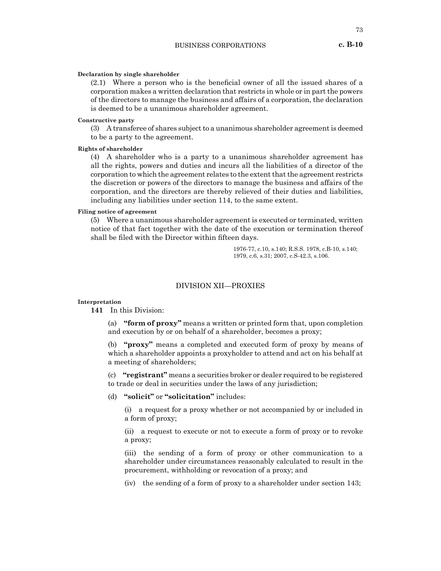# **Declaration by single shareholder**

(2.1) Where a person who is the beneficial owner of all the issued shares of a corporation makes a written declaration that restricts in whole or in part the powers of the directors to manage the business and affairs of a corporation, the declaration is deemed to be a unanimous shareholder agreement.

#### **Constructive party**

(3) A transferee of shares subject to a unanimous shareholder agreement is deemed to be a party to the agreement.

#### **Rights of shareholder**

(4) A shareholder who is a party to a unanimous shareholder agreement has all the rights, powers and duties and incurs all the liabilities of a director of the corporation to which the agreement relates to the extent that the agreement restricts the discretion or powers of the directors to manage the business and affairs of the corporation, and the directors are thereby relieved of their duties and liabilities, including any liabilities under section 114, to the same extent.

#### **Filing notice of agreement**

(5) Where a unanimous shareholder agreement is executed or terminated, written notice of that fact together with the date of the execution or termination thereof shall be filed with the Director within fifteen days.

> 1976-77, c.10, s.140; R.S.S. 1978, c.B-10, s.140; 1979, c.6, s.31; 2007, c.S-42.3, s.106.

# DIVISION XII—PROXIES

## **Interpretation**

**141** In this Division:

(a) **"form of proxy"** means a written or printed form that, upon completion and execution by or on behalf of a shareholder, becomes a proxy;

(b) **"proxy"** means a completed and executed form of proxy by means of which a shareholder appoints a proxyholder to attend and act on his behalf at a meeting of shareholders;

(c) **"registrant"** means a securities broker or dealer required to be registered to trade or deal in securities under the laws of any jurisdiction;

# (d) **"solicit"** or **"solicitation"** includes:

(i) a request for a proxy whether or not accompanied by or included in a form of proxy;

(ii) a request to execute or not to execute a form of proxy or to revoke a proxy;

(iii) the sending of a form of proxy or other communication to a shareholder under circumstances reasonably calculated to result in the procurement, withholding or revocation of a proxy; and

(iv) the sending of a form of proxy to a shareholder under section 143;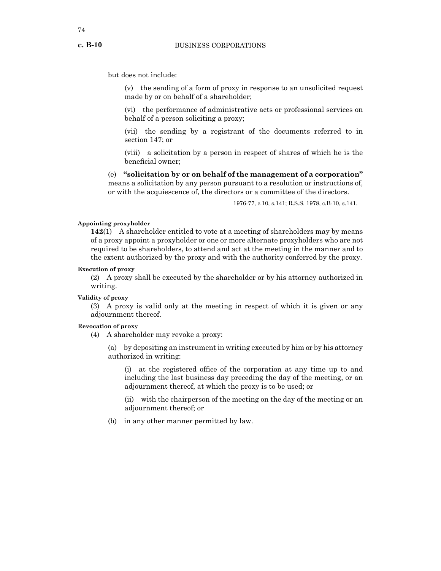but does not include:

(v) the sending of a form of proxy in response to an unsolicited request made by or on behalf of a shareholder;

(vi) the performance of administrative acts or professional services on behalf of a person soliciting a proxy;

(vii) the sending by a registrant of the documents referred to in section 147; or

(viii) a solicitation by a person in respect of shares of which he is the beneficial owner;

(e) **"solicitation by or on behalf of the management of a corporation"** means a solicitation by any person pursuant to a resolution or instructions of, or with the acquiescence of, the directors or a committee of the directors.

1976-77, c.10, s.141; R.S.S. 1978, c.B-10, s.141.

# **Appointing proxyholder**

**142**(1) A shareholder entitled to vote at a meeting of shareholders may by means of a proxy appoint a proxyholder or one or more alternate proxyholders who are not required to be shareholders, to attend and act at the meeting in the manner and to the extent authorized by the proxy and with the authority conferred by the proxy.

## **Execution of proxy**

(2) A proxy shall be executed by the shareholder or by his attorney authorized in writing.

# **Validity of proxy**

(3) A proxy is valid only at the meeting in respect of which it is given or any adjournment thereof.

# **Revocation of proxy**

(4) A shareholder may revoke a proxy:

(a) by depositing an instrument in writing executed by him or by his attorney authorized in writing:

(i) at the registered office of the corporation at any time up to and including the last business day preceding the day of the meeting, or an adjournment thereof, at which the proxy is to be used; or

(ii) with the chairperson of the meeting on the day of the meeting or an adjournment thereof; or

(b) in any other manner permitted by law.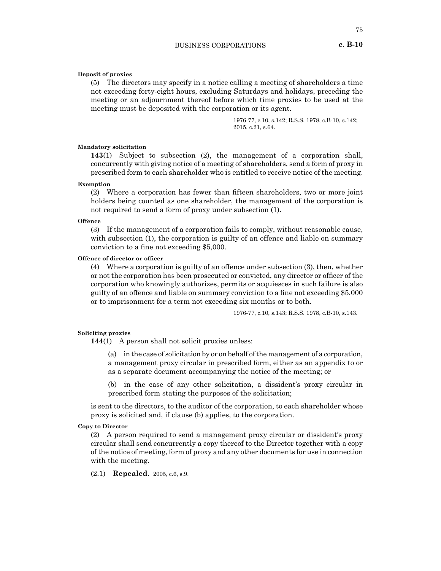**Deposit of proxies**

(5) The directors may specify in a notice calling a meeting of shareholders a time not exceeding forty-eight hours, excluding Saturdays and holidays, preceding the meeting or an adjournment thereof before which time proxies to be used at the meeting must be deposited with the corporation or its agent.

> 1976-77, c.10, s.142; R.S.S. 1978, c.B-10, s.142; 2015, c.21, s.64.

# **Mandatory solicitation**

**143**(1) Subject to subsection (2), the management of a corporation shall, concurrently with giving notice of a meeting of shareholders, send a form of proxy in prescribed form to each shareholder who is entitled to receive notice of the meeting.

#### **Exemption**

(2) Where a corporation has fewer than fifteen shareholders, two or more joint holders being counted as one shareholder, the management of the corporation is not required to send a form of proxy under subsection (1).

# **Offence**

(3) If the management of a corporation fails to comply, without reasonable cause, with subsection (1), the corporation is guilty of an offence and liable on summary conviction to a fine not exceeding \$5,000.

#### **Offence of director or officer**

(4) Where a corporation is guilty of an offence under subsection (3), then, whether or not the corporation has been prosecuted or convicted, any director or officer of the corporation who knowingly authorizes, permits or acquiesces in such failure is also guilty of an offence and liable on summary conviction to a fine not exceeding \$5,000 or to imprisonment for a term not exceeding six months or to both.

1976-77, c.10, s.143; R.S.S. 1978, c.B-10, s.143.

# **Soliciting proxies**

**144**(1) A person shall not solicit proxies unless:

(a) in the case of solicitation by or on behalf of the management of a corporation, a management proxy circular in prescribed form, either as an appendix to or as a separate document accompanying the notice of the meeting; or

(b) in the case of any other solicitation, a dissident's proxy circular in prescribed form stating the purposes of the solicitation;

is sent to the directors, to the auditor of the corporation, to each shareholder whose proxy is solicited and, if clause (b) applies, to the corporation.

# **Copy to Director**

(2) A person required to send a management proxy circular or dissident's proxy circular shall send concurrently a copy thereof to the Director together with a copy of the notice of meeting, form of proxy and any other documents for use in connection with the meeting.

(2.1) **Repealed.** 2005, c.6, s.9.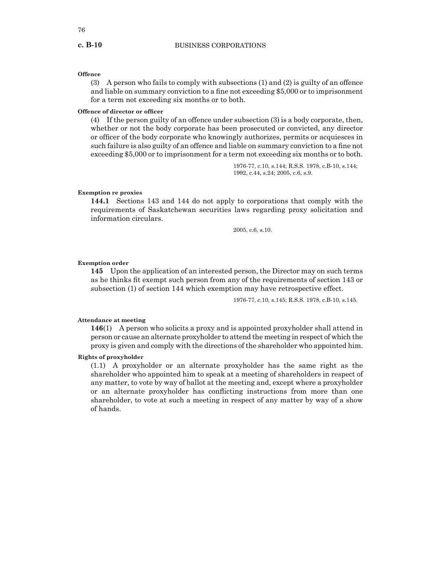# **Offence**

(3) A person who fails to comply with subsections (1) and (2) is guilty of an offence and liable on summary conviction to a fine not exceeding \$5,000 or to imprisonment for a term not exceeding six months or to both.

# **Offence of director or officer**

(4) If the person guilty of an offence under subsection (3) is a body corporate, then, whether or not the body corporate has been prosecuted or convicted, any director or officer of the body corporate who knowingly authorizes, permits or acquiesces in such failure is also guilty of an offence and liable on summary conviction to a fine not exceeding \$5,000 or to imprisonment for a term not exceeding six months or to both.

> 1976-77, c.10, s.144; R.S.S. 1978, c.B-10, s.144; 1992, c.44, s.24; 2005, c.6, s.9.

# **Exemption re proxies**

**144.1** Sections 143 and 144 do not apply to corporations that comply with the requirements of Saskatchewan securities laws regarding proxy solicitation and information circulars.

2005, c.6, s.10.

# **Exemption order**

**145** Upon the application of an interested person, the Director may on such terms as he thinks fit exempt such person from any of the requirements of section 143 or subsection (1) of section 144 which exemption may have retrospective effect.

1976-77, c.10, s.145; R.S.S. 1978, c.B-10, s.145.

# **Attendance at meeting**

**146**(1) A person who solicits a proxy and is appointed proxyholder shall attend in person or cause an alternate proxyholder to attend the meeting in respect of which the proxy is given and comply with the directions of the shareholder who appointed him.

# **Rights of proxyholder**

(1.1) A proxyholder or an alternate proxyholder has the same right as the shareholder who appointed him to speak at a meeting of shareholders in respect of any matter, to vote by way of ballot at the meeting and, except where a proxyholder or an alternate proxyholder has conflicting instructions from more than one shareholder, to vote at such a meeting in respect of any matter by way of a show of hands.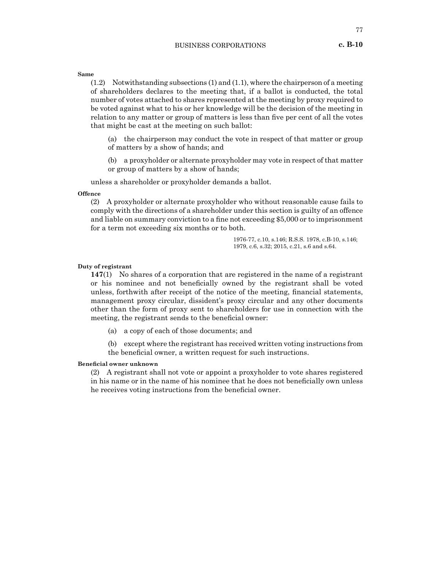**Same**

(1.2) Notwithstanding subsections (1) and (1.1), where the chairperson of a meeting of shareholders declares to the meeting that, if a ballot is conducted, the total number of votes attached to shares represented at the meeting by proxy required to be voted against what to his or her knowledge will be the decision of the meeting in relation to any matter or group of matters is less than five per cent of all the votes that might be cast at the meeting on such ballot:

(a) the chairperson may conduct the vote in respect of that matter or group of matters by a show of hands; and

(b) a proxyholder or alternate proxyholder may vote in respect of that matter or group of matters by a show of hands;

unless a shareholder or proxyholder demands a ballot.

## **Offence**

(2) A proxyholder or alternate proxyholder who without reasonable cause fails to comply with the directions of a shareholder under this section is guilty of an offence and liable on summary conviction to a fine not exceeding \$5,000 or to imprisonment for a term not exceeding six months or to both.

> 1976-77, c.10, s.146; R.S.S. 1978, c.B-10, s.146; 1979, c.6, s.32; 2015, c.21, s.6 and s.64.

## **Duty of registrant**

**147**(1) No shares of a corporation that are registered in the name of a registrant or his nominee and not beneficially owned by the registrant shall be voted unless, forthwith after receipt of the notice of the meeting, financial statements, management proxy circular, dissident's proxy circular and any other documents other than the form of proxy sent to shareholders for use in connection with the meeting, the registrant sends to the beneficial owner:

(a) a copy of each of those documents; and

(b) except where the registrant has received written voting instructions from the beneficial owner, a written request for such instructions.

# **Beneficial owner unknown**

(2) A registrant shall not vote or appoint a proxyholder to vote shares registered in his name or in the name of his nominee that he does not beneficially own unless he receives voting instructions from the beneficial owner.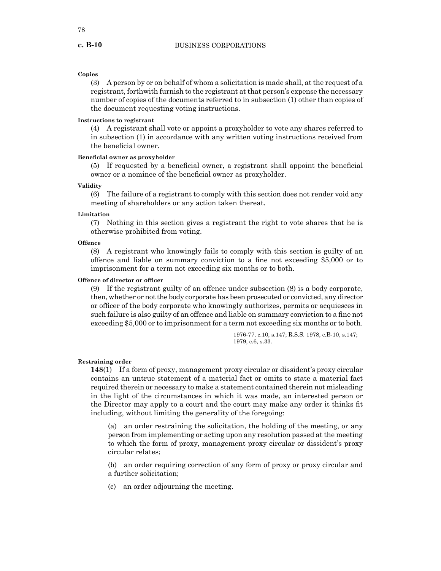# **Copies**

(3) A person by or on behalf of whom a solicitation is made shall, at the request of a registrant, forthwith furnish to the registrant at that person's expense the necessary number of copies of the documents referred to in subsection (1) other than copies of the document requesting voting instructions.

# **Instructions to registrant**

(4) A registrant shall vote or appoint a proxyholder to vote any shares referred to in subsection (1) in accordance with any written voting instructions received from the beneficial owner.

# **Beneficial owner as proxyholder**

(5) If requested by a beneficial owner, a registrant shall appoint the beneficial owner or a nominee of the beneficial owner as proxyholder.

# **Validity**

(6) The failure of a registrant to comply with this section does not render void any meeting of shareholders or any action taken thereat.

# **Limitation**

(7) Nothing in this section gives a registrant the right to vote shares that he is otherwise prohibited from voting.

# **Offence**

(8) A registrant who knowingly fails to comply with this section is guilty of an offence and liable on summary conviction to a fine not exceeding \$5,000 or to imprisonment for a term not exceeding six months or to both.

# **Offence of director or officer**

(9) If the registrant guilty of an offence under subsection (8) is a body corporate, then, whether or not the body corporate has been prosecuted or convicted, any director or officer of the body corporate who knowingly authorizes, permits or acquiesces in such failure is also guilty of an offence and liable on summary conviction to a fine not exceeding \$5,000 or to imprisonment for a term not exceeding six months or to both.

> 1976-77, c.10, s.147; R.S.S. 1978, c.B-10, s.147; 1979, c.6, s.33.

# **Restraining order**

**148**(1) If a form of proxy, management proxy circular or dissident's proxy circular contains an untrue statement of a material fact or omits to state a material fact required therein or necessary to make a statement contained therein not misleading in the light of the circumstances in which it was made, an interested person or the Director may apply to a court and the court may make any order it thinks fit including, without limiting the generality of the foregoing:

(a) an order restraining the solicitation, the holding of the meeting, or any person from implementing or acting upon any resolution passed at the meeting to which the form of proxy, management proxy circular or dissident's proxy circular relates;

(b) an order requiring correction of any form of proxy or proxy circular and a further solicitation;

(c) an order adjourning the meeting.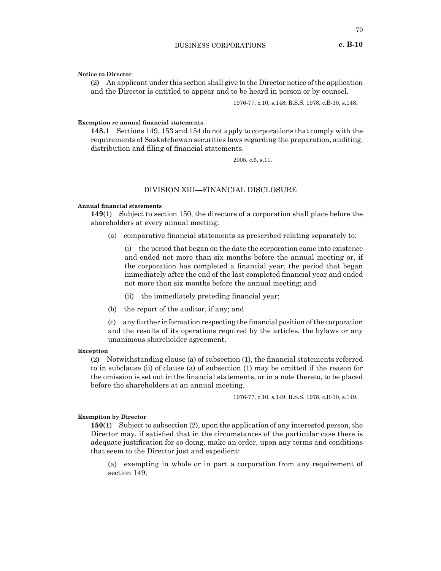**Notice to Director**

(2) An applicant under this section shall give to the Director notice of the application and the Director is entitled to appear and to be heard in person or by counsel.

1976-77, c.10, s.148; R.S.S. 1978, c.B-10, s.148.

#### **Exemption re annual financial statements**

**148.1** Sections 149, 153 and 154 do not apply to corporations that comply with the requirements of Saskatchewan securities laws regarding the preparation, auditing, distribution and filing of financial statements.

2005, c.6, s.11.

# DIVISION XIII—FINANCIAL DISCLOSURE

#### **Annual financial statements**

**149**(1) Subject to section 150, the directors of a corporation shall place before the shareholders at every annual meeting:

(a) comparative financial statements as prescribed relating separately to:

(i) the period that began on the date the corporation came into existence and ended not more than six months before the annual meeting or, if the corporation has completed a financial year, the period that began immediately after the end of the last completed financial year and ended not more than six months before the annual meeting; and

- (ii) the immediately preceding financial year;
- (b) the report of the auditor, if any; and

(c) any further information respecting the financial position ofthe corporation and the results of its operations required by the articles, the bylaws or any unanimous shareholder agreement.

#### **Exception**

(2) Notwithstanding clause (a) of subsection (1), the financial statements referred to in subclause (ii) of clause (a) of subsection (1) may be omitted if the reason for the omission is set out in the financial statements, or in a note thereto, to be placed before the shareholders at an annual meeting.

1976-77, c.10, s.149; R.S.S. 1978, c.B-10, s.149.

## **Exemption by Director**

**150**(1) Subject to subsection (2), upon the application of any interested person, the Director may, if satisfied that in the circumstances of the particular case there is adequate justification for so doing, make an order, upon any terms and conditions that seem to the Director just and expedient:

(a) exempting in whole or in part a corporation from any requirement of section 149;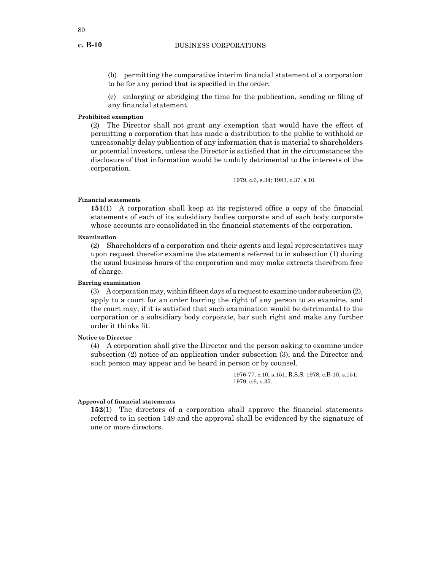(b) permitting the comparative interim financial statement of a corporation to be for any period that is specified in the order;

(c) enlarging or abridging the time for the publication, sending or filing of any financial statement.

# **Prohibited exemption**

(2) The Director shall not grant any exemption that would have the effect of permitting a corporation that has made a distribution to the public to withhold or unreasonably delay publication of any information that is material to shareholders or potential investors, unless the Director is satisfied that in the circumstances the disclosure of that information would be unduly detrimental to the interests of the corporation.

1979, c.6, s.34; 1983, c.37, s.10.

# **Financial statements**

**151**(1) A corporation shall keep at its registered office a copy of the financial statements of each of its subsidiary bodies corporate and of each body corporate whose accounts are consolidated in the financial statements of the corporation.

# **Examination**

(2) Shareholders of a corporation and their agents and legal representatives may upon request therefor examine the statements referred to in subsection (1) during the usual business hours of the corporation and may make extracts therefrom free of charge.

# **Barring examination**

(3) A corporation may, within fifteen days of a request to examine under subsection  $(2)$ , apply to a court for an order barring the right of any person to so examine, and the court may, if it is satisfied that such examination would be detrimental to the corporation or a subsidiary body corporate, bar such right and make any further order it thinks fit.

# **Notice to Director**

(4) A corporation shall give the Director and the person asking to examine under subsection (2) notice of an application under subsection (3), and the Director and such person may appear and be heard in person or by counsel.

> 1976-77, c.10, s.151; R.S.S. 1978, c.B-10, s.151; 1979, c.6, s.35.

## **Approval of financial statements**

**152**(1) The directors of a corporation shall approve the financial statements referred to in section 149 and the approval shall be evidenced by the signature of one or more directors.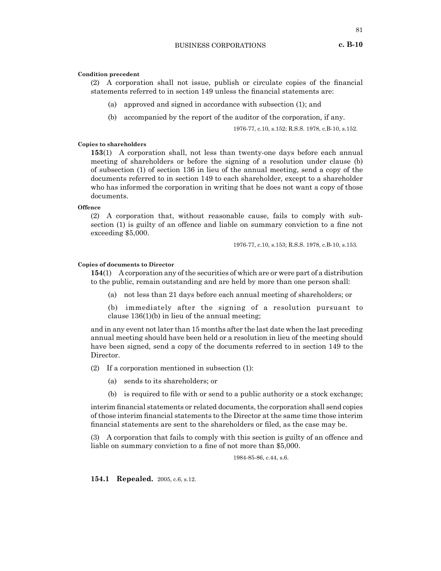#### **Condition precedent**

(2) A corporation shall not issue, publish or circulate copies of the financial statements referred to in section 149 unless the financial statements are:

- (a) approved and signed in accordance with subsection (1); and
- (b) accompanied by the report of the auditor of the corporation, if any.

1976-77, c.10, s.152; R.S.S. 1978, c.B-10, s.152.

#### **Copies to shareholders**

**153**(1) A corporation shall, not less than twenty-one days before each annual meeting of shareholders or before the signing of a resolution under clause (b) of subsection (1) of section 136 in lieu of the annual meeting, send a copy of the documents referred to in section 149 to each shareholder, except to a shareholder who has informed the corporation in writing that he does not want a copy of those documents.

# **Offence**

(2) A corporation that, without reasonable cause, fails to comply with subsection (1) is guilty of an offence and liable on summary conviction to a fine not exceeding \$5,000.

1976-77, c.10, s.153; R.S.S. 1978, c.B-10, s.153.

# **Copies of documents to Director**

**154**(1) A corporation any of the securities of which are or were part of a distribution to the public, remain outstanding and are held by more than one person shall:

(a) not less than 21 days before each annual meeting of shareholders; or

(b) immediately after the signing of a resolution pursuant to clause 136(1)(b) in lieu of the annual meeting;

and in any event not later than 15 months after the last date when the last preceding annual meeting should have been held or a resolution in lieu of the meeting should have been signed, send a copy of the documents referred to in section 149 to the Director.

(2) If a corporation mentioned in subsection (1):

- (a) sends to its shareholders; or
- (b) is required to file with or send to a public authority or a stock exchange;

interim financial statements or related documents, the corporation shall send copies of those interim financial statements to the Director at the same time those interim financial statements are sent to the shareholders or filed, as the case may be.

(3) A corporation that fails to comply with this section is guilty of an offence and liable on summary conviction to a fine of not more than \$5,000.

1984-85-86, c.44, s.6.

**154.1 Repealed.** 2005, c.6, s.12.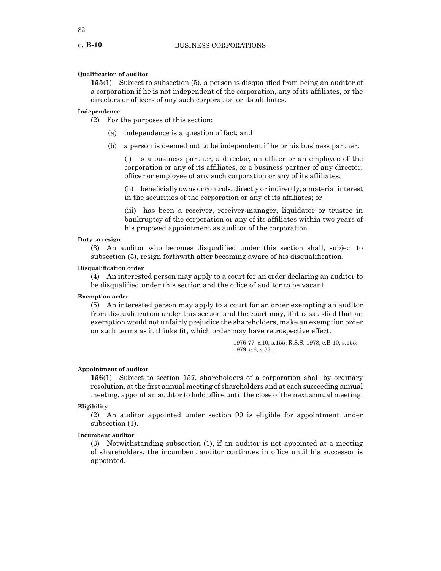#### **Qualification of auditor**

**155**(1) Subject to subsection (5), a person is disqualified from being an auditor of a corporation if he is not independent of the corporation, any of its affiliates, or the directors or officers of any such corporation or its affiliates.

# **Independence**

(2) For the purposes of this section:

- (a) independence is a question of fact; and
- (b) a person is deemed not to be independent if he or his business partner:

(i) is a business partner, a director, an officer or an employee of the corporation or any of its affiliates, or a business partner of any director, officer or employee of any such corporation or any of its affiliates;

(ii) beneficially owns or controls, directly or indirectly, a material interest in the securities of the corporation or any of its affiliates; or

(iii) has been a receiver, receiver-manager, liquidator or trustee in bankruptcy of the corporation or any of its affiliates within two years of his proposed appointment as auditor of the corporation.

#### **Duty to resign**

(3) An auditor who becomes disqualified under this section shall, subject to subsection (5), resign forthwith after becoming aware of his disqualification.

# **Disqualification order**

(4) An interested person may apply to a court for an order declaring an auditor to be disqualified under this section and the office of auditor to be vacant.

## **Exemption order**

(5) An interested person may apply to a court for an order exempting an auditor from disqualification under this section and the court may, if it is satisfied that an exemption would not unfairly prejudice the shareholders, make an exemption order on such terms as it thinks fit, which order may have retrospective effect.

> 1976-77, c.10, s.155; R.S.S. 1978, c.B-10, s.155; 1979, c.6, s.37.

# **Appointment of auditor**

**156**(1) Subject to section 157, shareholders of a corporation shall by ordinary resolution, atthe first annual meeting of shareholders and at each succeeding annual meeting, appoint an auditor to hold office until the close of the next annual meeting.

#### **Eligibility**

(2) An auditor appointed under section 99 is eligible for appointment under subsection (1).

# **Incumbent auditor**

(3) Notwithstanding subsection (1), if an auditor is not appointed at a meeting of shareholders, the incumbent auditor continues in office until his successor is appointed.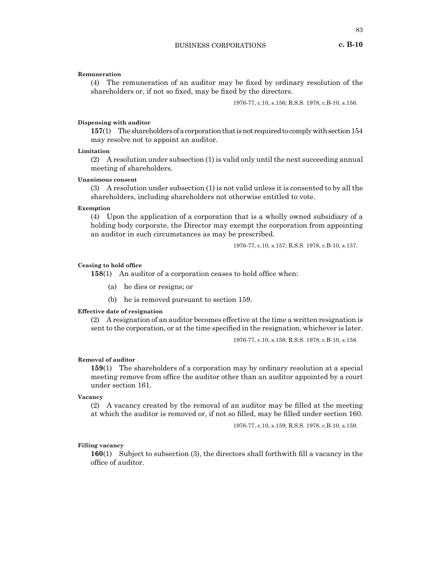# **Remuneration**

(4) The remuneration of an auditor may be fixed by ordinary resolution of the shareholders or, if not so fixed, may be fixed by the directors.

1976-77, c.10, s.156; R.S.S. 1978, c.B-10, s.156.

#### **Dispensing with auditor**

**157**(1) The shareholders of a corporation that is not required to comply with section 154 may resolve not to appoint an auditor.

#### **Limitation**

(2) A resolution under subsection (1) is valid only until the next succeeding annual meeting of shareholders.

## **Unanimous consent**

(3) A resolution under subsection (1) is not valid unless it is consented to by all the shareholders, including shareholders not otherwise entitled to vote.

#### **Exemption**

(4) Upon the application of a corporation that is a wholly owned subsidiary of a holding body corporate, the Director may exempt the corporation from appointing an auditor in such circumstances as may be prescribed.

1976-77, c.10, s.157; R.S.S. 1978, c.B-10, s.157.

#### **Ceasing to hold office**

**158**(1) An auditor of a corporation ceases to hold office when:

- (a) he dies or resigns; or
- (b) he is removed pursuant to section 159.

#### **Effective date of resignation**

(2) A resignation of an auditor becomes effective at the time a written resignation is sent to the corporation, or at the time specified in the resignation, whichever is later.

1976-77, c.10, s.158; R.S.S. 1978, c.B-10, s.158.

#### **Removal of auditor**

**159**(1) The shareholders of a corporation may by ordinary resolution at a special meeting remove from office the auditor other than an auditor appointed by a court under section 161.

#### **Vacancy**

(2) A vacancy created by the removal of an auditor may be filled at the meeting at which the auditor is removed or, if not so filled, may be filled under section 160.

```
1976-77, c.10, s.159; R.S.S. 1978, c.B-10, s.159.
```
#### **Filling vacancy**

**160**(1) Subject to subsection (3), the directors shall forthwith fill a vacancy in the office of auditor.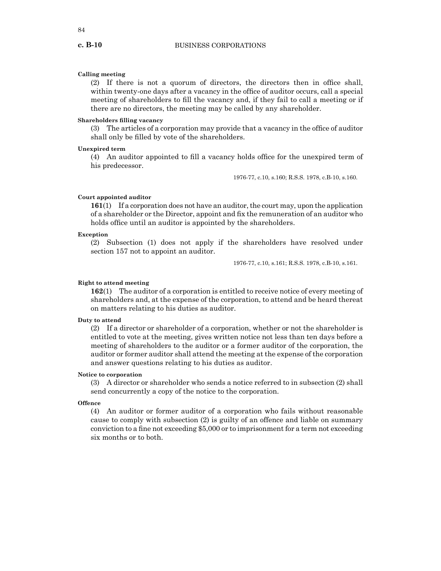# **Calling meeting**

(2) If there is not a quorum of directors, the directors then in office shall, within twenty-one days after a vacancy in the office of auditor occurs, call a special meeting of shareholders to fill the vacancy and, if they fail to call a meeting or if there are no directors, the meeting may be called by any shareholder.

# **Shareholders filling vacancy**

(3) The articles of a corporation may provide that a vacancy in the office of auditor shall only be filled by vote of the shareholders.

## **Unexpired term**

(4) An auditor appointed to fill a vacancy holds office for the unexpired term of his predecessor.

1976-77, c.10, s.160; R.S.S. 1978, c.B-10, s.160.

#### **Court appointed auditor**

**161**(1) If a corporation does not have an auditor, the court may, upon the application of a shareholder or the Director, appoint and fix the remuneration of an auditor who holds office until an auditor is appointed by the shareholders.

# **Exception**

(2) Subsection (1) does not apply if the shareholders have resolved under section 157 not to appoint an auditor.

1976-77, c.10, s.161; R.S.S. 1978, c.B-10, s.161.

# **Right to attend meeting**

**162**(1) The auditor of a corporation is entitled to receive notice of every meeting of shareholders and, at the expense of the corporation, to attend and be heard thereat on matters relating to his duties as auditor.

# **Duty to attend**

(2) If a director or shareholder of a corporation, whether or not the shareholder is entitled to vote at the meeting, gives written notice not less than ten days before a meeting of shareholders to the auditor or a former auditor of the corporation, the auditor or former auditor shall attend the meeting at the expense of the corporation and answer questions relating to his duties as auditor.

# **Notice to corporation**

(3) A director or shareholder who sends a notice referred to in subsection (2) shall send concurrently a copy of the notice to the corporation.

# **Offence**

(4) An auditor or former auditor of a corporation who fails without reasonable cause to comply with subsection (2) is guilty of an offence and liable on summary conviction to a fine not exceeding \$5,000 or to imprisonment for a term not exceeding six months or to both.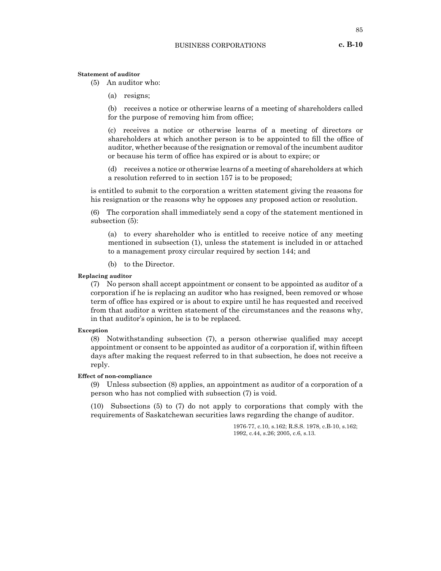# **Statement of auditor**

(5) An auditor who:

(a) resigns;

(b) receives a notice or otherwise learns of a meeting of shareholders called for the purpose of removing him from office;

(c) receives a notice or otherwise learns of a meeting of directors or shareholders at which another person is to be appointed to fill the office of auditor, whether because of the resignation or removal of the incumbent auditor or because his term of office has expired or is about to expire; or

(d) receives a notice or otherwise learns of a meeting of shareholders at which a resolution referred to in section 157 is to be proposed;

is entitled to submit to the corporation a written statement giving the reasons for his resignation or the reasons why he opposes any proposed action or resolution.

(6) The corporation shall immediately send a copy of the statement mentioned in subsection (5):

(a) to every shareholder who is entitled to receive notice of any meeting mentioned in subsection (1), unless the statement is included in or attached to a management proxy circular required by section 144; and

(b) to the Director.

# **Replacing auditor**

(7) No person shall accept appointment or consent to be appointed as auditor of a corporation if he is replacing an auditor who has resigned, been removed or whose term of office has expired or is about to expire until he has requested and received from that auditor a written statement of the circumstances and the reasons why, in that auditor's opinion, he is to be replaced.

#### **Exception**

(8) Notwithstanding subsection (7), a person otherwise qualified may accept appointment or consent to be appointed as auditor of a corporation if, within fifteen days after making the request referred to in that subsection, he does not receive a reply.

#### **Effect of non-compliance**

(9) Unless subsection (8) applies, an appointment as auditor of a corporation of a person who has not complied with subsection (7) is void.

(10) Subsections (5) to (7) do not apply to corporations that comply with the requirements of Saskatchewan securities laws regarding the change of auditor.

> 1976-77, c.10, s.162; R.S.S. 1978, c.B-10, s.162; 1992, c.44, s.26; 2005, c.6, s.13.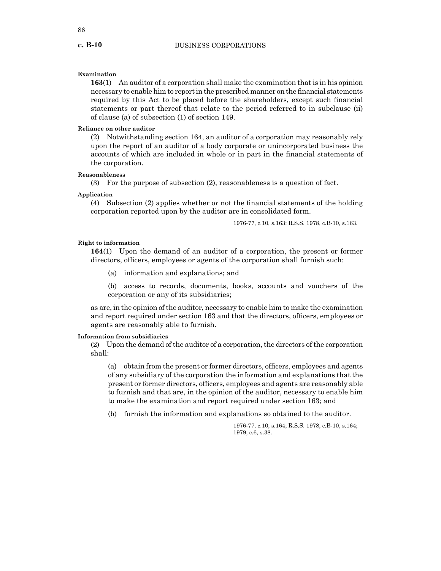# **Examination**

**163**(1) An auditor of a corporation shall make the examination that is in his opinion necessary to enable him to reportin the prescribed manner on the financial statements required by this Act to be placed before the shareholders, except such financial statements or part thereof that relate to the period referred to in subclause (ii) of clause (a) of subsection (1) of section 149.

## **Reliance on other auditor**

(2) Notwithstanding section 164, an auditor of a corporation may reasonably rely upon the report of an auditor of a body corporate or unincorporated business the accounts of which are included in whole or in part in the financial statements of the corporation.

### **Reasonableness**

(3) For the purpose of subsection (2), reasonableness is a question of fact.

# **Application**

(4) Subsection (2) applies whether or not the financial statements of the holding corporation reported upon by the auditor are in consolidated form.

1976-77, c.10, s.163; R.S.S. 1978, c.B-10, s.163.

## **Right to information**

**164**(1) Upon the demand of an auditor of a corporation, the present or former directors, officers, employees or agents of the corporation shall furnish such:

- (a) information and explanations; and
- (b) access to records, documents, books, accounts and vouchers of the corporation or any of its subsidiaries;

as are, in the opinion of the auditor, necessary to enable him to make the examination and report required under section 163 and that the directors, officers, employees or agents are reasonably able to furnish.

# **Information from subsidiaries**

(2) Upon the demand of the auditor of a corporation, the directors of the corporation shall:

(a) obtain from the present or former directors, officers, employees and agents of any subsidiary of the corporation the information and explanations that the present or former directors, officers, employees and agents are reasonably able to furnish and that are, in the opinion of the auditor, necessary to enable him to make the examination and report required under section 163; and

(b) furnish the information and explanations so obtained to the auditor.

1976-77, c.10, s.164; R.S.S. 1978, c.B-10, s.164; 1979, c.6, s.38.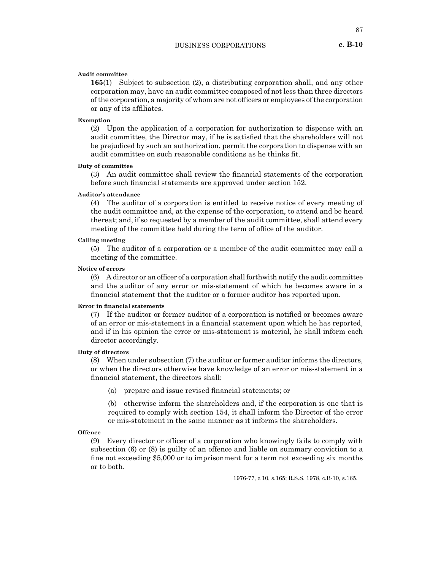## **Audit committee**

**165**(1) Subject to subsection (2), a distributing corporation shall, and any other corporation may, have an audit committee composed of not less than three directors ofthe corporation, a majority of whom are not officers or employees ofthe corporation or any of its affiliates.

## **Exemption**

(2) Upon the application of a corporation for authorization to dispense with an audit committee, the Director may, if he is satisfied that the shareholders will not be prejudiced by such an authorization, permit the corporation to dispense with an audit committee on such reasonable conditions as he thinks fit.

# **Duty of committee**

(3) An audit committee shall review the financial statements of the corporation before such financial statements are approved under section 152.

# **Auditor's attendance**

(4) The auditor of a corporation is entitled to receive notice of every meeting of the audit committee and, at the expense of the corporation, to attend and be heard thereat; and, if so requested by a member of the audit committee, shall attend every meeting of the committee held during the term of office of the auditor.

## **Calling meeting**

(5) The auditor of a corporation or a member of the audit committee may call a meeting of the committee.

# **Notice of errors**

(6) A director or an officer of a corporation shall forthwith notify the audit committee and the auditor of any error or mis-statement of which he becomes aware in a financial statement that the auditor or a former auditor has reported upon.

#### **Error in financial statements**

(7) If the auditor or former auditor of a corporation is notified or becomes aware of an error or mis-statement in a financial statement upon which he has reported, and if in his opinion the error or mis-statement is material, he shall inform each director accordingly.

# **Duty of directors**

(8) When under subsection (7) the auditor or former auditor informs the directors, or when the directors otherwise have knowledge of an error or mis-statement in a financial statement, the directors shall:

(a) prepare and issue revised financial statements; or

(b) otherwise inform the shareholders and, if the corporation is one that is required to comply with section 154, it shall inform the Director of the error or mis-statement in the same manner as it informs the shareholders.

# **Offence**

(9) Every director or officer of a corporation who knowingly fails to comply with subsection (6) or (8) is guilty of an offence and liable on summary conviction to a fine not exceeding \$5,000 or to imprisonment for a term not exceeding six months or to both.

1976-77, c.10, s.165; R.S.S. 1978, c.B-10, s.165.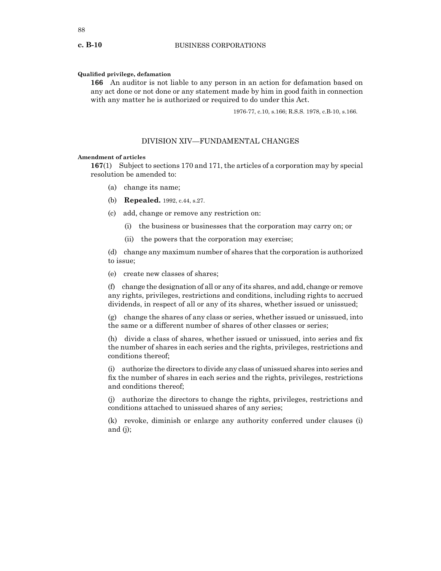#### **Qualified privilege, defamation**

**166** An auditor is not liable to any person in an action for defamation based on any act done or not done or any statement made by him in good faith in connection with any matter he is authorized or required to do under this Act.

1976-77, c.10, s.166; R.S.S. 1978, c.B-10, s.166.

# DIVISION XIV—FUNDAMENTAL CHANGES

## **Amendment of articles**

**167**(1) Subject to sections 170 and 171, the articles of a corporation may by special resolution be amended to:

- (a) change its name;
- (b) **Repealed.** 1992, c.44, s.27.
- (c) add, change or remove any restriction on:
	- (i) the business or businesses that the corporation may carry on; or
	- (ii) the powers that the corporation may exercise;

(d) change any maximum number of shares that the corporation is authorized to issue;

(e) create new classes of shares;

(f) change the designation of all or any of its shares, and add, change or remove any rights, privileges, restrictions and conditions, including rights to accrued dividends, in respect of all or any of its shares, whether issued or unissued;

(g) change the shares of any class or series, whether issued or unissued, into the same or a different number of shares of other classes or series;

(h) divide a class of shares, whether issued or unissued, into series and fix the number of shares in each series and the rights, privileges, restrictions and conditions thereof;

(i) authorize the directors to divide any class of unissued shares into series and fix the number of shares in each series and the rights, privileges, restrictions and conditions thereof;

(j) authorize the directors to change the rights, privileges, restrictions and conditions attached to unissued shares of any series;

(k) revoke, diminish or enlarge any authority conferred under clauses (i) and (j);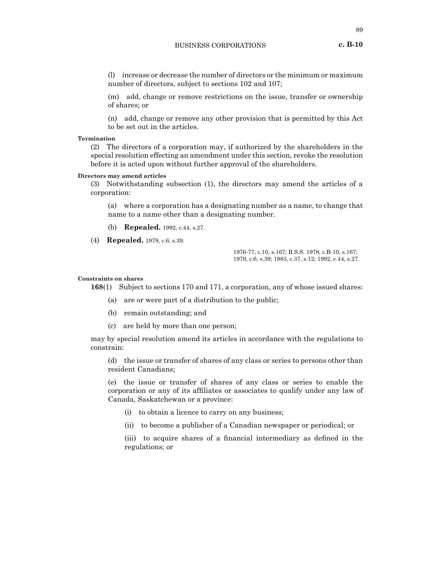(l) increase or decrease the number of directors or the minimum or maximum number of directors, subject to sections 102 and 107;

(m) add, change or remove restrictions on the issue, transfer or ownership of shares; or

(n) add, change or remove any other provision that is permitted by this Act to be set out in the articles.

# **Termination**

(2) The directors of a corporation may, if authorized by the shareholders in the special resolution effecting an amendment under this section, revoke the resolution before it is acted upon without further approval of the shareholders.

#### **Directors may amend articles**

(3) Notwithstanding subsection (1), the directors may amend the articles of a corporation:

(a) where a corporation has a designating number as a name, to change that name to a name other than a designating number.

(b) **Repealed.** 1992, c.44, s.27.

(4) **Repealed.** 1979, c.6, s.39.

1976-77, c.10, s.167; R.S.S. 1978, c.B-10, s.167; 1979, c.6, s.39; 1983, c.37, s.12; 1992, c.44, s.27.

# **Constraints on shares**

**168**(1) Subject to sections 170 and 171, a corporation, any of whose issued shares:

- (a) are or were part of a distribution to the public;
- (b) remain outstanding; and
- (c) are held by more than one person;

may by special resolution amend its articles in accordance with the regulations to constrain:

(d) the issue or transfer of shares of any class or series to persons other than resident Canadians;

(e) the issue or transfer of shares of any class or series to enable the corporation or any of its affiliates or associates to qualify under any law of Canada, Saskatchewan or a province:

- (i) to obtain a licence to carry on any business;
- (ii) to become a publisher of a Canadian newspaper or periodical; or

(iii) to acquire shares of a financial intermediary as defined in the regulations; or

**c. B-10**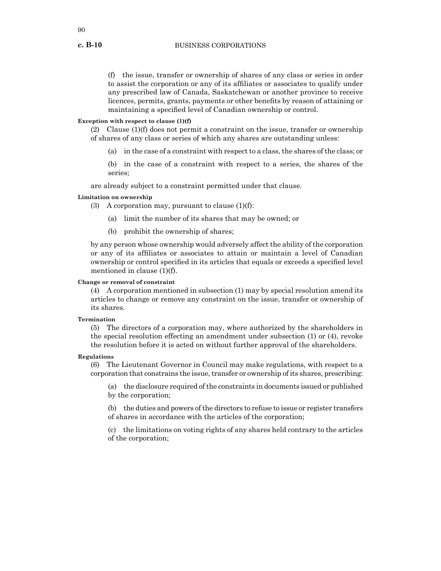(f) the issue, transfer or ownership of shares of any class or series in order to assist the corporation or any of its affiliates or associates to qualify under any prescribed law of Canada, Saskatchewan or another province to receive licences, permits, grants, payments or other benefits by reason of attaining or maintaining a specified level of Canadian ownership or control.

#### **Exception with respect to clause (1)(f)**

(2) Clause (1)(f) does not permit a constraint on the issue, transfer or ownership of shares of any class or series of which any shares are outstanding unless:

(a) in the case of a constraint with respect to a class, the shares of the class; or

(b) in the case of a constraint with respect to a series, the shares of the series;

are already subject to a constraint permitted under that clause.

# **Limitation on ownership**

(3) A corporation may, pursuant to clause  $(1)(f)$ :

- (a) limit the number of its shares that may be owned; or
- (b) prohibit the ownership of shares;

by any person whose ownership would adversely affect the ability of the corporation or any of its affiliates or associates to attain or maintain a level of Canadian ownership or control specified in its articles that equals or exceeds a specified level mentioned in clause (1)(f).

# **Change or removal of constraint**

(4) A corporation mentioned in subsection (1) may by special resolution amend its articles to change or remove any constraint on the issue, transfer or ownership of its shares.

## **Termination**

(5) The directors of a corporation may, where authorized by the shareholders in the special resolution effecting an amendment under subsection (1) or (4), revoke the resolution before it is acted on without further approval of the shareholders.

# **Regulations**

(6) The Lieutenant Governor in Council may make regulations, with respect to a corporation that constrains the issue, transfer or ownership of its shares, prescribing:

(a) the disclosure required of the constraints in documents issued or published by the corporation;

(b) the duties and powers of the directors to refuse to issue or register transfers of shares in accordance with the articles of the corporation;

(c) the limitations on voting rights of any shares held contrary to the articles of the corporation;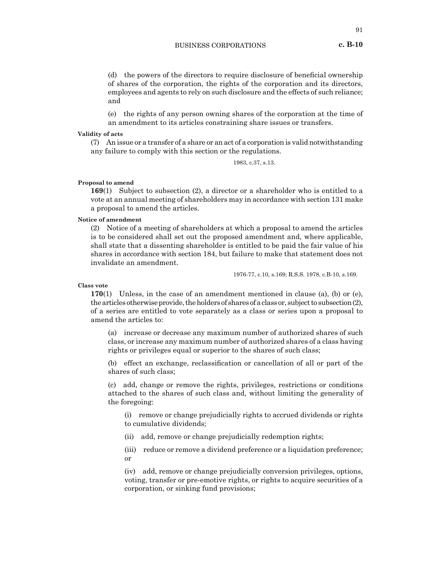(d) the powers of the directors to require disclosure of beneficial ownership of shares of the corporation, the rights of the corporation and its directors, employees and agents to rely on such disclosure and the effects of such reliance; and

(e) the rights of any person owning shares of the corporation at the time of an amendment to its articles constraining share issues or transfers.

#### **Validity of acts**

(7) An issue or a transfer of a share or an act of a corporation is valid notwithstanding any failure to comply with this section or the regulations.

1983, c.37, s.13.

#### **Proposal to amend**

**169**(1) Subject to subsection (2), a director or a shareholder who is entitled to a vote at an annual meeting of shareholders may in accordance with section 131 make a proposal to amend the articles.

# **Notice of amendment**

(2) Notice of a meeting of shareholders at which a proposal to amend the articles is to be considered shall set out the proposed amendment and, where applicable, shall state that a dissenting shareholder is entitled to be paid the fair value of his shares in accordance with section 184, but failure to make that statement does not invalidate an amendment.

1976-77, c.10, s.169; R.S.S. 1978, c.B-10, s.169.

# **Class vote**

**170**(1) Unless, in the case of an amendment mentioned in clause (a), (b) or (e), the articles otherwise provide, the holders of shares of a class or, subject to subsection (2), of a series are entitled to vote separately as a class or series upon a proposal to amend the articles to:

(a) increase or decrease any maximum number of authorized shares of such class, or increase any maximum number of authorized shares of a class having rights or privileges equal or superior to the shares of such class;

(b) effect an exchange, reclassification or cancellation of all or part of the shares of such class;

(c) add, change or remove the rights, privileges, restrictions or conditions attached to the shares of such class and, without limiting the generality of the foregoing:

(i) remove or change prejudicially rights to accrued dividends or rights to cumulative dividends;

(ii) add, remove or change prejudicially redemption rights;

(iii) reduce or remove a dividend preference or a liquidation preference; or

(iv) add, remove or change prejudicially conversion privileges, options, voting, transfer or pre-emotive rights, or rights to acquire securities of a corporation, or sinking fund provisions;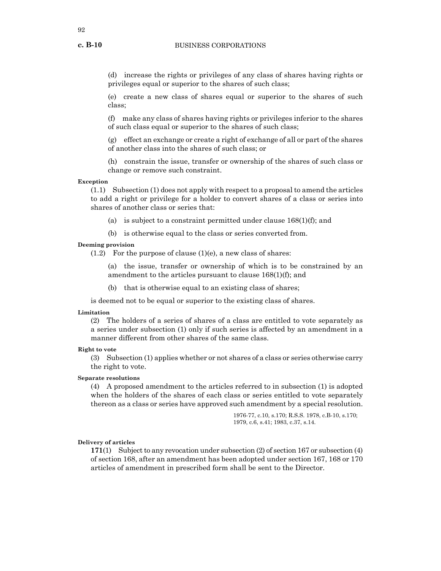(d) increase the rights or privileges of any class of shares having rights or privileges equal or superior to the shares of such class;

(e) create a new class of shares equal or superior to the shares of such class;

(f) make any class of shares having rights or privileges inferior to the shares of such class equal or superior to the shares of such class;

(g) effect an exchange or create a right of exchange of all or part of the shares of another class into the shares of such class; or

(h) constrain the issue, transfer or ownership of the shares of such class or change or remove such constraint.

#### **Exception**

(1.1) Subsection (1) does not apply with respect to a proposal to amend the articles to add a right or privilege for a holder to convert shares of a class or series into shares of another class or series that:

- (a) is subject to a constraint permitted under clause  $168(1)(f)$ ; and
- (b) is otherwise equal to the class or series converted from.

#### **Deeming provision**

(1.2) For the purpose of clause (1)(e), a new class of shares:

(a) the issue, transfer or ownership of which is to be constrained by an amendment to the articles pursuant to clause 168(1)(f); and

(b) that is otherwise equal to an existing class of shares;

is deemed not to be equal or superior to the existing class of shares.

## **Limitation**

(2) The holders of a series of shares of a class are entitled to vote separately as a series under subsection (1) only if such series is affected by an amendment in a manner different from other shares of the same class.

#### **Right to vote**

(3) Subsection (1) applies whether or not shares of a class or series otherwise carry the right to vote.

#### **Separate resolutions**

(4) A proposed amendment to the articles referred to in subsection (1) is adopted when the holders of the shares of each class or series entitled to vote separately thereon as a class or series have approved such amendment by a special resolution.

> 1976-77, c.10, s.170; R.S.S. 1978, c.B-10, s.170; 1979, c.6, s.41; 1983, c.37, s.14.

### **Delivery of articles**

**171**(1) Subject to any revocation under subsection (2) of section 167 or subsection (4) of section 168, after an amendment has been adopted under section 167, 168 or 170 articles of amendment in prescribed form shall be sent to the Director.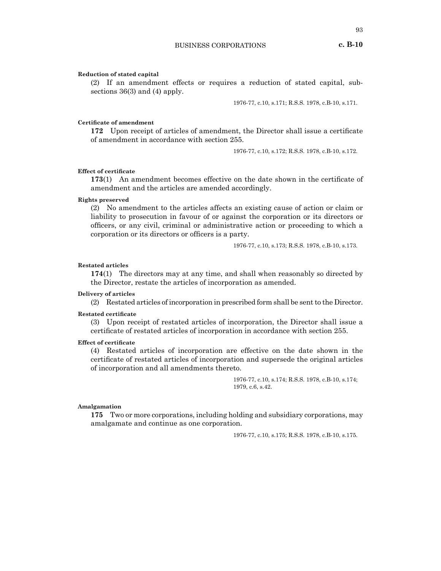# **Reduction of stated capital**

(2) If an amendment effects or requires a reduction of stated capital, subsections 36(3) and (4) apply.

1976-77, c.10, s.171; R.S.S. 1978, c.B-10, s.171.

#### **Certificate of amendment**

**172** Upon receipt of articles of amendment, the Director shall issue a certificate of amendment in accordance with section 255.

1976-77, c.10, s.172; R.S.S. 1978, c.B-10, s.172.

## **Effect of certificate**

**173**(1) An amendment becomes effective on the date shown in the certificate of amendment and the articles are amended accordingly.

# **Rights preserved**

(2) No amendment to the articles affects an existing cause of action or claim or liability to prosecution in favour of or against the corporation or its directors or officers, or any civil, criminal or administrative action or proceeding to which a corporation or its directors or officers is a party.

1976-77, c.10, s.173; R.S.S. 1978, c.B-10, s.173.

# **Restated articles**

**174**(1) The directors may at any time, and shall when reasonably so directed by the Director, restate the articles of incorporation as amended.

#### **Delivery of articles**

(2) Restated articles of incorporation in prescribed form shall be sent to the Director.

#### **Restated certificate**

(3) Upon receipt of restated articles of incorporation, the Director shall issue a certificate of restated articles of incorporation in accordance with section 255.

#### **Effect of certificate**

(4) Restated articles of incorporation are effective on the date shown in the certificate of restated articles of incorporation and supersede the original articles of incorporation and all amendments thereto.

> 1976-77, c.10, s.174; R.S.S. 1978, c.B-10, s.174; 1979, c.6, s.42.

#### **Amalgamation**

**175** Two or more corporations, including holding and subsidiary corporations, may amalgamate and continue as one corporation.

1976-77, c.10, s.175; R.S.S. 1978, c.B-10, s.175.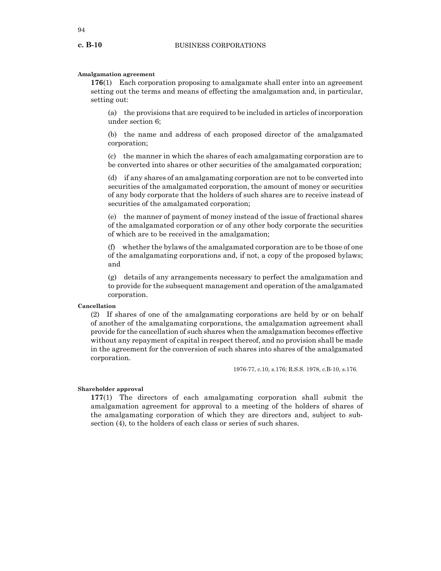#### **Amalgamation agreement**

**176**(1) Each corporation proposing to amalgamate shall enter into an agreement setting out the terms and means of effecting the amalgamation and, in particular, setting out:

(a) the provisions that are required to be included in articles of incorporation under section 6;

(b) the name and address of each proposed director of the amalgamated corporation;

(c) the manner in which the shares of each amalgamating corporation are to be converted into shares or other securities of the amalgamated corporation;

(d) if any shares of an amalgamating corporation are not to be converted into securities of the amalgamated corporation, the amount of money or securities of any body corporate that the holders of such shares are to receive instead of securities of the amalgamated corporation;

(e) the manner of payment of money instead of the issue of fractional shares of the amalgamated corporation or of any other body corporate the securities of which are to be received in the amalgamation;

(f) whether the bylaws of the amalgamated corporation are to be those of one of the amalgamating corporations and, if not, a copy of the proposed bylaws; and

(g) details of any arrangements necessary to perfect the amalgamation and to provide for the subsequent management and operation of the amalgamated corporation.

# **Cancellation**

(2) If shares of one of the amalgamating corporations are held by or on behalf of another of the amalgamating corporations, the amalgamation agreement shall provide for the cancellation of such shares when the amalgamation becomes effective without any repayment of capital in respect thereof, and no provision shall be made in the agreement for the conversion of such shares into shares of the amalgamated corporation.

1976-77, c.10, s.176; R.S.S. 1978, c.B-10, s.176.

# **Shareholder approval**

**177**(1) The directors of each amalgamating corporation shall submit the amalgamation agreement for approval to a meeting of the holders of shares of the amalgamating corporation of which they are directors and, subject to subsection (4), to the holders of each class or series of such shares.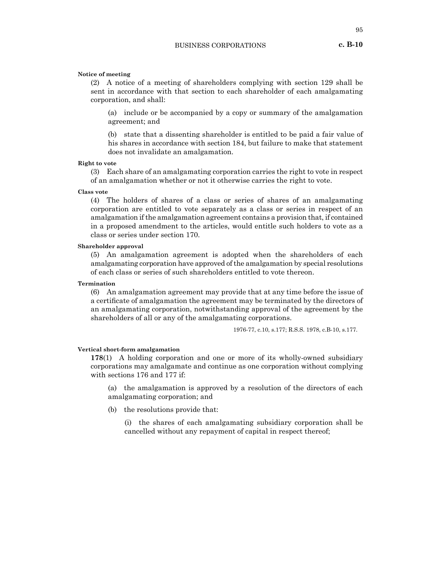# **Notice of meeting**

(2) A notice of a meeting of shareholders complying with section 129 shall be sent in accordance with that section to each shareholder of each amalgamating corporation, and shall:

(a) include or be accompanied by a copy or summary of the amalgamation agreement; and

(b) state that a dissenting shareholder is entitled to be paid a fair value of his shares in accordance with section 184, but failure to make that statement does not invalidate an amalgamation.

#### **Right to vote**

(3) Each share of an amalgamating corporation carries the right to vote in respect of an amalgamation whether or not it otherwise carries the right to vote.

#### **Class vote**

(4) The holders of shares of a class or series of shares of an amalgamating corporation are entitled to vote separately as a class or series in respect of an amalgamation if the amalgamation agreement contains a provision that, if contained in a proposed amendment to the articles, would entitle such holders to vote as a class or series under section 170.

## **Shareholder approval**

(5) An amalgamation agreement is adopted when the shareholders of each amalgamating corporation have approved of the amalgamation by special resolutions of each class or series of such shareholders entitled to vote thereon.

## **Termination**

(6) An amalgamation agreement may provide that at any time before the issue of a certificate of amalgamation the agreement may be terminated by the directors of an amalgamating corporation, notwithstanding approval of the agreement by the shareholders of all or any of the amalgamating corporations.

1976-77, c.10, s.177; R.S.S. 1978, c.B-10, s.177.

#### **Vertical short-form amalgamation**

**178**(1) A holding corporation and one or more of its wholly-owned subsidiary corporations may amalgamate and continue as one corporation without complying with sections 176 and 177 if:

(a) the amalgamation is approved by a resolution of the directors of each amalgamating corporation; and

(b) the resolutions provide that:

(i) the shares of each amalgamating subsidiary corporation shall be cancelled without any repayment of capital in respect thereof;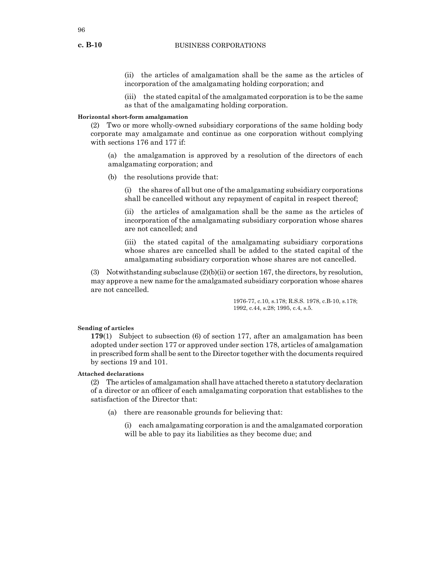(ii) the articles of amalgamation shall be the same as the articles of incorporation of the amalgamating holding corporation; and

(iii) the stated capital of the amalgamated corporation is to be the same as that of the amalgamating holding corporation.

### **Horizontal short-form amalgamation**

(2) Two or more wholly-owned subsidiary corporations of the same holding body corporate may amalgamate and continue as one corporation without complying with sections 176 and 177 if:

(a) the amalgamation is approved by a resolution of the directors of each amalgamating corporation; and

(b) the resolutions provide that:

(i) the shares of all but one of the amalgamating subsidiary corporations shall be cancelled without any repayment of capital in respect thereof;

(ii) the articles of amalgamation shall be the same as the articles of incorporation of the amalgamating subsidiary corporation whose shares are not cancelled; and

(iii) the stated capital of the amalgamating subsidiary corporations whose shares are cancelled shall be added to the stated capital of the amalgamating subsidiary corporation whose shares are not cancelled.

(3) Notwithstanding subsclause  $(2)(b)(ii)$  or section 167, the directors, by resolution, may approve a new name for the amalgamated subsidiary corporation whose shares are not cancelled.

> 1976-77, c.10, s.178; R.S.S. 1978, c.B-10, s.178; 1992, c.44, s.28; 1995, c.4, s.5.

## **Sending of articles**

**179**(1) Subject to subsection (6) of section 177, after an amalgamation has been adopted under section 177 or approved under section 178, articles of amalgamation in prescribed form shall be sent to the Director together with the documents required by sections 19 and 101.

# **Attached declarations**

(2) The articles of amalgamation shall have attached thereto a statutory declaration of a director or an officer of each amalgamating corporation that establishes to the satisfaction of the Director that:

(a) there are reasonable grounds for believing that:

(i) each amalgamating corporation is and the amalgamated corporation will be able to pay its liabilities as they become due; and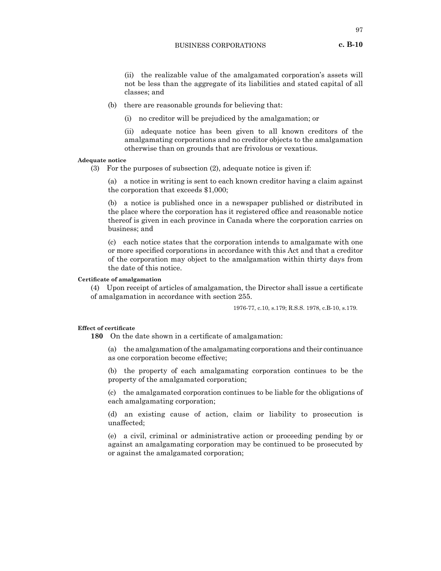(ii) the realizable value of the amalgamated corporation's assets will not be less than the aggregate of its liabilities and stated capital of all classes; and

(b) there are reasonable grounds for believing that:

(i) no creditor will be prejudiced by the amalgamation; or

(ii) adequate notice has been given to all known creditors of the amalgamating corporations and no creditor objects to the amalgamation otherwise than on grounds that are frivolous or vexatious.

## **Adequate notice**

(3) For the purposes of subsection (2), adequate notice is given if:

(a) a notice in writing is sent to each known creditor having a claim against the corporation that exceeds \$1,000;

(b) a notice is published once in a newspaper published or distributed in the place where the corporation has it registered office and reasonable notice thereof is given in each province in Canada where the corporation carries on business; and

(c) each notice states that the corporation intends to amalgamate with one or more specified corporations in accordance with this Act and that a creditor of the corporation may object to the amalgamation within thirty days from the date of this notice.

#### **Certificate of amalgamation**

(4) Upon receipt of articles of amalgamation, the Director shall issue a certificate of amalgamation in accordance with section 255.

1976-77, c.10, s.179; R.S.S. 1978, c.B-10, s.179.

## **Effect of certificate**

**180** On the date shown in a certificate of amalgamation:

(a) the amalgamation of the amalgamating corporations and their continuance as one corporation become effective;

(b) the property of each amalgamating corporation continues to be the property of the amalgamated corporation;

(c) the amalgamated corporation continues to be liable for the obligations of each amalgamating corporation;

(d) an existing cause of action, claim or liability to prosecution is unaffected;

(e) a civil, criminal or administrative action or proceeding pending by or against an amalgamating corporation may be continued to be prosecuted by or against the amalgamated corporation;

**c. B-10**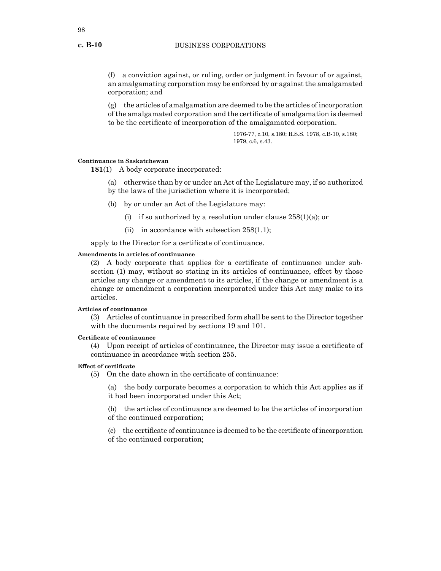(f) a conviction against, or ruling, order or judgment in favour of or against, an amalgamating corporation may be enforced by or against the amalgamated corporation; and

(g) the articles of amalgamation are deemed to be the articles of incorporation of the amalgamated corporation and the certificate of amalgamation is deemed to be the certificate of incorporation of the amalgamated corporation.

> 1976-77, c.10, s.180; R.S.S. 1978, c.B-10, s.180; 1979, c.6, s.43.

# **Continuance in Saskatchewan**

**181**(1) A body corporate incorporated:

(a) otherwise than by or under an Act of the Legislature may, if so authorized by the laws of the jurisdiction where it is incorporated;

(b) by or under an Act of the Legislature may:

- (i) if so authorized by a resolution under clause  $258(1)(a)$ ; or
- (ii) in accordance with subsection  $258(1.1)$ ;

apply to the Director for a certificate of continuance.

# **Amendments in articles of continuance**

(2) A body corporate that applies for a certificate of continuance under subsection (1) may, without so stating in its articles of continuance, effect by those articles any change or amendment to its articles, if the change or amendment is a change or amendment a corporation incorporated under this Act may make to its articles.

# **Articles of continuance**

(3) Articles of continuance in prescribed form shall be sent to the Director together with the documents required by sections 19 and 101.

# **Certificate of continuance**

(4) Upon receipt of articles of continuance, the Director may issue a certificate of continuance in accordance with section 255.

# **Effect of certificate**

(5) On the date shown in the certificate of continuance:

(a) the body corporate becomes a corporation to which this Act applies as if it had been incorporated under this Act;

(b) the articles of continuance are deemed to be the articles of incorporation of the continued corporation;

(c) the certificate of continuance is deemed to be the certificate of incorporation of the continued corporation;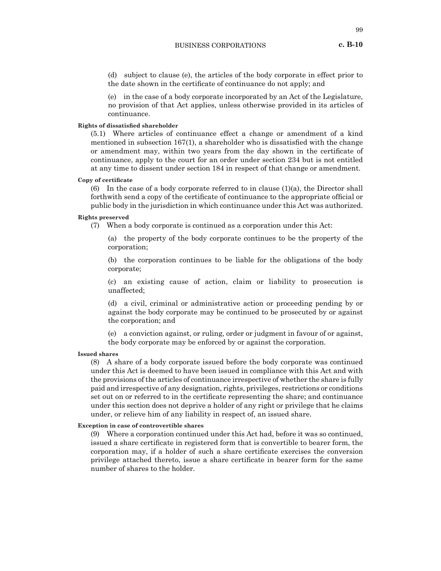(d) subject to clause (e), the articles of the body corporate in effect prior to the date shown in the certificate of continuance do not apply; and

(e) in the case of a body corporate incorporated by an Act of the Legislature, no provision of that Act applies, unless otherwise provided in its articles of continuance.

# **Rights of dissatisfied shareholder**

(5.1) Where articles of continuance effect a change or amendment of a kind mentioned in subsection 167(1), a shareholder who is dissatisfied with the change or amendment may, within two years from the day shown in the certificate of continuance, apply to the court for an order under section 234 but is not entitled at any time to dissent under section 184 in respect of that change or amendment.

#### **Copy of certificate**

(6) In the case of a body corporate referred to in clause  $(1)(a)$ , the Director shall forthwith send a copy of the certificate of continuance to the appropriate official or public body in the jurisdiction in which continuance under this Act was authorized.

# **Rights preserved**

(7) When a body corporate is continued as a corporation under this Act:

(a) the property of the body corporate continues to be the property of the corporation;

(b) the corporation continues to be liable for the obligations of the body corporate;

(c) an existing cause of action, claim or liability to prosecution is unaffected;

(d) a civil, criminal or administrative action or proceeding pending by or against the body corporate may be continued to be prosecuted by or against the corporation; and

(e) a conviction against, or ruling, order or judgment in favour of or against, the body corporate may be enforced by or against the corporation.

#### **Issued shares**

(8) A share of a body corporate issued before the body corporate was continued under this Act is deemed to have been issued in compliance with this Act and with the provisions of the articles of continuance irrespective of whether the share is fully paid and irrespective of any designation, rights, privileges, restrictions or conditions set out on or referred to in the certificate representing the share; and continuance under this section does not deprive a holder of any right or privilege that he claims under, or relieve him of any liability in respect of, an issued share.

## **Exception in case of controvertible shares**

(9) Where a corporation continued under this Act had, before it was so continued, issued a share certificate in registered form that is convertible to bearer form, the corporation may, if a holder of such a share certificate exercises the conversion privilege attached thereto, issue a share certificate in bearer form for the same number of shares to the holder.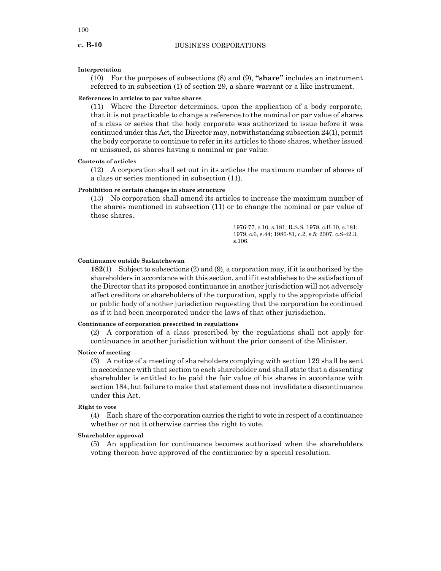## **c. B-10** BUSINESS CORPORATIONS

100

# **Interpretation**

(10) For the purposes of subsections (8) and (9), **"share"** includes an instrument referred to in subsection (1) of section 29, a share warrant or a like instrument.

# **References in articles to par value shares**

(11) Where the Director determines, upon the application of a body corporate, that it is not practicable to change a reference to the nominal or par value of shares of a class or series that the body corporate was authorized to issue before it was continued under this Act, the Director may, notwithstanding subsection 24(1), permit the body corporate to continue to refer in its articles to those shares, whether issued or unissued, as shares having a nominal or par value.

# **Contents of articles**

(12) A corporation shall set out in its articles the maximum number of shares of a class or series mentioned in subsection (11).

# **Prohibition** *re* **certain changes in share structure**

(13) No corporation shall amend its articles to increase the maximum number of the shares mentioned in subsection (11) or to change the nominal or par value of those shares.

> 1976-77, c.10, s.181; R.S.S. 1978, c.B-10, s.181; 1979, c.6, s.44; 1980-81, c.2, s.5; 2007, c.S-42.3, s.106.

# **Continuance outside Saskatchewan**

**182**(1) Subject to subsections (2) and (9), a corporation may, if it is authorized by the shareholders in accordance with this section, and if it establishes to the satisfaction of the Director that its proposed continuance in another jurisdiction will not adversely affect creditors or shareholders of the corporation, apply to the appropriate official or public body of another jurisdiction requesting that the corporation be continued as if it had been incorporated under the laws of that other jurisdiction.

# **Continuance of corporation prescribed in regulations**

(2) A corporation of a class prescribed by the regulations shall not apply for continuance in another jurisdiction without the prior consent of the Minister.

# **Notice of meeting**

(3) A notice of a meeting of shareholders complying with section 129 shall be sent in accordance with that section to each shareholder and shall state that a dissenting shareholder is entitled to be paid the fair value of his shares in accordance with section 184, but failure to make that statement does not invalidate a discontinuance under this Act.

# **Right to vote**

(4) Each share of the corporation carries the right to vote in respect of a continuance whether or not it otherwise carries the right to vote.

# **Shareholder approval**

(5) An application for continuance becomes authorized when the shareholders voting thereon have approved of the continuance by a special resolution.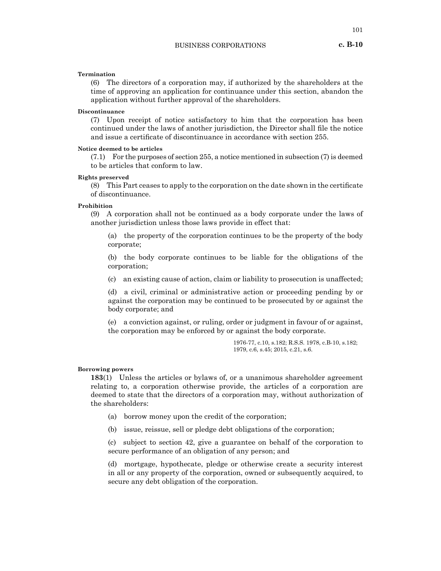## **Termination**

(6) The directors of a corporation may, if authorized by the shareholders at the time of approving an application for continuance under this section, abandon the application without further approval of the shareholders.

## **Discontinuance**

(7) Upon receipt of notice satisfactory to him that the corporation has been continued under the laws of another jurisdiction, the Director shall file the notice and issue a certificate of discontinuance in accordance with section 255.

#### **Notice deemed to be articles**

(7.1) For the purposes of section 255, a notice mentioned in subsection (7) is deemed to be articles that conform to law.

# **Rights preserved**

(8) This Part ceases to apply to the corporation on the date shown in the certificate of discontinuance.

# **Prohibition**

(9) A corporation shall not be continued as a body corporate under the laws of another jurisdiction unless those laws provide in effect that:

(a) the property of the corporation continues to be the property of the body corporate;

(b) the body corporate continues to be liable for the obligations of the corporation;

(c) an existing cause of action, claim or liability to prosecution is unaffected;

(d) a civil, criminal or administrative action or proceeding pending by or against the corporation may be continued to be prosecuted by or against the body corporate; and

(e) a conviction against, or ruling, order or judgment in favour of or against, the corporation may be enforced by or against the body corporate.

> 1976-77, c.10, s.182; R.S.S. 1978, c.B-10, s.182; 1979, c.6, s.45; 2015, c.21, s.6.

#### **Borrowing powers**

**183**(1) Unless the articles or bylaws of, or a unanimous shareholder agreement relating to, a corporation otherwise provide, the articles of a corporation are deemed to state that the directors of a corporation may, without authorization of the shareholders:

- (a) borrow money upon the credit of the corporation;
- (b) issue, reissue, sell or pledge debt obligations of the corporation;

(c) subject to section 42, give a guarantee on behalf of the corporation to secure performance of an obligation of any person; and

(d) mortgage, hypothecate, pledge or otherwise create a security interest in all or any property of the corporation, owned or subsequently acquired, to secure any debt obligation of the corporation.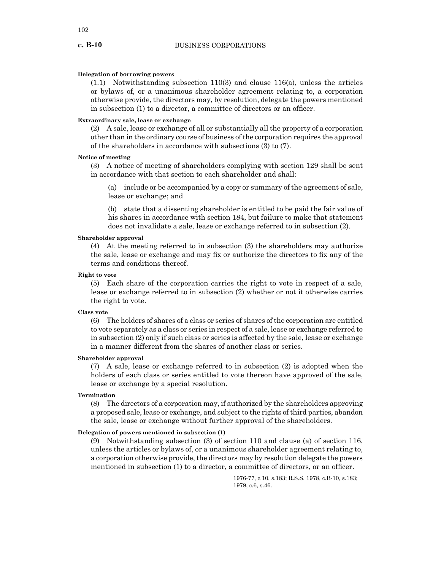## **Delegation of borrowing powers**

(1.1) Notwithstanding subsection 110(3) and clause 116(a), unless the articles or bylaws of, or a unanimous shareholder agreement relating to, a corporation otherwise provide, the directors may, by resolution, delegate the powers mentioned in subsection (1) to a director, a committee of directors or an officer.

# **Extraordinary sale, lease or exchange**

(2) A sale, lease or exchange of all or substantially all the property of a corporation other than in the ordinary course of business of the corporation requires the approval of the shareholders in accordance with subsections (3) to (7).

#### **Notice of meeting**

(3) A notice of meeting of shareholders complying with section 129 shall be sent in accordance with that section to each shareholder and shall:

(a) include or be accompanied by a copy or summary of the agreement of sale, lease or exchange; and

(b) state that a dissenting shareholder is entitled to be paid the fair value of his shares in accordance with section 184, but failure to make that statement does not invalidate a sale, lease or exchange referred to in subsection (2).

## **Shareholder approval**

(4) At the meeting referred to in subsection (3) the shareholders may authorize the sale, lease or exchange and may fix or authorize the directors to fix any of the terms and conditions thereof.

#### **Right to vote**

(5) Each share of the corporation carries the right to vote in respect of a sale, lease or exchange referred to in subsection (2) whether or not it otherwise carries the right to vote.

## **Class vote**

(6) The holders of shares of a class or series of shares of the corporation are entitled to vote separately as a class or series in respect of a sale, lease or exchange referred to in subsection (2) only if such class or series is affected by the sale, lease or exchange in a manner different from the shares of another class or series.

## **Shareholder approval**

(7) A sale, lease or exchange referred to in subsection (2) is adopted when the holders of each class or series entitled to vote thereon have approved of the sale, lease or exchange by a special resolution.

# **Termination**

(8) The directors of a corporation may, if authorized by the shareholders approving a proposed sale, lease or exchange, and subject to the rights of third parties, abandon the sale, lease or exchange without further approval of the shareholders.

# **Delegation of powers mentioned in subsection (1)**

(9) Notwithstanding subsection (3) of section 110 and clause (a) of section 116, unless the articles or bylaws of, or a unanimous shareholder agreement relating to, a corporation otherwise provide, the directors may by resolution delegate the powers mentioned in subsection (1) to a director, a committee of directors, or an officer.

> 1976-77, c.10, s.183; R.S.S. 1978, c.B-10, s.183; 1979, c.6, s.46.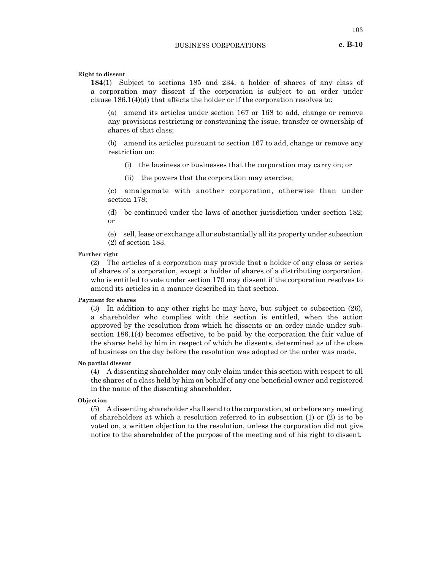**Right to dissent**

**184**(1) Subject to sections 185 and 234, a holder of shares of any class of a corporation may dissent if the corporation is subject to an order under clause  $186.1(4)(d)$  that affects the holder or if the corporation resolves to:

(a) amend its articles under section 167 or 168 to add, change or remove any provisions restricting or constraining the issue, transfer or ownership of shares of that class;

(b) amend its articles pursuant to section 167 to add, change or remove any restriction on:

- (i) the business or businesses that the corporation may carry on; or
- (ii) the powers that the corporation may exercise;

(c) amalgamate with another corporation, otherwise than under section 178;

(d) be continued under the laws of another jurisdiction under section 182; or

(e) sell, lease or exchange all or substantially all its property under subsection (2) of section 183.

# **Further right**

(2) The articles of a corporation may provide that a holder of any class or series of shares of a corporation, except a holder of shares of a distributing corporation, who is entitled to vote under section 170 may dissent if the corporation resolves to amend its articles in a manner described in that section.

# **Payment for shares**

(3) In addition to any other right he may have, but subject to subsection (26), a shareholder who complies with this section is entitled, when the action approved by the resolution from which he dissents or an order made under subsection 186.1(4) becomes effective, to be paid by the corporation the fair value of the shares held by him in respect of which he dissents, determined as of the close of business on the day before the resolution was adopted or the order was made.

# **No partial dissent**

(4) A dissenting shareholder may only claim under this section with respect to all the shares of a class held by him on behalf of any one beneficial owner and registered in the name of the dissenting shareholder.

# **Objection**

(5) A dissenting shareholder shall send to the corporation, at or before any meeting of shareholders at which a resolution referred to in subsection (1) or (2) is to be voted on, a written objection to the resolution, unless the corporation did not give notice to the shareholder of the purpose of the meeting and of his right to dissent.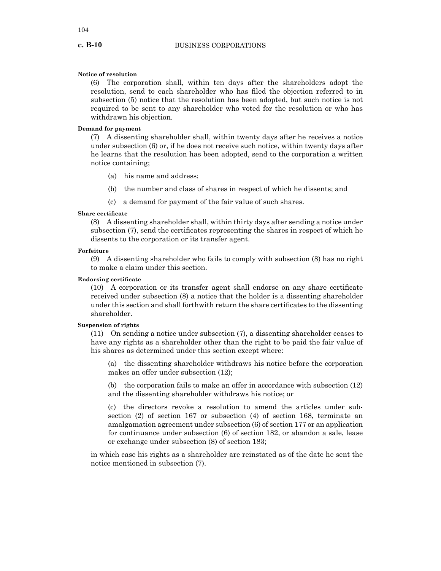## **Notice of resolution**

(6) The corporation shall, within ten days after the shareholders adopt the resolution, send to each shareholder who has filed the objection referred to in subsection (5) notice that the resolution has been adopted, but such notice is not required to be sent to any shareholder who voted for the resolution or who has withdrawn his objection.

# **Demand for payment**

(7) A dissenting shareholder shall, within twenty days after he receives a notice under subsection (6) or, if he does not receive such notice, within twenty days after he learns that the resolution has been adopted, send to the corporation a written notice containing;

- (a) his name and address;
- (b) the number and class of shares in respect of which he dissents; and
- (c) a demand for payment of the fair value of such shares.

# **Share certificate**

(8) A dissenting shareholder shall, within thirty days after sending a notice under subsection (7), send the certificates representing the shares in respect of which he dissents to the corporation or its transfer agent.

#### **Forfeiture**

(9) A dissenting shareholder who fails to comply with subsection (8) has no right to make a claim under this section.

## **Endorsing certificate**

(10) A corporation or its transfer agent shall endorse on any share certificate received under subsection (8) a notice that the holder is a dissenting shareholder under this section and shall forthwith return the share certificates to the dissenting shareholder.

# **Suspension of rights**

(11) On sending a notice under subsection (7), a dissenting shareholder ceases to have any rights as a shareholder other than the right to be paid the fair value of his shares as determined under this section except where:

(a) the dissenting shareholder withdraws his notice before the corporation makes an offer under subsection (12);

(b) the corporation fails to make an offer in accordance with subsection (12) and the dissenting shareholder withdraws his notice; or

(c) the directors revoke a resolution to amend the articles under subsection (2) of section 167 or subsection (4) of section 168, terminate an amalgamation agreement under subsection (6) of section 177 or an application for continuance under subsection (6) of section 182, or abandon a sale, lease or exchange under subsection (8) of section 183;

in which case his rights as a shareholder are reinstated as of the date he sent the notice mentioned in subsection (7).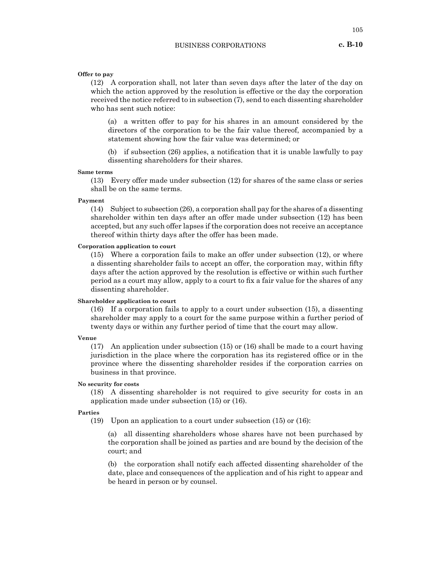# **Offer to pay**

(12) A corporation shall, not later than seven days after the later of the day on which the action approved by the resolution is effective or the day the corporation received the notice referred to in subsection (7), send to each dissenting shareholder who has sent such notice:

(a) a written offer to pay for his shares in an amount considered by the directors of the corporation to be the fair value thereof, accompanied by a statement showing how the fair value was determined; or

(b) if subsection (26) applies, a notification that it is unable lawfully to pay dissenting shareholders for their shares.

#### **Same terms**

(13) Every offer made under subsection (12) for shares of the same class or series shall be on the same terms.

# **Payment**

(14) Subject to subsection (26), a corporation shall pay for the shares of a dissenting shareholder within ten days after an offer made under subsection (12) has been accepted, but any such offer lapses if the corporation does not receive an acceptance thereof within thirty days after the offer has been made.

# **Corporation application to court**

(15) Where a corporation fails to make an offer under subsection (12), or where a dissenting shareholder fails to accept an offer, the corporation may, within fifty days after the action approved by the resolution is effective or within such further period as a court may allow, apply to a court to fix a fair value for the shares of any dissenting shareholder.

# **Shareholder application to court**

(16) If a corporation fails to apply to a court under subsection (15), a dissenting shareholder may apply to a court for the same purpose within a further period of twenty days or within any further period of time that the court may allow.

#### **Venue**

(17) An application under subsection (15) or (16) shall be made to a court having jurisdiction in the place where the corporation has its registered office or in the province where the dissenting shareholder resides if the corporation carries on business in that province.

# **No security for costs**

(18) A dissenting shareholder is not required to give security for costs in an application made under subsection (15) or (16).

# **Parties**

(19) Upon an application to a court under subsection (15) or (16):

(a) all dissenting shareholders whose shares have not been purchased by the corporation shall be joined as parties and are bound by the decision of the court; and

(b) the corporation shall notify each affected dissenting shareholder of the date, place and consequences of the application and of his right to appear and be heard in person or by counsel.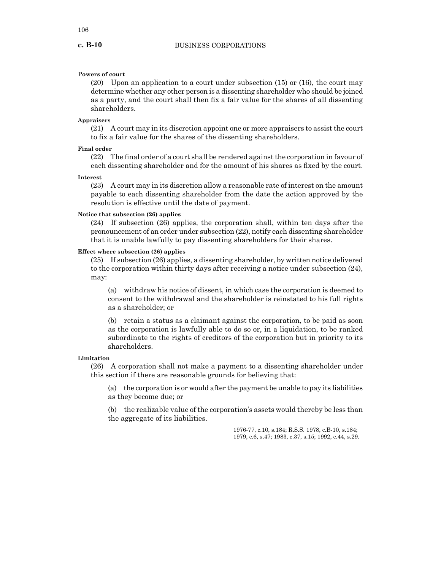## **Powers of court**

(20) Upon an application to a court under subsection (15) or (16), the court may determine whether any other person is a dissenting shareholder who should be joined as a party, and the court shall then fix a fair value for the shares of all dissenting shareholders.

## **Appraisers**

(21) A court may in its discretion appoint one or more appraisers to assist the court to fix a fair value for the shares of the dissenting shareholders.

## **Final order**

(22) The final order of a court shall be rendered against the corporation in favour of each dissenting shareholder and for the amount of his shares as fixed by the court.

# **Interest**

(23) A court may in its discretion allow a reasonable rate of interest on the amount payable to each dissenting shareholder from the date the action approved by the resolution is effective until the date of payment.

# **Notice that subsection (26) applies**

(24) If subsection (26) applies, the corporation shall, within ten days after the pronouncement of an order under subsection (22), notify each dissenting shareholder that it is unable lawfully to pay dissenting shareholders for their shares.

# **Effect where subsection (26) applies**

(25) If subsection (26) applies, a dissenting shareholder, by written notice delivered to the corporation within thirty days after receiving a notice under subsection (24), may:

(a) withdraw his notice of dissent, in which case the corporation is deemed to consent to the withdrawal and the shareholder is reinstated to his full rights as a shareholder; or

(b) retain a status as a claimant against the corporation, to be paid as soon as the corporation is lawfully able to do so or, in a liquidation, to be ranked subordinate to the rights of creditors of the corporation but in priority to its shareholders.

## **Limitation**

(26) A corporation shall not make a payment to a dissenting shareholder under this section if there are reasonable grounds for believing that:

(a) the corporation is or would after the payment be unable to pay its liabilities as they become due; or

(b) the realizable value of the corporation's assets would thereby be less than the aggregate of its liabilities.

> 1976-77, c.10, s.184; R.S.S. 1978, c.B-10, s.184; 1979, c.6, s.47; 1983, c.37, s.15; 1992, c.44, s.29.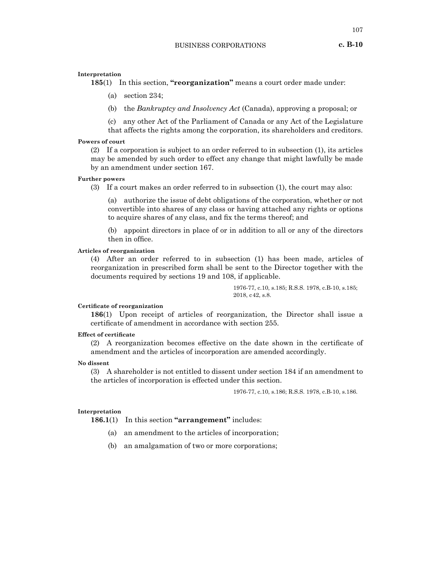**185**(1) In this section, **"reorganization"** means a court order made under:

- (a) section 234;
- (b) the *Bankruptcy and Insolvency Act* (Canada), approving a proposal; or

(c) any other Act of the Parliament of Canada or any Act of the Legislature

that affects the rights among the corporation, its shareholders and creditors.

# **Powers of court**

(2) If a corporation is subject to an order referred to in subsection (1), its articles may be amended by such order to effect any change that might lawfully be made by an amendment under section 167.

## **Further powers**

(3) If a court makes an order referred to in subsection (1), the court may also:

(a) authorize the issue of debt obligations of the corporation, whether or not convertible into shares of any class or having attached any rights or options to acquire shares of any class, and fix the terms thereof; and

(b) appoint directors in place of or in addition to all or any of the directors then in office.

## **Articles of reorganization**

(4) After an order referred to in subsection (1) has been made, articles of reorganization in prescribed form shall be sent to the Director together with the documents required by sections 19 and 108, if applicable.

> 1976-77, c.10, s.185; R.S.S. 1978, c.B-10, s.185; 2018, c42, s.8.

# **Certificate of reorganization**

**186**(1) Upon receipt of articles of reorganization, the Director shall issue a certificate of amendment in accordance with section 255.

#### **Effect of certificate**

(2) A reorganization becomes effective on the date shown in the certificate of amendment and the articles of incorporation are amended accordingly.

## **No dissent**

(3) A shareholder is not entitled to dissent under section 184 if an amendment to the articles of incorporation is effected under this section.

1976-77, c.10, s.186; R.S.S. 1978, c.B-10, s.186.

## **Interpretation**

**186.1**(1) In this section **"arrangement"** includes:

- (a) an amendment to the articles of incorporation;
- (b) an amalgamation of two or more corporations;

**c. B-10**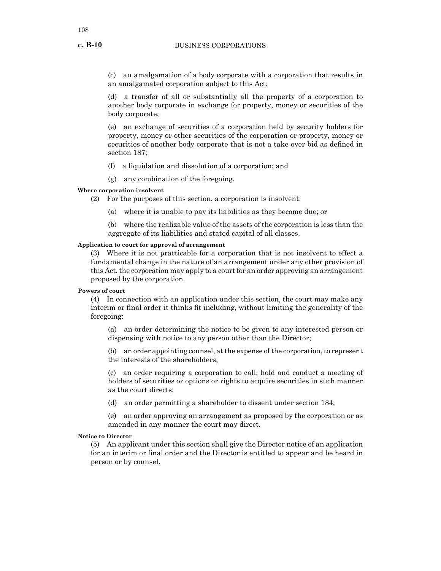(c) an amalgamation of a body corporate with a corporation that results in an amalgamated corporation subject to this Act;

(d) a transfer of all or substantially all the property of a corporation to another body corporate in exchange for property, money or securities of the body corporate;

(e) an exchange of securities of a corporation held by security holders for property, money or other securities of the corporation or property, money or securities of another body corporate that is not a take-over bid as defined in section 187;

- (f) a liquidation and dissolution of a corporation; and
- (g) any combination of the foregoing.

# **Where corporation insolvent**

(2) For the purposes of this section, a corporation is insolvent:

(a) where it is unable to pay its liabilities as they become due; or

(b) where the realizable value of the assets of the corporation is less than the aggregate of its liabilities and stated capital of all classes.

# **Application to court for approval of arrangement**

(3) Where it is not practicable for a corporation that is not insolvent to effect a fundamental change in the nature of an arrangement under any other provision of this Act, the corporation may apply to a court for an order approving an arrangement proposed by the corporation.

# **Powers of court**

(4) In connection with an application under this section, the court may make any interim or final order it thinks fit including, without limiting the generality of the foregoing:

(a) an order determining the notice to be given to any interested person or dispensing with notice to any person other than the Director;

(b) an order appointing counsel, at the expense of the corporation, to represent the interests of the shareholders;

(c) an order requiring a corporation to call, hold and conduct a meeting of holders of securities or options or rights to acquire securities in such manner as the court directs;

(d) an order permitting a shareholder to dissent under section 184;

(e) an order approving an arrangement as proposed by the corporation or as amended in any manner the court may direct.

## **Notice to Director**

(5) An applicant under this section shall give the Director notice of an application for an interim or final order and the Director is entitled to appear and be heard in person or by counsel.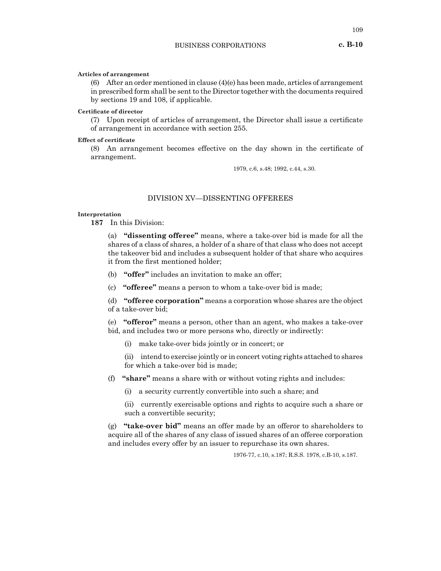### **Articles of arrangement**

(6) After an order mentioned in clause (4)(e) has been made, articles of arrangement in prescribed form shall be sent to the Director together with the documents required by sections 19 and 108, if applicable.

# **Certificate of director**

(7) Upon receipt of articles of arrangement, the Director shall issue a certificate of arrangement in accordance with section 255.

## **Effect of certificate**

(8) An arrangement becomes effective on the day shown in the certificate of arrangement.

1979, c.6, s.48; 1992, c.44, s.30.

# DIVISION XV—DISSENTING OFFEREES

## **Interpretation**

**187** In this Division:

(a) **"dissenting offeree"** means, where a take-over bid is made for all the shares of a class of shares, a holder of a share of that class who does not accept the takeover bid and includes a subsequent holder of that share who acquires it from the first mentioned holder;

- (b) **"offer"** includes an invitation to make an offer;
- (c) **"offeree"** means a person to whom a take-over bid is made;

(d) **"offeree corporation"** means a corporation whose shares are the object of a take-over bid;

(e) **"offeror"** means a person, other than an agent, who makes a take-over bid, and includes two or more persons who, directly or indirectly:

(i) make take-over bids jointly or in concert; or

(ii) intend to exercise jointly or in concert voting rights attached to shares for which a take-over bid is made;

(f) **"share"** means a share with or without voting rights and includes:

(i) a security currently convertible into such a share; and

(ii) currently exercisable options and rights to acquire such a share or such a convertible security;

(g) **"take-over bid"** means an offer made by an offeror to shareholders to acquire all of the shares of any class of issued shares of an offeree corporation and includes every offer by an issuer to repurchase its own shares.

1976-77, c.10, s.187; R.S.S. 1978, c.B-10, s.187.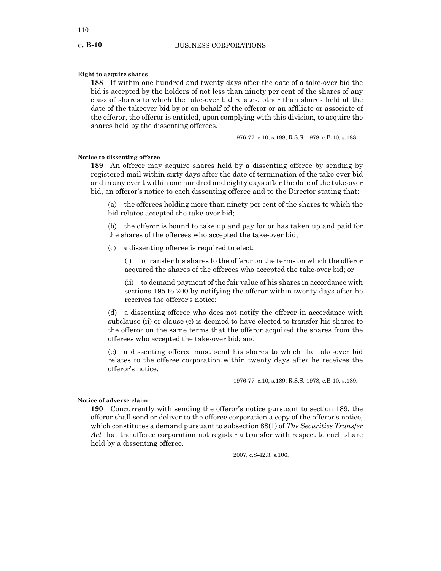## **Right to acquire shares**

**188** If within one hundred and twenty days after the date of a take-over bid the bid is accepted by the holders of not less than ninety per cent of the shares of any class of shares to which the take-over bid relates, other than shares held at the date of the takeover bid by or on behalf of the offeror or an affiliate or associate of the offeror, the offeror is entitled, upon complying with this division, to acquire the shares held by the dissenting offerees.

1976-77, c.10, s.188; R.S.S. 1978, c.B-10, s.188.

#### **Notice to dissenting offeree**

**189** An offeror may acquire shares held by a dissenting offeree by sending by registered mail within sixty days after the date of termination of the take-over bid and in any event within one hundred and eighty days after the date of the take-over bid, an offeror's notice to each dissenting offeree and to the Director stating that:

(a) the offerees holding more than ninety per cent of the shares to which the bid relates accepted the take-over bid;

(b) the offeror is bound to take up and pay for or has taken up and paid for the shares of the offerees who accepted the take-over bid;

(c) a dissenting offeree is required to elect:

(i) to transfer his shares to the offeror on the terms on which the offeror acquired the shares of the offerees who accepted the take-over bid; or

(ii) to demand payment of the fair value of his shares in accordance with sections 195 to 200 by notifying the offeror within twenty days after he receives the offeror's notice;

(d) a dissenting offeree who does not notify the offeror in accordance with subclause (ii) or clause (c) is deemed to have elected to transfer his shares to the offeror on the same terms that the offeror acquired the shares from the offerees who accepted the take-over bid; and

(e) a dissenting offeree must send his shares to which the take-over bid relates to the offeree corporation within twenty days after he receives the offeror's notice.

1976-77, c.10, s.189; R.S.S. 1978, c.B-10, s.189.

# **Notice of adverse claim**

**190** Concurrently with sending the offeror's notice pursuant to section 189, the offeror shall send or deliver to the offeree corporation a copy of the offeror's notice, which constitutes a demand pursuant to subsection 88(1) of *The Securities Transfer Act* that the offeree corporation not register a transfer with respect to each share held by a dissenting offeree.

2007, c.S-42.3, s.106.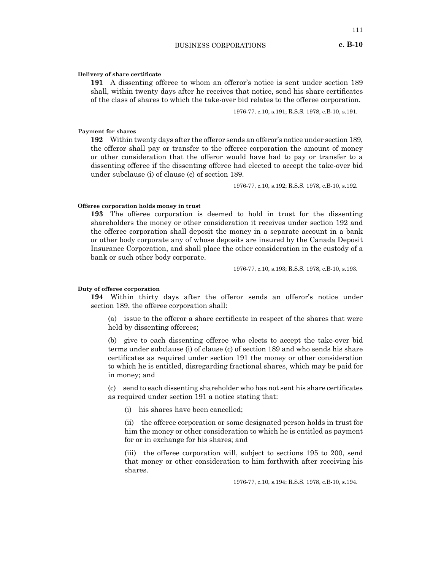#### **Delivery of share certificate**

**191** A dissenting offeree to whom an offeror's notice is sent under section 189 shall, within twenty days after he receives that notice, send his share certificates of the class of shares to which the take-over bid relates to the offeree corporation.

1976-77, c.10, s.191; R.S.S. 1978, c.B-10, s.191.

## **Payment for shares**

**192** Within twenty days after the offeror sends an offeror's notice under section 189, the offeror shall pay or transfer to the offeree corporation the amount of money or other consideration that the offeror would have had to pay or transfer to a dissenting offeree if the dissenting offeree had elected to accept the take-over bid under subclause (i) of clause (c) of section 189.

1976-77, c.10, s.192; R.S.S. 1978, c.B-10, s.192.

### **Offeree corporation holds money in trust**

**193** The offeree corporation is deemed to hold in trust for the dissenting shareholders the money or other consideration it receives under section 192 and the offeree corporation shall deposit the money in a separate account in a bank or other body corporate any of whose deposits are insured by the Canada Deposit Insurance Corporation, and shall place the other consideration in the custody of a bank or such other body corporate.

1976-77, c.10, s.193; R.S.S. 1978, c.B-10, s.193.

#### **Duty of offeree corporation**

**194** Within thirty days after the offeror sends an offeror's notice under section 189, the offeree corporation shall:

(a) issue to the offeror a share certificate in respect of the shares that were held by dissenting offerees;

(b) give to each dissenting offeree who elects to accept the take-over bid terms under subclause (i) of clause (c) of section 189 and who sends his share certificates as required under section 191 the money or other consideration to which he is entitled, disregarding fractional shares, which may be paid for in money; and

(c) send to each dissenting shareholder who has not sent his share certificates as required under section 191 a notice stating that:

(i) his shares have been cancelled;

(ii) the offeree corporation or some designated person holds in trust for him the money or other consideration to which he is entitled as payment for or in exchange for his shares; and

(iii) the offeree corporation will, subject to sections 195 to 200, send that money or other consideration to him forthwith after receiving his shares.

1976-77, c.10, s.194; R.S.S. 1978, c.B-10, s.194.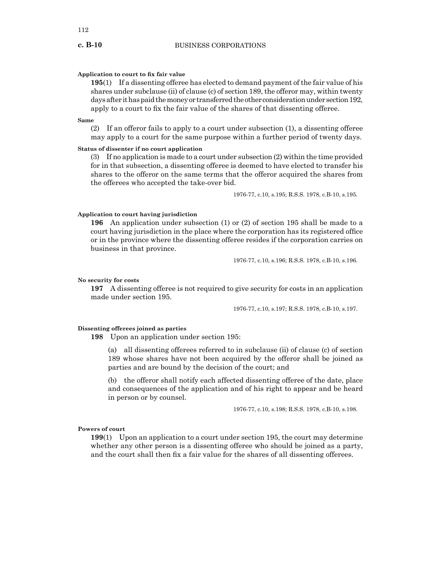# **Application to court to fix fair value**

**195**(1) If a dissenting offeree has elected to demand payment of the fair value of his shares under subclause (ii) of clause (c) of section 189, the offeror may, within twenty days after it has paid the money or transferred the other consideration under section 192, apply to a court to fix the fair value of the shares of that dissenting offeree.

#### **Same**

(2) If an offeror fails to apply to a court under subsection (1), a dissenting offeree may apply to a court for the same purpose within a further period of twenty days.

#### **Status of dissenter if no court application**

(3) If no application is made to a court under subsection (2) within the time provided for in that subsection, a dissenting offeree is deemed to have elected to transfer his shares to the offeror on the same terms that the offeror acquired the shares from the offerees who accepted the take-over bid.

1976-77, c.10, s.195; R.S.S. 1978, c.B-10, s.195.

#### **Application to court having jurisdiction**

**196** An application under subsection (1) or (2) of section 195 shall be made to a court having jurisdiction in the place where the corporation has its registered office or in the province where the dissenting offeree resides if the corporation carries on business in that province.

1976-77, c.10, s.196; R.S.S. 1978, c.B-10, s.196.

#### **No security for costs**

**197** A dissenting offeree is not required to give security for costs in an application made under section 195.

1976-77, c.10, s.197; R.S.S. 1978, c.B-10, s.197.

## **Dissenting offerees joined as parties**

**198** Upon an application under section 195:

(a) all dissenting offerees referred to in subclause (ii) of clause (c) of section 189 whose shares have not been acquired by the offeror shall be joined as parties and are bound by the decision of the court; and

(b) the offeror shall notify each affected dissenting offeree of the date, place and consequences of the application and of his right to appear and be heard in person or by counsel.

1976-77, c.10, s.198; R.S.S. 1978, c.B-10, s.198.

# **Powers of court**

**199**(1) Upon an application to a court under section 195, the court may determine whether any other person is a dissenting offeree who should be joined as a party, and the court shall then fix a fair value for the shares of all dissenting offerees.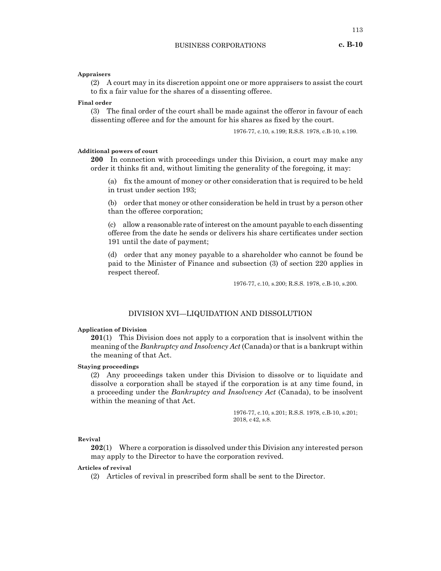## **Appraisers**

(2) A court may in its discretion appoint one or more appraisers to assist the court to fix a fair value for the shares of a dissenting offeree.

# **Final order**

(3) The final order of the court shall be made against the offeror in favour of each dissenting offeree and for the amount for his shares as fixed by the court.

1976-77, c.10, s.199; R.S.S. 1978, c.B-10, s.199.

### **Additional powers of court**

**200** In connection with proceedings under this Division, a court may make any order it thinks fit and, without limiting the generality of the foregoing, it may:

(a) fix the amount of money or other consideration that is required to be held in trust under section 193;

(b) order that money or other consideration be held in trust by a person other than the offeree corporation;

(c) allow a reasonable rate of interest on the amount payable to each dissenting offeree from the date he sends or delivers his share certificates under section 191 until the date of payment;

(d) order that any money payable to a shareholder who cannot be found be paid to the Minister of Finance and subsection (3) of section 220 applies in respect thereof.

1976-77, c.10, s.200; R.S.S. 1978, c.B-10, s.200.

# DIVISION XVI—LIQUIDATION AND DISSOLUTION

#### **Application of Division**

**201**(1) This Division does not apply to a corporation that is insolvent within the meaning of the *Bankruptcy and Insolvency Act* (Canada) or that is a bankrupt within the meaning of that Act.

#### **Staying proceedings**

(2) Any proceedings taken under this Division to dissolve or to liquidate and dissolve a corporation shall be stayed if the corporation is at any time found, in a proceeding under the *Bankruptcy and Insolvency Act* (Canada), to be insolvent within the meaning of that Act.

> 1976-77, c.10, s.201; R.S.S. 1978, c.B-10, s.201; 2018, c42, s.8.

## **Revival**

**202**(1) Where a corporation is dissolved under this Division any interested person may apply to the Director to have the corporation revived.

#### **Articles of revival**

(2) Articles of revival in prescribed form shall be sent to the Director.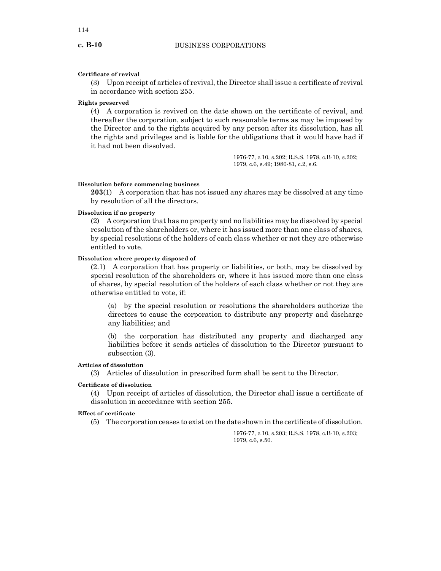## **Certificate of revival**

(3) Upon receipt of articles of revival, the Director shall issue a certificate of revival in accordance with section 255.

## **Rights preserved**

(4) A corporation is revived on the date shown on the certificate of revival, and thereafter the corporation, subject to such reasonable terms as may be imposed by the Director and to the rights acquired by any person after its dissolution, has all the rights and privileges and is liable for the obligations that it would have had if it had not been dissolved.

> 1976-77, c.10, s.202; R.S.S. 1978, c.B-10, s.202; 1979, c.6, s.49; 1980-81, c.2, s.6.

#### **Dissolution before commencing business**

**203**(1) A corporation that has not issued any shares may be dissolved at any time by resolution of all the directors.

## **Dissolution if no property**

(2) A corporation that has no property and no liabilities may be dissolved by special resolution of the shareholders or, where it has issued more than one class of shares, by special resolutions of the holders of each class whether or not they are otherwise entitled to vote.

## **Dissolution where property disposed of**

(2.1) A corporation that has property or liabilities, or both, may be dissolved by special resolution of the shareholders or, where it has issued more than one class of shares, by special resolution of the holders of each class whether or not they are otherwise entitled to vote, if:

(a) by the special resolution or resolutions the shareholders authorize the directors to cause the corporation to distribute any property and discharge any liabilities; and

(b) the corporation has distributed any property and discharged any liabilities before it sends articles of dissolution to the Director pursuant to subsection (3).

## **Articles of dissolution**

(3) Articles of dissolution in prescribed form shall be sent to the Director.

# **Certificate of dissolution**

(4) Upon receipt of articles of dissolution, the Director shall issue a certificate of dissolution in accordance with section 255.

# **Effect of certificate**

(5) The corporation ceases to exist on the date shown in the certificate of dissolution.

1976-77, c.10, s.203; R.S.S. 1978, c.B-10, s.203; 1979, c.6, s.50.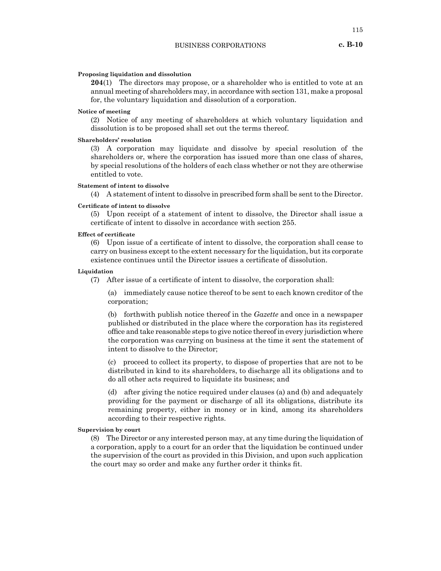**204**(1) The directors may propose, or a shareholder who is entitled to vote at an annual meeting of shareholders may, in accordance with section 131, make a proposal for, the voluntary liquidation and dissolution of a corporation.

## **Notice of meeting**

(2) Notice of any meeting of shareholders at which voluntary liquidation and dissolution is to be proposed shall set out the terms thereof.

#### **Shareholders' resolution**

(3) A corporation may liquidate and dissolve by special resolution of the shareholders or, where the corporation has issued more than one class of shares, by special resolutions of the holders of each class whether or not they are otherwise entitled to vote.

## **Statement of intent to dissolve**

(4) A statement of intent to dissolve in prescribed form shall be sent to the Director.

# **Certificate of intent to dissolve**

(5) Upon receipt of a statement of intent to dissolve, the Director shall issue a certificate of intent to dissolve in accordance with section 255.

# **Effect of certificate**

(6) Upon issue of a certificate of intent to dissolve, the corporation shall cease to carry on business except to the extent necessary for the liquidation, but its corporate existence continues until the Director issues a certificate of dissolution.

#### **Liquidation**

(7) After issue of a certificate of intent to dissolve, the corporation shall:

(a) immediately cause notice thereof to be sent to each known creditor of the corporation;

(b) forthwith publish notice thereof in the *Gazette* and once in a newspaper published or distributed in the place where the corporation has its registered office and take reasonable steps to give notice thereof in every jurisdiction where the corporation was carrying on business at the time it sent the statement of intent to dissolve to the Director;

(c) proceed to collect its property, to dispose of properties that are not to be distributed in kind to its shareholders, to discharge all its obligations and to do all other acts required to liquidate its business; and

(d) after giving the notice required under clauses (a) and (b) and adequately providing for the payment or discharge of all its obligations, distribute its remaining property, either in money or in kind, among its shareholders according to their respective rights.

## **Supervision by court**

(8) The Director or any interested person may, at any time during the liquidation of a corporation, apply to a court for an order that the liquidation be continued under the supervision of the court as provided in this Division, and upon such application the court may so order and make any further order it thinks fit.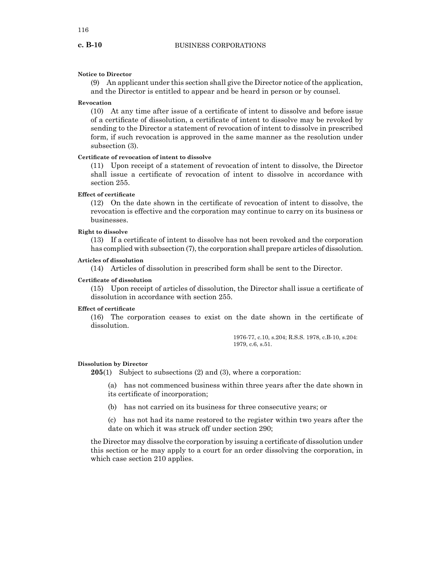## **Notice to Director**

(9) An applicant under this section shall give the Director notice of the application, and the Director is entitled to appear and be heard in person or by counsel.

# **Revocation**

(10) At any time after issue of a certificate of intent to dissolve and before issue of a certificate of dissolution, a certificate of intent to dissolve may be revoked by sending to the Director a statement of revocation of intent to dissolve in prescribed form, if such revocation is approved in the same manner as the resolution under subsection (3).

## **Certificate of revocation of intent to dissolve**

(11) Upon receipt of a statement of revocation of intent to dissolve, the Director shall issue a certificate of revocation of intent to dissolve in accordance with section 255.

# **Effect of certificate**

(12) On the date shown in the certificate of revocation of intent to dissolve, the revocation is effective and the corporation may continue to carry on its business or businesses.

## **Right to dissolve**

(13) If a certificate of intent to dissolve has not been revoked and the corporation has complied with subsection (7), the corporation shall prepare articles of dissolution.

## **Articles of dissolution**

(14) Articles of dissolution in prescribed form shall be sent to the Director.

## **Certificate of dissolution**

(15) Upon receipt of articles of dissolution, the Director shall issue a certificate of dissolution in accordance with section 255.

# **Effect of certificate**

(16) The corporation ceases to exist on the date shown in the certificate of dissolution.

> 1976-77, c.10, s.204; R.S.S. 1978, c.B-10, s.204: 1979, c.6, s.51.

## **Dissolution by Director**

**205**(1) Subject to subsections (2) and (3), where a corporation:

(a) has not commenced business within three years after the date shown in its certificate of incorporation;

(b) has not carried on its business for three consecutive years; or

(c) has not had its name restored to the register within two years after the date on which it was struck off under section 290;

the Director may dissolve the corporation by issuing a certificate of dissolution under this section or he may apply to a court for an order dissolving the corporation, in which case section 210 applies.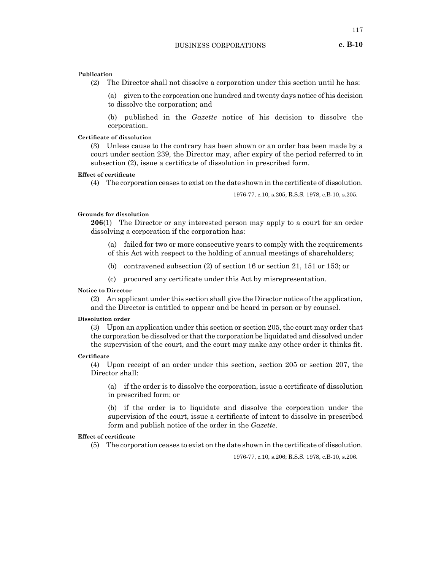# **Publication**

(2) The Director shall not dissolve a corporation under this section until he has:

(a) given to the corporation one hundred and twenty days notice of his decision to dissolve the corporation; and

(b) published in the *Gazette* notice of his decision to dissolve the corporation.

## **Certificate of dissolution**

(3) Unless cause to the contrary has been shown or an order has been made by a court under section 239, the Director may, after expiry of the period referred to in subsection (2), issue a certificate of dissolution in prescribed form.

#### **Effect of certificate**

(4) The corporation ceases to exist on the date shown in the certificate of dissolution.

1976-77, c.10, s.205; R.S.S. 1978, c.B-10, s.205.

## **Grounds for dissolution**

**206**(1) The Director or any interested person may apply to a court for an order dissolving a corporation if the corporation has:

(a) failed for two or more consecutive years to comply with the requirements of this Act with respect to the holding of annual meetings of shareholders;

(b) contravened subsection (2) of section 16 or section 21, 151 or 153; or

(c) procured any certificate under this Act by misrepresentation.

# **Notice to Director**

(2) An applicant under this section shall give the Director notice of the application, and the Director is entitled to appear and be heard in person or by counsel.

#### **Dissolution order**

(3) Upon an application under this section or section 205, the court may order that the corporation be dissolved or that the corporation be liquidated and dissolved under the supervision of the court, and the court may make any other order it thinks fit.

# **Certificate**

(4) Upon receipt of an order under this section, section 205 or section 207, the Director shall:

(a) if the order is to dissolve the corporation, issue a certificate of dissolution in prescribed form; or

(b) if the order is to liquidate and dissolve the corporation under the supervision of the court, issue a certificate of intent to dissolve in prescribed form and publish notice of the order in the *Gazette*.

## **Effect of certificate**

(5) The corporation ceases to exist on the date shown in the certificate of dissolution.

1976-77, c.10, s.206; R.S.S. 1978, c.B-10, s.206.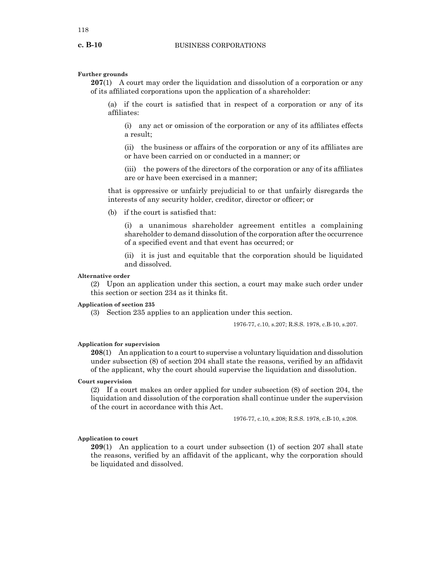#### **Further grounds**

**207**(1) A court may order the liquidation and dissolution of a corporation or any of its affiliated corporations upon the application of a shareholder:

(a) if the court is satisfied that in respect of a corporation or any of its affiliates:

(i) any act or omission of the corporation or any of its affiliates effects a result;

(ii) the business or affairs of the corporation or any of its affiliates are or have been carried on or conducted in a manner; or

(iii) the powers of the directors of the corporation or any of its affiliates are or have been exercised in a manner;

that is oppressive or unfairly prejudicial to or that unfairly disregards the interests of any security holder, creditor, director or officer; or

(b) if the court is satisfied that:

(i) a unanimous shareholder agreement entitles a complaining shareholder to demand dissolution of the corporation after the occurrence of a specified event and that event has occurred; or

(ii) it is just and equitable that the corporation should be liquidated and dissolved.

#### **Alternative order**

(2) Upon an application under this section, a court may make such order under this section or section 234 as it thinks fit.

## **Application of section 235**

(3) Section 235 applies to an application under this section.

1976-77, c.10, s.207; R.S.S. 1978, c.B-10, s.207.

## **Application for supervision**

**208**(1) An application to a court to supervise a voluntary liquidation and dissolution under subsection (8) of section 204 shall state the reasons, verified by an affidavit of the applicant, why the court should supervise the liquidation and dissolution.

# **Court supervision**

(2) If a court makes an order applied for under subsection (8) of section 204, the liquidation and dissolution of the corporation shall continue under the supervision of the court in accordance with this Act.

1976-77, c.10, s.208; R.S.S. 1978, c.B-10, s.208.

## **Application to court**

**209**(1) An application to a court under subsection (1) of section 207 shall state the reasons, verified by an affidavit of the applicant, why the corporation should be liquidated and dissolved.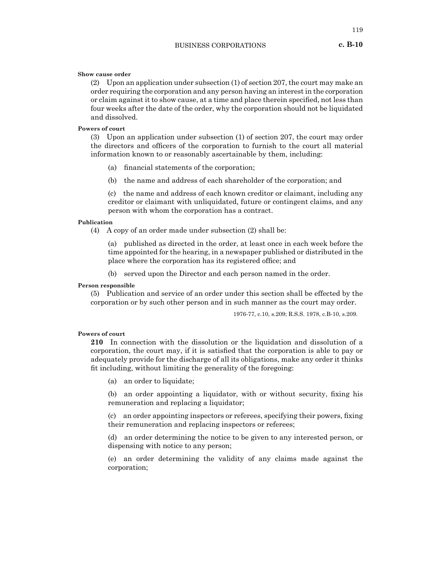## **Show cause order**

(2) Upon an application under subsection (1) of section 207, the court may make an order requiring the corporation and any person having an interest in the corporation or claim against it to show cause, at a time and place therein specified, not less than four weeks after the date of the order, why the corporation should not be liquidated and dissolved.

## **Powers of court**

(3) Upon an application under subsection (1) of section 207, the court may order the directors and officers of the corporation to furnish to the court all material information known to or reasonably ascertainable by them, including:

- (a) financial statements of the corporation;
- (b) the name and address of each shareholder of the corporation; and

(c) the name and address of each known creditor or claimant, including any creditor or claimant with unliquidated, future or contingent claims, and any person with whom the corporation has a contract.

## **Publication**

(4) A copy of an order made under subsection (2) shall be:

(a) published as directed in the order, at least once in each week before the time appointed for the hearing, in a newspaper published or distributed in the place where the corporation has its registered office; and

(b) served upon the Director and each person named in the order.

# **Person responsible**

(5) Publication and service of an order under this section shall be effected by the corporation or by such other person and in such manner as the court may order.

1976-77, c.10, s.209; R.S.S. 1978, c.B-10, s.209.

## **Powers of court**

**210** In connection with the dissolution or the liquidation and dissolution of a corporation, the court may, if it is satisfied that the corporation is able to pay or adequately provide for the discharge of all its obligations, make any order it thinks fit including, without limiting the generality of the foregoing:

(a) an order to liquidate;

(b) an order appointing a liquidator, with or without security, fixing his remuneration and replacing a liquidator;

(c) an order appointing inspectors or referees, specifying their powers, fixing their remuneration and replacing inspectors or referees;

(d) an order determining the notice to be given to any interested person, or dispensing with notice to any person;

(e) an order determining the validity of any claims made against the corporation;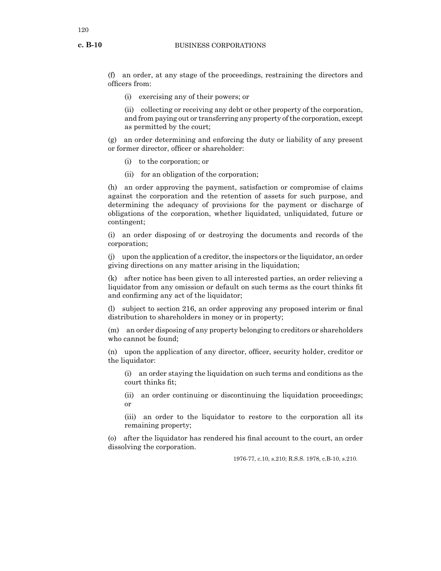(f) an order, at any stage of the proceedings, restraining the directors and officers from:

(i) exercising any of their powers; or

(ii) collecting or receiving any debt or other property of the corporation, and from paying out or transferring any property of the corporation, except as permitted by the court;

(g) an order determining and enforcing the duty or liability of any present or former director, officer or shareholder:

- (i) to the corporation; or
- (ii) for an obligation of the corporation;

(h) an order approving the payment, satisfaction or compromise of claims against the corporation and the retention of assets for such purpose, and determining the adequacy of provisions for the payment or discharge of obligations of the corporation, whether liquidated, unliquidated, future or contingent;

(i) an order disposing of or destroying the documents and records of the corporation;

(j) upon the application of a creditor, the inspectors or the liquidator, an order giving directions on any matter arising in the liquidation;

(k) after notice has been given to all interested parties, an order relieving a liquidator from any omission or default on such terms as the court thinks fit and confirming any act of the liquidator;

(l) subject to section 216, an order approving any proposed interim or final distribution to shareholders in money or in property;

(m) an order disposing of any property belonging to creditors or shareholders who cannot be found;

(n) upon the application of any director, officer, security holder, creditor or the liquidator:

(i) an order staying the liquidation on such terms and conditions as the court thinks fit;

(ii) an order continuing or discontinuing the liquidation proceedings; or

(iii) an order to the liquidator to restore to the corporation all its remaining property;

(o) after the liquidator has rendered his final account to the court, an order dissolving the corporation.

1976-77, c.10, s.210; R.S.S. 1978, c.B-10, s.210.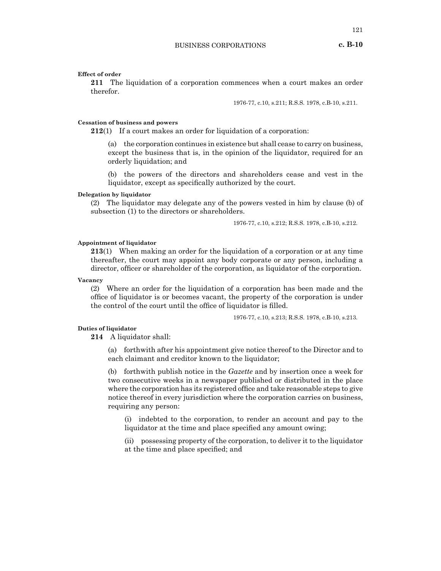**c. B-10**

#### **Effect of order**

**211** The liquidation of a corporation commences when a court makes an order therefor.

1976-77, c.10, s.211; R.S.S. 1978, c.B-10, s.211.

#### **Cessation of business and powers**

**212**(1) If a court makes an order for liquidation of a corporation:

(a) the corporation continues in existence but shall cease to carry on business, except the business that is, in the opinion of the liquidator, required for an orderly liquidation; and

(b) the powers of the directors and shareholders cease and vest in the liquidator, except as specifically authorized by the court.

## **Delegation by liquidator**

(2) The liquidator may delegate any of the powers vested in him by clause (b) of subsection (1) to the directors or shareholders.

1976-77, c.10, s.212; R.S.S. 1978, c.B-10, s.212.

## **Appointment of liquidator**

**213**(1) When making an order for the liquidation of a corporation or at any time thereafter, the court may appoint any body corporate or any person, including a director, officer or shareholder of the corporation, as liquidator of the corporation.

**Vacancy**

(2) Where an order for the liquidation of a corporation has been made and the office of liquidator is or becomes vacant, the property of the corporation is under the control of the court until the office of liquidator is filled.

1976-77, c.10, s.213; R.S.S. 1978, c.B-10, s.213.

## **Duties of liquidator**

**214** A liquidator shall:

(a) forthwith after his appointment give notice thereof to the Director and to each claimant and creditor known to the liquidator;

(b) forthwith publish notice in the *Gazette* and by insertion once a week for two consecutive weeks in a newspaper published or distributed in the place where the corporation has its registered office and take reasonable steps to give notice thereof in every jurisdiction where the corporation carries on business, requiring any person:

(i) indebted to the corporation, to render an account and pay to the liquidator at the time and place specified any amount owing;

(ii) possessing property of the corporation, to deliver it to the liquidator at the time and place specified; and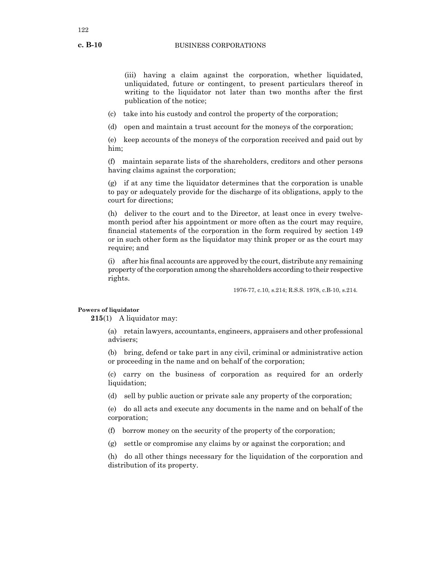(iii) having a claim against the corporation, whether liquidated, unliquidated, future or contingent, to present particulars thereof in writing to the liquidator not later than two months after the first publication of the notice;

- (c) take into his custody and control the property of the corporation;
- (d) open and maintain a trust account for the moneys of the corporation;

(e) keep accounts of the moneys of the corporation received and paid out by him;

(f) maintain separate lists of the shareholders, creditors and other persons having claims against the corporation;

(g) if at any time the liquidator determines that the corporation is unable to pay or adequately provide for the discharge of its obligations, apply to the court for directions;

(h) deliver to the court and to the Director, at least once in every twelvemonth period after his appointment or more often as the court may require, financial statements of the corporation in the form required by section 149 or in such other form as the liquidator may think proper or as the court may require; and

(i) after his final accounts are approved by the court, distribute any remaining property of the corporation among the shareholders according to their respective rights.

1976-77, c.10, s.214; R.S.S. 1978, c.B-10, s.214.

## **Powers of liquidator**

**215**(1) A liquidator may:

(a) retain lawyers, accountants, engineers, appraisers and other professional advisers;

(b) bring, defend or take part in any civil, criminal or administrative action or proceeding in the name and on behalf of the corporation;

(c) carry on the business of corporation as required for an orderly liquidation;

(d) sell by public auction or private sale any property of the corporation;

(e) do all acts and execute any documents in the name and on behalf of the corporation;

- (f) borrow money on the security of the property of the corporation;
- (g) settle or compromise any claims by or against the corporation; and

(h) do all other things necessary for the liquidation of the corporation and distribution of its property.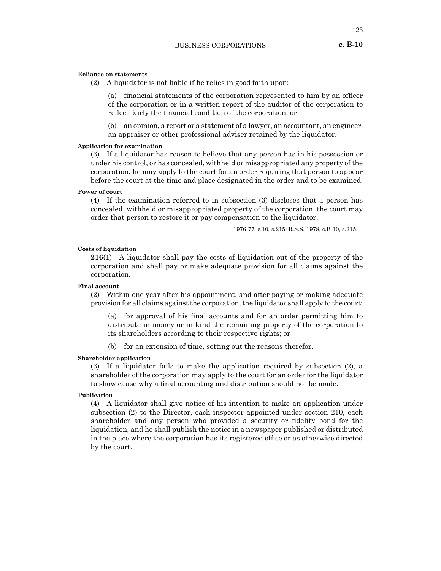#### **Reliance on statements**

(2) A liquidator is not liable if he relies in good faith upon:

(a) financial statements of the corporation represented to him by an officer of the corporation or in a written report of the auditor of the corporation to reflect fairly the financial condition of the corporation; or

(b) an opinion, a report or a statement of a lawyer, an accountant, an engineer, an appraiser or other professional adviser retained by the liquidator.

#### **Application for examination**

(3) If a liquidator has reason to believe that any person has in his possession or under his control, or has concealed, withheld or misappropriated any property of the corporation, he may apply to the court for an order requiring that person to appear before the court at the time and place designated in the order and to be examined.

#### **Power of court**

(4) If the examination referred to in subsection (3) discloses that a person has concealed, withheld or misappropriated property of the corporation, the court may order that person to restore it or pay compensation to the liquidator.

1976-77, c.10, s.215; R.S.S. 1978, c.B-10, s.215.

# **Costs of liquidation**

**216**(1) A liquidator shall pay the costs of liquidation out of the property of the corporation and shall pay or make adequate provision for all claims against the corporation.

## **Final account**

(2) Within one year after his appointment, and after paying or making adequate provision for all claims against the corporation, the liquidator shall apply to the court:

(a) for approval of his final accounts and for an order permitting him to distribute in money or in kind the remaining property of the corporation to its shareholders according to their respective rights; or

(b) for an extension of time, setting out the reasons therefor.

#### **Shareholder application**

(3) If a liquidator fails to make the application required by subsection (2), a shareholder of the corporation may apply to the court for an order for the liquidator to show cause why a final accounting and distribution should not be made.

#### **Publication**

(4) A liquidator shall give notice of his intention to make an application under subsection (2) to the Director, each inspector appointed under section 210, each shareholder and any person who provided a security or fidelity bond for the liquidation, and he shall publish the notice in a newspaper published or distributed in the place where the corporation has its registered office or as otherwise directed by the court.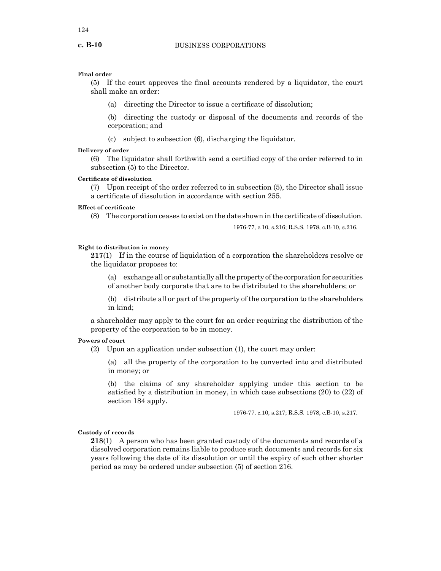## **Final order**

(5) If the court approves the final accounts rendered by a liquidator, the court shall make an order:

(a) directing the Director to issue a certificate of dissolution;

(b) directing the custody or disposal of the documents and records of the corporation; and

(c) subject to subsection (6), discharging the liquidator.

## **Delivery of order**

(6) The liquidator shall forthwith send a certified copy of the order referred to in subsection (5) to the Director.

# **Certificate of dissolution**

(7) Upon receipt of the order referred to in subsection (5), the Director shall issue a certificate of dissolution in accordance with section 255.

## **Effect of certificate**

(8) The corporation ceases to exist on the date shown in the certificate of dissolution.

1976-77, c.10, s.216; R.S.S. 1978, c.B-10, s.216.

#### **Right to distribution in money**

**217**(1) If in the course of liquidation of a corporation the shareholders resolve or the liquidator proposes to:

(a) exchange all or substantially all the property of the corporation for securities of another body corporate that are to be distributed to the shareholders; or

(b) distribute all or part of the property of the corporation to the shareholders in kind;

a shareholder may apply to the court for an order requiring the distribution of the property of the corporation to be in money.

## **Powers of court**

(2) Upon an application under subsection (1), the court may order:

(a) all the property of the corporation to be converted into and distributed in money; or

(b) the claims of any shareholder applying under this section to be satisfied by a distribution in money, in which case subsections (20) to (22) of section 184 apply.

1976-77, c.10, s.217; R.S.S. 1978, c.B-10, s.217.

# **Custody of records**

**218**(1) A person who has been granted custody of the documents and records of a dissolved corporation remains liable to produce such documents and records for six years following the date of its dissolution or until the expiry of such other shorter period as may be ordered under subsection (5) of section 216.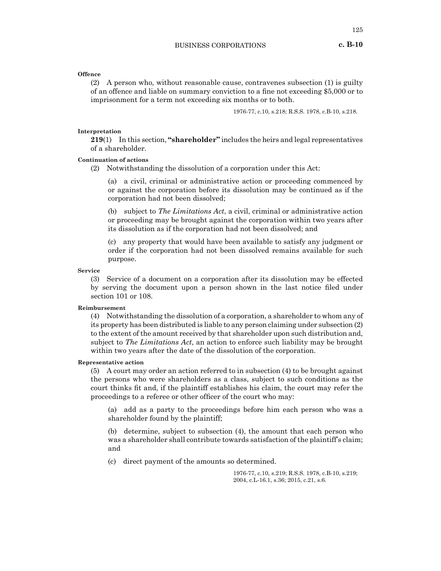**Offence**

(2) A person who, without reasonable cause, contravenes subsection (1) is guilty of an offence and liable on summary conviction to a fine not exceeding \$5,000 or to imprisonment for a term not exceeding six months or to both.

1976-77, c.10, s.218; R.S.S. 1978, c.B-10, s.218.

**Interpretation**

**219**(1) In this section, **"shareholder"** includes the heirs and legal representatives of a shareholder.

# **Continuation of actions**

(2) Notwithstanding the dissolution of a corporation under this Act:

(a) a civil, criminal or administrative action or proceeding commenced by or against the corporation before its dissolution may be continued as if the corporation had not been dissolved;

(b) subject to *The Limitations Act*, a civil, criminal or administrative action or proceeding may be brought against the corporation within two years after its dissolution as if the corporation had not been dissolved; and

(c) any property that would have been available to satisfy any judgment or order if the corporation had not been dissolved remains available for such purpose.

**Service**

(3) Service of a document on a corporation after its dissolution may be effected by serving the document upon a person shown in the last notice filed under section 101 or 108.

### **Reimbursement**

(4) Notwithstanding the dissolution of a corporation, a shareholder to whom any of its property has been distributed is liable to any person claiming under subsection (2) to the extent of the amount received by that shareholder upon such distribution and, subject to *The Limitations Act*, an action to enforce such liability may be brought within two years after the date of the dissolution of the corporation.

## **Representative action**

(5) A court may order an action referred to in subsection (4) to be brought against the persons who were shareholders as a class, subject to such conditions as the court thinks fit and, if the plaintiff establishes his claim, the court may refer the proceedings to a referee or other officer of the court who may:

(a) add as a party to the proceedings before him each person who was a shareholder found by the plaintiff;

(b) determine, subject to subsection (4), the amount that each person who was a shareholder shall contribute towards satisfaction of the plaintiff's claim; and

(c) direct payment of the amounts so determined.

1976-77, c.10, s.219; R.S.S. 1978, c.B-10, s.219; 2004, c.L-16.1, s.36; 2015, c.21, s.6.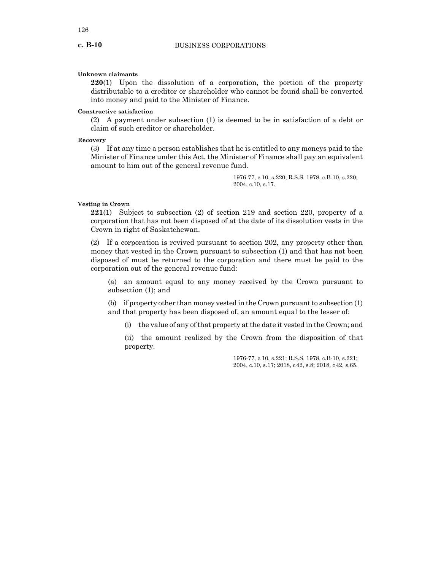**Unknown claimants**

**220**(1) Upon the dissolution of a corporation, the portion of the property distributable to a creditor or shareholder who cannot be found shall be converted into money and paid to the Minister of Finance.

### **Constructive satisfaction**

(2) A payment under subsection (1) is deemed to be in satisfaction of a debt or claim of such creditor or shareholder.

#### **Recovery**

(3) If at any time a person establishes that he is entitled to any moneys paid to the Minister of Finance under this Act, the Minister of Finance shall pay an equivalent amount to him out of the general revenue fund.

> 1976-77, c.10, s.220; R.S.S. 1978, c.B-10, s.220; 2004, c.10, s.17.

## **Vesting in Crown**

**221**(1) Subject to subsection (2) of section 219 and section 220, property of a corporation that has not been disposed of at the date of its dissolution vests in the Crown in right of Saskatchewan.

(2) If a corporation is revived pursuant to section 202, any property other than money that vested in the Crown pursuant to subsection (1) and that has not been disposed of must be returned to the corporation and there must be paid to the corporation out of the general revenue fund:

(a) an amount equal to any money received by the Crown pursuant to subsection (1); and

(b) if property other than money vested in the Crown pursuant to subsection (1) and that property has been disposed of, an amount equal to the lesser of:

(i) the value of any of that property at the date it vested in the Crown; and

(ii) the amount realized by the Crown from the disposition of that property.

> 1976-77, c.10, s.221; R.S.S. 1978, c.B-10, s.221; 2004, c.10, s.17; 2018, c42, s.8; 2018, c42, s.65.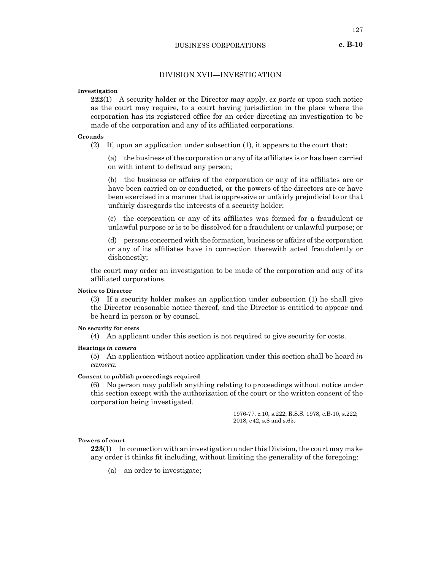# DIVISION XVII—INVESTIGATION

#### **Investigation**

**222**(1) A security holder or the Director may apply, *ex parte* or upon such notice as the court may require, to a court having jurisdiction in the place where the corporation has its registered office for an order directing an investigation to be made of the corporation and any of its affiliated corporations.

## **Grounds**

(2) If, upon an application under subsection (1), it appears to the court that:

(a) the business of the corporation or any of its affiliates is or has been carried on with intent to defraud any person;

(b) the business or affairs of the corporation or any of its affiliates are or have been carried on or conducted, or the powers of the directors are or have been exercised in a manner that is oppressive or unfairly prejudicial to or that unfairly disregards the interests of a security holder;

(c) the corporation or any of its affiliates was formed for a fraudulent or unlawful purpose or is to be dissolved for a fraudulent or unlawful purpose; or

(d) persons concerned with the formation, business or affairs of the corporation or any of its affiliates have in connection therewith acted fraudulently or dishonestly;

the court may order an investigation to be made of the corporation and any of its affiliated corporations.

## **Notice to Director**

(3) If a security holder makes an application under subsection (1) he shall give the Director reasonable notice thereof, and the Director is entitled to appear and be heard in person or by counsel.

## **No security for costs**

(4) An applicant under this section is not required to give security for costs.

## **Hearings** *in camera*

(5) An application without notice application under this section shall be heard *in camera.*

#### **Consent to publish proceedings required**

(6) No person may publish anything relating to proceedings without notice under this section except with the authorization of the court or the written consent of the corporation being investigated.

> 1976-77, c.10, s.222; R.S.S. 1978, c.B-10, s.222; 2018, c42, s.8 and s.65.

# **Powers of court**

**223**(1) In connection with an investigation under this Division, the court may make any order it thinks fit including, without limiting the generality of the foregoing:

(a) an order to investigate;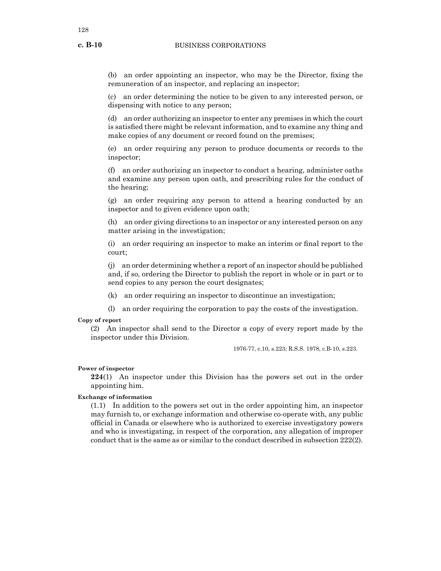(b) an order appointing an inspector, who may be the Director, fixing the remuneration of an inspector, and replacing an inspector;

(c) an order determining the notice to be given to any interested person, or dispensing with notice to any person;

(d) an order authorizing an inspector to enter any premises in which the court is satisfied there might be relevant information, and to examine any thing and make copies of any document or record found on the premises;

(e) an order requiring any person to produce documents or records to the inspector;

(f) an order authorizing an inspector to conduct a hearing, administer oaths and examine any person upon oath, and prescribing rules for the conduct of the hearing;

(g) an order requiring any person to attend a hearing conducted by an inspector and to given evidence upon oath;

(h) an order giving directions to an inspector or any interested person on any matter arising in the investigation;

(i) an order requiring an inspector to make an interim or final report to the court;

(j) an order determining whether a report of an inspector should be published and, if so, ordering the Director to publish the report in whole or in part or to send copies to any person the court designates;

(k) an order requiring an inspector to discontinue an investigation;

(l) an order requiring the corporation to pay the costs of the investigation.

# **Copy of report**

(2) An inspector shall send to the Director a copy of every report made by the inspector under this Division.

1976-77, c.10, s.223; R.S.S. 1978, c.B-10, s.223.

#### **Power of inspector**

**224**(1) An inspector under this Division has the powers set out in the order appointing him.

# **Exchange of information**

(1.1) In addition to the powers set out in the order appointing him, an inspector may furnish to, or exchange information and otherwise co-operate with, any public official in Canada or elsewhere who is authorized to exercise investigatory powers and who is investigating, in respect of the corporation, any allegation of improper conduct that is the same as or similar to the conduct described in subsection 222(2).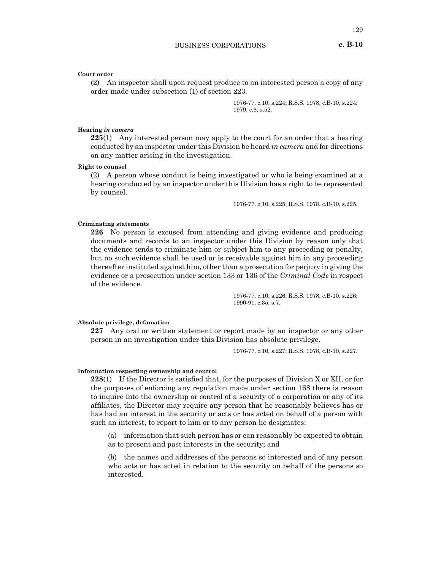## **Court order**

(2) An inspector shall upon request produce to an interested person a copy of any order made under subsection (1) of section 223.

> 1976-77, c.10, s.224; R.S.S. 1978, c.B-10, s.224; 1979, c.6, s.52.

# **Hearing** *in camera*

**225**(1) Any interested person may apply to the court for an order that a hearing conducted by an inspector under this Division be heard *in camera* and for directions on any matter arising in the investigation.

## **Right to counsel**

(2) A person whose conduct is being investigated or who is being examined at a hearing conducted by an inspector under this Division has a right to be represented by counsel.

1976-77, c.10, s.225; R.S.S. 1978, c.B-10, s.225.

#### **Criminating statements**

**226** No person is excused from attending and giving evidence and producing documents and records to an inspector under this Division by reason only that the evidence tends to criminate him or subject him to any proceeding or penalty, but no such evidence shall be used or is receivable against him in any proceeding thereafter instituted against him, other than a prosecution for perjury in giving the evidence or a prosecution under section 133 or 136 of the *Criminal Code* in respect of the evidence.

> 1976-77, c.10, s.226; R.S.S. 1978, c.B-10, s.226; 1990-91, c.35, s.7.

## **Absolute privilege, defamation**

**227** Any oral or written statement or report made by an inspector or any other person in an investigation under this Division has absolute privilege.

1976-77, c.10, s.227; R.S.S. 1978, c.B-10, s.227.

#### **Information respecting ownership and control**

**228**(1) If the Director is satisfied that, for the purposes of Division X or XII, or for the purposes of enforcing any regulation made under section 168 there is reason to inquire into the ownership or control of a security of a corporation or any of its affiliates, the Director may require any person that he reasonably believes has or has had an interest in the security or acts or has acted on behalf of a person with such an interest, to report to him or to any person he designates:

(a) information that such person has or can reasonably be expected to obtain as to present and past interests in the security; and

(b) the names and addresses of the persons so interested and of any person who acts or has acted in relation to the security on behalf of the persons so interested.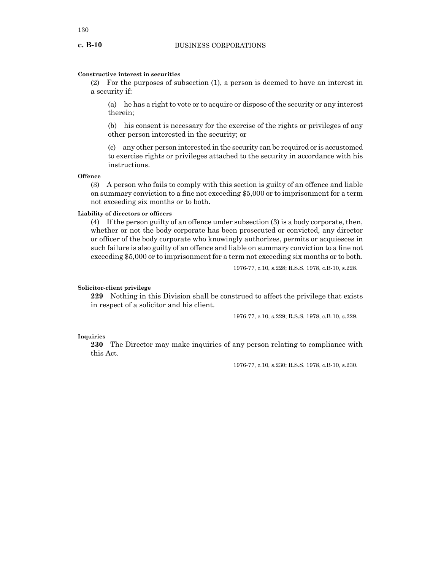## **Constructive interest in securities**

(2) For the purposes of subsection (1), a person is deemed to have an interest in a security if:

(a) he has a right to vote or to acquire or dispose of the security or any interest therein;

(b) his consent is necessary for the exercise of the rights or privileges of any other person interested in the security; or

(c) any other person interested in the security can be required or is accustomed to exercise rights or privileges attached to the security in accordance with his instructions.

#### **Offence**

(3) A person who fails to comply with this section is guilty of an offence and liable on summary conviction to a fine not exceeding \$5,000 or to imprisonment for a term not exceeding six months or to both.

# **Liability of directors or officers**

(4) If the person guilty of an offence under subsection (3) is a body corporate, then, whether or not the body corporate has been prosecuted or convicted, any director or officer of the body corporate who knowingly authorizes, permits or acquiesces in such failure is also guilty of an offence and liable on summary conviction to a fine not exceeding \$5,000 or to imprisonment for a term not exceeding six months or to both.

1976-77, c.10, s.228; R.S.S. 1978, c.B-10, s.228.

## **Solicitor-client privilege**

**229** Nothing in this Division shall be construed to affect the privilege that exists in respect of a solicitor and his client.

1976-77, c.10, s.229; R.S.S. 1978, c.B-10, s.229.

## **Inquiries**

**230** The Director may make inquiries of any person relating to compliance with this Act.

1976-77, c.10, s.230; R.S.S. 1978, c.B-10, s.230.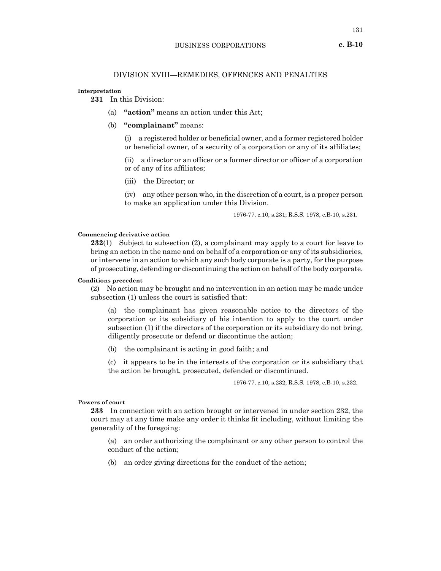# DIVISION XVIII—REMEDIES, OFFENCES AND PENALTIES

#### **Interpretation**

**231** In this Division:

- (a) **"action"** means an action under this Act;
- (b) **"complainant"** means:

(i) a registered holder or beneficial owner, and a former registered holder or beneficial owner, of a security of a corporation or any of its affiliates;

(ii) a director or an officer or a former director or officer of a corporation or of any of its affiliates;

(iii) the Director; or

(iv) any other person who, in the discretion of a court, is a proper person to make an application under this Division.

1976-77, c.10, s.231; R.S.S. 1978, c.B-10, s.231.

# **Commencing derivative action**

**232**(1) Subject to subsection (2), a complainant may apply to a court for leave to bring an action in the name and on behalf of a corporation or any of its subsidiaries, or intervene in an action to which any such body corporate is a party, for the purpose of prosecuting, defending or discontinuing the action on behalf of the body corporate.

#### **Conditions precedent**

(2) No action may be brought and no intervention in an action may be made under subsection (1) unless the court is satisfied that:

(a) the complainant has given reasonable notice to the directors of the corporation or its subsidiary of his intention to apply to the court under subsection (1) if the directors of the corporation or its subsidiary do not bring, diligently prosecute or defend or discontinue the action;

(b) the complainant is acting in good faith; and

(c) it appears to be in the interests of the corporation or its subsidiary that the action be brought, prosecuted, defended or discontinued.

1976-77, c.10, s.232; R.S.S. 1978, c.B-10, s.232.

## **Powers of court**

**233** In connection with an action brought or intervened in under section 232, the court may at any time make any order it thinks fit including, without limiting the generality of the foregoing:

- (a) an order authorizing the complainant or any other person to control the conduct of the action;
- (b) an order giving directions for the conduct of the action;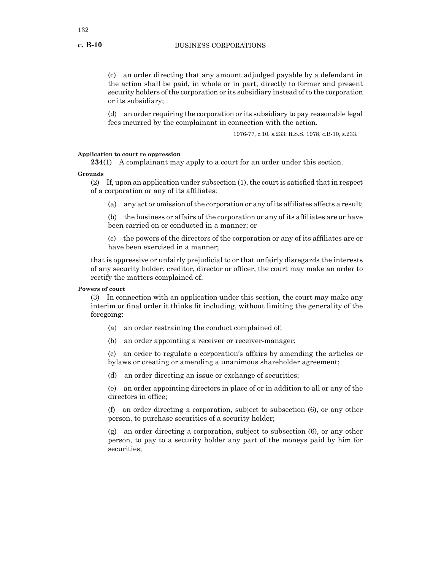(c) an order directing that any amount adjudged payable by a defendant in the action shall be paid, in whole or in part, directly to former and present security holders of the corporation or its subsidiary instead of to the corporation or its subsidiary;

(d) an order requiring the corporation or its subsidiary to pay reasonable legal fees incurred by the complainant in connection with the action.

1976-77, c.10, s.233; R.S.S. 1978, c.B-10, s.233.

## **Application to court re oppression**

**234**(1) A complainant may apply to a court for an order under this section.

#### **Grounds**

(2) If, upon an application under subsection (1), the court is satisfied that in respect of a corporation or any of its affiliates:

(a) any act or omission ofthe corporation or any of its affiliates affects a result;

(b) the business or affairs of the corporation or any of its affiliates are or have been carried on or conducted in a manner; or

(c) the powers of the directors of the corporation or any of its affiliates are or have been exercised in a manner;

that is oppressive or unfairly prejudicial to or that unfairly disregards the interests of any security holder, creditor, director or officer, the court may make an order to rectify the matters complained of.

#### **Powers of court**

(3) In connection with an application under this section, the court may make any interim or final order it thinks fit including, without limiting the generality of the foregoing:

- (a) an order restraining the conduct complained of;
- (b) an order appointing a receiver or receiver-manager;

(c) an order to regulate a corporation's affairs by amending the articles or bylaws or creating or amending a unanimous shareholder agreement;

(d) an order directing an issue or exchange of securities;

(e) an order appointing directors in place of or in addition to all or any of the directors in office;

(f) an order directing a corporation, subject to subsection (6), or any other person, to purchase securities of a security holder;

(g) an order directing a corporation, subject to subsection (6), or any other person, to pay to a security holder any part of the moneys paid by him for securities;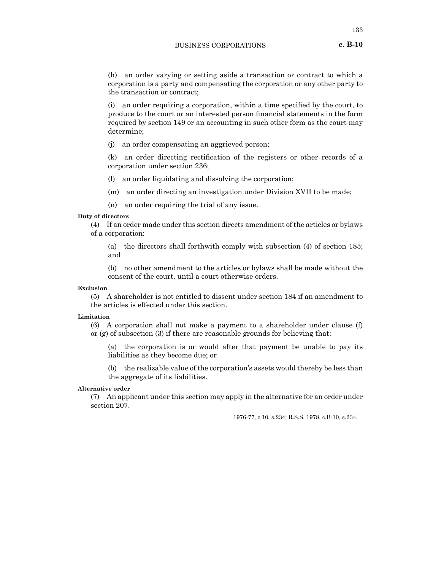(h) an order varying or setting aside a transaction or contract to which a corporation is a party and compensating the corporation or any other party to the transaction or contract;

(i) an order requiring a corporation, within a time specified by the court, to produce to the court or an interested person financial statements in the form required by section 149 or an accounting in such other form as the court may determine;

(j) an order compensating an aggrieved person;

(k) an order directing rectification of the registers or other records of a corporation under section 236;

(l) an order liquidating and dissolving the corporation;

(m) an order directing an investigation under Division XVII to be made;

(n) an order requiring the trial of any issue.

#### **Duty of directors**

(4) If an order made under this section directs amendment of the articles or bylaws of a corporation:

(a) the directors shall forthwith comply with subsection (4) of section 185; and

(b) no other amendment to the articles or bylaws shall be made without the consent of the court, until a court otherwise orders.

#### **Exclusion**

(5) A shareholder is not entitled to dissent under section 184 if an amendment to the articles is effected under this section.

# **Limitation**

(6) A corporation shall not make a payment to a shareholder under clause (f) or (g) of subsection (3) if there are reasonable grounds for believing that:

(a) the corporation is or would after that payment be unable to pay its liabilities as they become due; or

(b) the realizable value of the corporation's assets would thereby be less than the aggregate of its liabilities.

# **Alternative order**

(7) An applicant under this section may apply in the alternative for an order under section 207.

1976-77, c.10, s.234; R.S.S. 1978, c.B-10, s.234.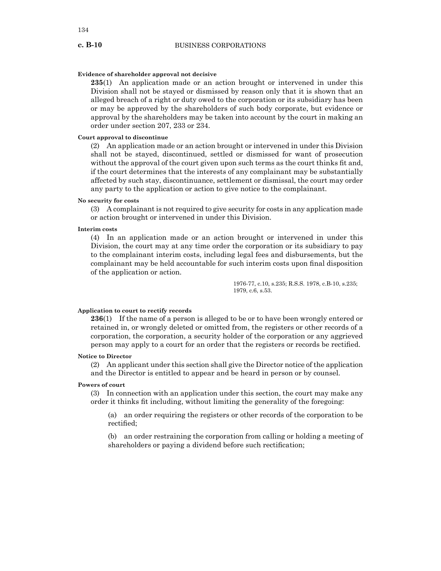#### **Evidence of shareholder approval not decisive**

**235**(1) An application made or an action brought or intervened in under this Division shall not be stayed or dismissed by reason only that it is shown that an alleged breach of a right or duty owed to the corporation or its subsidiary has been or may be approved by the shareholders of such body corporate, but evidence or approval by the shareholders may be taken into account by the court in making an order under section 207, 233 or 234.

## **Court approval to discontinue**

(2) An application made or an action brought or intervened in under this Division shall not be stayed, discontinued, settled or dismissed for want of prosecution without the approval of the court given upon such terms as the court thinks fit and, if the court determines that the interests of any complainant may be substantially affected by such stay, discontinuance, settlement or dismissal, the court may order any party to the application or action to give notice to the complainant.

## **No security for costs**

(3) A complainant is not required to give security for costs in any application made or action brought or intervened in under this Division.

## **Interim costs**

(4) In an application made or an action brought or intervened in under this Division, the court may at any time order the corporation or its subsidiary to pay to the complainant interim costs, including legal fees and disbursements, but the complainant may be held accountable for such interim costs upon final disposition of the application or action.

> 1976-77, c.10, s.235; R.S.S. 1978, c.B-10, s.235; 1979, c.6, s.53.

## **Application to court to rectify records**

**236**(1) If the name of a person is alleged to be or to have been wrongly entered or retained in, or wrongly deleted or omitted from, the registers or other records of a corporation, the corporation, a security holder of the corporation or any aggrieved person may apply to a court for an order that the registers or records be rectified.

## **Notice to Director**

(2) An applicant under this section shall give the Director notice of the application and the Director is entitled to appear and be heard in person or by counsel.

# **Powers of court**

(3) In connection with an application under this section, the court may make any order it thinks fit including, without limiting the generality of the foregoing:

(a) an order requiring the registers or other records of the corporation to be rectified;

(b) an order restraining the corporation from calling or holding a meeting of shareholders or paying a dividend before such rectification;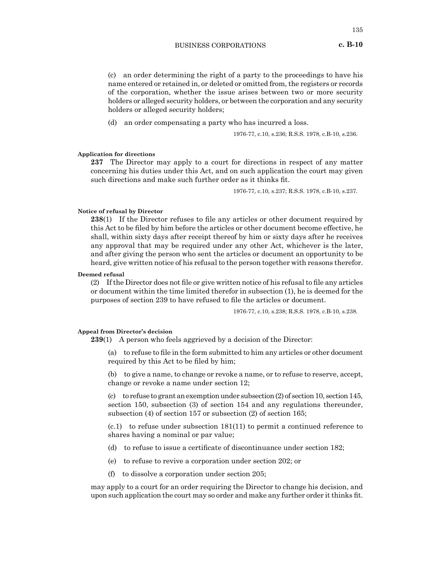**c. B-10**

(c) an order determining the right of a party to the proceedings to have his name entered or retained in, or deleted or omitted from, the registers or records of the corporation, whether the issue arises between two or more security holders or alleged security holders, or between the corporation and any security holders or alleged security holders;

(d) an order compensating a party who has incurred a loss.

1976-77, c.10, s.236; R.S.S. 1978, c.B-10, s.236.

# **Application for directions**

**237** The Director may apply to a court for directions in respect of any matter concerning his duties under this Act, and on such application the court may given such directions and make such further order as it thinks fit.

1976-77, c.10, s.237; R.S.S. 1978, c.B-10, s.237.

## **Notice of refusal by Director**

**238**(1) If the Director refuses to file any articles or other document required by this Act to be filed by him before the articles or other document become effective, he shall, within sixty days after receipt thereof by him or sixty days after he receives any approval that may be required under any other Act, whichever is the later, and after giving the person who sent the articles or document an opportunity to be heard, give written notice of his refusal to the person together with reasons therefor.

**Deemed refusal**

(2) Ifthe Director does not file or give written notice of his refusalto file any articles or document within the time limited therefor in subsection (1), he is deemed for the purposes of section 239 to have refused to file the articles or document.

1976-77, c.10, s.238; R.S.S. 1978, c.B-10, s.238.

# **Appeal from Director's decision**

**239**(1) A person who feels aggrieved by a decision of the Director:

(a) to refuse to file in the form submitted to him any articles or other document required by this Act to be filed by him;

(b) to give a name, to change or revoke a name, or to refuse to reserve, accept, change or revoke a name under section 12;

(c) to refuse to grant an exemption under subsection (2) of section 10, section 145, section 150, subsection (3) of section 154 and any regulations thereunder, subsection (4) of section 157 or subsection (2) of section 165;

 $(c.1)$  to refuse under subsection 181(11) to permit a continued reference to shares having a nominal or par value;

- (d) to refuse to issue a certificate of discontinuance under section 182;
- (e) to refuse to revive a corporation under section 202; or
- (f) to dissolve a corporation under section 205;

may apply to a court for an order requiring the Director to change his decision, and upon such application the court may so order and make any further order itthinks fit.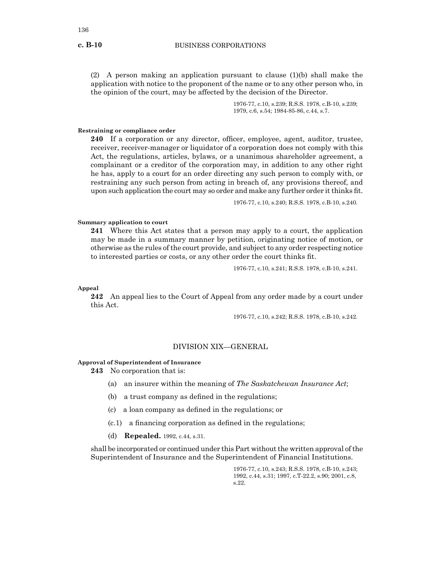(2) A person making an application pursuant to clause (1)(b) shall make the application with notice to the proponent of the name or to any other person who, in the opinion of the court, may be affected by the decision of the Director.

> 1976-77, c.10, s.239; R.S.S. 1978, c.B-10, s.239; 1979, c.6, s.54; 1984-85-86, c.44, s.7.

## **Restraining or compliance order**

**240** If a corporation or any director, officer, employee, agent, auditor, trustee, receiver, receiver-manager or liquidator of a corporation does not comply with this Act, the regulations, articles, bylaws, or a unanimous shareholder agreement, a complainant or a creditor of the corporation may, in addition to any other right he has, apply to a court for an order directing any such person to comply with, or restraining any such person from acting in breach of, any provisions thereof, and upon such application the court may so order and make any further order it thinks fit.

1976-77, c.10, s.240; R.S.S. 1978, c.B-10, s.240.

## **Summary application to court**

**241** Where this Act states that a person may apply to a court, the application may be made in a summary manner by petition, originating notice of motion, or otherwise as the rules of the court provide, and subject to any order respecting notice to interested parties or costs, or any other order the court thinks fit.

1976-77, c.10, s.241; R.S.S. 1978, c.B-10, s.241.

## **Appeal**

**242** An appeal lies to the Court of Appeal from any order made by a court under this Act.

1976-77, c.10, s.242; R.S.S. 1978, c.B-10, s.242.

# DIVISION XIX—GENERAL

## **Approval of Superintendent of Insurance**

**243** No corporation that is:

- (a) an insurer within the meaning of *The Saskatchewan Insurance Act*;
- (b) a trust company as defined in the regulations;
- (c) a loan company as defined in the regulations; or
- (c.1) a financing corporation as defined in the regulations;
- (d) **Repealed.** 1992, c.44, s.31.

shall be incorporated or continued under this Part without the written approval of the Superintendent of Insurance and the Superintendent of Financial Institutions.

> 1976-77, c.10, s.243; R.S.S. 1978, c.B-10, s.243; 1992, c.44, s.31; 1997, c.T-22.2, s.90; 2001, c.8, s.22.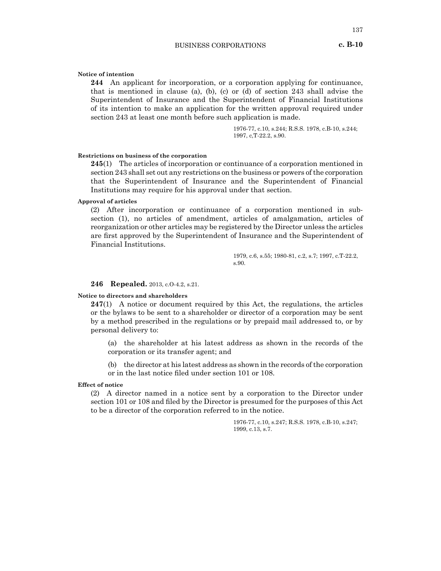**Notice of intention**

**244** An applicant for incorporation, or a corporation applying for continuance, that is mentioned in clause (a), (b), (c) or (d) of section 243 shall advise the Superintendent of Insurance and the Superintendent of Financial Institutions of its intention to make an application for the written approval required under section 243 at least one month before such application is made.

> 1976-77, c.10, s.244; R.S.S. 1978, c.B-10, s.244; 1997, c,T-22.2, s.90.

#### **Restrictions on business of the corporation**

**245**(1) The articles of incorporation or continuance of a corporation mentioned in section 243 shall set out any restrictions on the business or powers of the corporation that the Superintendent of Insurance and the Superintendent of Financial Institutions may require for his approval under that section.

## **Approval of articles**

(2) After incorporation or continuance of a corporation mentioned in subsection (1), no articles of amendment, articles of amalgamation, articles of reorganization or other articles may be registered by the Director unless the articles are first approved by the Superintendent of Insurance and the Superintendent of Financial Institutions.

> 1979, c.6, s.55; 1980-81, c.2, s.7; 1997, c.T-22.2, s.90.

# **246 Repealed.** 2013, c.O-4.2, s.21.

#### **Notice to directors and shareholders**

**247**(1) A notice or document required by this Act, the regulations, the articles or the bylaws to be sent to a shareholder or director of a corporation may be sent by a method prescribed in the regulations or by prepaid mail addressed to, or by personal delivery to:

(a) the shareholder at his latest address as shown in the records of the corporation or its transfer agent; and

(b) the director at his latest address as shown in the records of the corporation or in the last notice filed under section 101 or 108.

# **Effect of notice**

(2) A director named in a notice sent by a corporation to the Director under section 101 or 108 and filed by the Director is presumed for the purposes of this Act to be a director of the corporation referred to in the notice.

> 1976-77, c.10, s.247; R.S.S. 1978, c.B-10, s.247; 1999, c.13, s.7.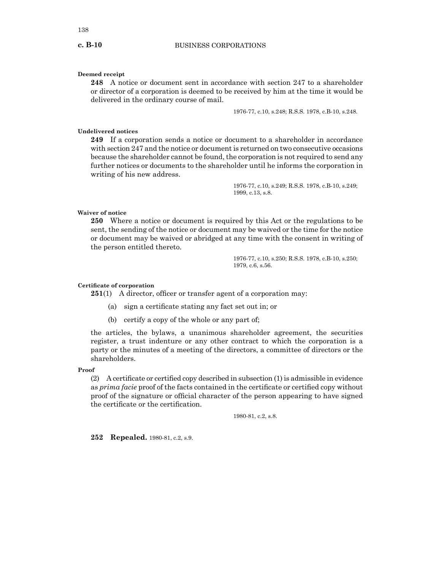## **Deemed receipt**

**248** A notice or document sent in accordance with section 247 to a shareholder or director of a corporation is deemed to be received by him at the time it would be delivered in the ordinary course of mail.

1976-77, c.10, s.248; R.S.S. 1978, c.B-10, s.248.

## **Undelivered notices**

**249** If a corporation sends a notice or document to a shareholder in accordance with section 247 and the notice or document is returned on two consecutive occasions because the shareholder cannot be found, the corporation is not required to send any further notices or documents to the shareholder until he informs the corporation in writing of his new address.

> 1976-77, c.10, s.249; R.S.S. 1978, c.B-10, s.249; 1999, c.13, s.8.

## **Waiver of notice**

**250** Where a notice or document is required by this Act or the regulations to be sent, the sending of the notice or document may be waived or the time for the notice or document may be waived or abridged at any time with the consent in writing of the person entitled thereto.

> 1976-77, c.10, s.250; R.S.S. 1978, c.B-10, s.250; 1979, c.6, s.56.

## **Certificate of corporation**

**251**(1) A director, officer or transfer agent of a corporation may:

- (a) sign a certificate stating any fact set out in; or
- (b) certify a copy of the whole or any part of;

the articles, the bylaws, a unanimous shareholder agreement, the securities register, a trust indenture or any other contract to which the corporation is a party or the minutes of a meeting of the directors, a committee of directors or the shareholders.

#### **Proof**

(2) A certificate or certified copy described in subsection (1) is admissible in evidence as *prima facie* proof of the facts contained in the certificate or certified copy without proof of the signature or official character of the person appearing to have signed the certificate or the certification.

1980-81, c.2, s.8.

**252 Repealed.** 1980-81, c.2, s.9.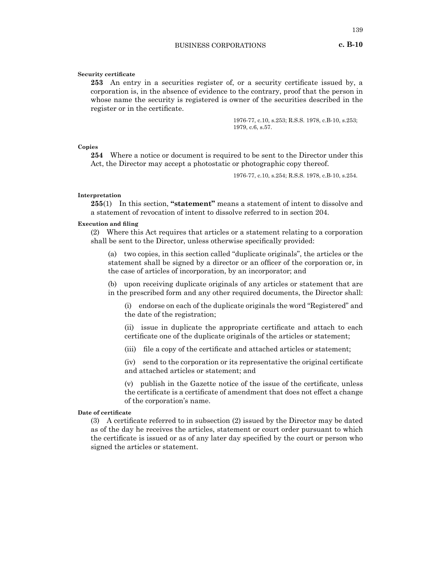**Security certificate**

**253** An entry in a securities register of, or a security certificate issued by, a corporation is, in the absence of evidence to the contrary, proof that the person in whose name the security is registered is owner of the securities described in the register or in the certificate.

> 1976-77, c.10, s.253; R.S.S. 1978, c.B-10, s.253; 1979, c.6, s.57.

**Copies**

**254** Where a notice or document is required to be sent to the Director under this Act, the Director may accept a photostatic or photographic copy thereof.

1976-77, c.10, s.254; R.S.S. 1978, c.B-10, s.254.

#### **Interpretation**

**255**(1) In this section, **"statement"** means a statement of intent to dissolve and a statement of revocation of intent to dissolve referred to in section 204.

## **Execution and filing**

(2) Where this Act requires that articles or a statement relating to a corporation shall be sent to the Director, unless otherwise specifically provided:

(a) two copies, in this section called "duplicate originals", the articles or the statement shall be signed by a director or an officer of the corporation or, in the case of articles of incorporation, by an incorporator; and

(b) upon receiving duplicate originals of any articles or statement that are in the prescribed form and any other required documents, the Director shall:

(i) endorse on each of the duplicate originals the word "Registered" and the date of the registration;

(ii) issue in duplicate the appropriate certificate and attach to each certificate one of the duplicate originals of the articles or statement;

(iii) file a copy of the certificate and attached articles or statement;

(iv) send to the corporation or its representative the original certificate and attached articles or statement; and

(v) publish in the Gazette notice of the issue of the certificate, unless the certificate is a certificate of amendment that does not effect a change of the corporation's name.

## **Date of certificate**

(3) A certificate referred to in subsection (2) issued by the Director may be dated as of the day he receives the articles, statement or court order pursuant to which the certificate is issued or as of any later day specified by the court or person who signed the articles or statement.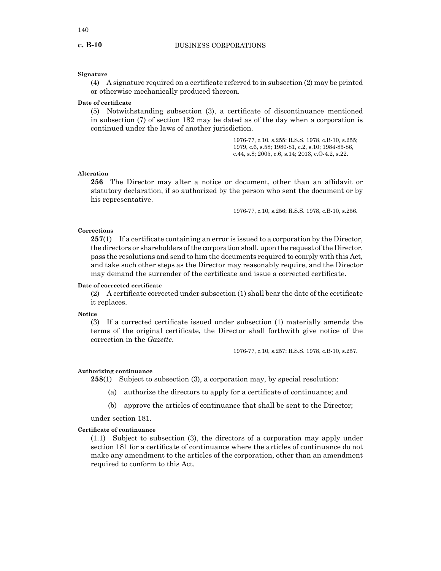## **Signature**

(4) A signature required on a certificate referred to in subsection (2) may be printed or otherwise mechanically produced thereon.

# **Date of certificate**

(5) Notwithstanding subsection (3), a certificate of discontinuance mentioned in subsection (7) of section 182 may be dated as of the day when a corporation is continued under the laws of another jurisdiction.

> 1976-77, c.10, s.255; R.S.S. 1978, c.B-10, s.255; 1979, c.6, s.58; 1980-81, c.2, s.10; 1984-85-86, c.44, s.8; 2005, c.6, s.14; 2013, c.O-4.2, s.22.

## **Alteration**

**256** The Director may alter a notice or document, other than an affidavit or statutory declaration, if so authorized by the person who sent the document or by his representative.

1976-77, c.10, s.256; R.S.S. 1978, c.B-10, s.256.

## **Corrections**

**257**(1) If a certificate containing an error is issued to a corporation by the Director, the directors or shareholders of the corporation shall, upon the request of the Director, pass the resolutions and send to him the documents required to comply with this Act, and take such other steps as the Director may reasonably require, and the Director may demand the surrender of the certificate and issue a corrected certificate.

## **Date of corrected certificate**

(2) A certificate corrected under subsection (1) shall bear the date of the certificate it replaces.

**Notice**

(3) If a corrected certificate issued under subsection (1) materially amends the terms of the original certificate, the Director shall forthwith give notice of the correction in the *Gazette*.

1976-77, c.10, s.257; R.S.S. 1978, c.B-10, s.257.

#### **Authorizing continuance**

**258**(1) Subject to subsection (3), a corporation may, by special resolution:

- (a) authorize the directors to apply for a certificate of continuance; and
- (b) approve the articles of continuance that shall be sent to the Director;

under section 181.

#### **Certificate of continuance**

(1.1) Subject to subsection (3), the directors of a corporation may apply under section 181 for a certificate of continuance where the articles of continuance do not make any amendment to the articles of the corporation, other than an amendment required to conform to this Act.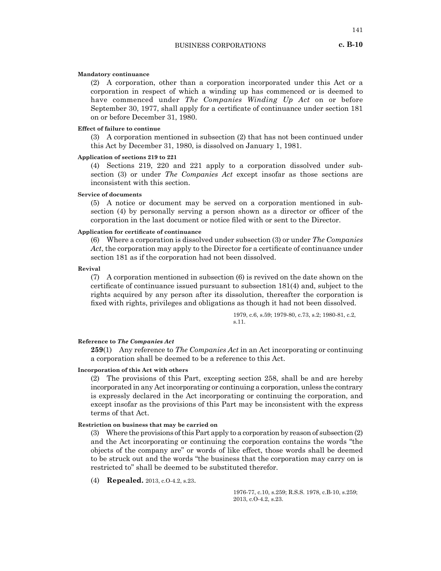## **Mandatory continuance**

(2) A corporation, other than a corporation incorporated under this Act or a corporation in respect of which a winding up has commenced or is deemed to have commenced under *The Companies Winding Up Act* on or before September 30, 1977, shall apply for a certificate of continuance under section 181 on or before December 31, 1980.

#### **Effect of failure to continue**

(3) A corporation mentioned in subsection (2) that has not been continued under this Act by December 31, 1980, is dissolved on January 1, 1981.

#### **Application of sections 219 to 221**

(4) Sections 219, 220 and 221 apply to a corporation dissolved under subsection (3) or under *The Companies Act* except insofar as those sections are inconsistent with this section.

# **Service of documents**

(5) A notice or document may be served on a corporation mentioned in subsection (4) by personally serving a person shown as a director or officer of the corporation in the last document or notice filed with or sent to the Director.

## **Application for certificate of continuance**

(6) Where a corporation is dissolved under subsection (3) or under *The Companies Act*, the corporation may apply to the Director for a certificate of continuance under section 181 as if the corporation had not been dissolved.

#### **Revival**

(7) A corporation mentioned in subsection (6) is revived on the date shown on the certificate of continuance issued pursuant to subsection 181(4) and, subject to the rights acquired by any person after its dissolution, thereafter the corporation is fixed with rights, privileges and obligations as though it had not been dissolved.

> 1979, c.6, s.59; 1979-80, c.73, s.2; 1980-81, c.2, s.11.

## **Reference to** *The Companies Act*

**259**(1) Any reference to *The Companies Act* in an Act incorporating or continuing a corporation shall be deemed to be a reference to this Act.

# **Incorporation of this Act with others**

(2) The provisions of this Part, excepting section 258, shall be and are hereby incorporated in any Act incorporating or continuing a corporation, unless the contrary is expressly declared in the Act incorporating or continuing the corporation, and except insofar as the provisions of this Part may be inconsistent with the express terms of that Act.

# **Restriction on business that may be carried on**

(3) Where the provisions of this Part apply to a corporation by reason of subsection (2) and the Act incorporating or continuing the corporation contains the words "the objects of the company are" or words of like effect, those words shall be deemed to be struck out and the words "the business that the corporation may carry on is restricted to" shall be deemed to be substituted therefor.

(4) **Repealed.** 2013, c.O-4.2, s.23.

1976-77, c.10, s.259; R.S.S. 1978, c.B-10, s.259; 2013, c.O-4.2, s.23.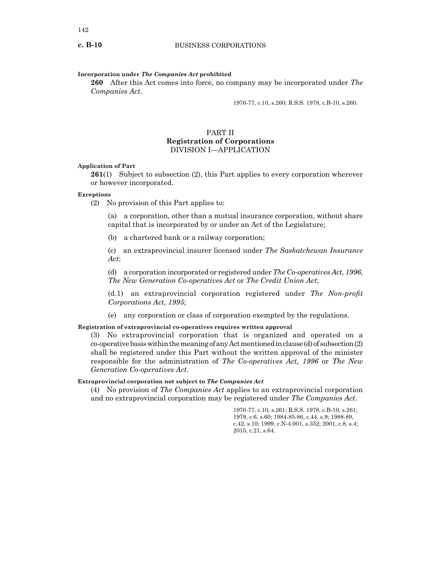## **Incorporation under** *The Companies Act* **prohibited**

**260** After this Act comes into force, no company may be incorporated under *The Companies Act*.

1976-77, c.10, s.260; R.S.S. 1978, c.B-10, s.260.

# PART II **Registration of Corporations** DIVISION I—APPLICATION

# **Application of Part**

**261**(1) Subject to subsection (2), this Part applies to every corporation wherever or however incorporated.

#### **Exceptions**

(2) No provision of this Part applies to:

(a) a corporation, other than a mutual insurance corporation, without share capital that is incorporated by or under an Act of the Legislature;

(b) a chartered bank or a railway corporation;

(c) an extraprovincial insurer licensed under *The Saskatchewan Insurance Act*;

(d) a corporation incorporated or registered under *The Co-operatives Act, 1996*, *The New Generation Co-operatives Act* or *The Credit Union Act*;

(d.1) an extraprovincial corporation registered under *The Non-profit Corporations Act, 1995*;

(e) any corporation or class of corporation exempted by the regulations.

## **Registration of extraprovincial co-operatives requires written approval**

(3) No extraprovincial corporation that is organized and operated on a co-operative basis within the meaning of any Act mentioned in clause (d) of subsection (2) shall be registered under this Part without the written approval of the minister responsible for the administration of *The Co-operatives Act, 1996* or *The New Generation Co-operatives Act*.

# **Extraprovincial corporation not subject to** *The Companies Act*

(4) No provision of *The Companies Act* applies to an extraprovincial corporation and no extraprovincial corporation may be registered under *The Companies Act*.

> 1976-77, c.10, s.261; R.S.S. 1978, c.B-10, s.261; 1979, c.6, s.60; 1984-85-86, c.44, s.9; 1988-89, c.42, s.10; 1999, c.N-4.001, s.352; 2001, c.8, s.4; 2015, c.21, s.64.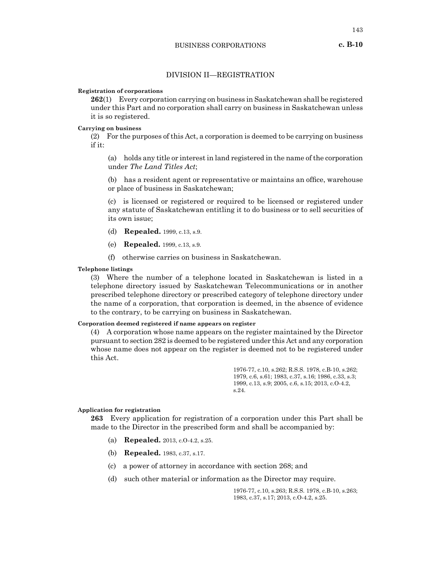# DIVISION II—REGISTRATION

## **Registration of corporations**

**262**(1) Every corporation carrying on business in Saskatchewan shall be registered under this Part and no corporation shall carry on business in Saskatchewan unless it is so registered.

## **Carrying on business**

(2) For the purposes of this Act, a corporation is deemed to be carrying on business if it:

(a) holds any title or interest in land registered in the name of the corporation under *The Land Titles Act*;

(b) has a resident agent or representative or maintains an office, warehouse or place of business in Saskatchewan;

(c) is licensed or registered or required to be licensed or registered under any statute of Saskatchewan entitling it to do business or to sell securities of its own issue;

- (d) **Repealed.** 1999, c.13, s.9.
- (e) **Repealed.** 1999, c.13, s.9.
- (f) otherwise carries on business in Saskatchewan.

## **Telephone listings**

(3) Where the number of a telephone located in Saskatchewan is listed in a telephone directory issued by Saskatchewan Telecommunications or in another prescribed telephone directory or prescribed category of telephone directory under the name of a corporation, that corporation is deemed, in the absence of evidence to the contrary, to be carrying on business in Saskatchewan.

## **Corporation deemed registered if name appears on register**

(4) A corporation whose name appears on the register maintained by the Director pursuant to section 282 is deemed to be registered under this Act and any corporation whose name does not appear on the register is deemed not to be registered under this Act.

> 1976-77, c.10, s.262; R.S.S. 1978, c.B-10, s.262; 1979, c.6, s.61; 1983, c.37, s.16; 1986, c.33, s.3; 1999, c.13, s.9; 2005, c.6, s.15; 2013, c.O-4.2, s.24.

#### **Application for registration**

**263** Every application for registration of a corporation under this Part shall be made to the Director in the prescribed form and shall be accompanied by:

- (a) **Repealed.** 2013, c.O-4.2, s.25.
- (b) **Repealed.** 1983, c.37, s.17.
- (c) a power of attorney in accordance with section 268; and
- (d) such other material or information as the Director may require.

1976-77, c.10, s.263; R.S.S. 1978, c.B-10, s.263; 1983, c.37, s.17; 2013, c.O-4.2, s.25.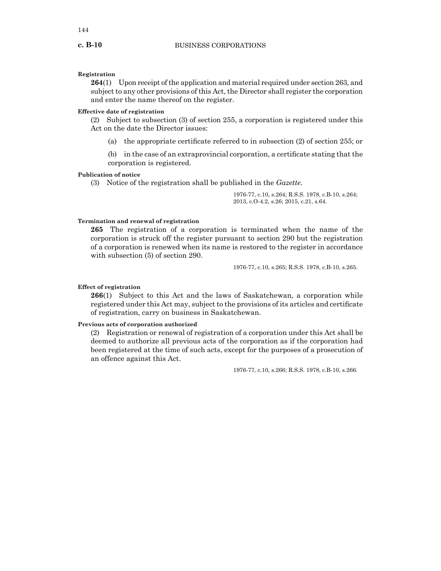## **Registration**

**264**(1) Upon receipt of the application and material required under section 263, and subject to any other provisions of this Act, the Director shall register the corporation and enter the name thereof on the register.

## **Effective date of registration**

(2) Subject to subsection (3) of section 255, a corporation is registered under this Act on the date the Director issues:

(a) the appropriate certificate referred to in subsection (2) of section 255; or

(b) in the case of an extraprovincial corporation, a certificate stating that the corporation is registered.

## **Publication of notice**

(3) Notice of the registration shall be published in the *Gazette*.

1976-77, c.10, s.264; R.S.S. 1978, c.B-10, s.264; 2013, c.O-4.2, s.26; 2015, c.21, s.64.

# **Termination and renewal of registration**

**265** The registration of a corporation is terminated when the name of the corporation is struck off the register pursuant to section 290 but the registration of a corporation is renewed when its name is restored to the register in accordance with subsection (5) of section 290.

1976-77, c.10, s.265; R.S.S. 1978, c.B-10, s.265.

# **Effect of registration**

**266**(1) Subject to this Act and the laws of Saskatchewan, a corporation while registered under this Act may, subject to the provisions of its articles and certificate of registration, carry on business in Saskatchewan.

## **Previous acts of corporation authorized**

(2) Registration or renewal of registration of a corporation under this Act shall be deemed to authorize all previous acts of the corporation as if the corporation had been registered at the time of such acts, except for the purposes of a prosecution of an offence against this Act.

1976-77, c.10, s.266; R.S.S. 1978, c.B-10, s.266.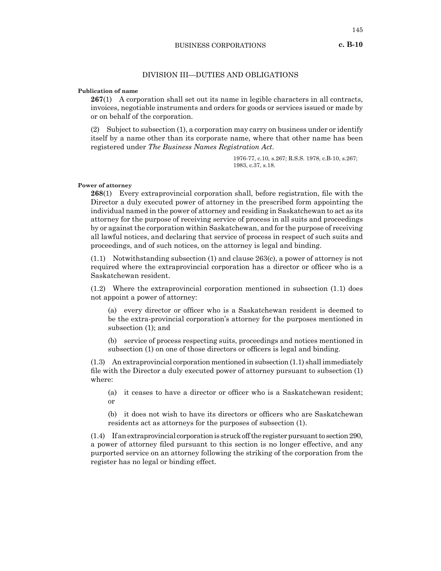# DIVISION III—DUTIES AND OBLIGATIONS

## **Publication of name**

**267**(1) A corporation shall set out its name in legible characters in all contracts, invoices, negotiable instruments and orders for goods or services issued or made by or on behalf of the corporation.

(2) Subject to subsection (1), a corporation may carry on business under or identify itself by a name other than its corporate name, where that other name has been registered under *The Business Names Registration Act*.

> 1976-77, c.10, s.267; R.S.S. 1978, c.B-10, s.267; 1983, c.37, s.18.

## **Power of attorney**

**268**(1) Every extraprovincial corporation shall, before registration, file with the Director a duly executed power of attorney in the prescribed form appointing the individual named in the power of attorney and residing in Saskatchewan to act as its attorney for the purpose of receiving service of process in all suits and proceedings by or against the corporation within Saskatchewan, and for the purpose of receiving all lawful notices, and declaring that service of process in respect of such suits and proceedings, and of such notices, on the attorney is legal and binding.

(1.1) Notwithstanding subsection (1) and clause 263(c), a power of attorney is not required where the extraprovincial corporation has a director or officer who is a Saskatchewan resident.

(1.2) Where the extraprovincial corporation mentioned in subsection (1.1) does not appoint a power of attorney:

(a) every director or officer who is a Saskatchewan resident is deemed to be the extra-provincial corporation's attorney for the purposes mentioned in subsection (1); and

(b) service of process respecting suits, proceedings and notices mentioned in subsection (1) on one of those directors or officers is legal and binding.

(1.3) An extraprovincial corporation mentioned in subsection (1.1) shall immediately file with the Director a duly executed power of attorney pursuant to subsection (1) where:

(a) it ceases to have a director or officer who is a Saskatchewan resident; or

(b) it does not wish to have its directors or officers who are Saskatchewan residents act as attorneys for the purposes of subsection (1).

(1.4) If an extraprovincial corporation is struck off the register pursuant to section 290, a power of attorney filed pursuant to this section is no longer effective, and any purported service on an attorney following the striking of the corporation from the register has no legal or binding effect.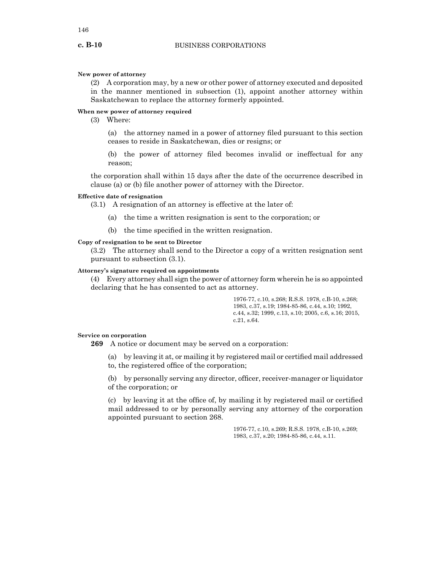#### **New power of attorney**

(2) A corporation may, by a new or other power of attorney executed and deposited in the manner mentioned in subsection (1), appoint another attorney within Saskatchewan to replace the attorney formerly appointed.

# **When new power of attorney required**

(3) Where:

(a) the attorney named in a power of attorney filed pursuant to this section ceases to reside in Saskatchewan, dies or resigns; or

(b) the power of attorney filed becomes invalid or ineffectual for any reason;

the corporation shall within 15 days after the date of the occurrence described in clause (a) or (b) file another power of attorney with the Director.

#### **Effective date of resignation**

(3.1) A resignation of an attorney is effective at the later of:

- (a) the time a written resignation is sent to the corporation; or
- (b) the time specified in the written resignation.

# **Copy of resignation to be sent to Director**

(3.2) The attorney shall send to the Director a copy of a written resignation sent pursuant to subsection (3.1).

# **Attorney's signature required on appointments**

(4) Every attorney shall sign the power of attorney form wherein he is so appointed declaring that he has consented to act as attorney.

> 1976-77, c.10, s.268; R.S.S. 1978, c.B-10, s.268; 1983, c.37, s.19; 1984-85-86, c.44, s.10; 1992, c.44, s.32; 1999, c.13, s.10; 2005, c.6, s.16; 2015, c.21, s.64.

## **Service on corporation**

**269** A notice or document may be served on a corporation:

(a) by leaving it at, or mailing it by registered mail or certified mail addressed to, the registered office of the corporation;

(b) by personally serving any director, officer, receiver-manager or liquidator of the corporation; or

(c) by leaving it at the office of, by mailing it by registered mail or certified mail addressed to or by personally serving any attorney of the corporation appointed pursuant to section 268.

> 1976-77, c.10, s.269; R.S.S. 1978, c.B-10, s.269; 1983, c.37, s.20; 1984-85-86, c.44, s.11.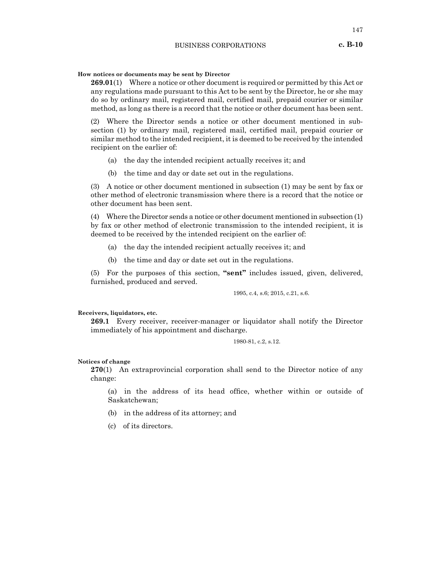147

#### **How notices or documents may be sent by Director**

**269.01**(1) Where a notice or other document is required or permitted by this Act or any regulations made pursuant to this Act to be sent by the Director, he or she may do so by ordinary mail, registered mail, certified mail, prepaid courier or similar method, as long as there is a record that the notice or other document has been sent.

(2) Where the Director sends a notice or other document mentioned in subsection (1) by ordinary mail, registered mail, certified mail, prepaid courier or similar method to the intended recipient, it is deemed to be received by the intended recipient on the earlier of:

- (a) the day the intended recipient actually receives it; and
- (b) the time and day or date set out in the regulations.

(3) A notice or other document mentioned in subsection (1) may be sent by fax or other method of electronic transmission where there is a record that the notice or other document has been sent.

(4) Where the Director sends a notice or other document mentioned in subsection (1) by fax or other method of electronic transmission to the intended recipient, it is deemed to be received by the intended recipient on the earlier of:

- (a) the day the intended recipient actually receives it; and
- (b) the time and day or date set out in the regulations.

(5) For the purposes of this section, **"sent"** includes issued, given, delivered, furnished, produced and served.

1995, c.4, s.6; 2015, c.21, s.6.

#### **Receivers, liquidators, etc.**

**269.1** Every receiver, receiver-manager or liquidator shall notify the Director immediately of his appointment and discharge.

1980-81, c.2, s.12.

## **Notices of change**

**270**(1) An extraprovincial corporation shall send to the Director notice of any change:

(a) in the address of its head office, whether within or outside of Saskatchewan;

- (b) in the address of its attorney; and
- (c) of its directors.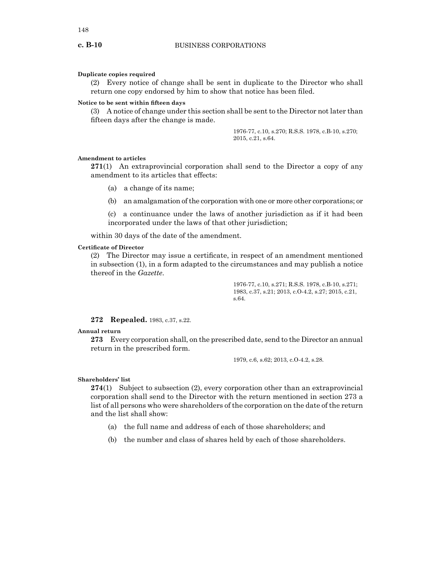#### **Duplicate copies required**

(2) Every notice of change shall be sent in duplicate to the Director who shall return one copy endorsed by him to show that notice has been filed.

# **Notice to be sent within fifteen days**

(3) A notice of change under this section shall be sent to the Director not later than fifteen days after the change is made.

> 1976-77, c.10, s.270; R.S.S. 1978, c.B-10, s.270; 2015, c.21, s.64.

# **Amendment to articles**

**271**(1) An extraprovincial corporation shall send to the Director a copy of any amendment to its articles that effects:

(a) a change of its name;

(b) an amalgamation of the corporation with one or more other corporations; or

(c) a continuance under the laws of another jurisdiction as if it had been incorporated under the laws of that other jurisdiction;

within 30 days of the date of the amendment.

# **Certificate of Director**

(2) The Director may issue a certificate, in respect of an amendment mentioned in subsection (1), in a form adapted to the circumstances and may publish a notice thereof in the *Gazette*.

> 1976-77, c.10, s.271; R.S.S. 1978, c.B-10, s.271; 1983, c.37, s.21; 2013, c.O-4.2, s.27; 2015, c.21, s.64.

**272 Repealed.** 1983, c.37, s.22.

## **Annual return**

**273** Every corporation shall, on the prescribed date, send to the Director an annual return in the prescribed form.

1979, c.6, s.62; 2013, c.O-4.2, s.28.

## **Shareholders' list**

**274**(1) Subject to subsection (2), every corporation other than an extraprovincial corporation shall send to the Director with the return mentioned in section 273 a list of all persons who were shareholders of the corporation on the date of the return and the list shall show:

- (a) the full name and address of each of those shareholders; and
- (b) the number and class of shares held by each of those shareholders.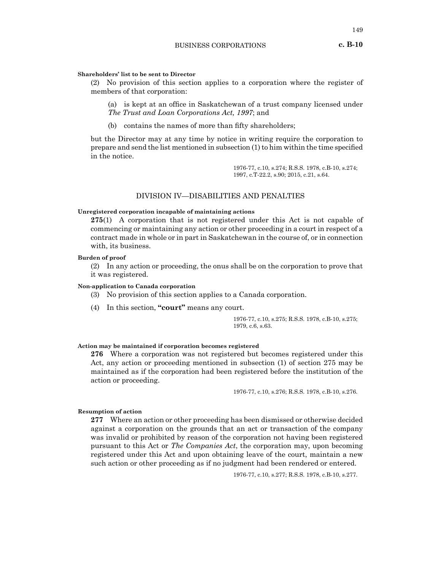#### **Shareholders' list to be sent to Director**

(2) No provision of this section applies to a corporation where the register of members of that corporation:

(a) is kept at an office in Saskatchewan of a trust company licensed under *The Trust and Loan Corporations Act, 1997*; and

(b) contains the names of more than fifty shareholders;

but the Director may at any time by notice in writing require the corporation to prepare and send the list mentioned in subsection  $(1)$  to him within the time specified in the notice.

> 1976-77, c.10, s.274; R.S.S. 1978, c.B-10, s.274; 1997, c.T-22.2, s.90; 2015, c.21, s.64.

## DIVISION IV—DISABILITIES AND PENALTIES

# **Unregistered corporation incapable of maintaining actions**

**275**(1) A corporation that is not registered under this Act is not capable of commencing or maintaining any action or other proceeding in a court in respect of a contract made in whole or in part in Saskatchewan in the course of, or in connection with, its business.

# **Burden of proof**

(2) In any action or proceeding, the onus shall be on the corporation to prove that it was registered.

# **Non-application to Canada corporation**

(3) No provision of this section applies to a Canada corporation.

(4) In this section, **"court"** means any court.

1976-77, c.10, s.275; R.S.S. 1978, c.B-10, s.275; 1979, c.6, s.63.

## **Action may be maintained if corporation becomes registered**

**276** Where a corporation was not registered but becomes registered under this Act, any action or proceeding mentioned in subsection (1) of section 275 may be maintained as if the corporation had been registered before the institution of the action or proceeding.

1976-77, c.10, s.276; R.S.S. 1978, c.B-10, s.276.

# **Resumption of action**

**277** Where an action or other proceeding has been dismissed or otherwise decided against a corporation on the grounds that an act or transaction of the company was invalid or prohibited by reason of the corporation not having been registered pursuant to this Act or *The Companies Act*, the corporation may, upon becoming registered under this Act and upon obtaining leave of the court, maintain a new such action or other proceeding as if no judgment had been rendered or entered.

1976-77, c.10, s.277; R.S.S. 1978, c.B-10, s.277.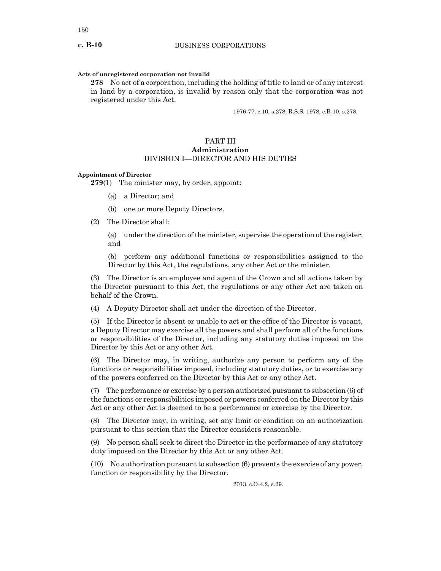## **Acts of unregistered corporation not invalid**

**278** No act of a corporation, including the holding of title to land or of any interest in land by a corporation, is invalid by reason only that the corporation was not registered under this Act.

1976-77, c.10, s.278; R.S.S. 1978, c.B-10, s.278.

# PART III **Administration** DIVISION I—DIRECTOR AND HIS DUTIES

#### **Appointment of Director**

**279**(1) The minister may, by order, appoint:

- (a) a Director; and
- (b) one or more Deputy Directors.
- (2) The Director shall:

(a) under the direction of the minister, supervise the operation of the register; and

(b) perform any additional functions or responsibilities assigned to the Director by this Act, the regulations, any other Act or the minister.

(3) The Director is an employee and agent of the Crown and all actions taken by the Director pursuant to this Act, the regulations or any other Act are taken on behalf of the Crown.

(4) A Deputy Director shall act under the direction of the Director.

(5) If the Director is absent or unable to act or the office of the Director is vacant, a Deputy Director may exercise all the powers and shall perform all of the functions or responsibilities of the Director, including any statutory duties imposed on the Director by this Act or any other Act.

(6) The Director may, in writing, authorize any person to perform any of the functions or responsibilities imposed, including statutory duties, or to exercise any of the powers conferred on the Director by this Act or any other Act.

(7) The performance or exercise by a person authorized pursuant to subsection (6) of the functions or responsibilities imposed or powers conferred on the Director by this Act or any other Act is deemed to be a performance or exercise by the Director.

(8) The Director may, in writing, set any limit or condition on an authorization pursuant to this section that the Director considers reasonable.

(9) No person shall seek to direct the Director in the performance of any statutory duty imposed on the Director by this Act or any other Act.

(10) No authorization pursuant to subsection (6) prevents the exercise of any power, function or responsibility by the Director.

2013, c.O-4.2, s.29.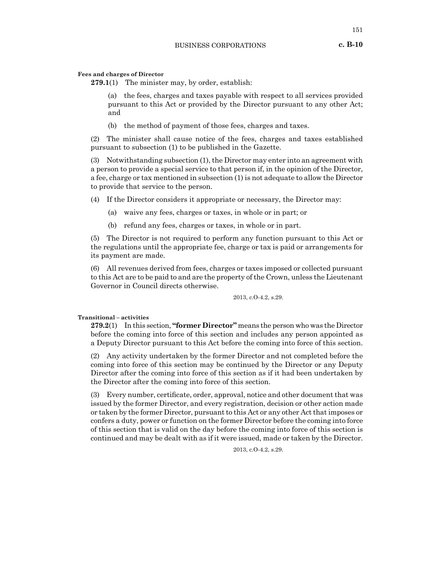#### **Fees and charges of Director**

**279.1**(1) The minister may, by order, establish:

(a) the fees, charges and taxes payable with respect to all services provided pursuant to this Act or provided by the Director pursuant to any other Act; and

(b) the method of payment of those fees, charges and taxes.

(2) The minister shall cause notice of the fees, charges and taxes established pursuant to subsection (1) to be published in the Gazette.

(3) Notwithstanding subsection (1), the Director may enter into an agreement with a person to provide a special service to that person if, in the opinion of the Director, a fee, charge or tax mentioned in subsection (1) is not adequate to allow the Director to provide that service to the person.

(4) If the Director considers it appropriate or necessary, the Director may:

- (a) waive any fees, charges or taxes, in whole or in part; or
- (b) refund any fees, charges or taxes, in whole or in part.

(5) The Director is not required to perform any function pursuant to this Act or the regulations until the appropriate fee, charge or tax is paid or arrangements for its payment are made.

(6) All revenues derived from fees, charges or taxes imposed or collected pursuant to this Act are to be paid to and are the property of the Crown, unless the Lieutenant Governor in Council directs otherwise.

2013, c.O-4.2, s.29.

#### **Transitional – activities**

**279.2**(1) In this section, **"former Director"** means the person who was the Director before the coming into force of this section and includes any person appointed as a Deputy Director pursuant to this Act before the coming into force of this section.

(2) Any activity undertaken by the former Director and not completed before the coming into force of this section may be continued by the Director or any Deputy Director after the coming into force of this section as if it had been undertaken by the Director after the coming into force of this section.

(3) Every number, certificate, order, approval, notice and other document that was issued by the former Director, and every registration, decision or other action made or taken by the former Director, pursuant to this Act or any other Act that imposes or confers a duty, power or function on the former Director before the coming into force of this section that is valid on the day before the coming into force of this section is continued and may be dealt with as if it were issued, made or taken by the Director.

2013, c.O-4.2, s.29.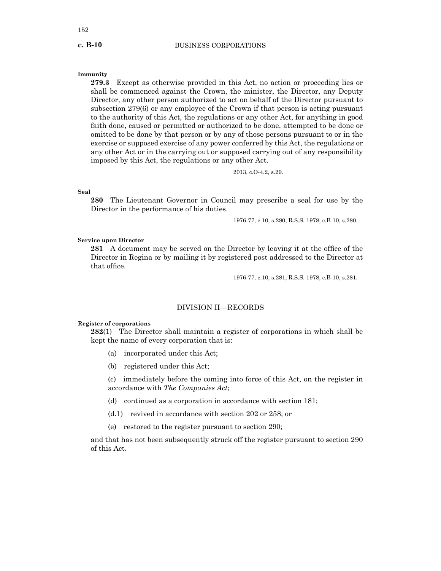#### **c. B-10** BUSINESS CORPORATIONS

# **Immunity**

**279.3** Except as otherwise provided in this Act, no action or proceeding lies or shall be commenced against the Crown, the minister, the Director, any Deputy Director, any other person authorized to act on behalf of the Director pursuant to subsection 279(6) or any employee of the Crown if that person is acting pursuant to the authority of this Act, the regulations or any other Act, for anything in good faith done, caused or permitted or authorized to be done, attempted to be done or omitted to be done by that person or by any of those persons pursuant to or in the exercise or supposed exercise of any power conferred by this Act, the regulations or any other Act or in the carrying out or supposed carrying out of any responsibility imposed by this Act, the regulations or any other Act.

2013, c.O-4.2, s.29.

#### **Seal**

**280** The Lieutenant Governor in Council may prescribe a seal for use by the Director in the performance of his duties.

1976-77, c.10, s.280; R.S.S. 1978, c.B-10, s.280.

#### **Service upon Director**

**281** A document may be served on the Director by leaving it at the office of the Director in Regina or by mailing it by registered post addressed to the Director at that office.

1976-77, c.10, s.281; R.S.S. 1978, c.B-10, s.281.

# DIVISION II—RECORDS

#### **Register of corporations**

**282**(1) The Director shall maintain a register of corporations in which shall be kept the name of every corporation that is:

- (a) incorporated under this Act;
- (b) registered under this Act;

(c) immediately before the coming into force of this Act, on the register in accordance with *The Companies Act*;

- (d) continued as a corporation in accordance with section 181;
- (d.1) revived in accordance with section 202 or 258; or
- (e) restored to the register pursuant to section 290;

and that has not been subsequently struck off the register pursuant to section 290 of this Act.

152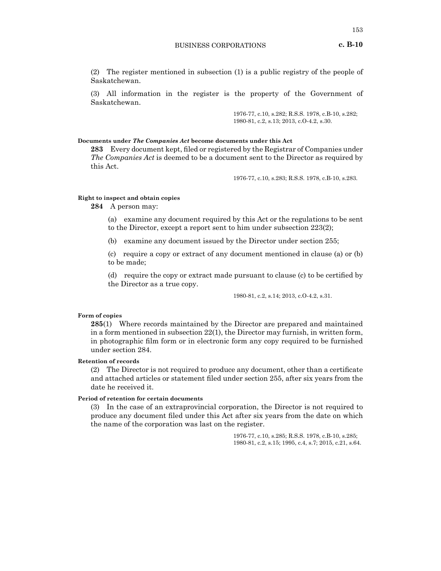**c. B-10**

(2) The register mentioned in subsection (1) is a public registry of the people of Saskatchewan.

(3) All information in the register is the property of the Government of Saskatchewan.

> 1976-77, c.10, s.282; R.S.S. 1978, c.B-10, s.282; 1980-81, c.2, s.13; 2013, c.O-4.2, s.30.

#### **Documents under** *The Companies Act* **become documents under this Act**

**283** Every document kept, filed or registered by the Registrar of Companies under *The Companies Act* is deemed to be a document sent to the Director as required by this Act.

1976-77, c.10, s.283; R.S.S. 1978, c.B-10, s.283.

#### **Right to inspect and obtain copies**

**284** A person may:

(a) examine any document required by this Act or the regulations to be sent to the Director, except a report sent to him under subsection 223(2);

(b) examine any document issued by the Director under section 255;

(c) require a copy or extract of any document mentioned in clause (a) or (b) to be made;

(d) require the copy or extract made pursuant to clause (c) to be certified by the Director as a true copy.

1980-81, c.2, s.14; 2013, c.O-4.2, s.31.

#### **Form of copies**

**285**(1) Where records maintained by the Director are prepared and maintained in a form mentioned in subsection 22(1), the Director may furnish, in written form, in photographic film form or in electronic form any copy required to be furnished under section 284.

#### **Retention of records**

(2) The Director is not required to produce any document, other than a certificate and attached articles or statement filed under section 255, after six years from the date he received it.

# **Period of retention for certain documents**

(3) In the case of an extraprovincial corporation, the Director is not required to produce any document filed under this Act after six years from the date on which the name of the corporation was last on the register.

> 1976-77, c.10, s.285; R.S.S. 1978, c.B-10, s.285; 1980-81, c.2, s.15; 1995, c.4, s.7; 2015, c.21, s.64.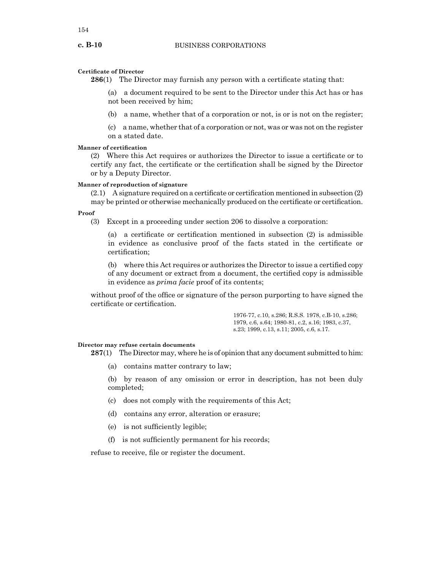# **Certificate of Director**

**286**(1) The Director may furnish any person with a certificate stating that:

(a) a document required to be sent to the Director under this Act has or has not been received by him;

(b) a name, whether that of a corporation or not, is or is not on the register;

(c) a name, whether that of a corporation or not, was or was not on the register on a stated date.

# **Manner of certification**

(2) Where this Act requires or authorizes the Director to issue a certificate or to certify any fact, the certificate or the certification shall be signed by the Director or by a Deputy Director.

# **Manner of reproduction of signature**

(2.1) A signature required on a certificate or certification mentioned in subsection (2) may be printed or otherwise mechanically produced on the certificate or certification.

**Proof**

(3) Except in a proceeding under section 206 to dissolve a corporation:

(a) a certificate or certification mentioned in subsection (2) is admissible in evidence as conclusive proof of the facts stated in the certificate or certification;

(b) where this Act requires or authorizes the Director to issue a certified copy of any document or extract from a document, the certified copy is admissible in evidence as *prima facie* proof of its contents;

without proof of the office or signature of the person purporting to have signed the certificate or certification.

> 1976-77, c.10, s.286; R.S.S. 1978, c.B-10, s.286; 1979, c.6, s.64; 1980-81, c.2, s.16; 1983, c.37, s.23; 1999, c.13, s.11; 2005, c.6, s.17.

# **Director may refuse certain documents**

**287**(1) The Director may, where he is of opinion that any document submitted to him:

(a) contains matter contrary to law;

(b) by reason of any omission or error in description, has not been duly completed;

- (c) does not comply with the requirements of this Act;
- (d) contains any error, alteration or erasure;
- (e) is not sufficiently legible;
- (f) is not sufficiently permanent for his records;

refuse to receive, file or register the document.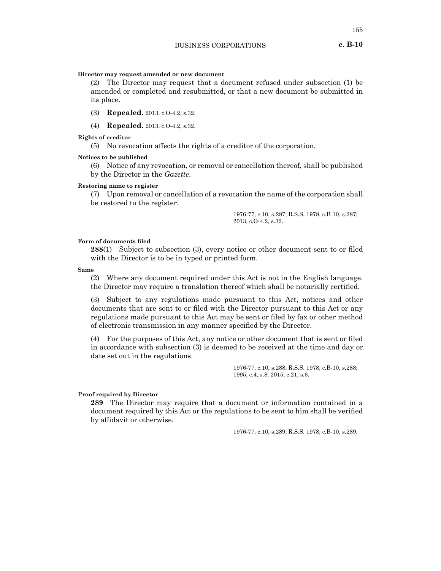(2) The Director may request that a document refused under subsection (1) be amended or completed and resubmitted, or that a new document be submitted in its place.

(3) **Repealed.** 2013, c.O-4.2, s.32.

(4) **Repealed.** 2013, c.O-4.2, s.32.

## **Rights of creditor**

(5) No revocation affects the rights of a creditor of the corporation.

#### **Notices to be published**

(6) Notice of any revocation, or removal or cancellation thereof, shall be published by the Director in the *Gazette*.

#### **Restoring name to register**

(7) Upon removal or cancellation of a revocation the name of the corporation shall be restored to the register.

> 1976-77, c.10, s.287; R.S.S. 1978, c.B-10, s.287; 2013, c.O-4.2, s.32.

## **Form of documents filed**

**288**(1) Subject to subsection (3), every notice or other document sent to or filed with the Director is to be in typed or printed form.

#### **Same**

(2) Where any document required under this Act is not in the English language, the Director may require a translation thereof which shall be notarially certified.

(3) Subject to any regulations made pursuant to this Act, notices and other documents that are sent to or filed with the Director pursuant to this Act or any regulations made pursuant to this Act may be sent or filed by fax or other method of electronic transmission in any manner specified by the Director.

(4) For the purposes of this Act, any notice or other document that is sent or filed in accordance with subsection (3) is deemed to be received at the time and day or date set out in the regulations.

> 1976-77, c.10, s.288; R.S.S. 1978, c.B-10, s.288; 1995, c.4, s.8; 2015, c.21, s.6.

#### **Proof required by Director**

**289** The Director may require that a document or information contained in a document required by this Act or the regulations to be sent to him shall be verified by affidavit or otherwise.

1976-77, c.10, s.289; R.S.S. 1978, c.B-10, s.289.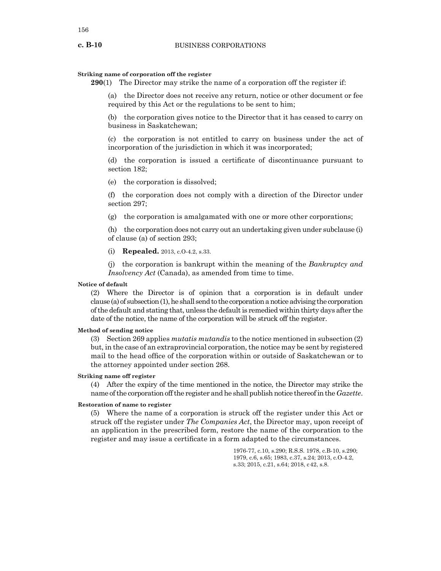# **Striking name of corporation off the register**

**290**(1) The Director may strike the name of a corporation off the register if:

(a) the Director does not receive any return, notice or other document or fee required by this Act or the regulations to be sent to him;

(b) the corporation gives notice to the Director that it has ceased to carry on business in Saskatchewan;

(c) the corporation is not entitled to carry on business under the act of incorporation of the jurisdiction in which it was incorporated;

(d) the corporation is issued a certificate of discontinuance pursuant to section 182;

(e) the corporation is dissolved;

(f) the corporation does not comply with a direction of the Director under section 297;

 $(g)$  the corporation is amalgamated with one or more other corporations;

(h) the corporation does not carry out an undertaking given under subclause (i) of clause (a) of section 293;

(i) **Repealed.** 2013, c.O-4.2, s.33.

(j) the corporation is bankrupt within the meaning of the *Bankruptcy and Insolvency Act* (Canada), as amended from time to time.

# **Notice of default**

(2) Where the Director is of opinion that a corporation is in default under clause (a) of subsection (1), he shall send to the corporation a notice advising the corporation of the default and stating that, unless the default is remedied within thirty days after the date of the notice, the name of the corporation will be struck off the register.

#### **Method of sending notice**

(3) Section 269 applies *mutatis mutandis* to the notice mentioned in subsection (2) but, in the case of an extraprovincial corporation, the notice may be sent by registered mail to the head office of the corporation within or outside of Saskatchewan or to the attorney appointed under section 268.

#### **Striking name off register**

(4) After the expiry of the time mentioned in the notice, the Director may strike the name of the corporation off the register and he shall publish notice thereof in the *Gazette*.

## **Restoration of name to register**

(5) Where the name of a corporation is struck off the register under this Act or struck off the register under *The Companies Act*, the Director may, upon receipt of an application in the prescribed form, restore the name of the corporation to the register and may issue a certificate in a form adapted to the circumstances.

> 1976-77, c.10, s.290; R.S.S. 1978, c.B-10, s.290; 1979, c.6, s.65; 1983, c.37, s.24; 2013, c.O-4.2, s.33; 2015, c.21, s.64; 2018, c42, s.8.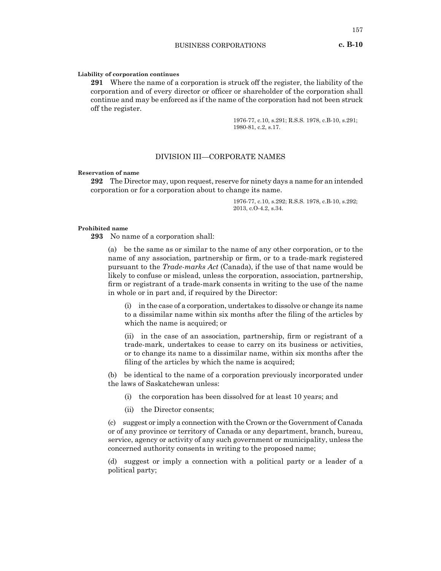157

# **Liability of corporation continues**

**291** Where the name of a corporation is struck off the register, the liability of the corporation and of every director or officer or shareholder of the corporation shall continue and may be enforced as if the name of the corporation had not been struck off the register.

> 1976-77, c.10, s.291; R.S.S. 1978, c.B-10, s.291; 1980-81, c.2, s.17.

# DIVISION III—CORPORATE NAMES

## **Reservation of name**

**292** The Director may, upon request, reserve for ninety days a name for an intended corporation or for a corporation about to change its name.

> 1976-77, c.10, s.292; R.S.S. 1978, c.B-10, s.292; 2013, c.O-4.2, s.34.

## **Prohibited name**

**293** No name of a corporation shall:

(a) be the same as or similar to the name of any other corporation, or to the name of any association, partnership or firm, or to a trade-mark registered pursuant to the *Trade-marks Act* (Canada), if the use of that name would be likely to confuse or mislead, unless the corporation, association, partnership, firm or registrant of a trade-mark consents in writing to the use of the name in whole or in part and, if required by the Director:

(i) in the case of a corporation, undertakes to dissolve or change its name to a dissimilar name within six months after the filing of the articles by which the name is acquired; or

(ii) in the case of an association, partnership, firm or registrant of a trade-mark, undertakes to cease to carry on its business or activities, or to change its name to a dissimilar name, within six months after the filing of the articles by which the name is acquired;

(b) be identical to the name of a corporation previously incorporated under the laws of Saskatchewan unless:

- (i) the corporation has been dissolved for at least 10 years; and
- (ii) the Director consents;

(c) suggest or imply a connection with the Crown or the Government of Canada or of any province or territory of Canada or any department, branch, bureau, service, agency or activity of any such government or municipality, unless the concerned authority consents in writing to the proposed name;

(d) suggest or imply a connection with a political party or a leader of a political party;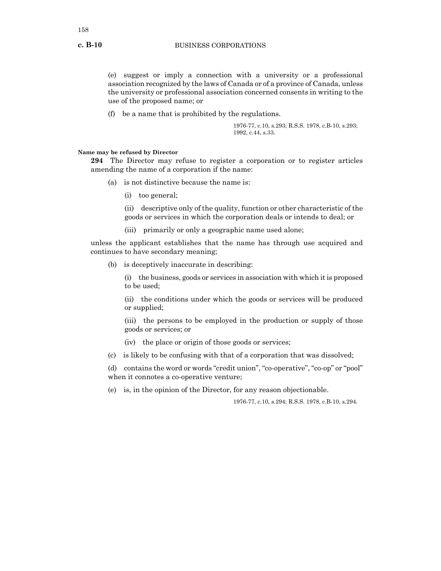(e) suggest or imply a connection with a university or a professional association recognized by the laws of Canada or of a province of Canada, unless the university or professional association concerned consents in writing to the use of the proposed name; or

(f) be a name that is prohibited by the regulations.

1976-77, c.10, s.293; R.S.S. 1978, c.B-10, s.293; 1992, c.44, s.33.

#### **Name may be refused by Director**

**294** The Director may refuse to register a corporation or to register articles amending the name of a corporation if the name:

- (a) is not distinctive because the name is:
	- (i) too general;

(ii) descriptive only of the quality, function or other characteristic of the goods or services in which the corporation deals or intends to deal; or

(iii) primarily or only a geographic name used alone;

unless the applicant establishes that the name has through use acquired and continues to have secondary meaning;

(b) is deceptively inaccurate in describing:

(i) the business, goods or services in association with which it is proposed to be used;

(ii) the conditions under which the goods or services will be produced or supplied;

(iii) the persons to be employed in the production or supply of those goods or services; or

- (iv) the place or origin of those goods or services;
- (c) is likely to be confusing with that of a corporation that was dissolved;

(d) contains the word or words "credit union", "co-operative", "co-op" or "pool" when it connotes a co-operative venture;

(e) is, in the opinion of the Director, for any reason objectionable.

1976-77, c.10, s.294; R.S.S. 1978, c.B-10, s.294.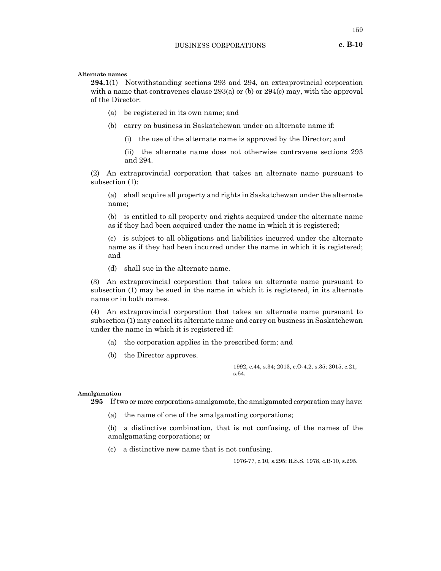**Alternate names**

**294.1**(1) Notwithstanding sections 293 and 294, an extraprovincial corporation with a name that contravenes clause  $293(a)$  or (b) or  $294(c)$  may, with the approval of the Director:

- (a) be registered in its own name; and
- (b) carry on business in Saskatchewan under an alternate name if:
	- (i) the use of the alternate name is approved by the Director; and

(ii) the alternate name does not otherwise contravene sections 293 and 294.

(2) An extraprovincial corporation that takes an alternate name pursuant to subsection (1):

(a) shall acquire all property and rights in Saskatchewan under the alternate name;

(b) is entitled to all property and rights acquired under the alternate name as if they had been acquired under the name in which it is registered;

(c) is subject to all obligations and liabilities incurred under the alternate name as if they had been incurred under the name in which it is registered; and

(d) shall sue in the alternate name.

(3) An extraprovincial corporation that takes an alternate name pursuant to subsection (1) may be sued in the name in which it is registered, in its alternate name or in both names.

(4) An extraprovincial corporation that takes an alternate name pursuant to subsection (1) may cancel its alternate name and carry on business in Saskatchewan under the name in which it is registered if:

- (a) the corporation applies in the prescribed form; and
- (b) the Director approves.

1992, c.44, s.34; 2013, c.O-4.2, s.35; 2015, c.21, s.64.

## **Amalgamation**

**295** If two or more corporations amalgamate, the amalgamated corporation may have:

(a) the name of one of the amalgamating corporations;

(b) a distinctive combination, that is not confusing, of the names of the amalgamating corporations; or

(c) a distinctive new name that is not confusing.

1976-77, c.10, s.295; R.S.S. 1978, c.B-10, s.295.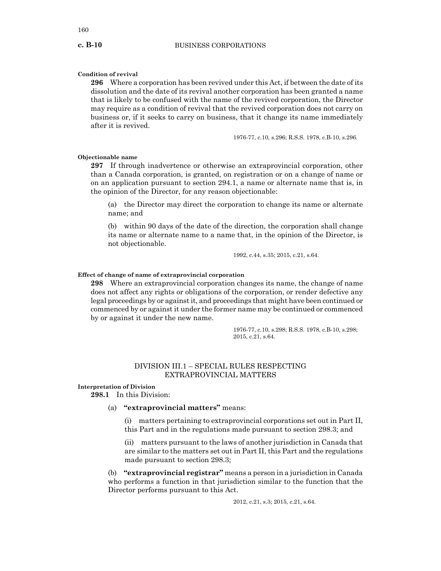# **Condition of revival**

**296** Where a corporation has been revived under this Act, if between the date of its dissolution and the date of its revival another corporation has been granted a name that is likely to be confused with the name of the revived corporation, the Director may require as a condition of revival that the revived corporation does not carry on business or, if it seeks to carry on business, that it change its name immediately after it is revived.

1976-77, c.10, s.296; R.S.S. 1978, c.B-10, s.296.

## **Objectionable name**

**297** If through inadvertence or otherwise an extraprovincial corporation, other than a Canada corporation, is granted, on registration or on a change of name or on an application pursuant to section 294.1, a name or alternate name that is, in the opinion of the Director, for any reason objectionable:

(a) the Director may direct the corporation to change its name or alternate name; and

(b) within 90 days of the date of the direction, the corporation shall change its name or alternate name to a name that, in the opinion of the Director, is not objectionable.

1992, c.44, s.35; 2015, c.21, s.64.

#### **Effect of change of name of extraprovincial corporation**

**298** Where an extraprovincial corporation changes its name, the change of name does not affect any rights or obligations of the corporation, or render defective any legal proceedings by or against it, and proceedings that might have been continued or commenced by or against it under the former name may be continued or commenced by or against it under the new name.

> 1976-77, c.10, s.298; R.S.S. 1978, c.B-10, s.298; 2015, c.21, s.64.

# DIVISION III.1 – SPECIAL RULES RESPECTING EXTRAPROVINCIAL MATTERS

## **Interpretation of Division**

**298.1** In this Division:

(a) **"extraprovincial matters"** means:

(i) matters pertaining to extraprovincial corporations set out in Part II, this Part and in the regulations made pursuant to section 298.3; and

(ii) matters pursuant to the laws of another jurisdiction in Canada that are similar to the matters set out in Part II, this Part and the regulations made pursuant to section 298.3;

(b) **"extraprovincial registrar"** means a person in a jurisdiction in Canada who performs a function in that jurisdiction similar to the function that the Director performs pursuant to this Act.

2012, c.21, s.3; 2015, c.21, s.64.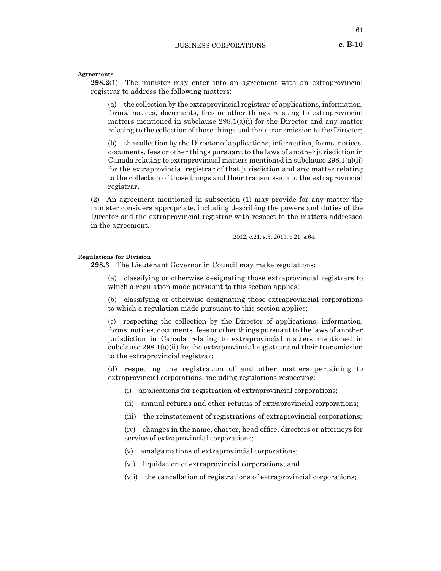## **Agreements**

**298.2**(1) The minister may enter into an agreement with an extraprovincial registrar to address the following matters:

(a) the collection by the extraprovincial registrar of applications, information, forms, notices, documents, fees or other things relating to extraprovincial matters mentioned in subclause  $298.1(a)(i)$  for the Director and any matter relating to the collection of those things and their transmission to the Director;

(b) the collection by the Director of applications, information, forms, notices, documents, fees or other things pursuant to the laws of another jurisdiction in Canada relating to extraprovincial matters mentioned in subclause  $298.1(a)(ii)$ for the extraprovincial registrar of that jurisdiction and any matter relating to the collection of those things and their transmission to the extraprovincial registrar.

(2) An agreement mentioned in subsection (1) may provide for any matter the minister considers appropriate, including describing the powers and duties of the Director and the extraprovincial registrar with respect to the matters addressed in the agreement.

2012, c.21, s.3; 2015, c.21, s.64.

## **Regulations for Division**

**298.3** The Lieutenant Governor in Council may make regulations:

(a) classifying or otherwise designating those extraprovincial registrars to which a regulation made pursuant to this section applies;

(b) classifying or otherwise designating those extraprovincial corporations to which a regulation made pursuant to this section applies;

(c) respecting the collection by the Director of applications, information, forms, notices, documents, fees or other things pursuant to the laws of another jurisdiction in Canada relating to extraprovincial matters mentioned in subclause 298.1(a)(ii) for the extraprovincial registrar and their transmission to the extraprovincial registrar;

(d) respecting the registration of and other matters pertaining to extraprovincial corporations, including regulations respecting:

- (i) applications for registration of extraprovincial corporations;
- (ii) annual returns and other returns of extraprovincial corporations;
- (iii) the reinstatement of registrations of extraprovincial corporations;

(iv) changes in the name, charter, head office, directors or attorneys for service of extraprovincial corporations;

- (v) amalgamations of extraprovincial corporations;
- (vi) liquidation of extraprovincial corporations; and
- (vii) the cancellation of registrations of extraprovincial corporations;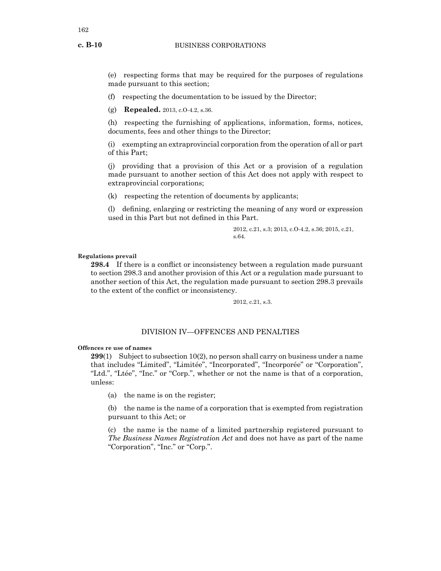(e) respecting forms that may be required for the purposes of regulations made pursuant to this section;

(f) respecting the documentation to be issued by the Director;

(g) **Repealed.** 2013, c.O-4.2, s.36.

(h) respecting the furnishing of applications, information, forms, notices, documents, fees and other things to the Director;

(i) exempting an extraprovincial corporation from the operation of all or part of this Part;

(j) providing that a provision of this Act or a provision of a regulation made pursuant to another section of this Act does not apply with respect to extraprovincial corporations;

(k) respecting the retention of documents by applicants;

(l) defining, enlarging or restricting the meaning of any word or expression used in this Part but not defined in this Part.

> 2012, c.21, s.3; 2013, c.O-4.2, s.36; 2015, c.21, s.64.

## **Regulations prevail**

**298.4** If there is a conflict or inconsistency between a regulation made pursuant to section 298.3 and another provision of this Act or a regulation made pursuant to another section of this Act, the regulation made pursuant to section 298.3 prevails to the extent of the conflict or inconsistency.

2012, c.21, s.3.

# DIVISION IV—OFFENCES AND PENALTIES

## **Offences re use of names**

**299**(1) Subject to subsection 10(2), no person shall carry on business under a name that includes "Limited", "Limitée", "Incorporated", "Incorporée" or "Corporation", "Ltd.", "Ltée", "Inc." or "Corp.", whether or not the name is that of a corporation, unless:

(a) the name is on the register;

(b) the name is the name of a corporation that is exempted from registration pursuant to this Act; or

(c) the name is the name of a limited partnership registered pursuant to *The Business Names Registration Act* and does not have as part of the name "Corporation", "Inc." or "Corp.".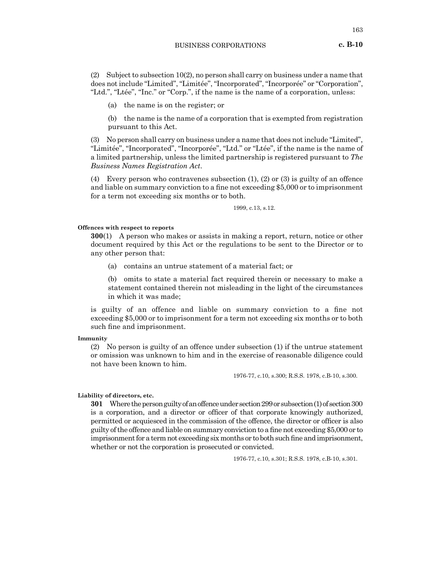(2) Subject to subsection 10(2), no person shall carry on business under a name that does not include "Limited", "Limitée", "Incorporated", "Incorporée" or "Corporation", "Ltd.", "Ltée", "Inc." or "Corp.", if the name is the name of a corporation, unless:

(a) the name is on the register; or

(b) the name is the name of a corporation that is exempted from registration pursuant to this Act.

(3) No person shall carry on business under a name that does not include "Limited", "Limitée", "Incorporated", "Incorporée", "Ltd." or "Ltée", if the name is the name of a limited partnership, unless the limited partnership is registered pursuant to *The Business Names Registration Act*.

(4) Every person who contravenes subsection (1), (2) or (3) is guilty of an offence and liable on summary conviction to a fine not exceeding \$5,000 or to imprisonment for a term not exceeding six months or to both.

1999, c.13, s.12.

#### **Offences with respect to reports**

**300**(1) A person who makes or assists in making a report, return, notice or other document required by this Act or the regulations to be sent to the Director or to any other person that:

(a) contains an untrue statement of a material fact; or

(b) omits to state a material fact required therein or necessary to make a statement contained therein not misleading in the light of the circumstances in which it was made;

is guilty of an offence and liable on summary conviction to a fine not exceeding \$5,000 or to imprisonment for a term not exceeding six months or to both such fine and imprisonment.

#### **Immunity**

(2) No person is guilty of an offence under subsection (1) if the untrue statement or omission was unknown to him and in the exercise of reasonable diligence could not have been known to him.

1976-77, c.10, s.300; R.S.S. 1978, c.B-10, s.300.

#### **Liability of directors, etc.**

**301** Where the person guilty of an offence under section 299 or subsection (1) of section 300 is a corporation, and a director or officer of that corporate knowingly authorized, permitted or acquiesced in the commission of the offence, the director or officer is also guilty ofthe offence and liable on summary conviction to a fine not exceeding \$5,000 or to imprisonment for a term not exceeding six months or to both such fine and imprisonment, whether or not the corporation is prosecuted or convicted.

1976-77, c.10, s.301; R.S.S. 1978, c.B-10, s.301.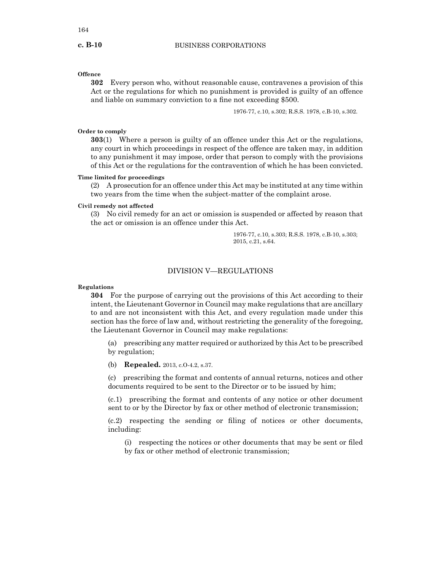# **Offence**

**302** Every person who, without reasonable cause, contravenes a provision of this Act or the regulations for which no punishment is provided is guilty of an offence and liable on summary conviction to a fine not exceeding \$500.

1976-77, c.10, s.302; R.S.S. 1978, c.B-10, s.302.

# **Order to comply**

**303**(1) Where a person is guilty of an offence under this Act or the regulations, any court in which proceedings in respect of the offence are taken may, in addition to any punishment it may impose, order that person to comply with the provisions of this Act or the regulations for the contravention of which he has been convicted.

# **Time limited for proceedings**

(2) A prosecution for an offence under this Act may be instituted at any time within two years from the time when the subject-matter of the complaint arose.

# **Civil remedy not affected**

(3) No civil remedy for an act or omission is suspended or affected by reason that the act or omission is an offence under this Act.

> 1976-77, c.10, s.303; R.S.S. 1978, c.B-10, s.303; 2015, c.21, s.64.

# DIVISION V—REGULATIONS

## **Regulations**

**304** For the purpose of carrying out the provisions of this Act according to their intent, the Lieutenant Governor in Council may make regulations that are ancillary to and are not inconsistent with this Act, and every regulation made under this section has the force of law and, without restricting the generality of the foregoing, the Lieutenant Governor in Council may make regulations:

(a) prescribing any matter required or authorized by this Act to be prescribed by regulation;

(b) **Repealed.** 2013, c.O-4.2, s.37.

(c) prescribing the format and contents of annual returns, notices and other documents required to be sent to the Director or to be issued by him;

(c.1) prescribing the format and contents of any notice or other document sent to or by the Director by fax or other method of electronic transmission;

(c.2) respecting the sending or filing of notices or other documents, including:

(i) respecting the notices or other documents that may be sent or filed by fax or other method of electronic transmission;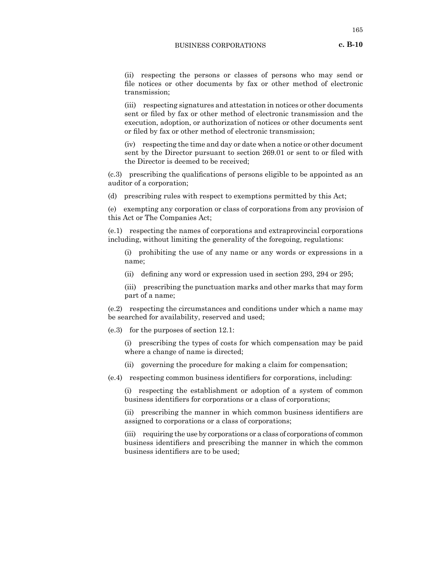(ii) respecting the persons or classes of persons who may send or file notices or other documents by fax or other method of electronic transmission;

(iii) respecting signatures and attestation in notices or other documents sent or filed by fax or other method of electronic transmission and the execution, adoption, or authorization of notices or other documents sent or filed by fax or other method of electronic transmission;

(iv) respecting the time and day or date when a notice or other document sent by the Director pursuant to section 269.01 or sent to or filed with the Director is deemed to be received;

(c.3) prescribing the qualifications of persons eligible to be appointed as an auditor of a corporation;

(d) prescribing rules with respect to exemptions permitted by this Act;

(e) exempting any corporation or class of corporations from any provision of this Act or The Companies Act;

(e.1) respecting the names of corporations and extraprovincial corporations including, without limiting the generality of the foregoing, regulations:

(i) prohibiting the use of any name or any words or expressions in a name;

(ii) defining any word or expression used in section 293, 294 or 295;

(iii) prescribing the punctuation marks and other marks that may form part of a name;

(e.2) respecting the circumstances and conditions under which a name may be searched for availability, reserved and used;

(e.3) for the purposes of section 12.1:

(i) prescribing the types of costs for which compensation may be paid where a change of name is directed;

(ii) governing the procedure for making a claim for compensation;

(e.4) respecting common business identifiers for corporations, including:

(i) respecting the establishment or adoption of a system of common business identifiers for corporations or a class of corporations;

(ii) prescribing the manner in which common business identifiers are assigned to corporations or a class of corporations;

(iii) requiring the use by corporations or a class of corporations of common business identifiers and prescribing the manner in which the common business identifiers are to be used;